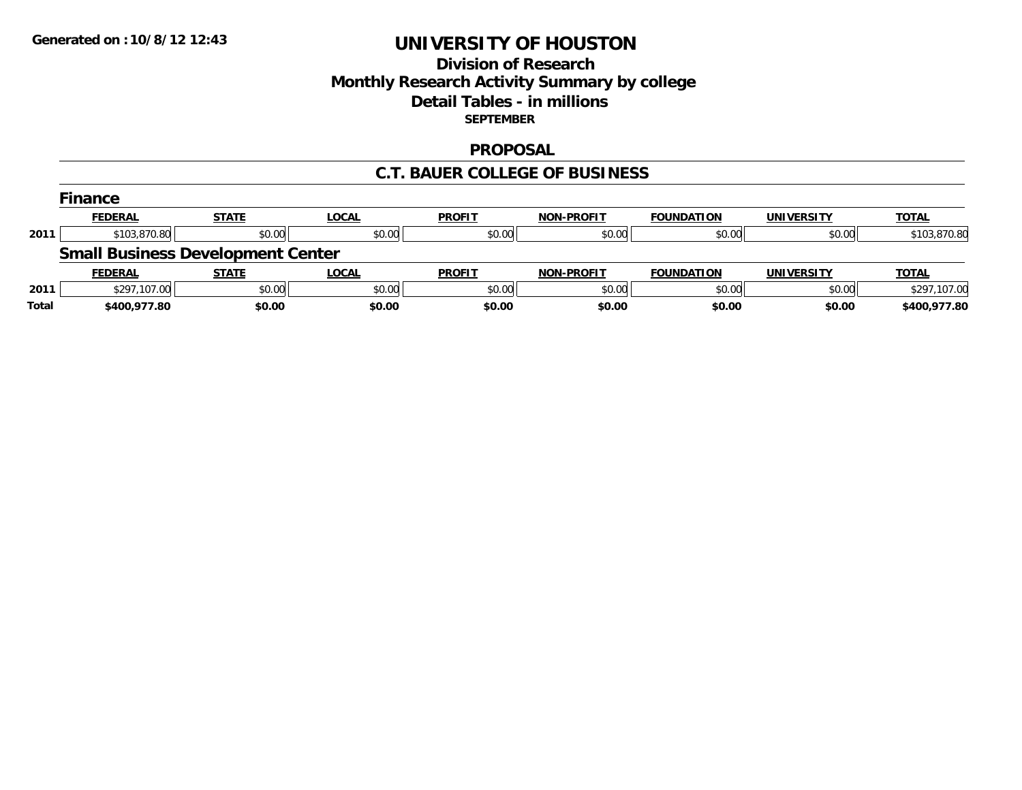## **Division of Research Monthly Research Activity Summary by college Detail Tables - in millions SEPTEMBER**

### **PROPOSAL**

### **C.T. BAUER COLLEGE OF BUSINESS**

|       | <b>Finance</b>                           |              |              |               |                   |                   |                   |              |
|-------|------------------------------------------|--------------|--------------|---------------|-------------------|-------------------|-------------------|--------------|
|       | <b>FEDERAL</b>                           | <b>STATE</b> | <u>LOCAL</u> | <b>PROFIT</b> | <b>NON-PROFIT</b> | <b>FOUNDATION</b> | <b>UNIVERSITY</b> | <b>TOTAL</b> |
| 2011  | \$103,870.80                             | \$0.00       | \$0.00       | \$0.00        | \$0.00            | \$0.00            | \$0.00            | \$103,870.80 |
|       | <b>Small Business Development Center</b> |              |              |               |                   |                   |                   |              |
|       | <b>FEDERAL</b>                           | <b>STATE</b> | <u>LOCAL</u> | <b>PROFIT</b> | <b>NON-PROFIT</b> | <b>FOUNDATION</b> | <b>UNIVERSITY</b> | <b>TOTAL</b> |
| 2011  | \$297,107.00                             | \$0.00       | \$0.00       | \$0.00        | \$0.00            | \$0.00            | \$0.00            | \$297,107.00 |
| Total | \$400,977.80                             | \$0.00       | \$0.00       | \$0.00        | \$0.00            | \$0.00            | \$0.00            | \$400,977.80 |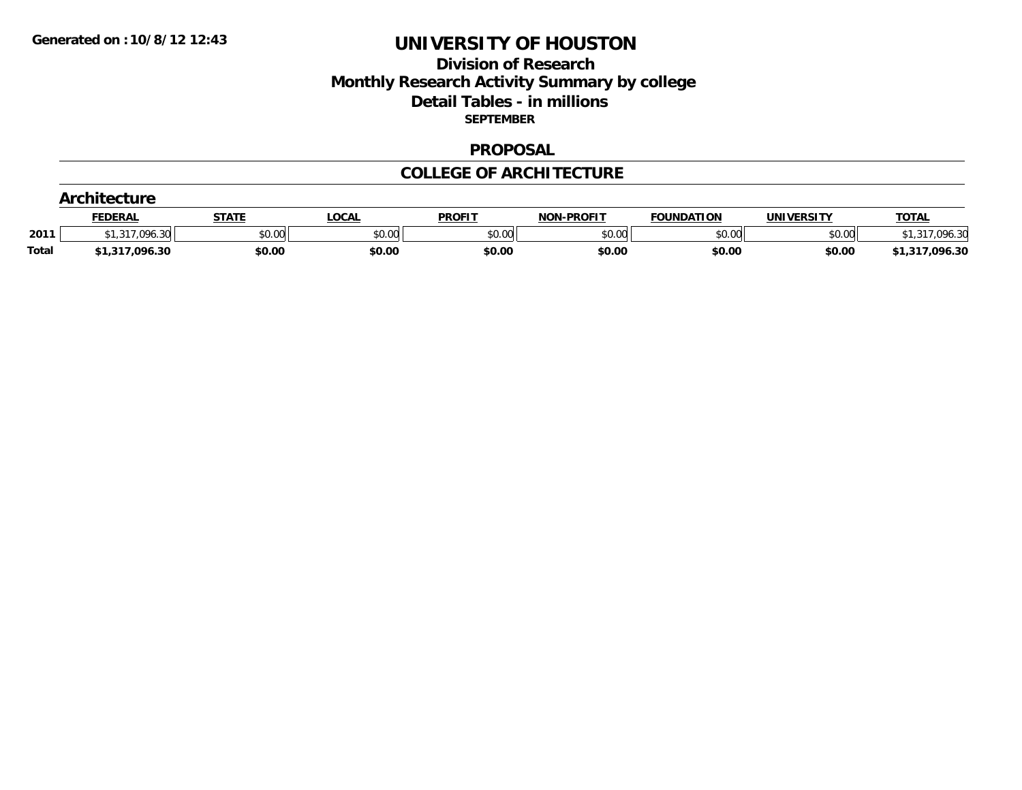## **Division of Research Monthly Research Activity Summary by college Detail Tables - in millions SEPTEMBER**

#### **PROPOSAL**

### **COLLEGE OF ARCHITECTURE**

|              | nitecture                            |              |        |               |                   |                   |            |                |  |
|--------------|--------------------------------------|--------------|--------|---------------|-------------------|-------------------|------------|----------------|--|
|              | <b>FEDERAL</b>                       | <b>STATE</b> | ∟OCAL  | <b>PROFIT</b> | <b>NON-PROFIT</b> | <b>FOUNDATION</b> | UNIVERSITY | <b>TOTAL</b>   |  |
| 2011         | .096.30<br>$\sim$ $\sim$<br>الن، الب | \$0.00       | \$0.00 | \$0.00        | \$0.00            | \$0.00            | \$0.00     | 3۵             |  |
| <b>Total</b> | \$1,317,096.30                       | \$0.00       | \$0.00 | \$0.00        | \$0.00            | \$0.00            | \$0.00     | \$1,317,096.30 |  |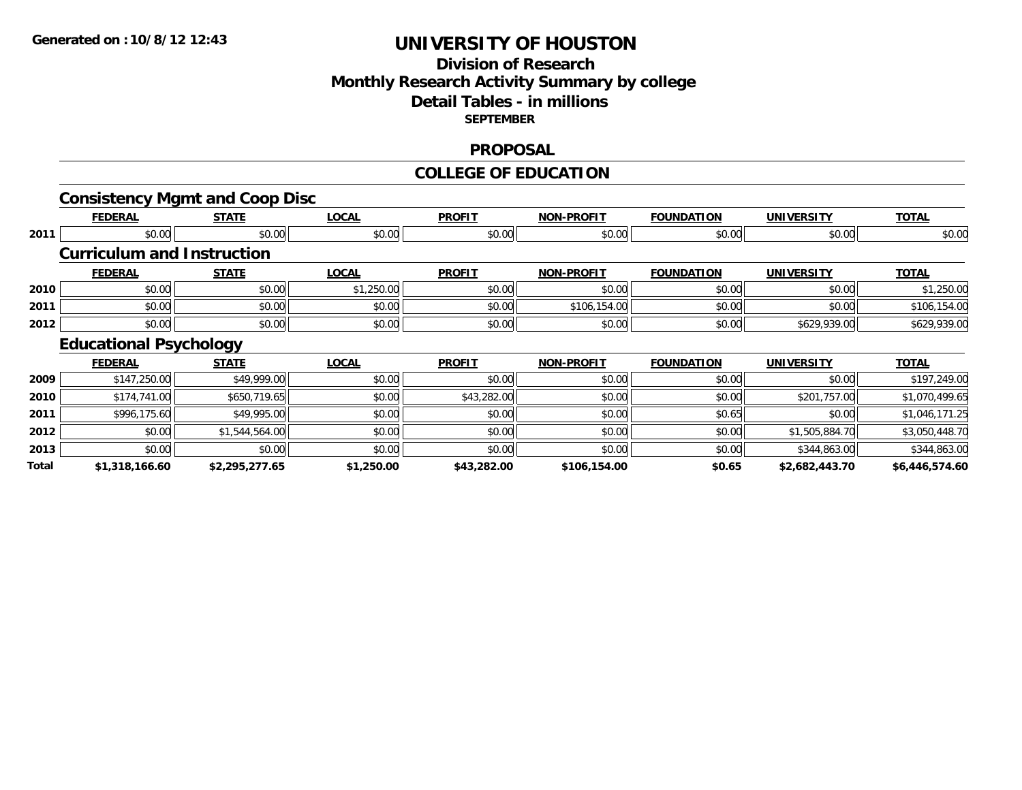## **Division of Research Monthly Research Activity Summary by college Detail Tables - in millions SEPTEMBER**

### **PROPOSAL**

#### **COLLEGE OF EDUCATION**

|       | <b>Consistency Mgmt and Coop Disc</b> |                |              |               |                   |                   |                   |                |
|-------|---------------------------------------|----------------|--------------|---------------|-------------------|-------------------|-------------------|----------------|
|       | <b>FEDERAL</b>                        | <b>STATE</b>   | <b>LOCAL</b> | <b>PROFIT</b> | <b>NON-PROFIT</b> | <b>FOUNDATION</b> | <b>UNIVERSITY</b> | <b>TOTAL</b>   |
| 2011  | \$0.00                                | \$0.00         | \$0.00       | \$0.00        | \$0.00            | \$0.00            | \$0.00            | \$0.00         |
|       | <b>Curriculum and Instruction</b>     |                |              |               |                   |                   |                   |                |
|       | <b>FEDERAL</b>                        | <b>STATE</b>   | <b>LOCAL</b> | <b>PROFIT</b> | <b>NON-PROFIT</b> | <b>FOUNDATION</b> | <b>UNIVERSITY</b> | <b>TOTAL</b>   |
| 2010  | \$0.00                                | \$0.00         | \$1,250.00   | \$0.00        | \$0.00            | \$0.00            | \$0.00            | \$1,250.00     |
| 2011  | \$0.00                                | \$0.00         | \$0.00       | \$0.00        | \$106,154.00      | \$0.00            | \$0.00            | \$106,154.00   |
| 2012  | \$0.00                                | \$0.00         | \$0.00       | \$0.00        | \$0.00            | \$0.00            | \$629,939.00      | \$629,939.00   |
|       | <b>Educational Psychology</b>         |                |              |               |                   |                   |                   |                |
|       | <b>FEDERAL</b>                        | <b>STATE</b>   | <b>LOCAL</b> | <b>PROFIT</b> | <b>NON-PROFIT</b> | <b>FOUNDATION</b> | <b>UNIVERSITY</b> | <b>TOTAL</b>   |
| 2009  | \$147,250.00                          | \$49,999.00    | \$0.00       | \$0.00        | \$0.00            | \$0.00            | \$0.00            | \$197,249.00   |
| 2010  | \$174,741.00                          | \$650,719.65   | \$0.00       | \$43,282.00   | \$0.00            | \$0.00            | \$201,757.00      | \$1,070,499.65 |
| 2011  | \$996,175.60                          | \$49,995.00    | \$0.00       | \$0.00        | \$0.00            | \$0.65            | \$0.00            | \$1,046,171.25 |
| 2012  | \$0.00                                | \$1,544,564.00 | \$0.00       | \$0.00        | \$0.00            | \$0.00            | \$1,505,884.70    | \$3,050,448.70 |
| 2013  | \$0.00                                | \$0.00         | \$0.00       | \$0.00        | \$0.00            | \$0.00            | \$344,863.00      | \$344,863.00   |
| Total | \$1,318,166.60                        | \$2,295,277.65 | \$1,250.00   | \$43,282.00   | \$106,154.00      | \$0.65            | \$2,682,443.70    | \$6,446,574.60 |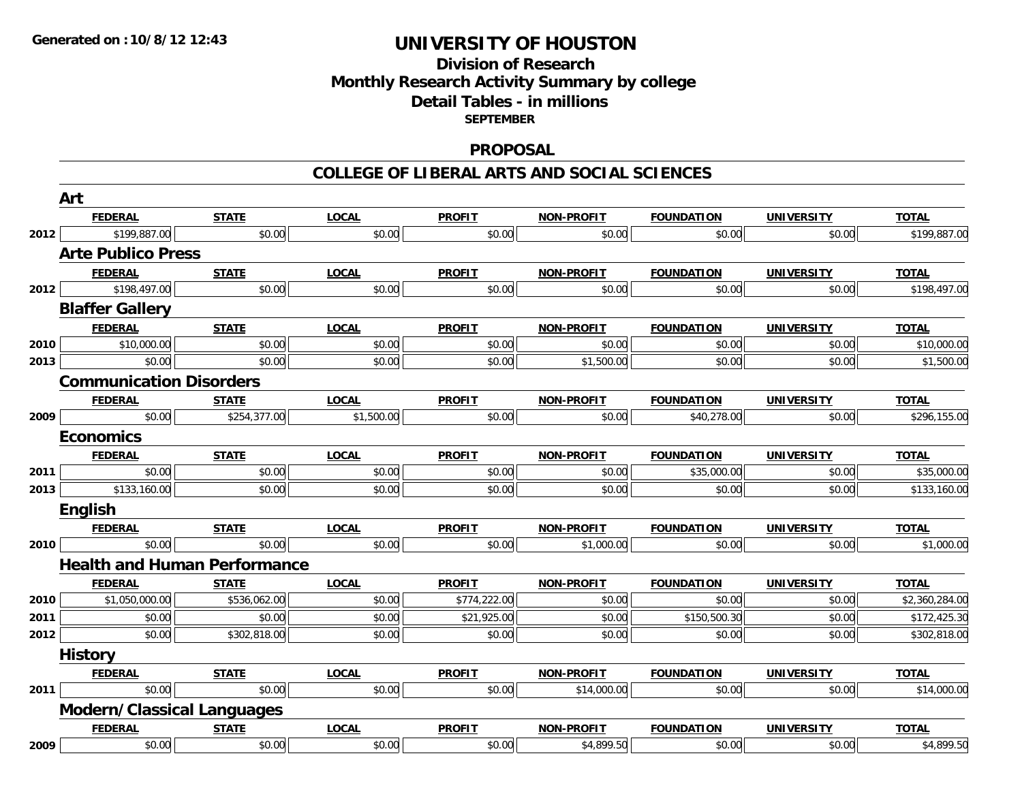### **Division of Research Monthly Research Activity Summary by college Detail Tables - in millions SEPTEMBER**

### **PROPOSAL**

#### **COLLEGE OF LIBERAL ARTS AND SOCIAL SCIENCES**

|      | Art                                 |              |              |               |                   |                   |                   |                |
|------|-------------------------------------|--------------|--------------|---------------|-------------------|-------------------|-------------------|----------------|
|      | <b>FEDERAL</b>                      | <b>STATE</b> | <b>LOCAL</b> | <b>PROFIT</b> | <b>NON-PROFIT</b> | <b>FOUNDATION</b> | <b>UNIVERSITY</b> | <b>TOTAL</b>   |
| 2012 | \$199,887.00                        | \$0.00       | \$0.00       | \$0.00        | \$0.00            | \$0.00            | \$0.00            | \$199,887.00   |
|      | <b>Arte Publico Press</b>           |              |              |               |                   |                   |                   |                |
|      | <b>FEDERAL</b>                      | <b>STATE</b> | <b>LOCAL</b> | <b>PROFIT</b> | <b>NON-PROFIT</b> | <b>FOUNDATION</b> | <b>UNIVERSITY</b> | <b>TOTAL</b>   |
| 2012 | \$198,497.00                        | \$0.00       | \$0.00       | \$0.00        | \$0.00            | \$0.00            | \$0.00            | \$198,497.00   |
|      | <b>Blaffer Gallery</b>              |              |              |               |                   |                   |                   |                |
|      | <b>FEDERAL</b>                      | <b>STATE</b> | <b>LOCAL</b> | <b>PROFIT</b> | <b>NON-PROFIT</b> | <b>FOUNDATION</b> | <b>UNIVERSITY</b> | <b>TOTAL</b>   |
| 2010 | \$10,000.00                         | \$0.00       | \$0.00       | \$0.00        | \$0.00            | \$0.00            | \$0.00            | \$10,000.00    |
| 2013 | \$0.00                              | \$0.00       | \$0.00       | \$0.00        | \$1,500.00        | \$0.00            | \$0.00            | \$1,500.00     |
|      | <b>Communication Disorders</b>      |              |              |               |                   |                   |                   |                |
|      | <b>FEDERAL</b>                      | <b>STATE</b> | <b>LOCAL</b> | <b>PROFIT</b> | <b>NON-PROFIT</b> | <b>FOUNDATION</b> | <b>UNIVERSITY</b> | <b>TOTAL</b>   |
| 2009 | \$0.00                              | \$254,377.00 | \$1,500.00   | \$0.00        | \$0.00            | \$40,278.00       | \$0.00            | \$296,155.00   |
|      | <b>Economics</b>                    |              |              |               |                   |                   |                   |                |
|      | <b>FEDERAL</b>                      | <b>STATE</b> | <b>LOCAL</b> | <b>PROFIT</b> | <b>NON-PROFIT</b> | <b>FOUNDATION</b> | <b>UNIVERSITY</b> | <b>TOTAL</b>   |
| 2011 | \$0.00                              | \$0.00       | \$0.00       | \$0.00        | \$0.00            | \$35,000.00       | \$0.00            | \$35,000.00    |
| 2013 | \$133,160.00                        | \$0.00       | \$0.00       | \$0.00        | \$0.00            | \$0.00            | \$0.00            | \$133,160.00   |
|      | English                             |              |              |               |                   |                   |                   |                |
|      | <b>FEDERAL</b>                      | <b>STATE</b> | <b>LOCAL</b> | <b>PROFIT</b> | <b>NON-PROFIT</b> | <b>FOUNDATION</b> | <b>UNIVERSITY</b> | <b>TOTAL</b>   |
| 2010 | \$0.00                              | \$0.00       | \$0.00       | \$0.00        | \$1,000.00        | \$0.00            | \$0.00            | \$1,000.00     |
|      | <b>Health and Human Performance</b> |              |              |               |                   |                   |                   |                |
|      | <b>FEDERAL</b>                      | <b>STATE</b> | <b>LOCAL</b> | <b>PROFIT</b> | <b>NON-PROFIT</b> | <b>FOUNDATION</b> | <b>UNIVERSITY</b> | <b>TOTAL</b>   |
| 2010 | \$1,050,000.00                      | \$536,062.00 | \$0.00       | \$774,222.00  | \$0.00            | \$0.00            | \$0.00            | \$2,360,284.00 |
| 2011 | \$0.00                              | \$0.00       | \$0.00       | \$21,925.00   | \$0.00            | \$150,500.30      | \$0.00            | \$172,425.30   |
| 2012 | \$0.00                              | \$302,818.00 | \$0.00       | \$0.00        | \$0.00            | \$0.00            | \$0.00            | \$302,818.00   |
|      | <b>History</b>                      |              |              |               |                   |                   |                   |                |
|      | <b>FEDERAL</b>                      | <b>STATE</b> | <b>LOCAL</b> | <b>PROFIT</b> | <b>NON-PROFIT</b> | <b>FOUNDATION</b> | <b>UNIVERSITY</b> | <b>TOTAL</b>   |
| 2011 | \$0.00                              | \$0.00       | \$0.00       | \$0.00        | \$14,000.00       | \$0.00            | \$0.00            | \$14,000.00    |
|      | <b>Modern/Classical Languages</b>   |              |              |               |                   |                   |                   |                |
|      | <b>FEDERAL</b>                      | <b>STATE</b> | <b>LOCAL</b> | <b>PROFIT</b> | <b>NON-PROFIT</b> | <b>FOUNDATION</b> | <b>UNIVERSITY</b> | <b>TOTAL</b>   |
| 2009 | \$0.00                              | \$0.00       | \$0.00       | \$0.00        | \$4,899.50        | \$0.00            | \$0.00            | \$4,899.50     |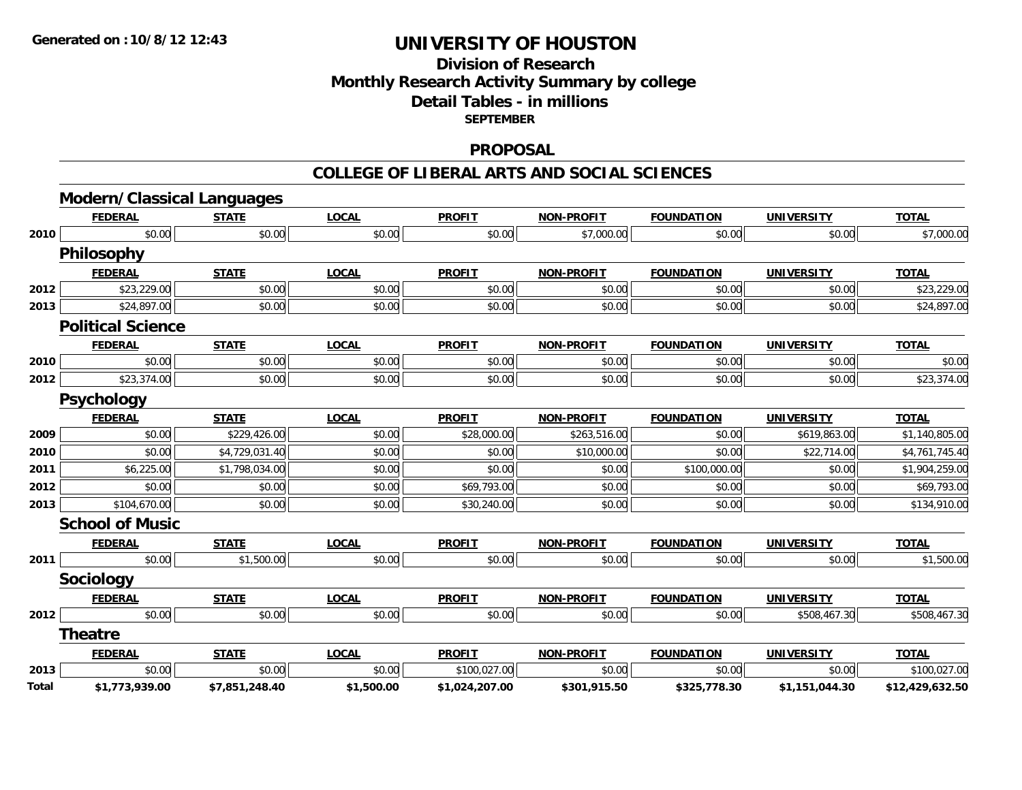## **Division of ResearchMonthly Research Activity Summary by college Detail Tables - in millions SEPTEMBER**

### **PROPOSAL**

#### **COLLEGE OF LIBERAL ARTS AND SOCIAL SCIENCES**

|       | <b>Modern/Classical Languages</b> |                |              |                |                   |                   |                   |                 |
|-------|-----------------------------------|----------------|--------------|----------------|-------------------|-------------------|-------------------|-----------------|
|       | <b>FEDERAL</b>                    | <b>STATE</b>   | <b>LOCAL</b> | <b>PROFIT</b>  | <b>NON-PROFIT</b> | <b>FOUNDATION</b> | <b>UNIVERSITY</b> | <b>TOTAL</b>    |
| 2010  | \$0.00                            | \$0.00         | \$0.00       | \$0.00         | \$7,000.00        | \$0.00            | \$0.00            | \$7,000.00      |
|       | Philosophy                        |                |              |                |                   |                   |                   |                 |
|       | <b>FEDERAL</b>                    | <b>STATE</b>   | <b>LOCAL</b> | <b>PROFIT</b>  | <b>NON-PROFIT</b> | <b>FOUNDATION</b> | <b>UNIVERSITY</b> | <b>TOTAL</b>    |
| 2012  | \$23,229.00                       | \$0.00         | \$0.00       | \$0.00         | \$0.00            | \$0.00            | \$0.00            | \$23,229.00     |
| 2013  | \$24,897.00                       | \$0.00         | \$0.00       | \$0.00         | \$0.00            | \$0.00            | \$0.00            | \$24,897.00     |
|       | <b>Political Science</b>          |                |              |                |                   |                   |                   |                 |
|       | <b>FEDERAL</b>                    | <b>STATE</b>   | <b>LOCAL</b> | <b>PROFIT</b>  | <b>NON-PROFIT</b> | <b>FOUNDATION</b> | <b>UNIVERSITY</b> | <b>TOTAL</b>    |
| 2010  | \$0.00                            | \$0.00         | \$0.00       | \$0.00         | \$0.00            | \$0.00            | \$0.00            | \$0.00          |
| 2012  | \$23,374.00                       | \$0.00         | \$0.00       | \$0.00         | \$0.00            | \$0.00            | \$0.00            | \$23,374.00     |
|       | <b>Psychology</b>                 |                |              |                |                   |                   |                   |                 |
|       | <b>FEDERAL</b>                    | <b>STATE</b>   | <b>LOCAL</b> | <b>PROFIT</b>  | <b>NON-PROFIT</b> | <b>FOUNDATION</b> | <b>UNIVERSITY</b> | <b>TOTAL</b>    |
| 2009  | \$0.00                            | \$229,426.00   | \$0.00       | \$28,000.00    | \$263,516.00      | \$0.00            | \$619,863.00      | \$1,140,805.00  |
| 2010  | \$0.00                            | \$4,729,031.40 | \$0.00       | \$0.00         | \$10,000.00       | \$0.00            | \$22,714.00       | \$4,761,745.40  |
| 2011  | \$6,225.00                        | \$1,798,034.00 | \$0.00       | \$0.00         | \$0.00            | \$100,000.00      | \$0.00            | \$1,904,259.00  |
| 2012  | \$0.00                            | \$0.00         | \$0.00       | \$69,793.00    | \$0.00            | \$0.00            | \$0.00            | \$69,793.00     |
| 2013  | \$104,670.00                      | \$0.00         | \$0.00       | \$30,240.00    | \$0.00            | \$0.00            | \$0.00            | \$134,910.00    |
|       | <b>School of Music</b>            |                |              |                |                   |                   |                   |                 |
|       | <b>FEDERAL</b>                    | <b>STATE</b>   | <b>LOCAL</b> | <b>PROFIT</b>  | <b>NON-PROFIT</b> | <b>FOUNDATION</b> | <b>UNIVERSITY</b> | <b>TOTAL</b>    |
| 2011  | \$0.00                            | \$1,500.00     | \$0.00       | \$0.00         | \$0.00            | \$0.00            | \$0.00            | \$1,500.00      |
|       | <b>Sociology</b>                  |                |              |                |                   |                   |                   |                 |
|       | <b>FEDERAL</b>                    | <b>STATE</b>   | <b>LOCAL</b> | <b>PROFIT</b>  | <b>NON-PROFIT</b> | <b>FOUNDATION</b> | <b>UNIVERSITY</b> | <b>TOTAL</b>    |
| 2012  | \$0.00                            | \$0.00         | \$0.00       | \$0.00         | \$0.00            | \$0.00            | \$508,467.30      | \$508,467.30    |
|       | <b>Theatre</b>                    |                |              |                |                   |                   |                   |                 |
|       | <b>FEDERAL</b>                    | <b>STATE</b>   | <b>LOCAL</b> | <b>PROFIT</b>  | <b>NON-PROFIT</b> | <b>FOUNDATION</b> | <b>UNIVERSITY</b> | <b>TOTAL</b>    |
| 2013  | \$0.00                            | \$0.00         | \$0.00       | \$100,027.00   | \$0.00            | \$0.00            | \$0.00            | \$100,027.00    |
| Total | \$1,773,939.00                    | \$7,851,248.40 | \$1,500.00   | \$1,024,207.00 | \$301,915.50      | \$325,778.30      | \$1,151,044.30    | \$12,429,632.50 |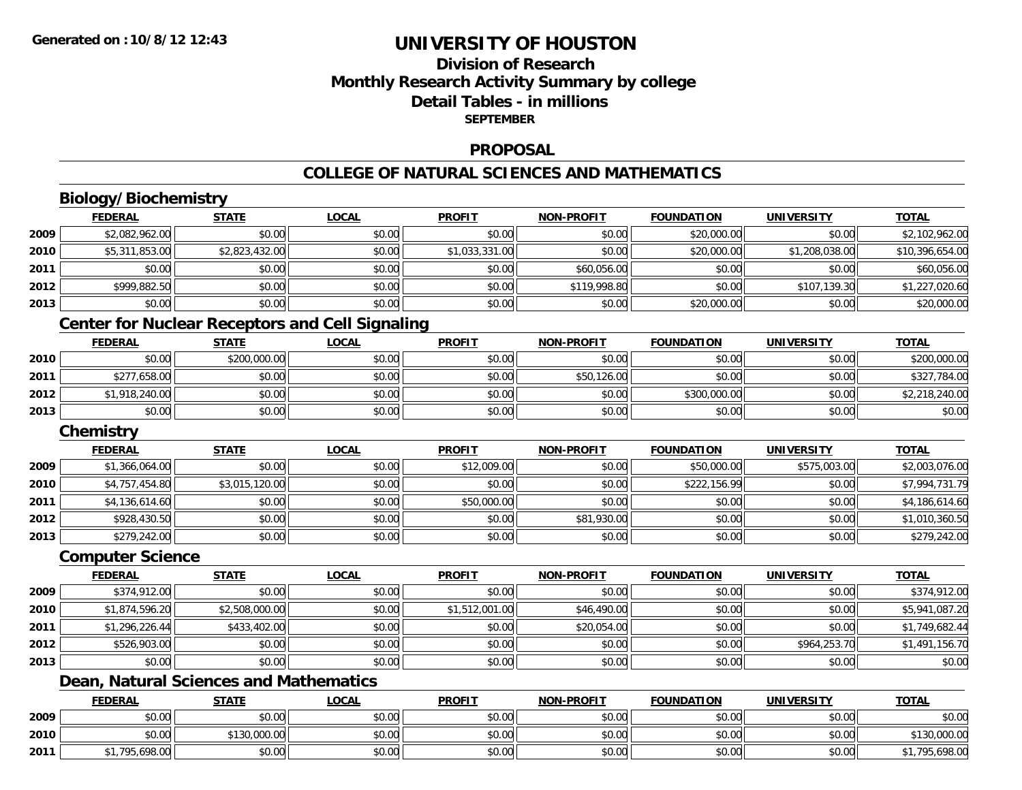## **Division of ResearchMonthly Research Activity Summary by college Detail Tables - in millions SEPTEMBER**

### **PROPOSAL**

#### **COLLEGE OF NATURAL SCIENCES AND MATHEMATICS**

# **Biology/Biochemistry**

|      | <b>FEDERAL</b>          | <b>STATE</b>                                           | <b>LOCAL</b> | <b>PROFIT</b>  | <b>NON-PROFIT</b> | <b>FOUNDATION</b> | <b>UNIVERSITY</b> | <b>TOTAL</b>    |
|------|-------------------------|--------------------------------------------------------|--------------|----------------|-------------------|-------------------|-------------------|-----------------|
| 2009 | \$2,082,962.00          | \$0.00                                                 | \$0.00       | \$0.00         | \$0.00            | \$20,000.00       | \$0.00            | \$2,102,962.00  |
| 2010 | \$5,311,853.00          | \$2,823,432.00                                         | \$0.00       | \$1,033,331.00 | \$0.00            | \$20,000.00       | \$1,208,038.00    | \$10,396,654.00 |
| 2011 | \$0.00                  | \$0.00                                                 | \$0.00       | \$0.00         | \$60,056.00       | \$0.00            | \$0.00            | \$60,056.00     |
| 2012 | \$999,882.50            | \$0.00                                                 | \$0.00       | \$0.00         | \$119,998.80      | \$0.00            | \$107,139.30      | \$1,227,020.60  |
| 2013 | \$0.00                  | \$0.00                                                 | \$0.00       | \$0.00         | \$0.00            | \$20,000.00       | \$0.00            | \$20,000.00     |
|      |                         | <b>Center for Nuclear Receptors and Cell Signaling</b> |              |                |                   |                   |                   |                 |
|      | <b>FEDERAL</b>          | <b>STATE</b>                                           | <b>LOCAL</b> | <b>PROFIT</b>  | <b>NON-PROFIT</b> | <b>FOUNDATION</b> | <b>UNIVERSITY</b> | <b>TOTAL</b>    |
| 2010 | \$0.00                  | \$200,000.00                                           | \$0.00       | \$0.00         | \$0.00            | \$0.00            | \$0.00            | \$200,000.00    |
| 2011 | \$277,658.00            | \$0.00                                                 | \$0.00       | \$0.00         | \$50,126.00       | \$0.00            | \$0.00            | \$327,784.00    |
| 2012 | \$1,918,240.00          | \$0.00                                                 | \$0.00       | \$0.00         | \$0.00            | \$300,000.00      | \$0.00            | \$2,218,240.00  |
| 2013 | \$0.00                  | \$0.00                                                 | \$0.00       | \$0.00         | \$0.00            | \$0.00            | \$0.00            | \$0.00          |
|      | Chemistry               |                                                        |              |                |                   |                   |                   |                 |
|      | <b>FEDERAL</b>          | <b>STATE</b>                                           | <b>LOCAL</b> | <b>PROFIT</b>  | <b>NON-PROFIT</b> | <b>FOUNDATION</b> | <b>UNIVERSITY</b> | <b>TOTAL</b>    |
| 2009 | \$1,366,064.00          | \$0.00                                                 | \$0.00       | \$12,009.00    | \$0.00            | \$50,000.00       | \$575,003.00      | \$2,003,076.00  |
| 2010 | \$4,757,454.80          | \$3,015,120.00                                         | \$0.00       | \$0.00         | \$0.00            | \$222,156.99      | \$0.00            | \$7,994,731.79  |
| 2011 | \$4,136,614.60          | \$0.00                                                 | \$0.00       | \$50,000.00    | \$0.00            | \$0.00            | \$0.00            | \$4,186,614.60  |
| 2012 | \$928,430.50            | \$0.00                                                 | \$0.00       | \$0.00         | \$81,930.00       | \$0.00            | \$0.00            | \$1,010,360.50  |
| 2013 | \$279,242.00            | \$0.00                                                 | \$0.00       | \$0.00         | \$0.00            | \$0.00            | \$0.00            | \$279,242.00    |
|      | <b>Computer Science</b> |                                                        |              |                |                   |                   |                   |                 |
|      | <b>FEDERAL</b>          | <b>STATE</b>                                           | <b>LOCAL</b> | <b>PROFIT</b>  | <b>NON-PROFIT</b> | <b>FOUNDATION</b> | <b>UNIVERSITY</b> | <b>TOTAL</b>    |
| 2009 | \$374,912.00            | \$0.00                                                 | \$0.00       | \$0.00         | \$0.00            | \$0.00            | \$0.00            | \$374,912.00    |
| 2010 | \$1,874,596.20          | \$2,508,000.00                                         | \$0.00       | \$1,512,001.00 | \$46,490.00       | \$0.00            | \$0.00            | \$5,941,087.20  |

| 2013 | 60.00             | 0.00<br>JU.UU | $\sim$ 00<br>SU.UU | \$0.00 | \$0.00 | \$0.00 | \$0.00 | \$0.00 |
|------|-------------------|---------------|--------------------|--------|--------|--------|--------|--------|
|      | Dean<br>Natural S | Sciences and  | J Mathematics      |        |        |        |        |        |

**2011**

**2012**

|      | <b>FEDERAL</b> | <b>STATE</b> | <u>LOCAL</u> | <b>PROFIT</b> | <b>NON-PROFIT</b> | <b>FOUNDATION</b> | <b>UNIVERSITY</b> | <b>TOTAL</b> |
|------|----------------|--------------|--------------|---------------|-------------------|-------------------|-------------------|--------------|
| 2009 | \$0.00         | \$0.00       | \$0.00       | \$0.00        | \$0.00            | \$0.00            | \$0.00            | \$0.00       |
| 2010 | \$0.00         | \$130,000.00 | \$0.00       | \$0.00        | \$0.00            | \$0.00            | \$0.00            | \$130,000.00 |
| 2011 | .698.00        | \$0.00       | \$0.00       | \$0.00        | \$0.00            | \$0.00            | \$0.00            | .795.698.00  |

\$1,296,226.44 \$433,402.00 \$0.00 \$0.00 \$20,054.00 \$0.00 \$0.00 \$1,749,682.44

\$526,903.00 \$0.00 \$0.00 \$0.00 \$0.00 \$0.00 \$964,253.70 \$1,491,156.70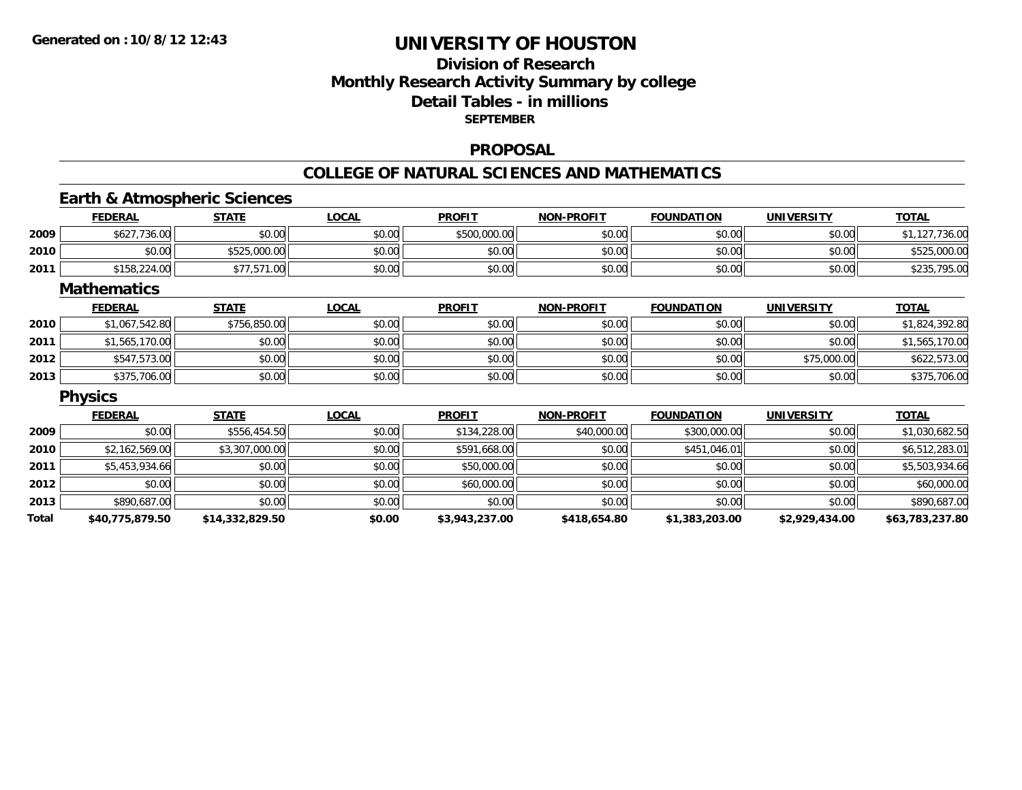## **Division of ResearchMonthly Research Activity Summary by college Detail Tables - in millions SEPTEMBER**

### **PROPOSAL**

### **COLLEGE OF NATURAL SCIENCES AND MATHEMATICS**

## **Earth & Atmospheric Sciences**

|       | <b>FEDERAL</b>     | <b>STATE</b>    | <b>LOCAL</b> | <b>PROFIT</b>  | <b>NON-PROFIT</b> | <b>FOUNDATION</b> | <b>UNIVERSITY</b> | <b>TOTAL</b>    |
|-------|--------------------|-----------------|--------------|----------------|-------------------|-------------------|-------------------|-----------------|
| 2009  | \$627,736.00       | \$0.00          | \$0.00       | \$500,000.00   | \$0.00            | \$0.00            | \$0.00            | \$1,127,736.00  |
| 2010  | \$0.00             | \$525,000.00    | \$0.00       | \$0.00         | \$0.00            | \$0.00            | \$0.00            | \$525,000.00    |
| 2011  | \$158,224.00       | \$77,571.00     | \$0.00       | \$0.00         | \$0.00            | \$0.00            | \$0.00            | \$235,795.00    |
|       | <b>Mathematics</b> |                 |              |                |                   |                   |                   |                 |
|       | <b>FEDERAL</b>     | <b>STATE</b>    | <b>LOCAL</b> | <b>PROFIT</b>  | <b>NON-PROFIT</b> | <b>FOUNDATION</b> | <b>UNIVERSITY</b> | <b>TOTAL</b>    |
| 2010  | \$1,067,542.80     | \$756,850.00    | \$0.00       | \$0.00         | \$0.00            | \$0.00            | \$0.00            | \$1,824,392.80  |
| 2011  | \$1,565,170.00     | \$0.00          | \$0.00       | \$0.00         | \$0.00            | \$0.00            | \$0.00            | \$1,565,170.00  |
| 2012  | \$547,573.00       | \$0.00          | \$0.00       | \$0.00         | \$0.00            | \$0.00            | \$75,000.00       | \$622,573.00    |
| 2013  | \$375,706.00       | \$0.00          | \$0.00       | \$0.00         | \$0.00            | \$0.00            | \$0.00            | \$375,706.00    |
|       | <b>Physics</b>     |                 |              |                |                   |                   |                   |                 |
|       | <b>FEDERAL</b>     | <b>STATE</b>    | <b>LOCAL</b> | <b>PROFIT</b>  | <b>NON-PROFIT</b> | <b>FOUNDATION</b> | <b>UNIVERSITY</b> | <b>TOTAL</b>    |
| 2009  | \$0.00             | \$556,454.50    | \$0.00       | \$134,228.00   | \$40,000.00       | \$300,000.00      | \$0.00            | \$1,030,682.50  |
| 2010  | \$2,162,569.00     | \$3,307,000.00  | \$0.00       | \$591,668.00   | \$0.00            | \$451,046.01      | \$0.00            | \$6,512,283.01  |
| 2011  | \$5,453,934.66     | \$0.00          | \$0.00       | \$50,000.00    | \$0.00            | \$0.00            | \$0.00            | \$5,503,934.66  |
| 2012  | \$0.00             | \$0.00          | \$0.00       | \$60,000.00    | \$0.00            | \$0.00            | \$0.00            | \$60,000.00     |
| 2013  | \$890,687.00       | \$0.00          | \$0.00       | \$0.00         | \$0.00            | \$0.00            | \$0.00            | \$890,687.00    |
| Total | \$40,775,879.50    | \$14,332,829.50 | \$0.00       | \$3,943,237.00 | \$418,654.80      | \$1,383,203.00    | \$2,929,434.00    | \$63,783,237.80 |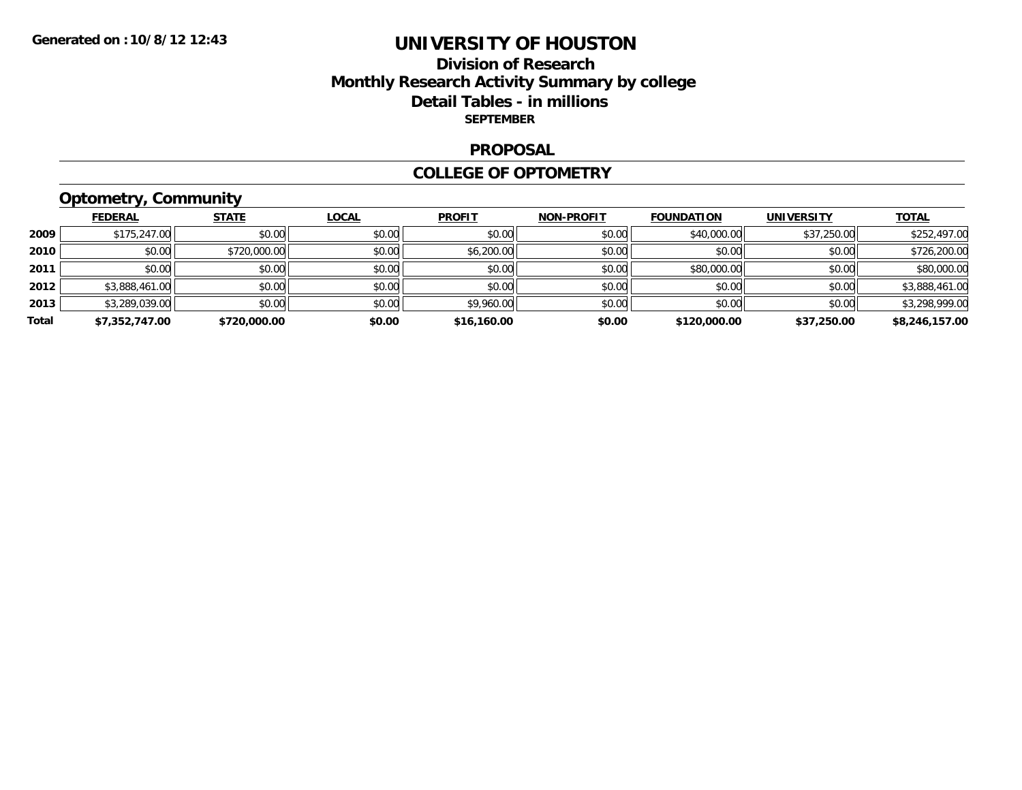## **Division of Research Monthly Research Activity Summary by college Detail Tables - in millions SEPTEMBER**

#### **PROPOSAL**

#### **COLLEGE OF OPTOMETRY**

# **Optometry, Community**

|       | <b>FEDERAL</b> | <b>STATE</b> | LOCAL  | <b>PROFIT</b> | <b>NON-PROFIT</b> | <b>FOUNDATION</b> | <b>UNIVERSITY</b> | <b>TOTAL</b>   |
|-------|----------------|--------------|--------|---------------|-------------------|-------------------|-------------------|----------------|
| 2009  | \$175,247.00   | \$0.00       | \$0.00 | \$0.00        | \$0.00            | \$40,000.00       | \$37,250.00       | \$252,497.00   |
| 2010  | \$0.00         | \$720,000.00 | \$0.00 | \$6,200.00    | \$0.00            | \$0.00            | \$0.00            | \$726,200.00   |
| 2011  | \$0.00         | \$0.00       | \$0.00 | \$0.00        | \$0.00            | \$80,000.00       | \$0.00            | \$80,000.00    |
| 2012  | \$3,888,461.00 | \$0.00       | \$0.00 | \$0.00        | \$0.00            | \$0.00            | \$0.00            | \$3,888,461.00 |
| 2013  | \$3,289,039.00 | \$0.00       | \$0.00 | \$9,960.00    | \$0.00            | \$0.00            | \$0.00            | \$3,298,999.00 |
| Total | \$7,352,747.00 | \$720,000.00 | \$0.00 | \$16,160.00   | \$0.00            | \$120,000.00      | \$37,250.00       | \$8,246,157.00 |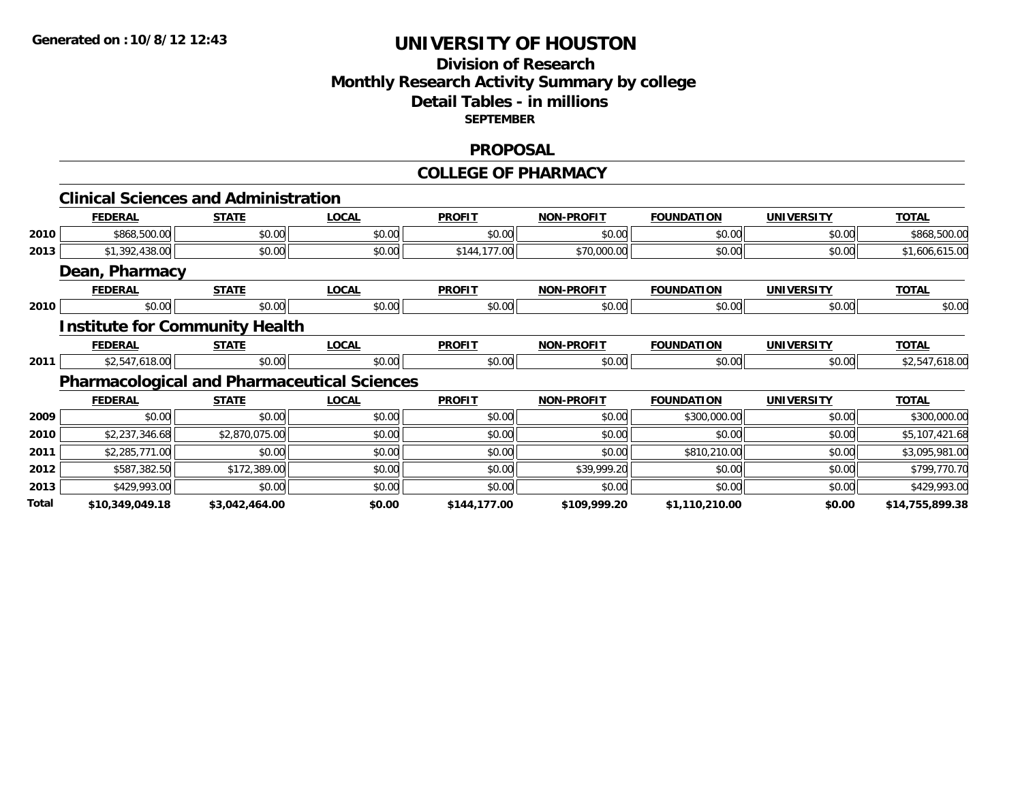## **Division of Research Monthly Research Activity Summary by college Detail Tables - in millions SEPTEMBER**

### **PROPOSAL**

#### **COLLEGE OF PHARMACY**

|       | <b>Clinical Sciences and Administration</b>        |                |              |               |                   |                   |                   |                 |
|-------|----------------------------------------------------|----------------|--------------|---------------|-------------------|-------------------|-------------------|-----------------|
|       | <b>FEDERAL</b>                                     | <b>STATE</b>   | <b>LOCAL</b> | <b>PROFIT</b> | <b>NON-PROFIT</b> | <b>FOUNDATION</b> | <b>UNIVERSITY</b> | <b>TOTAL</b>    |
| 2010  | \$868,500.00                                       | \$0.00         | \$0.00       | \$0.00        | \$0.00            | \$0.00            | \$0.00            | \$868,500.00    |
| 2013  | \$1,392,438.00                                     | \$0.00         | \$0.00       | \$144,177.00  | \$70,000.00       | \$0.00            | \$0.00            | \$1,606,615.00  |
|       | Dean, Pharmacy                                     |                |              |               |                   |                   |                   |                 |
|       | <b>FEDERAL</b>                                     | <b>STATE</b>   | <b>LOCAL</b> | <b>PROFIT</b> | <b>NON-PROFIT</b> | <b>FOUNDATION</b> | <b>UNIVERSITY</b> | <b>TOTAL</b>    |
| 2010  | \$0.00                                             | \$0.00         | \$0.00       | \$0.00        | \$0.00            | \$0.00            | \$0.00            | \$0.00          |
|       | <b>Institute for Community Health</b>              |                |              |               |                   |                   |                   |                 |
|       | <b>FEDERAL</b>                                     | <b>STATE</b>   | <b>LOCAL</b> | <b>PROFIT</b> | <b>NON-PROFIT</b> | <b>FOUNDATION</b> | <b>UNIVERSITY</b> | <b>TOTAL</b>    |
| 2011  | \$2,547,618.00                                     | \$0.00         | \$0.00       | \$0.00        | \$0.00            | \$0.00            | \$0.00            | \$2,547,618.00  |
|       | <b>Pharmacological and Pharmaceutical Sciences</b> |                |              |               |                   |                   |                   |                 |
|       | <b>FEDERAL</b>                                     | <b>STATE</b>   | <b>LOCAL</b> | <b>PROFIT</b> | <b>NON-PROFIT</b> | <b>FOUNDATION</b> | <b>UNIVERSITY</b> | <b>TOTAL</b>    |
| 2009  | \$0.00                                             | \$0.00         | \$0.00       | \$0.00        | \$0.00            | \$300,000.00      | \$0.00            | \$300,000.00    |
| 2010  | \$2,237,346.68                                     | \$2,870,075.00 | \$0.00       | \$0.00        | \$0.00            | \$0.00            | \$0.00            | \$5,107,421.68  |
| 2011  | \$2,285,771.00                                     | \$0.00         | \$0.00       | \$0.00        | \$0.00            | \$810,210.00      | \$0.00            | \$3,095,981.00  |
| 2012  | \$587,382.50                                       | \$172,389.00   | \$0.00       | \$0.00        | \$39,999.20       | \$0.00            | \$0.00            | \$799,770.70    |
| 2013  | \$429,993.00                                       | \$0.00         | \$0.00       | \$0.00        | \$0.00            | \$0.00            | \$0.00            | \$429,993.00    |
| Total | \$10,349,049.18                                    | \$3,042,464.00 | \$0.00       | \$144,177.00  | \$109,999.20      | \$1,110,210.00    | \$0.00            | \$14,755,899.38 |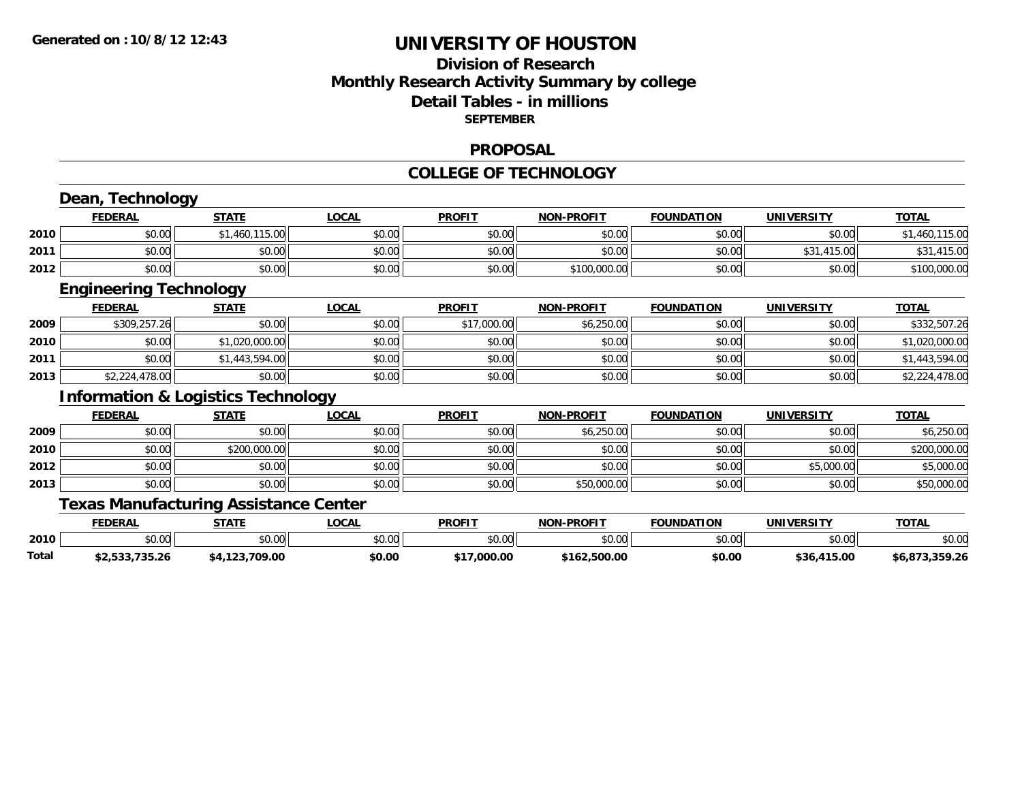## **Division of ResearchMonthly Research Activity Summary by college Detail Tables - in millions SEPTEMBER**

### **PROPOSAL**

#### **COLLEGE OF TECHNOLOGY**

|       | Dean, Technology                              |                |              |               |                   |                   |                   |                |
|-------|-----------------------------------------------|----------------|--------------|---------------|-------------------|-------------------|-------------------|----------------|
|       | <b>FEDERAL</b>                                | <b>STATE</b>   | <b>LOCAL</b> | <b>PROFIT</b> | <b>NON-PROFIT</b> | <b>FOUNDATION</b> | <b>UNIVERSITY</b> | <b>TOTAL</b>   |
| 2010  | \$0.00                                        | \$1,460,115.00 | \$0.00       | \$0.00        | \$0.00            | \$0.00            | \$0.00            | \$1,460,115.00 |
| 2011  | \$0.00                                        | \$0.00         | \$0.00       | \$0.00        | \$0.00            | \$0.00            | \$31,415.00       | \$31,415.00    |
| 2012  | \$0.00                                        | \$0.00         | \$0.00       | \$0.00        | \$100,000.00      | \$0.00            | \$0.00            | \$100,000.00   |
|       | <b>Engineering Technology</b>                 |                |              |               |                   |                   |                   |                |
|       | <u>FEDERAL</u>                                | <b>STATE</b>   | <b>LOCAL</b> | <b>PROFIT</b> | <b>NON-PROFIT</b> | <b>FOUNDATION</b> | <b>UNIVERSITY</b> | <b>TOTAL</b>   |
| 2009  | \$309,257.26                                  | \$0.00         | \$0.00       | \$17,000.00   | \$6,250.00        | \$0.00            | \$0.00            | \$332,507.26   |
| 2010  | \$0.00                                        | \$1,020,000.00 | \$0.00       | \$0.00        | \$0.00            | \$0.00            | \$0.00            | \$1,020,000.00 |
| 2011  | \$0.00                                        | \$1,443,594.00 | \$0.00       | \$0.00        | \$0.00            | \$0.00            | \$0.00            | \$1,443,594.00 |
| 2013  | \$2,224,478.00                                | \$0.00         | \$0.00       | \$0.00        | \$0.00            | \$0.00            | \$0.00            | \$2,224,478.00 |
|       | <b>Information &amp; Logistics Technology</b> |                |              |               |                   |                   |                   |                |
|       | <b>FEDERAL</b>                                | <b>STATE</b>   | <b>LOCAL</b> | <b>PROFIT</b> | <b>NON-PROFIT</b> | <b>FOUNDATION</b> | <b>UNIVERSITY</b> | <b>TOTAL</b>   |
| 2009  | \$0.00                                        | \$0.00         | \$0.00       | \$0.00        | \$6,250.00        | \$0.00            | \$0.00            | \$6,250.00     |
| 2010  | \$0.00                                        | \$200,000.00   | \$0.00       | \$0.00        | \$0.00            | \$0.00            | \$0.00            | \$200,000.00   |
| 2012  | \$0.00                                        | \$0.00         | \$0.00       | \$0.00        | \$0.00            | \$0.00            | \$5,000.00        | \$5,000.00     |
| 2013  | \$0.00                                        | \$0.00         | \$0.00       | \$0.00        | \$50,000.00       | \$0.00            | \$0.00            | \$50,000.00    |
|       | <b>Texas Manufacturing Assistance Center</b>  |                |              |               |                   |                   |                   |                |
|       | <b>FEDERAL</b>                                | <b>STATE</b>   | <b>LOCAL</b> | <b>PROFIT</b> | <b>NON-PROFIT</b> | <b>FOUNDATION</b> | <b>UNIVERSITY</b> | <b>TOTAL</b>   |
| 2010  | \$0.00                                        | \$0.00         | \$0.00       | \$0.00        | \$0.00            | \$0.00            | \$0.00            | \$0.00         |
| Total | \$2,533,735.26                                | \$4,123,709.00 | \$0.00       | \$17,000.00   | \$162,500.00      | \$0.00            | \$36,415.00       | \$6,873,359.26 |

**\$2,533,735.26 \$4,123,709.00 \$0.00 \$17,000.00 \$162,500.00 \$0.00 \$36,415.00 \$6,873,359.26**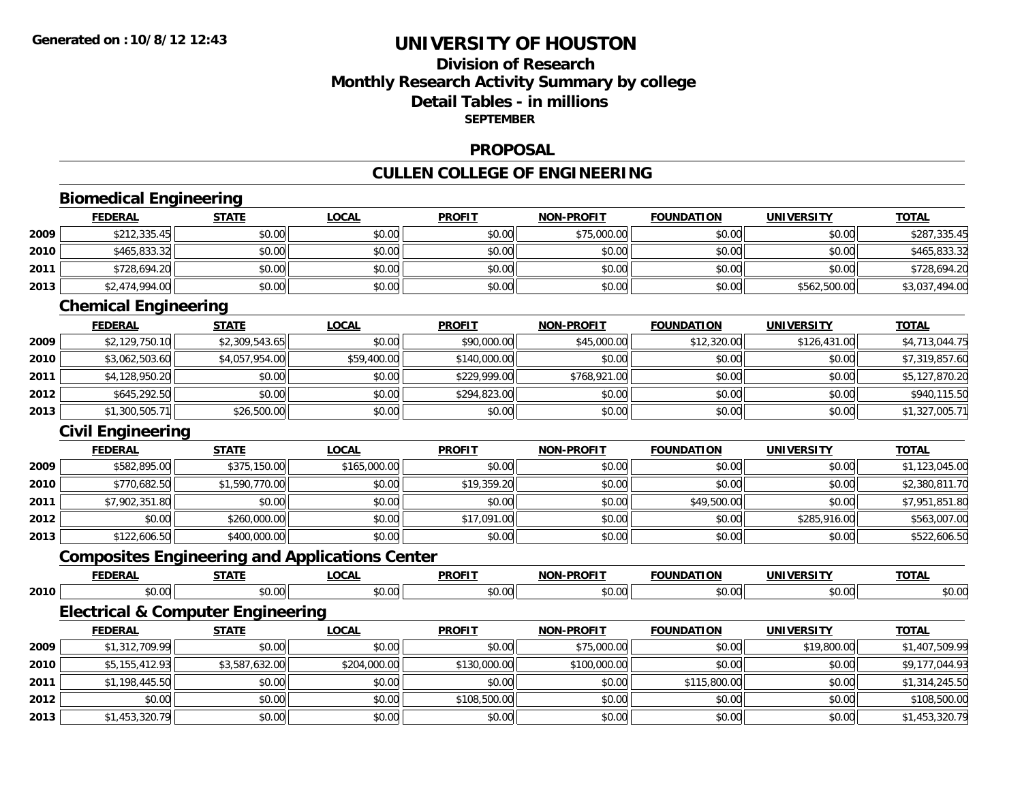## **Division of ResearchMonthly Research Activity Summary by college Detail Tables - in millions SEPTEMBER**

### **PROPOSAL**

# **CULLEN COLLEGE OF ENGINEERING**

|      | <b>Biomedical Engineering</b>                |                |                                                       |               |                   |                   |                   |                |
|------|----------------------------------------------|----------------|-------------------------------------------------------|---------------|-------------------|-------------------|-------------------|----------------|
|      | <b>FEDERAL</b>                               | <b>STATE</b>   | <b>LOCAL</b>                                          | <b>PROFIT</b> | <b>NON-PROFIT</b> | <b>FOUNDATION</b> | <b>UNIVERSITY</b> | <b>TOTAL</b>   |
| 2009 | \$212,335.45                                 | \$0.00         | \$0.00                                                | \$0.00        | \$75,000.00       | \$0.00            | \$0.00            | \$287,335.45   |
| 2010 | \$465,833.32                                 | \$0.00         | \$0.00                                                | \$0.00        | \$0.00            | \$0.00            | \$0.00            | \$465,833.32   |
| 2011 | \$728,694.20                                 | \$0.00         | \$0.00                                                | \$0.00        | \$0.00            | \$0.00            | \$0.00            | \$728,694.20   |
| 2013 | \$2,474,994.00                               | \$0.00         | \$0.00                                                | \$0.00        | \$0.00            | \$0.00            | \$562,500.00      | \$3,037,494.00 |
|      | <b>Chemical Engineering</b>                  |                |                                                       |               |                   |                   |                   |                |
|      | <b>FEDERAL</b>                               | <b>STATE</b>   | <b>LOCAL</b>                                          | <b>PROFIT</b> | <b>NON-PROFIT</b> | <b>FOUNDATION</b> | <b>UNIVERSITY</b> | <b>TOTAL</b>   |
| 2009 | \$2,129,750.10                               | \$2,309,543.65 | \$0.00                                                | \$90,000.00   | \$45,000.00       | \$12,320.00       | \$126,431.00      | \$4,713,044.75 |
| 2010 | \$3,062,503.60                               | \$4,057,954.00 | \$59,400.00                                           | \$140,000.00  | \$0.00            | \$0.00            | \$0.00            | \$7,319,857.60 |
| 2011 | \$4,128,950.20                               | \$0.00         | \$0.00                                                | \$229,999.00  | \$768,921.00      | \$0.00            | \$0.00            | \$5,127,870.20 |
| 2012 | \$645,292.50                                 | \$0.00         | \$0.00                                                | \$294,823.00  | \$0.00            | \$0.00            | \$0.00            | \$940,115.50   |
| 2013 | \$1,300,505.71                               | \$26,500.00    | \$0.00                                                | \$0.00        | \$0.00            | \$0.00            | \$0.00            | \$1,327,005.71 |
|      | <b>Civil Engineering</b>                     |                |                                                       |               |                   |                   |                   |                |
|      | <b>FEDERAL</b>                               | <b>STATE</b>   | <b>LOCAL</b>                                          | <b>PROFIT</b> | <b>NON-PROFIT</b> | <b>FOUNDATION</b> | <b>UNIVERSITY</b> | <b>TOTAL</b>   |
| 2009 | \$582,895.00                                 | \$375,150.00   | \$165,000.00                                          | \$0.00        | \$0.00            | \$0.00            | \$0.00            | \$1,123,045.00 |
| 2010 | \$770,682.50                                 | \$1,590,770.00 | \$0.00                                                | \$19,359.20   | \$0.00            | \$0.00            | \$0.00            | \$2,380,811.70 |
| 2011 | \$7,902,351.80                               | \$0.00         | \$0.00                                                | \$0.00        | \$0.00            | \$49,500.00       | \$0.00            | \$7,951,851.80 |
| 2012 | \$0.00                                       | \$260,000.00   | \$0.00                                                | \$17,091.00   | \$0.00            | \$0.00            | \$285,916.00      | \$563,007.00   |
| 2013 | \$122,606.50                                 | \$400,000.00   | \$0.00                                                | \$0.00        | \$0.00            | \$0.00            | \$0.00            | \$522,606.50   |
|      |                                              |                | <b>Composites Engineering and Applications Center</b> |               |                   |                   |                   |                |
|      | <b>FEDERAL</b>                               | <b>STATE</b>   | <b>LOCAL</b>                                          | <b>PROFIT</b> | <b>NON-PROFIT</b> | <b>FOUNDATION</b> | <b>UNIVERSITY</b> | <b>TOTAL</b>   |
| 2010 | \$0.00                                       | \$0.00         | \$0.00                                                | \$0.00        | \$0.00            | \$0.00            | \$0.00            | \$0.00         |
|      | <b>Electrical &amp; Computer Engineering</b> |                |                                                       |               |                   |                   |                   |                |
|      | <b>FEDERAL</b>                               | <b>STATE</b>   | <b>LOCAL</b>                                          | <b>PROFIT</b> | <b>NON-PROFIT</b> | <b>FOUNDATION</b> | <b>UNIVERSITY</b> | <b>TOTAL</b>   |
| 2009 | \$1,312,709.99                               | \$0.00         | \$0.00                                                | \$0.00        | \$75,000.00       | \$0.00            | \$19,800.00       | \$1,407,509.99 |
| 2010 | \$5,155,412.93                               | \$3,587,632.00 | \$204,000.00                                          | \$130,000.00  | \$100,000.00      | \$0.00            | \$0.00            | \$9,177,044.93 |
| 2011 | \$1,198,445.50                               | \$0.00         | \$0.00                                                | \$0.00        | \$0.00            | \$115,800.00      | \$0.00            | \$1,314,245.50 |
| 2012 | \$0.00                                       | \$0.00         | \$0.00                                                | \$108,500.00  | \$0.00            | \$0.00            | \$0.00            | \$108,500.00   |
| 2013 | \$1,453,320.79                               | \$0.00         | \$0.00                                                | \$0.00        | \$0.00            | \$0.00            | \$0.00            | \$1,453,320.79 |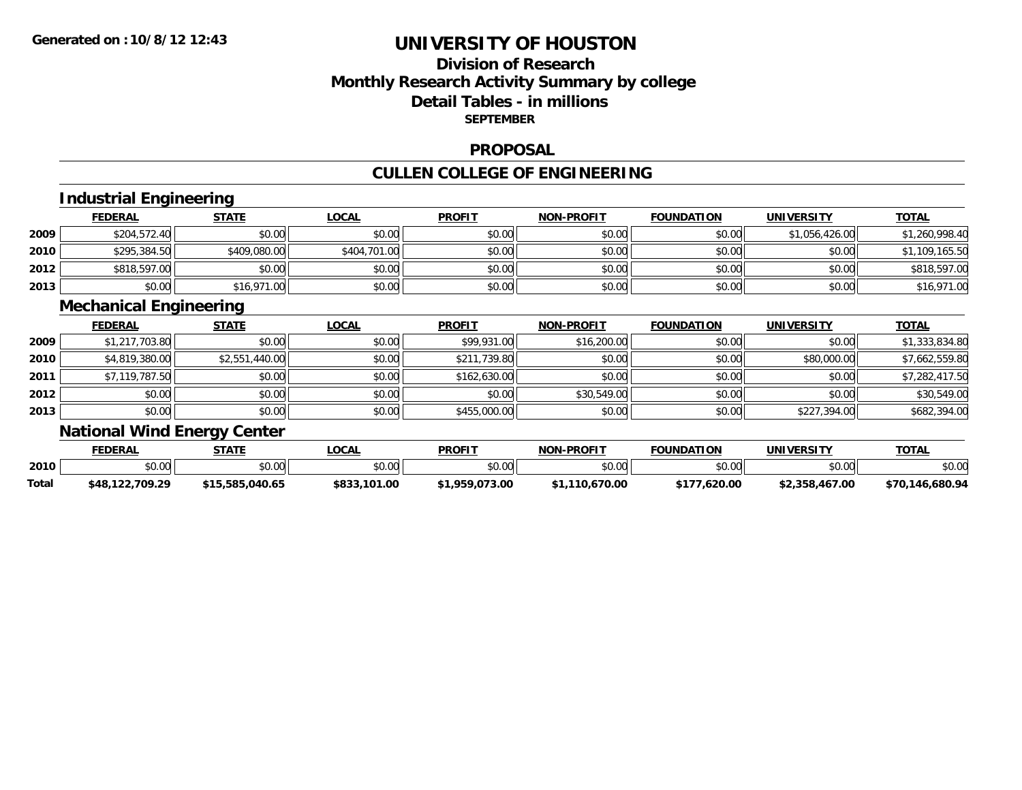## **Division of ResearchMonthly Research Activity Summary by college Detail Tables - in millions SEPTEMBER**

### **PROPOSAL**

## **CULLEN COLLEGE OF ENGINEERING**

# **Industrial Engineering**

|      | <b>FEDERAL</b> | <b>STATE</b> | <u>LOCAL</u> | <b>PROFIT</b> | <b>NON-PROFIT</b> | <b>FOUNDATION</b> | <b>UNIVERSITY</b> | <b>TOTAL</b>   |
|------|----------------|--------------|--------------|---------------|-------------------|-------------------|-------------------|----------------|
| 2009 | \$204,572.40   | \$0.00       | \$0.00       | \$0.00        | \$0.00            | \$0.00            | \$1,056,426.00    | \$1,260,998.40 |
| 2010 | \$295,384.50   | \$409,080.00 | \$404,701.00 | \$0.00        | \$0.00            | \$0.00            | \$0.00            | \$1,109,165.50 |
| 2012 | \$818,597.00   | \$0.00       | \$0.00       | \$0.00        | \$0.00            | \$0.00            | \$0.00            | \$818,597.00   |
| 2013 | \$0.00         | \$16,971.00  | \$0.00       | \$0.00        | \$0.00            | \$0.00            | \$0.00            | \$16,971.00    |

### **Mechanical Engineering**

|      | <b>FEDERAL</b> | <b>STATE</b>   | <b>LOCAL</b> | <b>PROFIT</b> | <b>NON-PROFIT</b> | <b>FOUNDATION</b> | <b>UNIVERSITY</b> | <b>TOTAL</b>   |
|------|----------------|----------------|--------------|---------------|-------------------|-------------------|-------------------|----------------|
| 2009 | \$1,217,703.80 | \$0.00         | \$0.00       | \$99,931.00   | \$16,200.00       | \$0.00            | \$0.00            | \$1,333,834.80 |
| 2010 | \$4,819,380.00 | \$2,551,440.00 | \$0.00       | \$211,739.80  | \$0.00            | \$0.00            | \$80,000.00       | \$7,662,559.80 |
| 2011 | \$7,119,787.50 | \$0.00         | \$0.00       | \$162,630.00  | \$0.00            | \$0.00            | \$0.00            | \$7,282,417.50 |
| 2012 | \$0.00         | \$0.00         | \$0.00       | \$0.00        | \$30,549.00       | \$0.00            | \$0.00            | \$30,549.00    |
| 2013 | \$0.00         | \$0.00         | \$0.00       | \$455,000.00  | \$0.00            | \$0.00            | \$227,394.00      | \$682,394.00   |

# **National Wind Energy Center**

|       | <b>FEDERAL</b>                 | STATE           | _OCAL             | <b>PROFIT</b>  | <b>NON-PROFIT</b> | <b>FOUNDATION</b> | <b>UNIVERSITY</b> | <b>TOTAL</b>    |
|-------|--------------------------------|-----------------|-------------------|----------------|-------------------|-------------------|-------------------|-----------------|
| 2010  | <b>↑∩</b><br>$\Omega$<br>70.UL | \$0.00          | \$0.00            | \$0.00         | \$0.00            | ደሀ ሀሀ<br>JU.UU    | \$0.00            | \$0.OC          |
| Total | \$48,122,709.29                | \$15.585.040.65 | \$833,<br>101.00٪ | \$1,959,073.00 | \$1,110,670.00    | \$177,620.00      | \$2.358.467.00    | \$70,146,680.94 |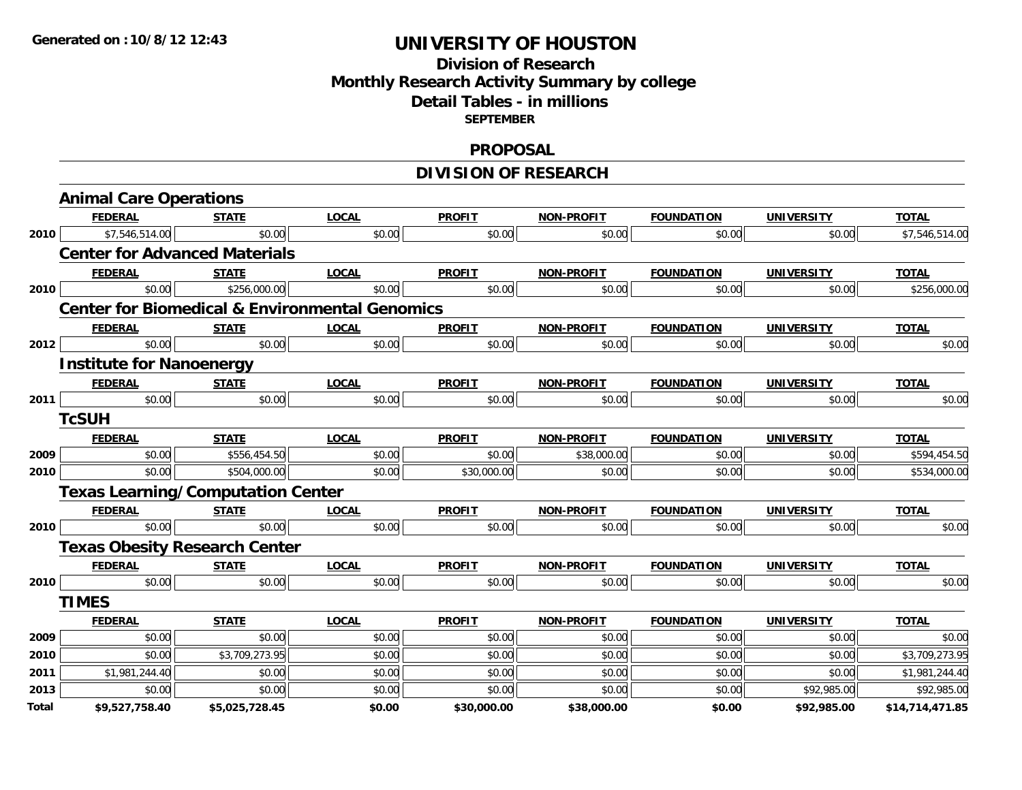## **Division of ResearchMonthly Research Activity Summary by college Detail Tables - in millions SEPTEMBER**

### **PROPOSAL**

# **DIVISION OF RESEARCH**

|       | <b>Animal Care Operations</b>                             |                |              |               |                   |                   |                   |                 |
|-------|-----------------------------------------------------------|----------------|--------------|---------------|-------------------|-------------------|-------------------|-----------------|
|       | <b>FEDERAL</b>                                            | <b>STATE</b>   | <b>LOCAL</b> | <b>PROFIT</b> | <b>NON-PROFIT</b> | <b>FOUNDATION</b> | <b>UNIVERSITY</b> | <b>TOTAL</b>    |
| 2010  | \$7,546,514.00                                            | \$0.00         | \$0.00       | \$0.00        | \$0.00            | \$0.00            | \$0.00            | \$7,546,514.00  |
|       | <b>Center for Advanced Materials</b>                      |                |              |               |                   |                   |                   |                 |
|       | <b>FEDERAL</b>                                            | <b>STATE</b>   | <b>LOCAL</b> | <b>PROFIT</b> | <b>NON-PROFIT</b> | <b>FOUNDATION</b> | <b>UNIVERSITY</b> | <b>TOTAL</b>    |
| 2010  | \$0.00                                                    | \$256,000.00   | \$0.00       | \$0.00        | \$0.00            | \$0.00            | \$0.00            | \$256,000.00    |
|       | <b>Center for Biomedical &amp; Environmental Genomics</b> |                |              |               |                   |                   |                   |                 |
|       | <b>FEDERAL</b>                                            | <b>STATE</b>   | <b>LOCAL</b> | <b>PROFIT</b> | <b>NON-PROFIT</b> | <b>FOUNDATION</b> | <b>UNIVERSITY</b> | <b>TOTAL</b>    |
| 2012  | \$0.00                                                    | \$0.00         | \$0.00       | \$0.00        | \$0.00            | \$0.00            | \$0.00            | \$0.00          |
|       | <b>Institute for Nanoenergy</b>                           |                |              |               |                   |                   |                   |                 |
|       | <b>FEDERAL</b>                                            | <b>STATE</b>   | <b>LOCAL</b> | <b>PROFIT</b> | <b>NON-PROFIT</b> | <b>FOUNDATION</b> | <b>UNIVERSITY</b> | <b>TOTAL</b>    |
| 2011  | \$0.00                                                    | \$0.00         | \$0.00       | \$0.00        | \$0.00            | \$0.00            | \$0.00            | \$0.00          |
|       | <b>TcSUH</b>                                              |                |              |               |                   |                   |                   |                 |
|       | <b>FEDERAL</b>                                            | <b>STATE</b>   | <b>LOCAL</b> | <b>PROFIT</b> | <b>NON-PROFIT</b> | <b>FOUNDATION</b> | <b>UNIVERSITY</b> | <b>TOTAL</b>    |
| 2009  | \$0.00                                                    | \$556,454.50   | \$0.00       | \$0.00        | \$38,000.00       | \$0.00            | \$0.00            | \$594,454.50    |
| 2010  | \$0.00                                                    | \$504,000.00   | \$0.00       | \$30,000.00   | \$0.00            | \$0.00            | \$0.00            | \$534,000.00    |
|       | <b>Texas Learning/Computation Center</b>                  |                |              |               |                   |                   |                   |                 |
|       | <b>FEDERAL</b>                                            | <b>STATE</b>   | <b>LOCAL</b> | <b>PROFIT</b> | <b>NON-PROFIT</b> | <b>FOUNDATION</b> | <b>UNIVERSITY</b> | <b>TOTAL</b>    |
| 2010  | \$0.00                                                    | \$0.00         | \$0.00       | \$0.00        | \$0.00            | \$0.00            | \$0.00            | \$0.00          |
|       | <b>Texas Obesity Research Center</b>                      |                |              |               |                   |                   |                   |                 |
|       | <b>FEDERAL</b>                                            | <b>STATE</b>   | <b>LOCAL</b> | <b>PROFIT</b> | <b>NON-PROFIT</b> | <b>FOUNDATION</b> | <b>UNIVERSITY</b> | <b>TOTAL</b>    |
| 2010  | \$0.00                                                    | \$0.00         | \$0.00       | \$0.00        | \$0.00            | \$0.00            | \$0.00            | \$0.00          |
|       | <b>TIMES</b>                                              |                |              |               |                   |                   |                   |                 |
|       | <b>FEDERAL</b>                                            | <b>STATE</b>   | <b>LOCAL</b> | <b>PROFIT</b> | <b>NON-PROFIT</b> | <b>FOUNDATION</b> | <b>UNIVERSITY</b> | <b>TOTAL</b>    |
| 2009  | \$0.00                                                    | \$0.00         | \$0.00       | \$0.00        | \$0.00            | \$0.00            | \$0.00            | \$0.00          |
| 2010  | \$0.00                                                    | \$3,709,273.95 | \$0.00       | \$0.00        | \$0.00            | \$0.00            | \$0.00            | \$3,709,273.95  |
| 2011  | \$1,981,244.40                                            | \$0.00         | \$0.00       | \$0.00        | \$0.00            | \$0.00            | \$0.00            | \$1,981,244.40  |
| 2013  | \$0.00                                                    | \$0.00         | \$0.00       | \$0.00        | \$0.00            | \$0.00            | \$92,985.00       | \$92,985.00     |
| Total | \$9,527,758.40                                            | \$5,025,728.45 | \$0.00       | \$30,000.00   | \$38,000.00       | \$0.00            | \$92,985.00       | \$14,714,471.85 |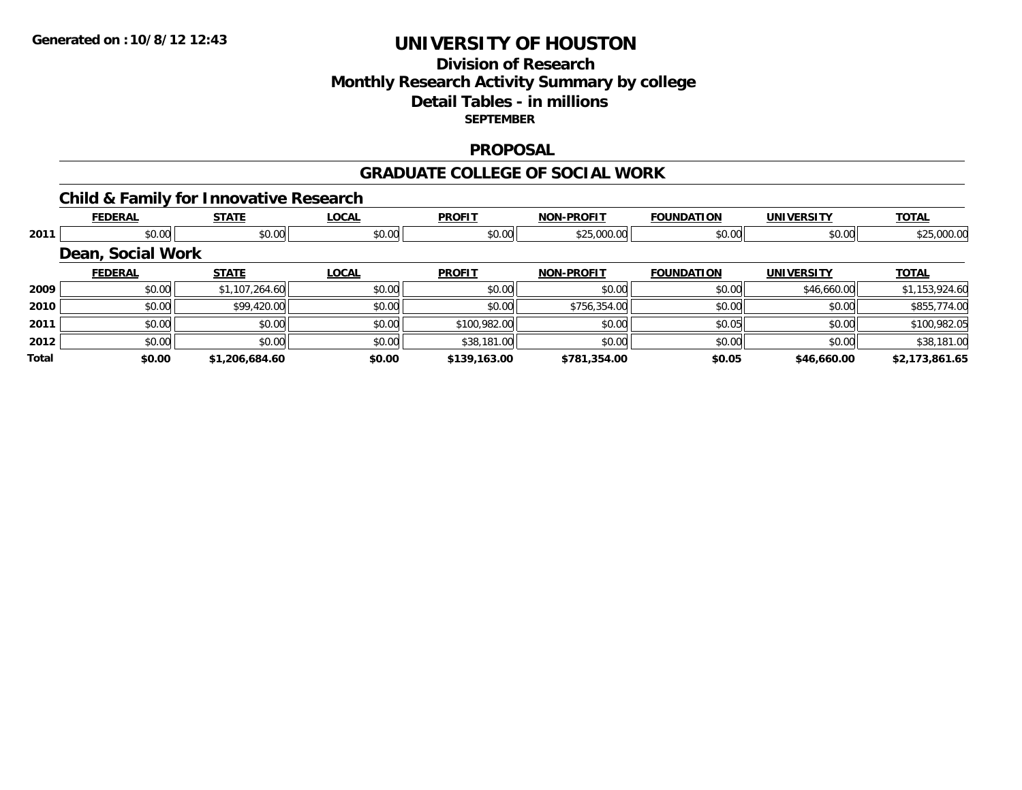## **Division of ResearchMonthly Research Activity Summary by college Detail Tables - in millions SEPTEMBER**

### **PROPOSAL**

### **GRADUATE COLLEGE OF SOCIAL WORK**

# **Child & Family for Innovative Research**

|              | <b>FEDERAL</b>    | <b>STATE</b>   | <b>LOCAL</b> | <b>PROFIT</b> | <b>NON-PROFIT</b> | <b>FOUNDATION</b> | <b>UNIVERSITY</b> | <b>TOTAL</b>   |
|--------------|-------------------|----------------|--------------|---------------|-------------------|-------------------|-------------------|----------------|
| 2011         | \$0.00            | \$0.00         | \$0.00       | \$0.00        | \$25,000.00       | \$0.00            | \$0.00            | \$25,000.00    |
|              | Dean, Social Work |                |              |               |                   |                   |                   |                |
|              | <b>FEDERAL</b>    | <b>STATE</b>   | <b>LOCAL</b> | <b>PROFIT</b> | <b>NON-PROFIT</b> | <b>FOUNDATION</b> | <b>UNIVERSITY</b> | <b>TOTAL</b>   |
| 2009         | \$0.00            | \$1,107,264.60 | \$0.00       | \$0.00        | \$0.00            | \$0.00            | \$46,660.00       | \$1,153,924.60 |
| 2010         | \$0.00            | \$99,420.00    | \$0.00       | \$0.00        | \$756,354.00      | \$0.00            | \$0.00            | \$855,774.00   |
| 2011         | \$0.00            | \$0.00         | \$0.00       | \$100,982.00  | \$0.00            | \$0.05            | \$0.00            | \$100,982.05   |
| 2012         | \$0.00            | \$0.00         | \$0.00       | \$38,181.00   | \$0.00            | \$0.00            | \$0.00            | \$38,181.00    |
| <b>Total</b> | \$0.00            | \$1,206,684.60 | \$0.00       | \$139,163.00  | \$781,354.00      | \$0.05            | \$46,660.00       | \$2,173,861.65 |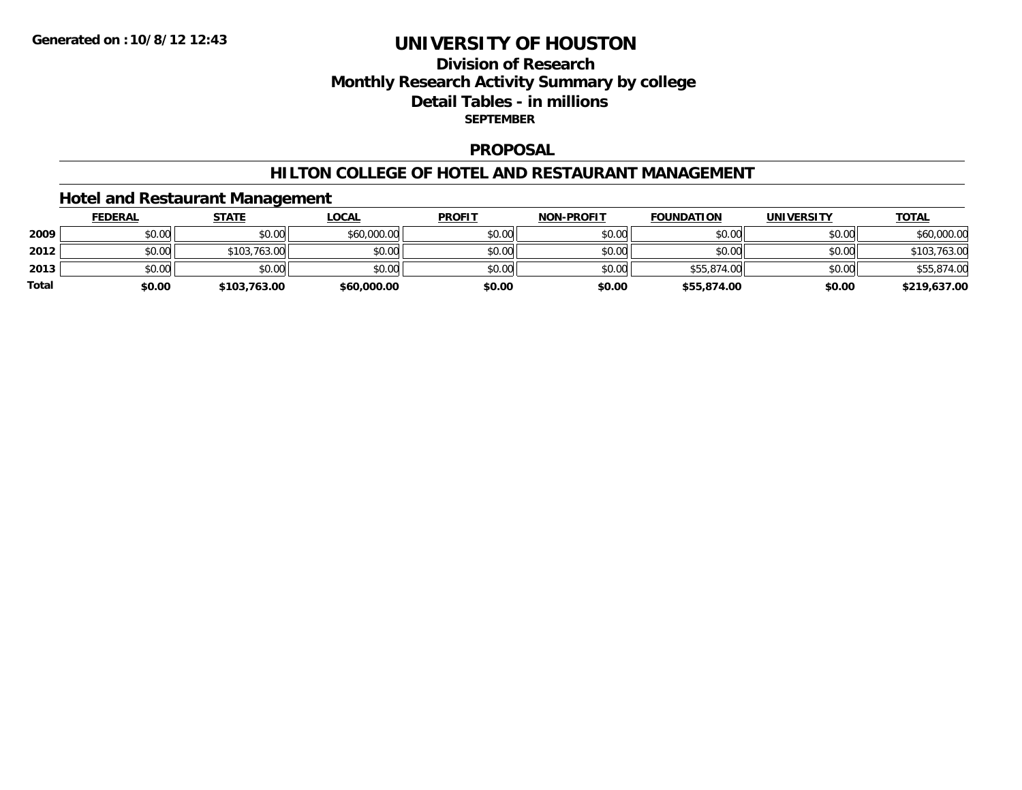## **Division of ResearchMonthly Research Activity Summary by college Detail Tables - in millions SEPTEMBER**

### **PROPOSAL**

### **HILTON COLLEGE OF HOTEL AND RESTAURANT MANAGEMENT**

### **Hotel and Restaurant Management**

|              | <u>FEDERAL</u> | <b>STATE</b> | <u>LOCAL</u> | <b>PROFIT</b> | <b>NON-PROFIT</b> | <b>FOUNDATION</b> | <b>UNIVERSITY</b> | <b>TOTAL</b> |
|--------------|----------------|--------------|--------------|---------------|-------------------|-------------------|-------------------|--------------|
| 2009         | \$0.00         | \$0.00       | \$60,000.00  | \$0.00        | \$0.00            | \$0.00            | \$0.00            | \$60,000.00  |
| 2012         | \$0.00         | \$103,763.00 | \$0.00       | \$0.00        | \$0.00            | \$0.00            | \$0.00            | \$103,763.00 |
| 2013         | \$0.00         | \$0.00       | \$0.00       | \$0.00        | \$0.00            | \$55,874.00       | \$0.00            | \$55,874.00  |
| <b>Total</b> | \$0.00         | \$103,763.00 | \$60,000.00  | \$0.00        | \$0.00            | \$55,874.00       | \$0.00            | \$219,637.00 |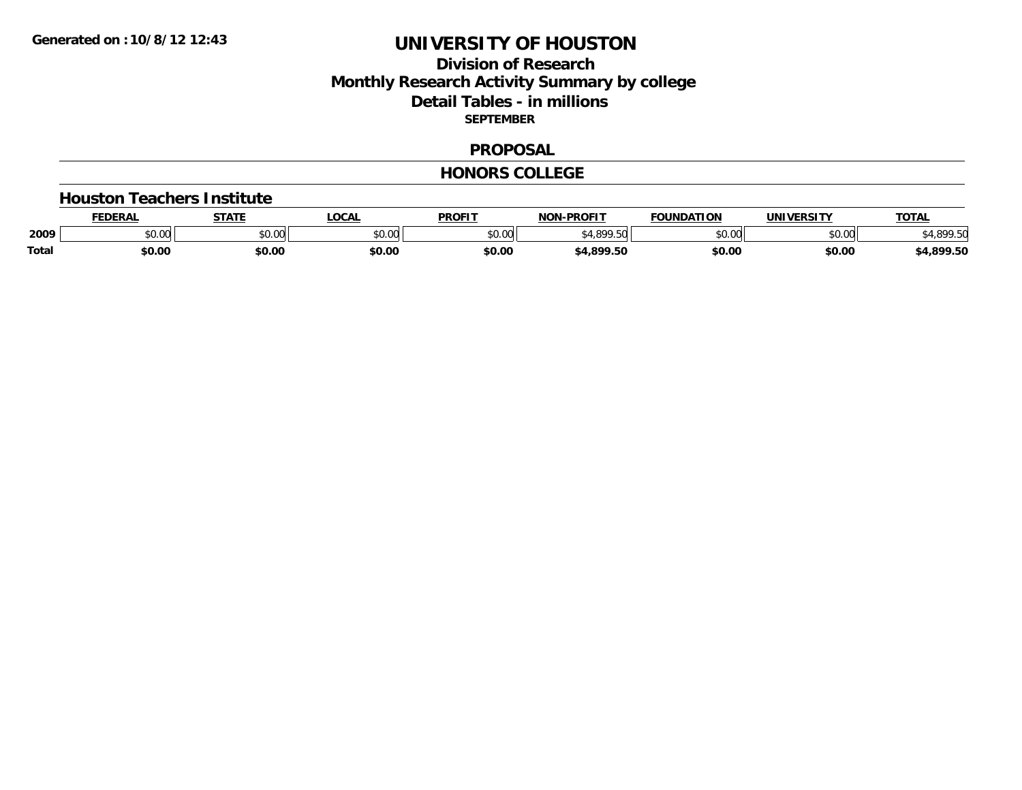## **Division of Research Monthly Research Activity Summary by college Detail Tables - in millions SEPTEMBER**

#### **PROPOSAL**

#### **HONORS COLLEGE**

#### **Houston Teachers Institute**

|       | EDERAL | <b>STATE</b> | <b>LOCAL</b>  | <b>PROFIT</b> | -PROFIT<br>NON           | <b>FOUNDATION</b> | <b>'INIVERSITY</b> | <b>TOTAL</b> |
|-------|--------|--------------|---------------|---------------|--------------------------|-------------------|--------------------|--------------|
| 2009  | \$0.00 | \$0.00       | 0000<br>PO.OO | \$0.00        | <b>CACCO</b><br>$\Gamma$ | ስ ለሰ<br>טט.טע     | 0000<br>DU.UG      | 000E         |
| Total | \$0.00 | \$0.00       | \$0.00        | \$0.00        | 4,899.50                 | \$0.00            | \$0.00             | 4,899.50     |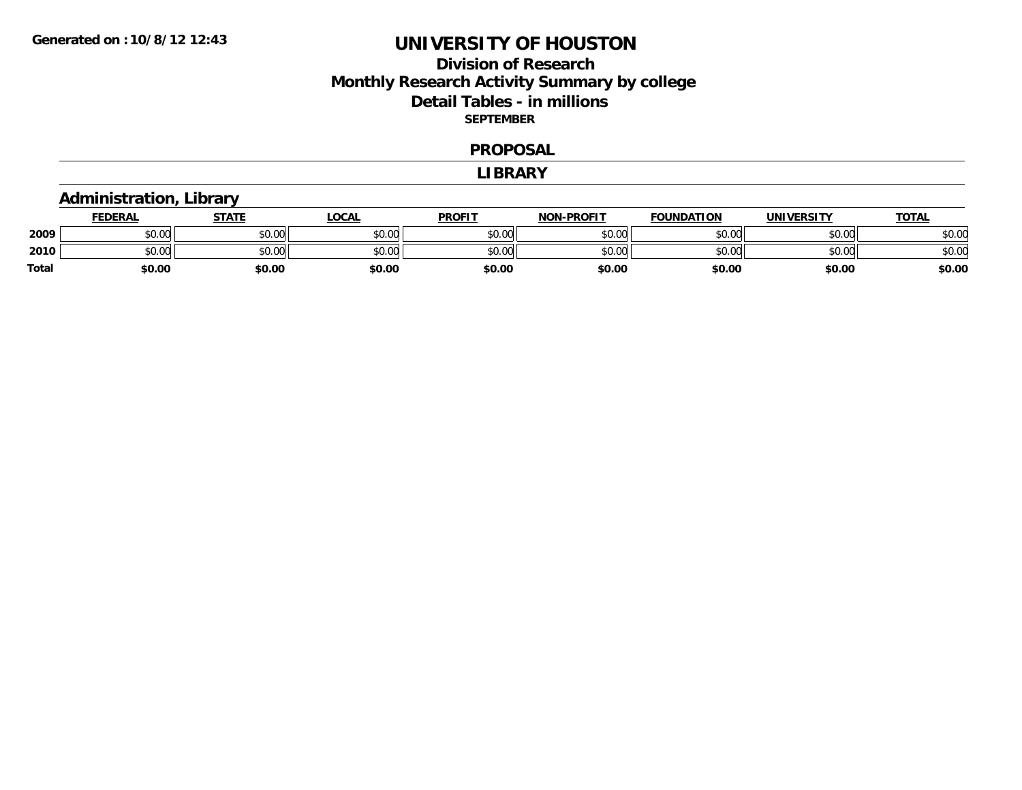## **Division of Research Monthly Research Activity Summary by college Detail Tables - in millions SEPTEMBER**

#### **PROPOSAL**

#### **LIBRARY**

## **Administration, Library**

|       | <b>FEDERAL</b>          | <b>STATE</b> | LOCAL  | <b>PROFIT</b> | <b>NON-PROFIT</b> | <b>FOUNDATION</b> | <b>UNIVERSITY</b> | <u>TOTAL</u> |
|-------|-------------------------|--------------|--------|---------------|-------------------|-------------------|-------------------|--------------|
| 2009  | 0 <sup>0</sup><br>PU.UU | \$0.00       | \$0.00 | \$0.00        | \$0.00            | \$0.00            | \$0.00            | \$0.00       |
| 2010  | $\sim$ 00<br>JU.UU      | \$0.00       | \$0.00 | \$0.00        | \$0.00            | \$0.00            | \$0.00            | \$0.00       |
| Total | \$0.00                  | \$0.00       | \$0.00 | \$0.00        | \$0.00            | \$0.00            | \$0.00            | \$0.00       |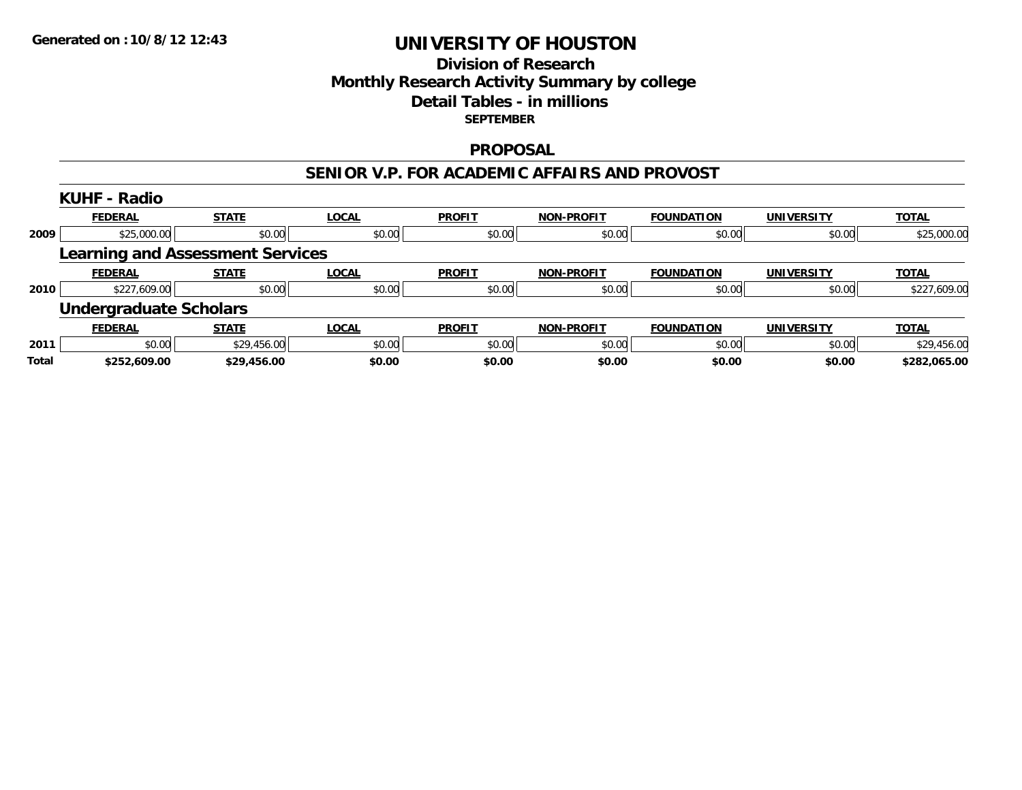## **Division of Research Monthly Research Activity Summary by college Detail Tables - in millions SEPTEMBER**

### **PROPOSAL**

#### **SENIOR V.P. FOR ACADEMIC AFFAIRS AND PROVOST**

|       | <b>KUHF - Radio</b>                     |              |              |               |                   |                   |                   |              |
|-------|-----------------------------------------|--------------|--------------|---------------|-------------------|-------------------|-------------------|--------------|
|       | <b>FEDERAL</b>                          | <b>STATE</b> | <b>LOCAL</b> | <b>PROFIT</b> | <b>NON-PROFIT</b> | <b>FOUNDATION</b> | <b>UNIVERSITY</b> | <b>TOTAL</b> |
| 2009  | \$25,000.00                             | \$0.00       | \$0.00       | \$0.00        | \$0.00            | \$0.00            | \$0.00            | \$25,000.00  |
|       | <b>Learning and Assessment Services</b> |              |              |               |                   |                   |                   |              |
|       | <b>FEDERAL</b>                          | <b>STATE</b> | <b>LOCAL</b> | <b>PROFIT</b> | <b>NON-PROFIT</b> | <b>FOUNDATION</b> | <b>UNIVERSITY</b> | <b>TOTAL</b> |
| 2010  | \$227,609.00                            | \$0.00       | \$0.00       | \$0.00        | \$0.00            | \$0.00            | \$0.00            | \$227,609.00 |
|       | <b>Undergraduate Scholars</b>           |              |              |               |                   |                   |                   |              |
|       | <b>FEDERAL</b>                          | <b>STATE</b> | <b>LOCAL</b> | <b>PROFIT</b> | <b>NON-PROFIT</b> | <b>FOUNDATION</b> | <b>UNIVERSITY</b> | <b>TOTAL</b> |
| 2011  | \$0.00                                  | \$29,456.00  | \$0.00       | \$0.00        | \$0.00            | \$0.00            | \$0.00            | \$29,456.00  |
| Total | \$252,609.00                            | \$29,456.00  | \$0.00       | \$0.00        | \$0.00            | \$0.00            | \$0.00            | \$282,065.00 |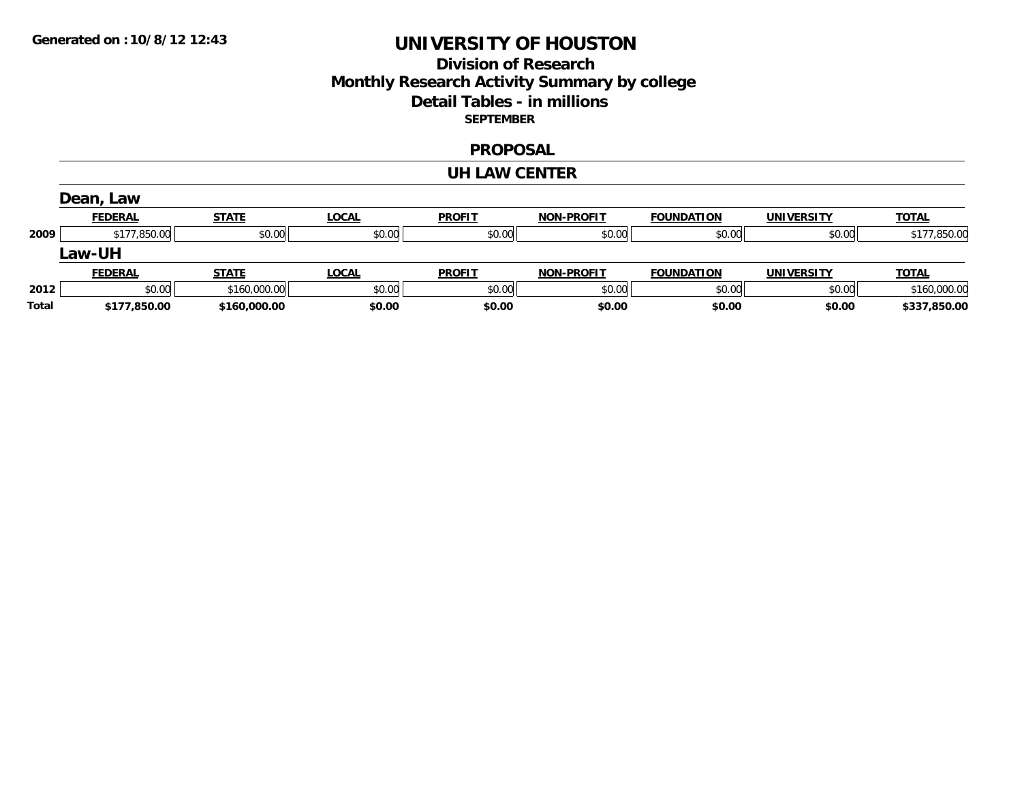## **Division of Research Monthly Research Activity Summary by college Detail Tables - in millions SEPTEMBER**

### **PROPOSAL**

#### **UH LAW CENTER**

|              | Dean, Law      |              |              |               |                   |                   |                   |              |
|--------------|----------------|--------------|--------------|---------------|-------------------|-------------------|-------------------|--------------|
|              | <b>FEDERAL</b> | <b>STATE</b> | <b>LOCAL</b> | <b>PROFIT</b> | <b>NON-PROFIT</b> | <b>FOUNDATION</b> | <b>UNIVERSITY</b> | <b>TOTAL</b> |
| 2009         | \$177,850.00   | \$0.00       | \$0.00       | \$0.00        | \$0.00            | \$0.00            | \$0.00            | \$177,850.00 |
|              | Law-UH         |              |              |               |                   |                   |                   |              |
|              | <b>FEDERAL</b> | <b>STATE</b> | <b>LOCAL</b> | <b>PROFIT</b> | <b>NON-PROFIT</b> | <b>FOUNDATION</b> | <b>UNIVERSITY</b> | <b>TOTAL</b> |
| 2012         | \$0.00         | \$160,000.00 | \$0.00       | \$0.00        | \$0.00            | \$0.00            | \$0.00            | \$160,000.00 |
| <b>Total</b> | \$177,850.00   | \$160,000.00 | \$0.00       | \$0.00        | \$0.00            | \$0.00            | \$0.00            | \$337,850.00 |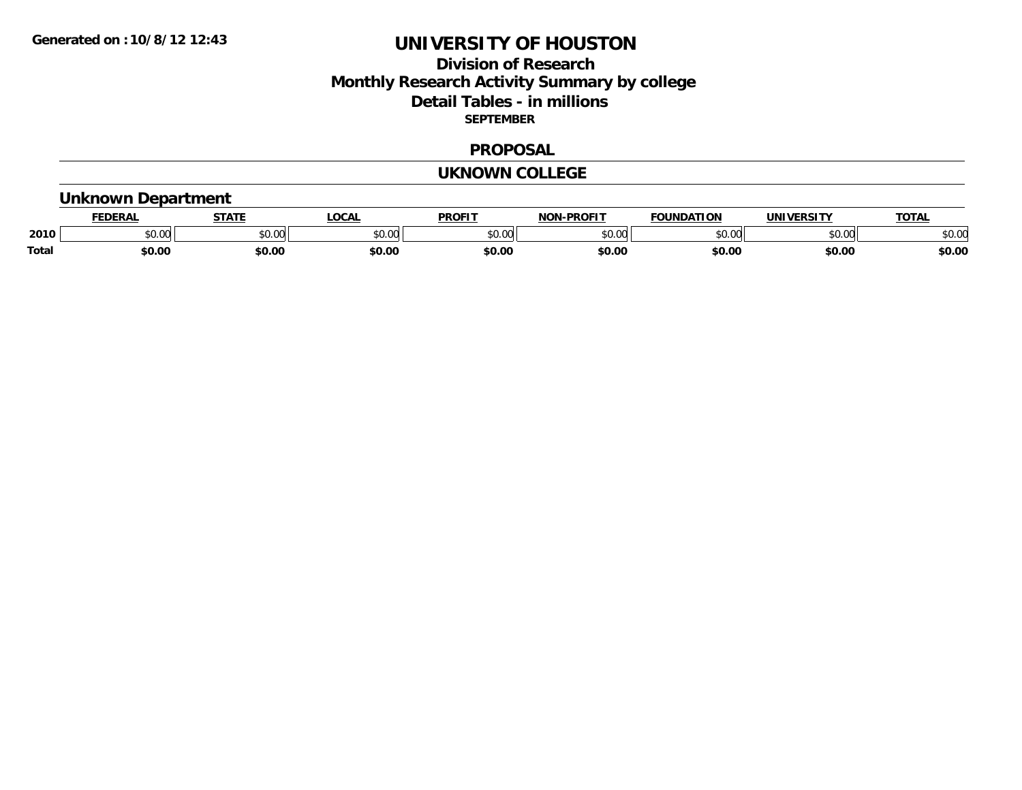## **Division of Research Monthly Research Activity Summary by college Detail Tables - in millions SEPTEMBER**

### **PROPOSAL**

#### **UKNOWN COLLEGE**

### **Unknown Department**

|       | <b>DERAL</b>   | <b>STATE</b>                                        | <b>LOCAL</b>  | <b>PROFIT</b>           | <b>-PROFIT</b><br><b>NON</b> | <b>FOUNDATION</b> | <b>INIVE</b>  | <b>TOTAL</b> |
|-------|----------------|-----------------------------------------------------|---------------|-------------------------|------------------------------|-------------------|---------------|--------------|
| 2010  | 0000<br>ື⊍∪.ບບ | $\uparrow$ $\uparrow$ $\uparrow$ $\uparrow$<br>JU.U | 0000<br>JU.UU | 0 <sup>0</sup><br>טט.טי | \$0.00                       | $\sim$ 00         | 0000<br>DU.UU | \$0.OC       |
| Total | \$0.00         | \$0.00                                              | \$0.00        | \$0.00                  | \$0.00                       | \$0.00            | \$0.00        | \$0.00       |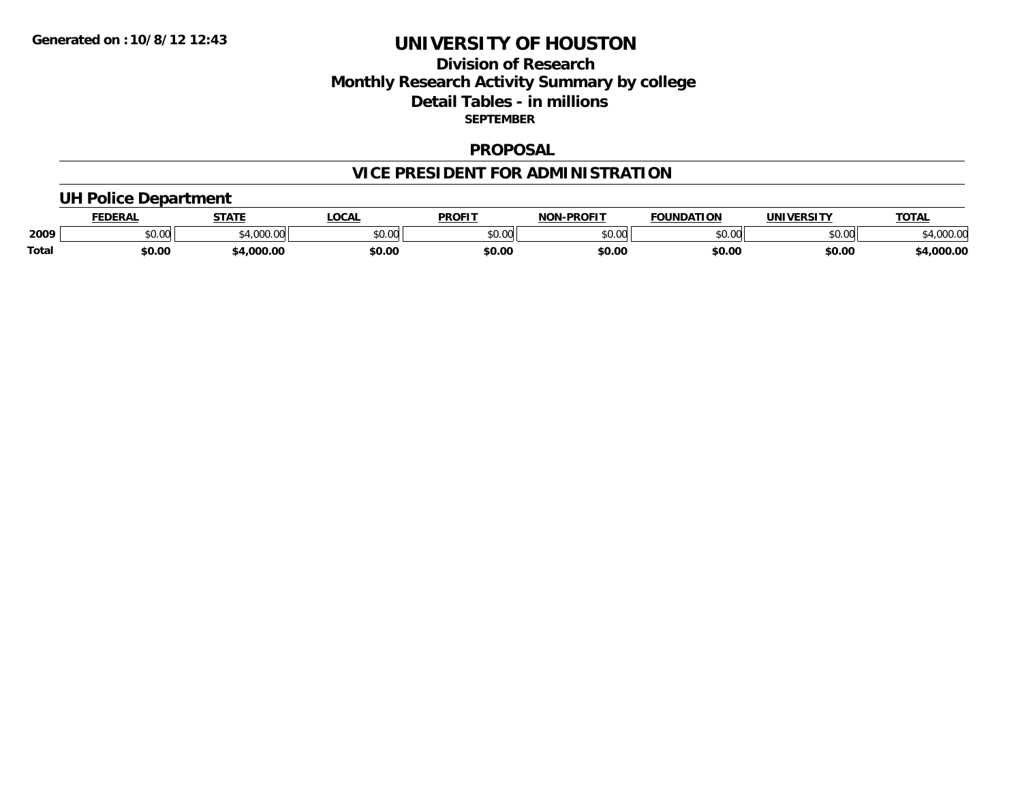## **Division of Research Monthly Research Activity Summary by college Detail Tables - in millions SEPTEMBER**

#### **PROPOSAL**

# **VICE PRESIDENT FOR ADMINISTRATION**

### **UH Police Department**

|       | <b>EDERAL</b> | <b>STATE</b>      | <b>.OCAL</b> | <b>PROFIT</b> | -PROFIT<br>וחרות | <b>FOUNDATION</b> | UNIVERSITY | <b>TOTAL</b>       |
|-------|---------------|-------------------|--------------|---------------|------------------|-------------------|------------|--------------------|
| 2009  | \$0.00        | 1.000<br>-4,000.c | \$0.00       | 0000<br>vv.vv | 0000<br>DU.UU    | \$0.00            | \$0.00     | 00000<br>14,000.00 |
| Total | \$0.00        | ,000.00           | \$0.00       | \$0.00        | \$0.00           | \$0.00            | \$0.00     | 4,000.00           |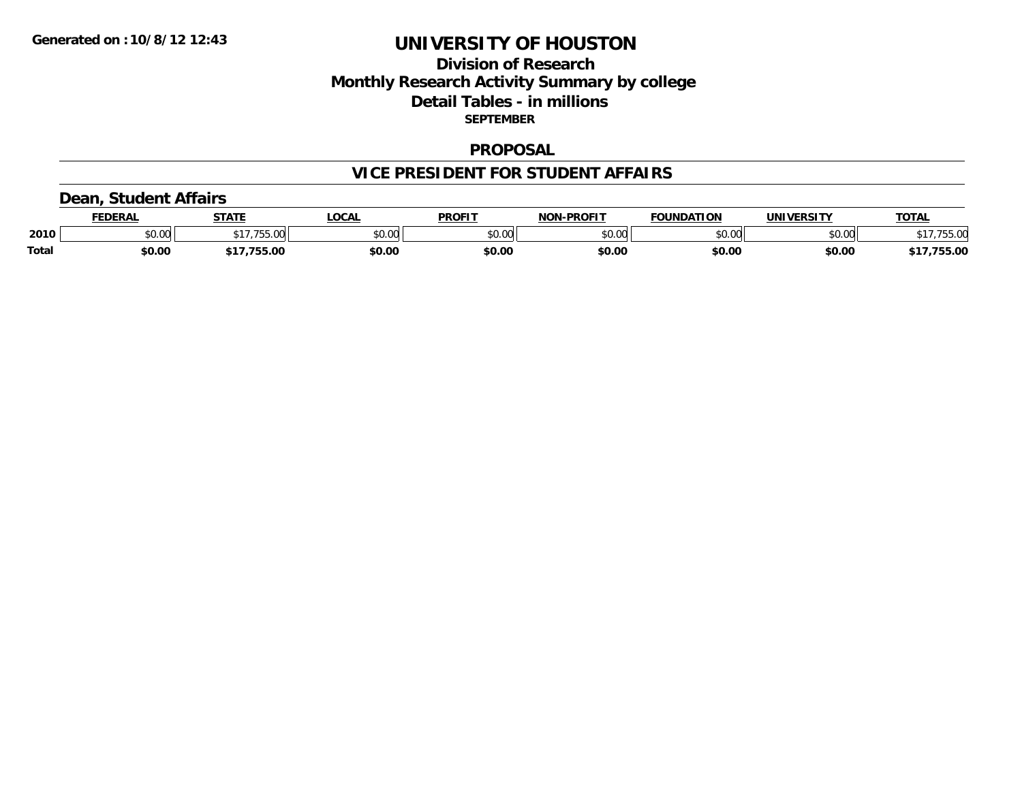## **Division of Research Monthly Research Activity Summary by college Detail Tables - in millions SEPTEMBER**

### **PROPOSAL**

### **VICE PRESIDENT FOR STUDENT AFFAIRS**

### **Dean, Student Affairs**

|       | <b>FEDERAL</b>                  | <b>STATE</b>               | LOCAL  | <b>PROFIT</b> | <b>NON-PROFIT</b> | <b>FOUNDATION</b> | <b>UNIVERSITY</b> | <b>TOTAL</b>  |
|-------|---------------------------------|----------------------------|--------|---------------|-------------------|-------------------|-------------------|---------------|
| 2010  | $n \cap \Omega$<br><b>JU.UU</b> | A 7 7 7 7 7 7<br>ו הו<br>. | \$0.00 | \$0.00        | \$0.00            | \$0.00            | \$0.00            | 5500<br>JJ.UL |
| Total | \$0.00                          | 755.00<br>.                | \$0.00 | \$0.00        | \$0.00            | \$0.00            | \$0.00            | 755.00        |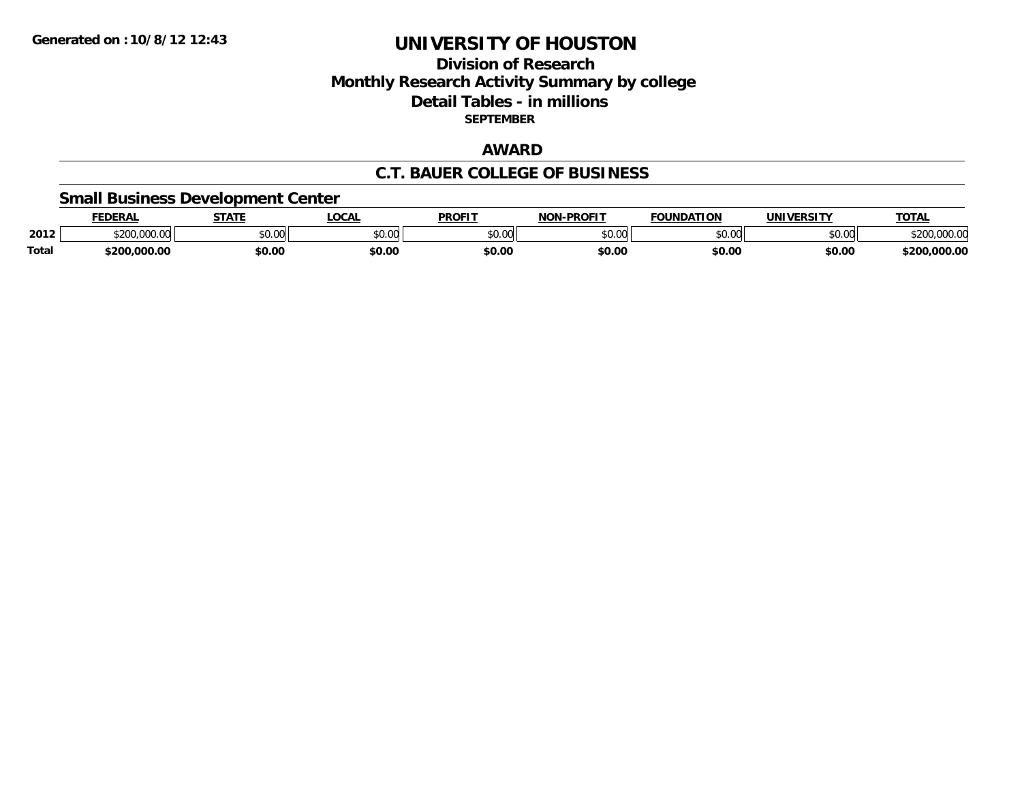## **Division of Research Monthly Research Activity Summary by college Detail Tables - in millions SEPTEMBER**

### **AWARD**

### **C.T. BAUER COLLEGE OF BUSINESS**

### **Small Business Development Center**

|              | <b>FEDERAL</b>   | <b>STATE</b> | LOCA               | <b>PROFIT</b> | -PROFIT<br>חחו | <b>FOUNDATION</b>  | <b>IINIVEDSITV</b>  | <b>TATA</b><br>OIAI |
|--------------|------------------|--------------|--------------------|---------------|----------------|--------------------|---------------------|---------------------|
| 2012         | 0.000.00<br>ሖ へへ | \$0.00       | $\sim$ 00<br>vv.vv | \$0.00        | \$0.00         | $\sim$ 00<br>PU.UU | $\sim$ 00<br>\$U.UU |                     |
| <b>Total</b> | \$200.000.00     | \$0.00       | \$0.00             | \$0.00        | \$0.00         | \$0.00             | \$0.00              | 000.0۲.د<br>touu    |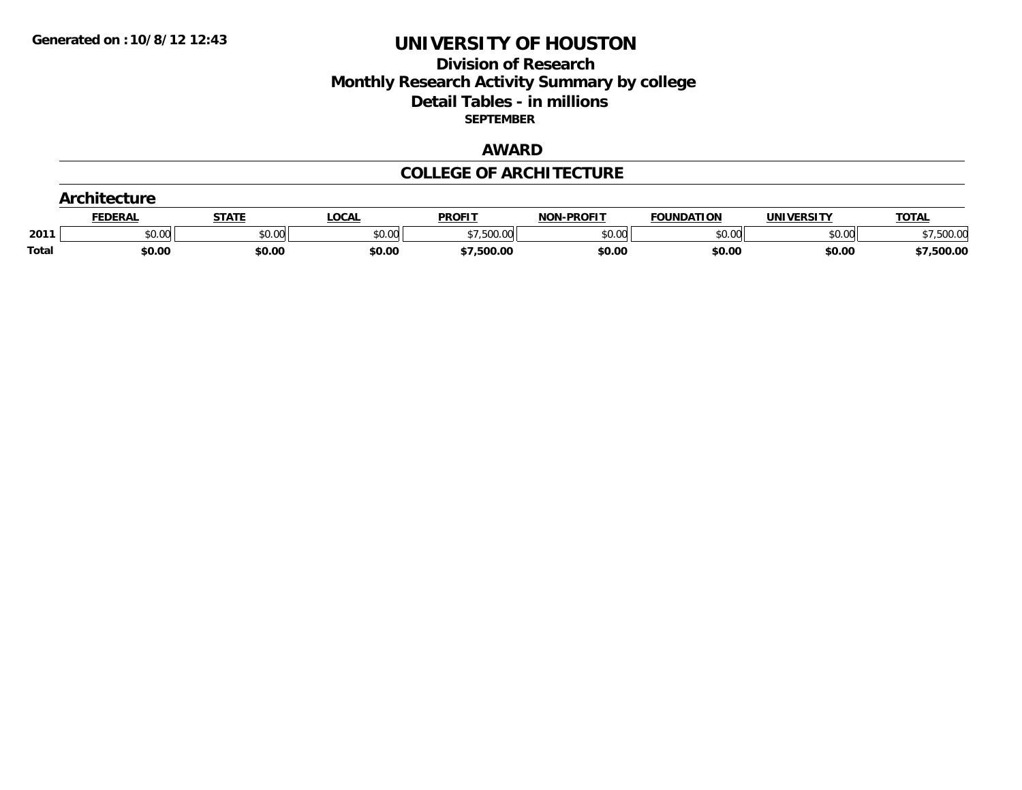## **Division of Research Monthly Research Activity Summary by college Detail Tables - in millions SEPTEMBER**

### **AWARD**

### **COLLEGE OF ARCHITECTURE**

|       | <b>FEDERAL</b> | <b>STATE</b> | LOCAL  | <b>PROFIT</b>            | <b>NON-PROFIT</b> | <b>FOUNDATION</b> | UNIVERSITY | <b>TOTAL</b> |
|-------|----------------|--------------|--------|--------------------------|-------------------|-------------------|------------|--------------|
| 201'  | \$0.00         | \$0.00       | \$0.00 | <b>EOO OO</b><br>וטט.טטע | \$0.00            | \$0.00            | \$0.00     | .500.00      |
| Total | \$0.00         | \$0.00       | \$0.00 | \$7,500.00               | \$0.00            | \$0.00            | \$0.00     | \$7,500.00   |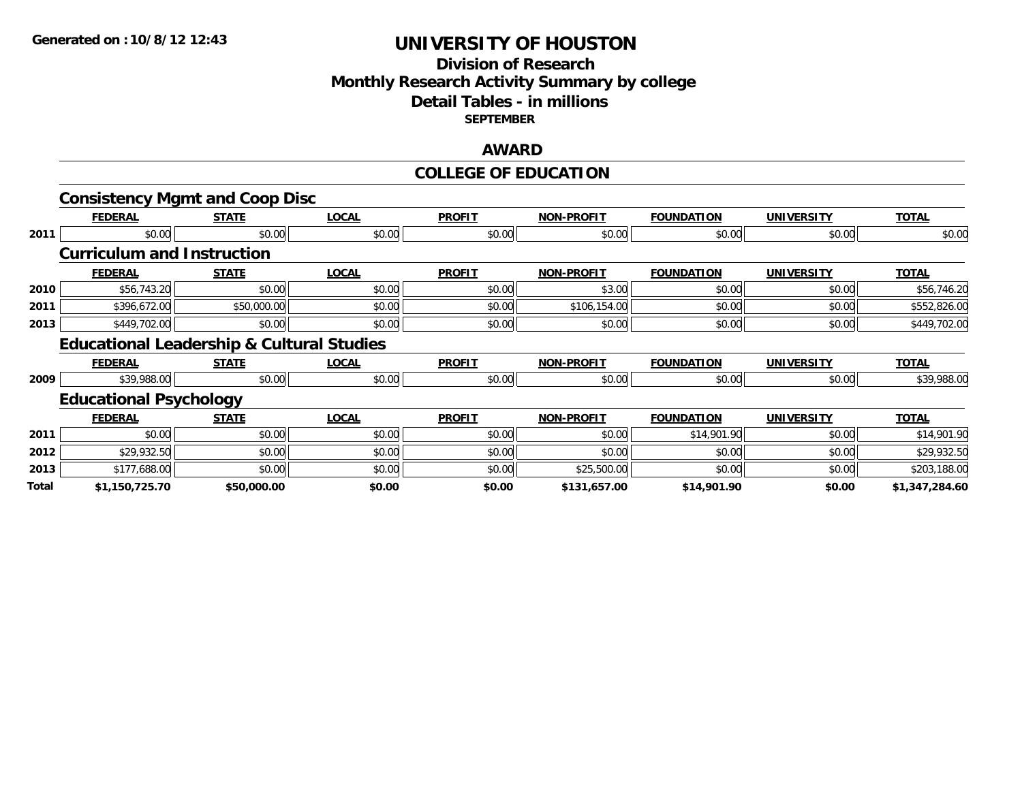## **Division of Research Monthly Research Activity Summary by college Detail Tables - in millions SEPTEMBER**

### **AWARD**

### **COLLEGE OF EDUCATION**

|       | <b>Consistency Mgmt and Coop Disc</b>                |              |              |               |                   |                   |                   |                |
|-------|------------------------------------------------------|--------------|--------------|---------------|-------------------|-------------------|-------------------|----------------|
|       | <b>FEDERAL</b>                                       | <b>STATE</b> | <b>LOCAL</b> | <b>PROFIT</b> | <b>NON-PROFIT</b> | <b>FOUNDATION</b> | <b>UNIVERSITY</b> | <b>TOTAL</b>   |
| 2011  | \$0.00                                               | \$0.00       | \$0.00       | \$0.00        | \$0.00            | \$0.00            | \$0.00            | \$0.00         |
|       | <b>Curriculum and Instruction</b>                    |              |              |               |                   |                   |                   |                |
|       | <b>FEDERAL</b>                                       | <b>STATE</b> | <b>LOCAL</b> | <b>PROFIT</b> | <b>NON-PROFIT</b> | <b>FOUNDATION</b> | <b>UNIVERSITY</b> | <b>TOTAL</b>   |
| 2010  | \$56,743.20                                          | \$0.00       | \$0.00       | \$0.00        | \$3.00            | \$0.00            | \$0.00            | \$56,746.20    |
| 2011  | \$396,672.00                                         | \$50,000.00  | \$0.00       | \$0.00        | \$106,154.00      | \$0.00            | \$0.00            | \$552,826.00   |
| 2013  | \$449,702.00                                         | \$0.00       | \$0.00       | \$0.00        | \$0.00            | \$0.00            | \$0.00            | \$449,702.00   |
|       | <b>Educational Leadership &amp; Cultural Studies</b> |              |              |               |                   |                   |                   |                |
|       | <b>FEDERAL</b>                                       | <b>STATE</b> | <b>LOCAL</b> | <b>PROFIT</b> | <b>NON-PROFIT</b> | <b>FOUNDATION</b> | <b>UNIVERSITY</b> | <b>TOTAL</b>   |
| 2009  | \$39,988.00                                          | \$0.00       | \$0.00       | \$0.00        | \$0.00            | \$0.00            | \$0.00            | \$39,988.00    |
|       | <b>Educational Psychology</b>                        |              |              |               |                   |                   |                   |                |
|       | <b>FEDERAL</b>                                       | <b>STATE</b> | <b>LOCAL</b> | <b>PROFIT</b> | <b>NON-PROFIT</b> | <b>FOUNDATION</b> | <b>UNIVERSITY</b> | <b>TOTAL</b>   |
| 2011  | \$0.00                                               | \$0.00       | \$0.00       | \$0.00        | \$0.00            | \$14,901.90       | \$0.00            | \$14,901.90    |
| 2012  | \$29,932.50                                          | \$0.00       | \$0.00       | \$0.00        | \$0.00            | \$0.00            | \$0.00            | \$29,932.50    |
| 2013  | \$177,688.00                                         | \$0.00       | \$0.00       | \$0.00        | \$25,500.00       | \$0.00            | \$0.00            | \$203,188.00   |
| Total | \$1,150,725.70                                       | \$50,000.00  | \$0.00       | \$0.00        | \$131,657.00      | \$14,901.90       | \$0.00            | \$1,347,284.60 |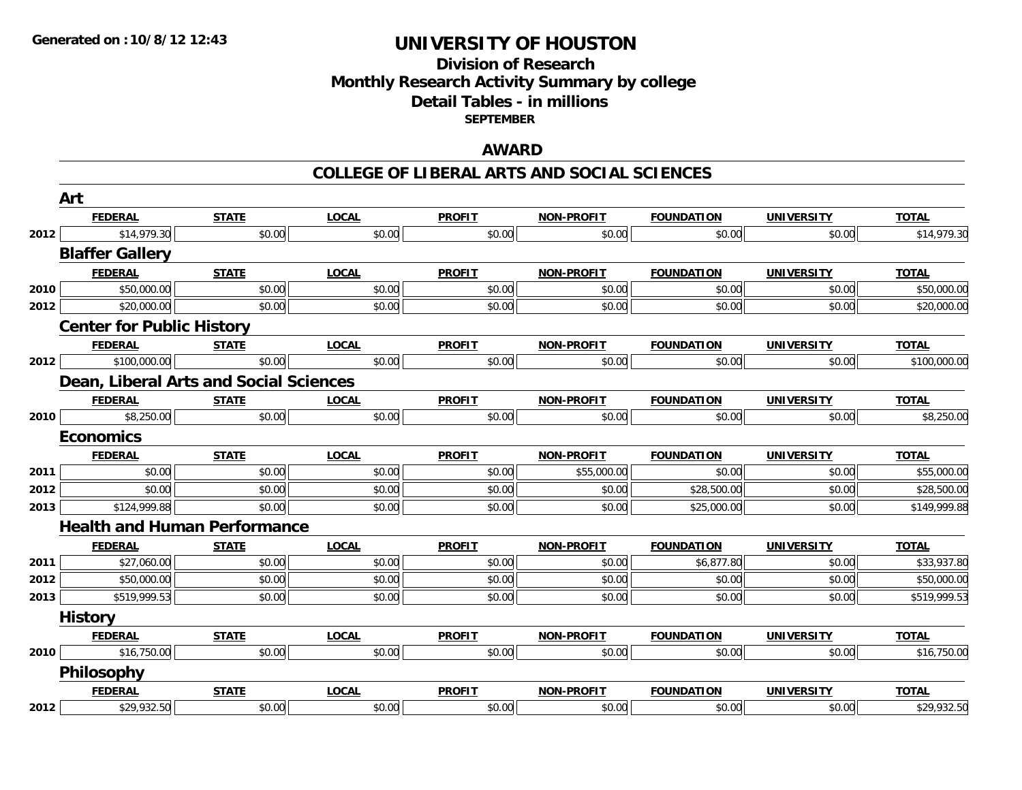## **Division of ResearchMonthly Research Activity Summary by college Detail Tables - in millions SEPTEMBER**

### **AWARD**

#### **COLLEGE OF LIBERAL ARTS AND SOCIAL SCIENCES**

|                                                                                              | Art                                    |              |              |               |                   |                   |                   |              |
|----------------------------------------------------------------------------------------------|----------------------------------------|--------------|--------------|---------------|-------------------|-------------------|-------------------|--------------|
|                                                                                              | <b>FEDERAL</b>                         | <b>STATE</b> | <b>LOCAL</b> | <b>PROFIT</b> | NON-PROFIT        | <b>FOUNDATION</b> | <b>UNIVERSITY</b> | <b>TOTAL</b> |
| 2012<br>2010<br>2012<br>2012<br>2010<br>2011<br>2012<br>2013<br>2011<br>2012<br>2013<br>2010 | \$14,979.30                            | \$0.00       | \$0.00       | \$0.00        | \$0.00            | \$0.00            | \$0.00            | \$14,979.30  |
|                                                                                              | <b>Blaffer Gallery</b>                 |              |              |               |                   |                   |                   |              |
|                                                                                              | <b>FEDERAL</b>                         | <b>STATE</b> | <b>LOCAL</b> | <b>PROFIT</b> | <b>NON-PROFIT</b> | <b>FOUNDATION</b> | <b>UNIVERSITY</b> | <b>TOTAL</b> |
|                                                                                              | \$50,000.00                            | \$0.00       | \$0.00       | \$0.00        | \$0.00            | \$0.00            | \$0.00            | \$50,000.00  |
|                                                                                              | \$20,000.00                            | \$0.00       | \$0.00       | \$0.00        | \$0.00            | \$0.00            | \$0.00            | \$20,000.00  |
|                                                                                              | <b>Center for Public History</b>       |              |              |               |                   |                   |                   |              |
|                                                                                              | <b>FEDERAL</b>                         | <b>STATE</b> | <b>LOCAL</b> | <b>PROFIT</b> | NON-PROFIT        | <b>FOUNDATION</b> | <b>UNIVERSITY</b> | <b>TOTAL</b> |
|                                                                                              | \$100,000.00                           | \$0.00       | \$0.00       | \$0.00        | \$0.00            | \$0.00            | \$0.00            | \$100,000.00 |
|                                                                                              | Dean, Liberal Arts and Social Sciences |              |              |               |                   |                   |                   |              |
|                                                                                              | <b>FEDERAL</b>                         | <b>STATE</b> | <b>LOCAL</b> | <b>PROFIT</b> | <b>NON-PROFIT</b> | <b>FOUNDATION</b> | <b>UNIVERSITY</b> | <b>TOTAL</b> |
|                                                                                              | \$8,250.00                             | \$0.00       | \$0.00       | \$0.00        | \$0.00            | \$0.00            | \$0.00            | \$8,250.00   |
|                                                                                              | <b>Economics</b>                       |              |              |               |                   |                   |                   |              |
|                                                                                              | <b>FEDERAL</b>                         | <b>STATE</b> | <b>LOCAL</b> | <b>PROFIT</b> | <b>NON-PROFIT</b> | <b>FOUNDATION</b> | <b>UNIVERSITY</b> | <b>TOTAL</b> |
|                                                                                              | \$0.00                                 | \$0.00       | \$0.00       | \$0.00        | \$55,000.00       | \$0.00            | \$0.00            | \$55,000.00  |
|                                                                                              | \$0.00                                 | \$0.00       | \$0.00       | \$0.00        | \$0.00            | \$28,500.00       | \$0.00            | \$28,500.00  |
|                                                                                              | \$124,999.88                           | \$0.00       | \$0.00       | \$0.00        | \$0.00            | \$25,000.00       | \$0.00            | \$149,999.88 |
|                                                                                              | <b>Health and Human Performance</b>    |              |              |               |                   |                   |                   |              |
|                                                                                              | <b>FEDERAL</b>                         | <b>STATE</b> | <b>LOCAL</b> | <b>PROFIT</b> | <b>NON-PROFIT</b> | <b>FOUNDATION</b> | <b>UNIVERSITY</b> | <b>TOTAL</b> |
|                                                                                              | \$27,060.00                            | \$0.00       | \$0.00       | \$0.00        | \$0.00            | \$6,877.80        | \$0.00            | \$33,937.80  |
|                                                                                              | \$50,000.00                            | \$0.00       | \$0.00       | \$0.00        | \$0.00            | \$0.00            | \$0.00            | \$50,000.00  |
|                                                                                              | \$519,999.53                           | \$0.00       | \$0.00       | \$0.00        | \$0.00            | \$0.00            | \$0.00            | \$519,999.53 |
|                                                                                              | <b>History</b>                         |              |              |               |                   |                   |                   |              |
|                                                                                              | <b>FEDERAL</b>                         | <b>STATE</b> | <b>LOCAL</b> | <b>PROFIT</b> | <b>NON-PROFIT</b> | <b>FOUNDATION</b> | <b>UNIVERSITY</b> | <b>TOTAL</b> |
|                                                                                              | \$16,750.00                            | \$0.00       | \$0.00       | \$0.00        | \$0.00            | \$0.00            | \$0.00            | \$16,750.00  |
|                                                                                              | <b>Philosophy</b>                      |              |              |               |                   |                   |                   |              |
|                                                                                              | <b>FEDERAL</b>                         | <b>STATE</b> | <b>LOCAL</b> | <b>PROFIT</b> | <b>NON-PROFIT</b> | <b>FOUNDATION</b> | <b>UNIVERSITY</b> | <b>TOTAL</b> |
| 2012                                                                                         | \$29,932.50                            | \$0.00       | \$0.00       | \$0.00        | \$0.00            | \$0.00            | \$0.00            | \$29,932.50  |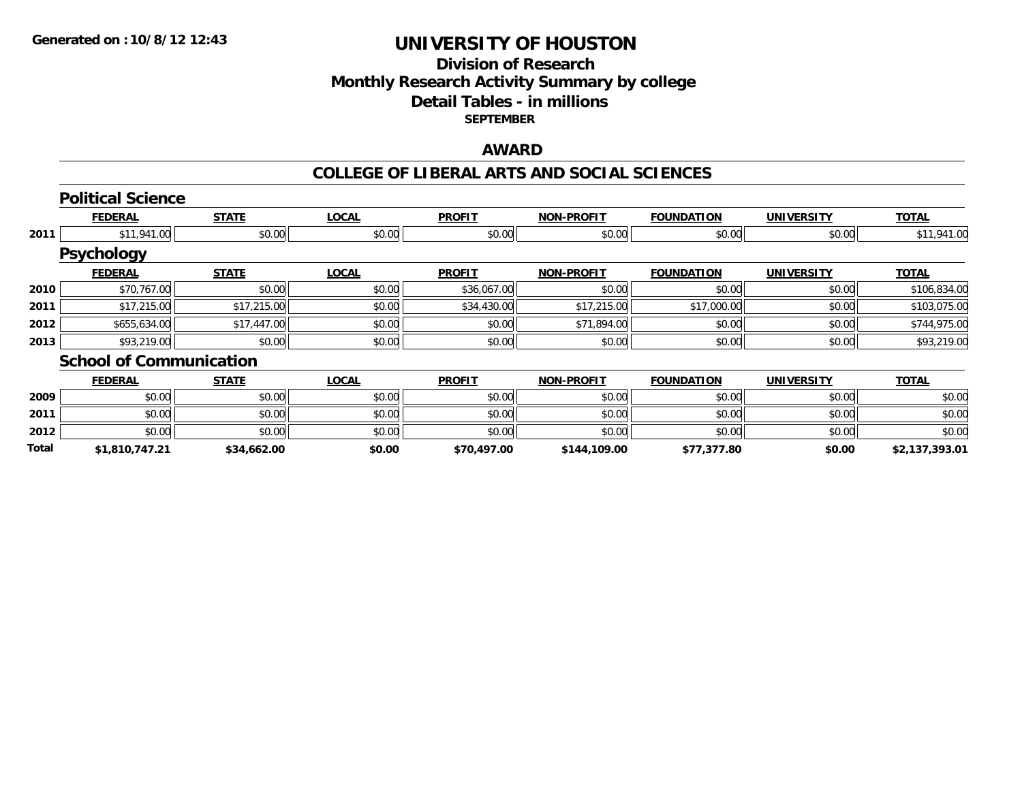## **Division of ResearchMonthly Research Activity Summary by college Detail Tables - in millions SEPTEMBER**

### **AWARD**

### **COLLEGE OF LIBERAL ARTS AND SOCIAL SCIENCES**

|       | <b>Political Science</b>       |              |              |               |                   |                   |                   |                |
|-------|--------------------------------|--------------|--------------|---------------|-------------------|-------------------|-------------------|----------------|
|       | <b>FEDERAL</b>                 | <b>STATE</b> | <b>LOCAL</b> | <b>PROFIT</b> | <b>NON-PROFIT</b> | <b>FOUNDATION</b> | <b>UNIVERSITY</b> | <b>TOTAL</b>   |
| 2011  | \$11,941.00                    | \$0.00       | \$0.00       | \$0.00        | \$0.00            | \$0.00            | \$0.00            | \$11,941.00    |
|       | <b>Psychology</b>              |              |              |               |                   |                   |                   |                |
|       | <b>FEDERAL</b>                 | <b>STATE</b> | <b>LOCAL</b> | <b>PROFIT</b> | <b>NON-PROFIT</b> | <b>FOUNDATION</b> | <b>UNIVERSITY</b> | <b>TOTAL</b>   |
| 2010  | \$70,767.00                    | \$0.00       | \$0.00       | \$36,067.00   | \$0.00            | \$0.00            | \$0.00            | \$106,834.00   |
| 2011  | \$17,215.00                    | \$17,215.00  | \$0.00       | \$34,430.00   | \$17,215.00       | \$17,000.00       | \$0.00            | \$103,075.00   |
| 2012  | \$655,634.00                   | \$17,447.00  | \$0.00       | \$0.00        | \$71,894.00       | \$0.00            | \$0.00            | \$744,975.00   |
| 2013  | \$93,219.00                    | \$0.00       | \$0.00       | \$0.00        | \$0.00            | \$0.00            | \$0.00            | \$93,219.00    |
|       | <b>School of Communication</b> |              |              |               |                   |                   |                   |                |
|       | <b>FEDERAL</b>                 | <b>STATE</b> | <b>LOCAL</b> | <b>PROFIT</b> | <b>NON-PROFIT</b> | <b>FOUNDATION</b> | <b>UNIVERSITY</b> | <b>TOTAL</b>   |
| 2009  | \$0.00                         | \$0.00       | \$0.00       | \$0.00        | \$0.00            | \$0.00            | \$0.00            | \$0.00         |
| 2011  | \$0.00                         | \$0.00       | \$0.00       | \$0.00        | \$0.00            | \$0.00            | \$0.00            | \$0.00         |
| 2012  | \$0.00                         | \$0.00       | \$0.00       | \$0.00        | \$0.00            | \$0.00            | \$0.00            | \$0.00         |
| Total | \$1.810.747.21                 | \$34,662.00  | \$0.00       | \$70.497.00   | \$144,109.00      | \$77.377.80       | \$0.00            | \$2.137.393.01 |

**\$1,810,747.21 \$34,662.00 \$0.00 \$70,497.00 \$144,109.00 \$77,377.80 \$0.00 \$2,137,393.01**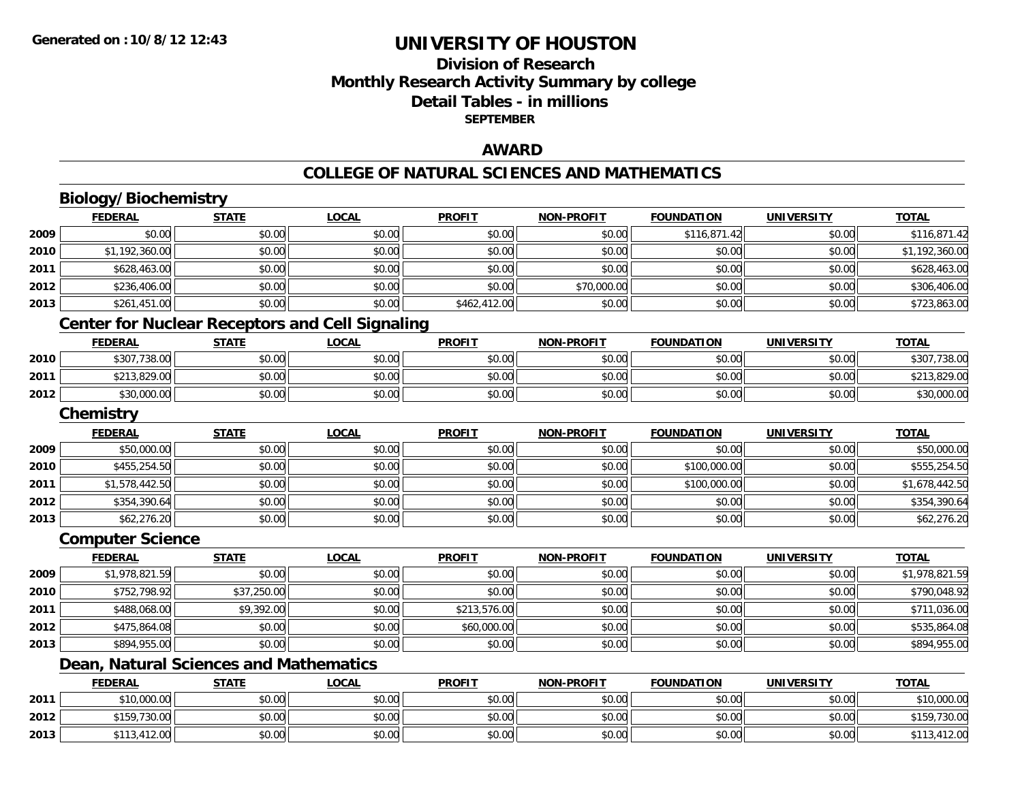## **Division of ResearchMonthly Research Activity Summary by college Detail Tables - in millions SEPTEMBER**

### **AWARD**

#### **COLLEGE OF NATURAL SCIENCES AND MATHEMATICS**

# **Biology/Biochemistry**

**2012**

**2013**

|      | <b>FEDERAL</b>                         | <b>STATE</b> | <b>LOCAL</b>                                           | <b>PROFIT</b> | <b>NON-PROFIT</b> | <b>FOUNDATION</b> | <b>UNIVERSITY</b> | <b>TOTAL</b>   |
|------|----------------------------------------|--------------|--------------------------------------------------------|---------------|-------------------|-------------------|-------------------|----------------|
| 2009 | \$0.00                                 | \$0.00       | \$0.00                                                 | \$0.00        | \$0.00            | \$116,871.42      | \$0.00            | \$116,871.42   |
| 2010 | \$1,192,360.00                         | \$0.00       | \$0.00                                                 | \$0.00        | \$0.00            | \$0.00            | \$0.00            | \$1,192,360.00 |
| 2011 | \$628,463.00                           | \$0.00       | \$0.00                                                 | \$0.00        | \$0.00            | \$0.00            | \$0.00            | \$628,463.00   |
| 2012 | \$236,406.00                           | \$0.00       | \$0.00                                                 | \$0.00        | \$70,000.00       | \$0.00            | \$0.00            | \$306,406.00   |
| 2013 | \$261,451.00                           | \$0.00       | \$0.00                                                 | \$462,412.00  | \$0.00            | \$0.00            | \$0.00            | \$723,863.00   |
|      |                                        |              | <b>Center for Nuclear Receptors and Cell Signaling</b> |               |                   |                   |                   |                |
|      | <b>FEDERAL</b>                         | <b>STATE</b> | <b>LOCAL</b>                                           | <b>PROFIT</b> | <b>NON-PROFIT</b> | <b>FOUNDATION</b> | <b>UNIVERSITY</b> | <b>TOTAL</b>   |
| 2010 | \$307,738.00                           | \$0.00       | \$0.00                                                 | \$0.00        | \$0.00            | \$0.00            | \$0.00            | \$307,738.00   |
| 2011 | \$213,829.00                           | \$0.00       | \$0.00                                                 | \$0.00        | \$0.00            | \$0.00            | \$0.00            | \$213,829.00   |
| 2012 | \$30,000.00                            | \$0.00       | \$0.00                                                 | \$0.00        | \$0.00            | \$0.00            | \$0.00            | \$30,000.00    |
|      | Chemistry                              |              |                                                        |               |                   |                   |                   |                |
|      | <b>FEDERAL</b>                         | <b>STATE</b> | <b>LOCAL</b>                                           | <b>PROFIT</b> | <b>NON-PROFIT</b> | <b>FOUNDATION</b> | <b>UNIVERSITY</b> | <b>TOTAL</b>   |
| 2009 | \$50,000.00                            | \$0.00       | \$0.00                                                 | \$0.00        | \$0.00            | \$0.00            | \$0.00            | \$50,000.00    |
| 2010 | \$455,254.50                           | \$0.00       | \$0.00                                                 | \$0.00        | \$0.00            | \$100,000.00      | \$0.00            | \$555,254.50   |
| 2011 | \$1,578,442.50                         | \$0.00       | \$0.00                                                 | \$0.00        | \$0.00            | \$100,000.00      | \$0.00            | \$1,678,442.50 |
| 2012 | \$354,390.64                           | \$0.00       | \$0.00                                                 | \$0.00        | \$0.00            | \$0.00            | \$0.00            | \$354,390.64   |
| 2013 | \$62,276.20                            | \$0.00       | \$0.00                                                 | \$0.00        | \$0.00            | \$0.00            | \$0.00            | \$62,276.20    |
|      | <b>Computer Science</b>                |              |                                                        |               |                   |                   |                   |                |
|      | <b>FEDERAL</b>                         | <b>STATE</b> | <b>LOCAL</b>                                           | <b>PROFIT</b> | <b>NON-PROFIT</b> | <b>FOUNDATION</b> | <b>UNIVERSITY</b> | <b>TOTAL</b>   |
| 2009 | \$1,978,821.59                         | \$0.00       | \$0.00                                                 | \$0.00        | \$0.00            | \$0.00            | \$0.00            | \$1,978,821.59 |
| 2010 | \$752,798.92                           | \$37,250.00  | \$0.00                                                 | \$0.00        | \$0.00            | \$0.00            | \$0.00            | \$790,048.92   |
| 2011 | \$488,068.00                           | \$9,392.00   | \$0.00                                                 | \$213,576.00  | \$0.00            | \$0.00            | \$0.00            | \$711,036.00   |
| 2012 | \$475,864.08                           | \$0.00       | \$0.00                                                 | \$60,000.00   | \$0.00            | \$0.00            | \$0.00            | \$535,864.08   |
| 2013 | \$894,955.00                           | \$0.00       | \$0.00                                                 | \$0.00        | \$0.00            | \$0.00            | \$0.00            | \$894,955.00   |
|      | Dean, Natural Sciences and Mathematics |              |                                                        |               |                   |                   |                   |                |
|      | <b>FEDERAL</b>                         | <b>STATE</b> | <b>LOCAL</b>                                           | <b>PROFIT</b> | <b>NON-PROFIT</b> | <b>FOUNDATION</b> | <b>UNIVERSITY</b> | <b>TOTAL</b>   |
| 2011 | \$10,000.00                            | \$0.00       | \$0.00                                                 | \$0.00        | \$0.00            | \$0.00            | \$0.00            | \$10,000.00    |

2 | \$159,730.00| \$0.00| \$0.00| \$0.00| \$0.00| \$0.00| \$0.00| \$0.00| \$0.00| \$159,730.00 \$159,730.00

\$113,412.00 \$0.00 \$0.00 \$0.00 \$0.00 \$0.00 \$0.00 \$113,412.00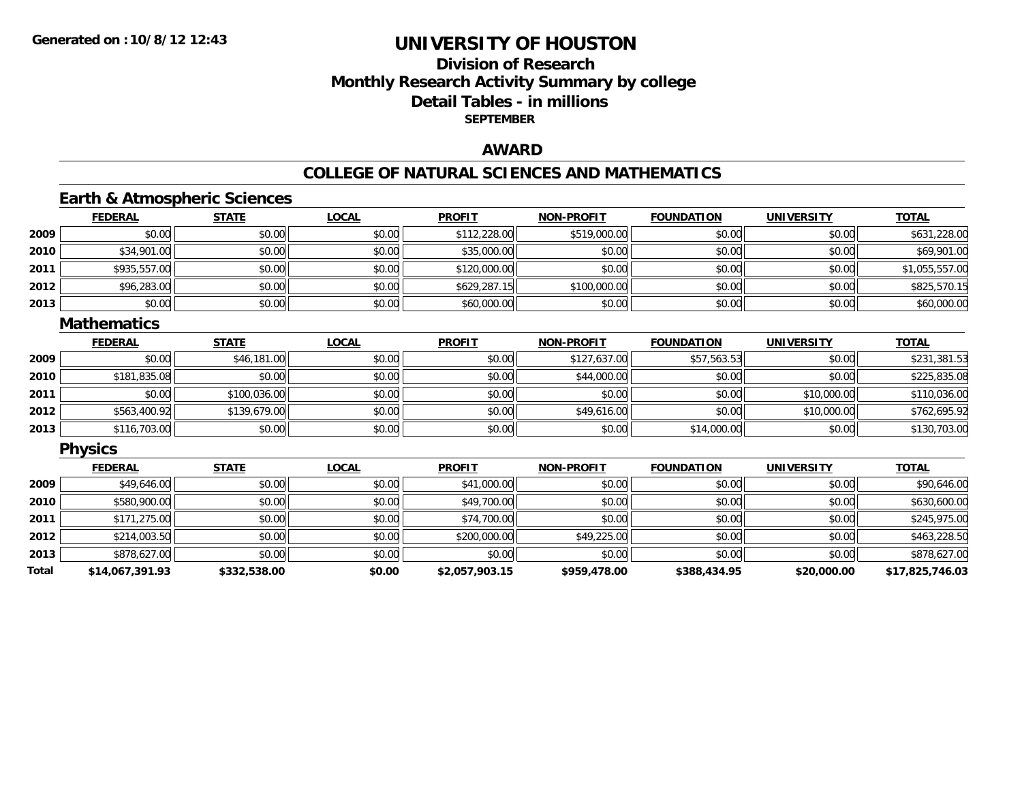## **Division of ResearchMonthly Research Activity Summary by college Detail Tables - in millions SEPTEMBER**

### **AWARD**

### **COLLEGE OF NATURAL SCIENCES AND MATHEMATICS**

### **Earth & Atmospheric Sciences**

|      | <b>FEDERAL</b> | <b>STATE</b> | <u>LOCAL</u> | <b>PROFIT</b> | <b>NON-PROFIT</b> | <b>FOUNDATION</b> | <b>UNIVERSITY</b> | <b>TOTAL</b>   |
|------|----------------|--------------|--------------|---------------|-------------------|-------------------|-------------------|----------------|
| 2009 | \$0.00         | \$0.00       | \$0.00       | \$112,228.00  | \$519,000.00      | \$0.00            | \$0.00            | \$631,228.00   |
| 2010 | \$34,901.00    | \$0.00       | \$0.00       | \$35,000.00   | \$0.00            | \$0.00            | \$0.00            | \$69,901.00    |
| 2011 | \$935,557.00   | \$0.00       | \$0.00       | \$120,000.00  | \$0.00            | \$0.00            | \$0.00            | \$1,055,557.00 |
| 2012 | \$96,283.00    | \$0.00       | \$0.00       | \$629,287.15  | \$100,000.00      | \$0.00            | \$0.00            | \$825,570.15   |
| 2013 | \$0.00         | \$0.00       | \$0.00       | \$60,000.00   | \$0.00            | \$0.00            | \$0.00            | \$60,000.00    |

#### **Mathematics**

|      | <u>FEDERAL</u> | <b>STATE</b> | <b>LOCAL</b> | <b>PROFIT</b> | <b>NON-PROFIT</b> | <b>FOUNDATION</b> | <b>UNIVERSITY</b> | <b>TOTAL</b> |
|------|----------------|--------------|--------------|---------------|-------------------|-------------------|-------------------|--------------|
| 2009 | \$0.00         | \$46,181.00  | \$0.00       | \$0.00        | \$127,637.00      | \$57,563.53       | \$0.00            | \$231,381.53 |
| 2010 | \$181,835.08   | \$0.00       | \$0.00       | \$0.00        | \$44,000.00       | \$0.00            | \$0.00            | \$225,835.08 |
| 2011 | \$0.00         | \$100,036.00 | \$0.00       | \$0.00        | \$0.00            | \$0.00            | \$10,000.00       | \$110,036.00 |
| 2012 | \$563,400.92   | \$139,679.00 | \$0.00       | \$0.00        | \$49,616.00       | \$0.00            | \$10,000.00       | \$762,695.92 |
| 2013 | \$116,703.00   | \$0.00       | \$0.00       | \$0.00        | \$0.00            | \$14,000.00       | \$0.00            | \$130,703.00 |

### **Physics**

|       | <b>FEDERAL</b>  | <b>STATE</b> | <u>LOCAL</u> | <b>PROFIT</b>  | <b>NON-PROFIT</b> | <b>FOUNDATION</b> | <b>UNIVERSITY</b> | <b>TOTAL</b>    |
|-------|-----------------|--------------|--------------|----------------|-------------------|-------------------|-------------------|-----------------|
| 2009  | \$49,646.00     | \$0.00       | \$0.00       | \$41,000.00    | \$0.00            | \$0.00            | \$0.00            | \$90,646.00     |
| 2010  | \$580,900.00    | \$0.00       | \$0.00       | \$49,700.00    | \$0.00            | \$0.00            | \$0.00            | \$630,600.00    |
| 2011  | \$171,275.00    | \$0.00       | \$0.00       | \$74,700.00    | \$0.00            | \$0.00            | \$0.00            | \$245,975.00    |
| 2012  | \$214,003.50    | \$0.00       | \$0.00       | \$200,000.00   | \$49,225.00       | \$0.00            | \$0.00            | \$463,228.50    |
| 2013  | \$878,627.00    | \$0.00       | \$0.00       | \$0.00         | \$0.00            | \$0.00            | \$0.00            | \$878,627.00    |
| Total | \$14,067,391.93 | \$332,538.00 | \$0.00       | \$2,057,903.15 | \$959,478.00      | \$388,434.95      | \$20,000.00       | \$17,825,746.03 |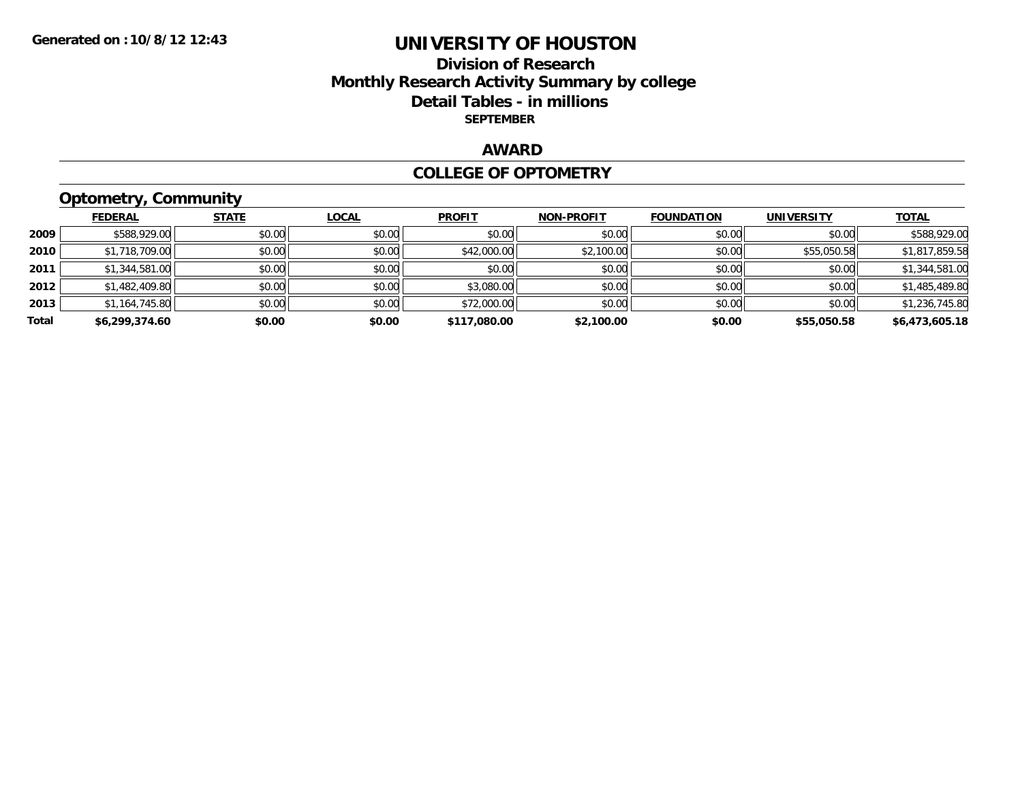### **Division of Research Monthly Research Activity Summary by college Detail Tables - in millions SEPTEMBER**

### **AWARD**

#### **COLLEGE OF OPTOMETRY**

# **Optometry, Community**

|       | <b>FEDERAL</b> | <b>STATE</b> | LOCAL  | <b>PROFIT</b> | <b>NON-PROFIT</b> | <b>FOUNDATION</b> | <b>UNIVERSITY</b> | <u>TOTAL</u>   |
|-------|----------------|--------------|--------|---------------|-------------------|-------------------|-------------------|----------------|
| 2009  | \$588,929.00   | \$0.00       | \$0.00 | \$0.00        | \$0.00            | \$0.00            | \$0.00            | \$588,929.00   |
| 2010  | \$1,718,709.00 | \$0.00       | \$0.00 | \$42,000.00   | \$2,100.00        | \$0.00            | \$55,050.58       | \$1,817,859.58 |
| 2011  | \$1,344,581.00 | \$0.00       | \$0.00 | \$0.00        | \$0.00            | \$0.00            | \$0.00            | \$1,344,581.00 |
| 2012  | \$1,482,409.80 | \$0.00       | \$0.00 | \$3,080.00    | \$0.00            | \$0.00            | \$0.00            | \$1,485,489.80 |
| 2013  | \$1,164,745.80 | \$0.00       | \$0.00 | \$72,000.00   | \$0.00            | \$0.00            | \$0.00            | \$1,236,745.80 |
| Total | \$6,299,374.60 | \$0.00       | \$0.00 | \$117,080.00  | \$2,100.00        | \$0.00            | \$55,050.58       | \$6,473,605.18 |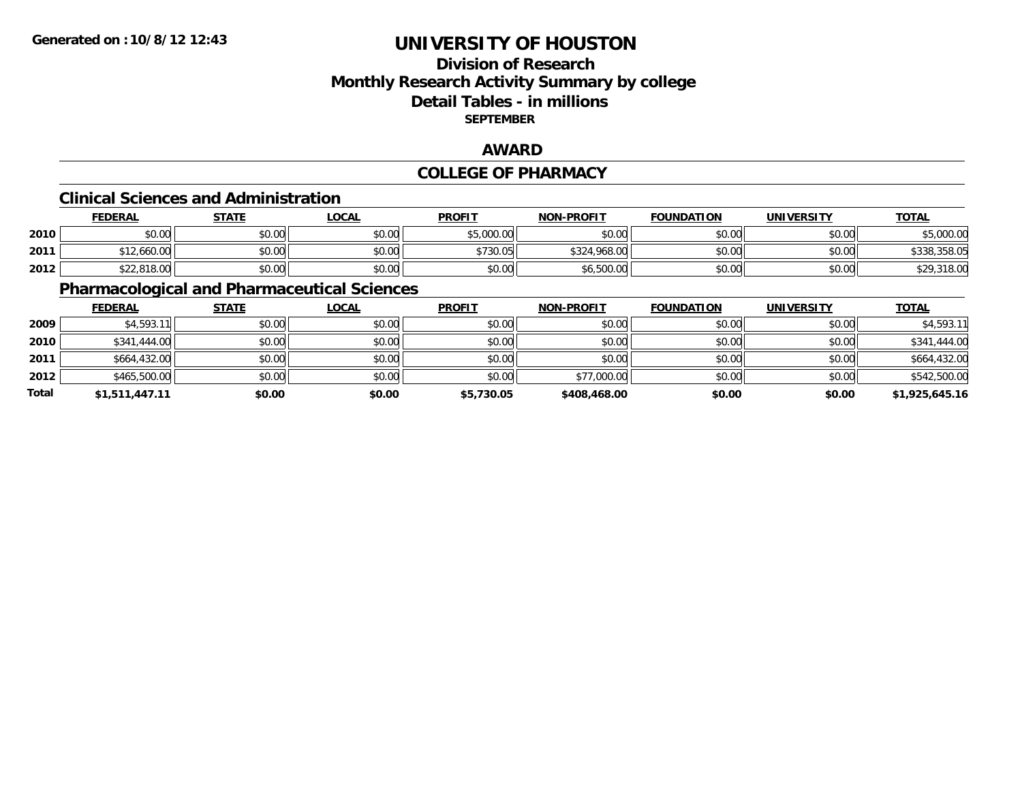## **Division of ResearchMonthly Research Activity Summary by college Detail Tables - in millions SEPTEMBER**

### **AWARD**

### **COLLEGE OF PHARMACY**

#### **Clinical Sciences and Administration**

|      | <b>FEDERAL</b>                                    | <u>STATE</u> | <u>LOCAL</u> | <b>PROFIT</b> | <b>NON-PROFIT</b> | <b>FOUNDATION</b> | <b>UNIVERSITY</b> | <b>TOTAL</b> |
|------|---------------------------------------------------|--------------|--------------|---------------|-------------------|-------------------|-------------------|--------------|
| 2010 | \$0.00                                            | \$0.00       | \$0.00       | \$5,000.00    | \$0.00            | \$0.00            | \$0.00            | \$5,000.00   |
| 2011 | \$12,660.00<br>$\mathbf{A} \mathbf{A} \mathbf{A}$ | \$0.00       | \$0.00       | \$730.05      | \$324,968.00      | \$0.00            | \$0.00            | \$338,358.05 |
| 2012 | \$22,818.00                                       | \$0.00       | \$0.00       | \$0.00        | \$6,500.00        | \$0.00            | \$0.00            | \$29,318.00  |

### **Pharmacological and Pharmaceutical Sciences**

|       | <b>FEDERAL</b> | <u>STATE</u> | <u>LOCAL</u> | <b>PROFIT</b> | <b>NON-PROFIT</b> | <b>FOUNDATION</b> | <b>UNIVERSITY</b> | <b>TOTAL</b>   |
|-------|----------------|--------------|--------------|---------------|-------------------|-------------------|-------------------|----------------|
| 2009  | \$4,593.11     | \$0.00       | \$0.00       | \$0.00        | \$0.00            | \$0.00            | \$0.00            | \$4,593.11     |
| 2010  | \$341,444.00   | \$0.00       | \$0.00       | \$0.00        | \$0.00            | \$0.00            | \$0.00            | \$341,444.00   |
| 2011  | \$664,432.00   | \$0.00       | \$0.00       | \$0.00        | \$0.00            | \$0.00            | \$0.00            | \$664,432.00   |
| 2012  | \$465,500.00   | \$0.00       | \$0.00       | \$0.00        | \$77,000.00       | \$0.00            | \$0.00            | \$542,500.00   |
| Total | \$1,511,447.11 | \$0.00       | \$0.00       | \$5,730.05    | \$408,468.00      | \$0.00            | \$0.00            | \$1,925,645.16 |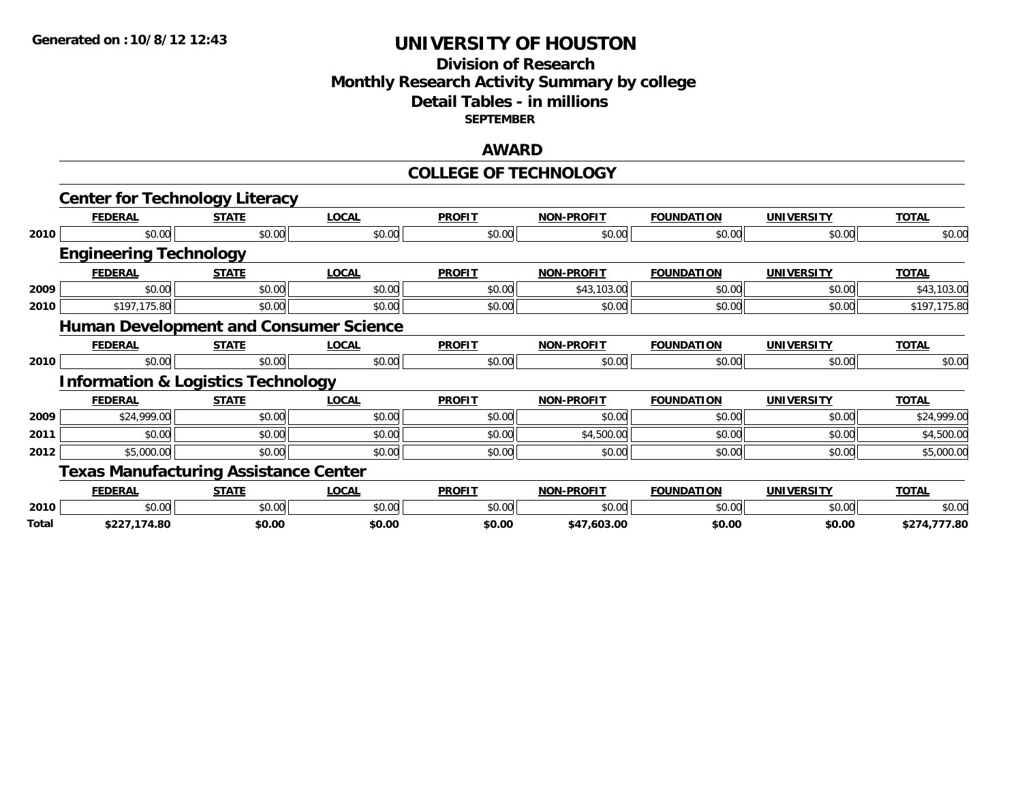## **Division of Research Monthly Research Activity Summary by college Detail Tables - in millions SEPTEMBER**

### **AWARD**

### **COLLEGE OF TECHNOLOGY**

|       | <b>Center for Technology Literacy</b>         |              |              |               |                   |                   |                   |              |
|-------|-----------------------------------------------|--------------|--------------|---------------|-------------------|-------------------|-------------------|--------------|
|       | <b>FEDERAL</b>                                | <b>STATE</b> | <b>LOCAL</b> | <b>PROFIT</b> | <b>NON-PROFIT</b> | <b>FOUNDATION</b> | <b>UNIVERSITY</b> | <b>TOTAL</b> |
| 2010  | \$0.00                                        | \$0.00       | \$0.00       | \$0.00        | \$0.00            | \$0.00            | \$0.00            | \$0.00       |
|       | <b>Engineering Technology</b>                 |              |              |               |                   |                   |                   |              |
|       | <b>FEDERAL</b>                                | <b>STATE</b> | <b>LOCAL</b> | <b>PROFIT</b> | <b>NON-PROFIT</b> | <b>FOUNDATION</b> | <b>UNIVERSITY</b> | <b>TOTAL</b> |
| 2009  | \$0.00                                        | \$0.00       | \$0.00       | \$0.00        | \$43,103.00       | \$0.00            | \$0.00            | \$43,103.00  |
| 2010  | \$197,175.80                                  | \$0.00       | \$0.00       | \$0.00        | \$0.00            | \$0.00            | \$0.00            | \$197,175.80 |
|       | <b>Human Development and Consumer Science</b> |              |              |               |                   |                   |                   |              |
|       | <b>FEDERAL</b>                                | <b>STATE</b> | <b>LOCAL</b> | <b>PROFIT</b> | <b>NON-PROFIT</b> | <b>FOUNDATION</b> | <b>UNIVERSITY</b> | <b>TOTAL</b> |
| 2010  | \$0.00                                        | \$0.00       | \$0.00       | \$0.00        | \$0.00            | \$0.00            | \$0.00            | \$0.00       |
|       | <b>Information &amp; Logistics Technology</b> |              |              |               |                   |                   |                   |              |
|       | <b>FEDERAL</b>                                | <b>STATE</b> | <b>LOCAL</b> | <b>PROFIT</b> | <b>NON-PROFIT</b> | <b>FOUNDATION</b> | <b>UNIVERSITY</b> | <b>TOTAL</b> |
| 2009  | \$24,999.00                                   | \$0.00       | \$0.00       | \$0.00        | \$0.00            | \$0.00            | \$0.00            | \$24,999.00  |
| 2011  | \$0.00                                        | \$0.00       | \$0.00       | \$0.00        | \$4,500.00        | \$0.00            | \$0.00            | \$4,500.00   |
| 2012  | \$5,000.00                                    | \$0.00       | \$0.00       | \$0.00        | \$0.00            | \$0.00            | \$0.00            | \$5,000.00   |
|       | <b>Texas Manufacturing Assistance Center</b>  |              |              |               |                   |                   |                   |              |
|       | <b>FEDERAL</b>                                | <b>STATE</b> | <b>LOCAL</b> | <b>PROFIT</b> | <b>NON-PROFIT</b> | <b>FOUNDATION</b> | <b>UNIVERSITY</b> | <b>TOTAL</b> |
| 2010  | \$0.00                                        | \$0.00       | \$0.00       | \$0.00        | \$0.00            | \$0.00            | \$0.00            | \$0.00       |
| Total | \$227,174.80                                  | \$0.00       | \$0.00       | \$0.00        | \$47,603.00       | \$0.00            | \$0.00            | \$274,777.80 |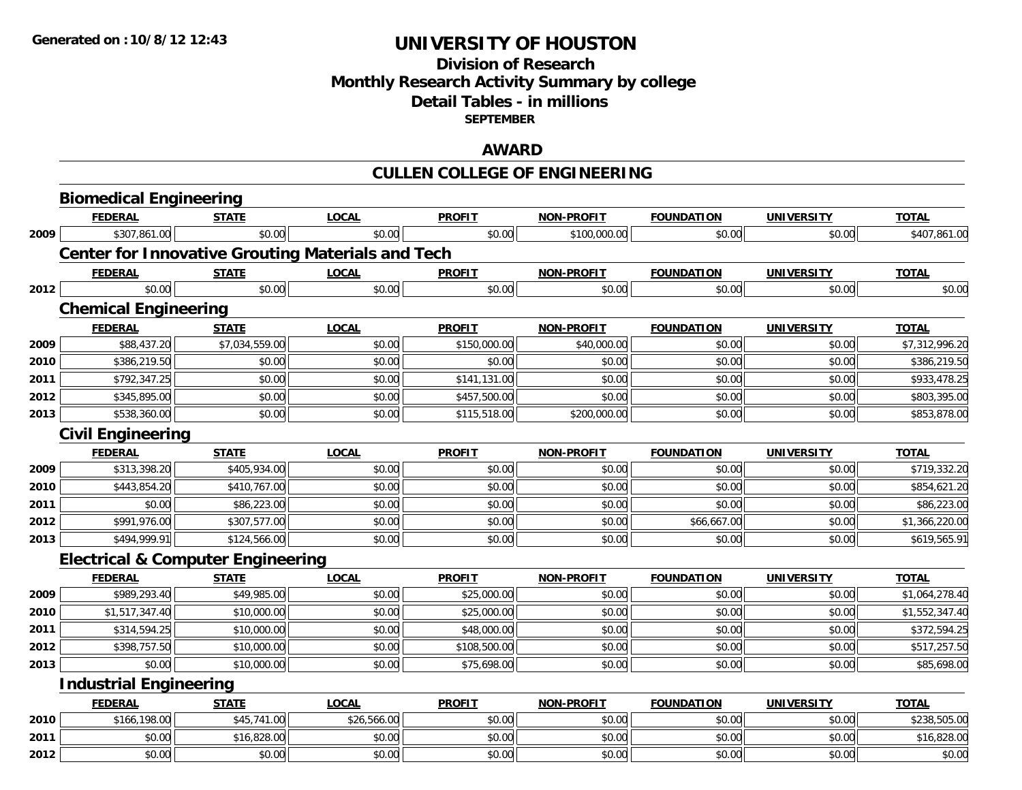## **Division of Research Monthly Research Activity Summary by college Detail Tables - in millions SEPTEMBER**

### **AWARD**

# **CULLEN COLLEGE OF ENGINEERING**

|      | <b>Biomedical Engineering</b>                |                |                                                          |               |                   |                   |                   |                |
|------|----------------------------------------------|----------------|----------------------------------------------------------|---------------|-------------------|-------------------|-------------------|----------------|
|      | <b>FEDERAL</b>                               | <b>STATE</b>   | <b>LOCAL</b>                                             | <b>PROFIT</b> | <b>NON-PROFIT</b> | <b>FOUNDATION</b> | <b>UNIVERSITY</b> | <b>TOTAL</b>   |
| 2009 | \$307,861.00                                 | \$0.00         | \$0.00                                                   | \$0.00        | \$100,000.00      | \$0.00            | \$0.00            | \$407,861.00   |
|      |                                              |                | <b>Center for Innovative Grouting Materials and Tech</b> |               |                   |                   |                   |                |
|      | <b>FEDERAL</b>                               | <b>STATE</b>   | <b>LOCAL</b>                                             | <b>PROFIT</b> | <b>NON-PROFIT</b> | <b>FOUNDATION</b> | <b>UNIVERSITY</b> | <b>TOTAL</b>   |
| 2012 | \$0.00                                       | \$0.00         | \$0.00                                                   | \$0.00        | \$0.00            | \$0.00            | \$0.00            | \$0.00         |
|      | <b>Chemical Engineering</b>                  |                |                                                          |               |                   |                   |                   |                |
|      | <b>FEDERAL</b>                               | <b>STATE</b>   | <b>LOCAL</b>                                             | <b>PROFIT</b> | <b>NON-PROFIT</b> | <b>FOUNDATION</b> | <b>UNIVERSITY</b> | <b>TOTAL</b>   |
| 2009 | \$88,437.20                                  | \$7,034,559.00 | \$0.00                                                   | \$150,000.00  | \$40,000.00       | \$0.00            | \$0.00            | \$7,312,996.20 |
| 2010 | \$386,219.50                                 | \$0.00         | \$0.00                                                   | \$0.00        | \$0.00            | \$0.00            | \$0.00            | \$386,219.50   |
| 2011 | \$792,347.25                                 | \$0.00         | \$0.00                                                   | \$141,131.00  | \$0.00            | \$0.00            | \$0.00            | \$933,478.25   |
| 2012 | \$345,895.00                                 | \$0.00         | \$0.00                                                   | \$457,500.00  | \$0.00            | \$0.00            | \$0.00            | \$803,395.00   |
| 2013 | \$538,360.00                                 | \$0.00         | \$0.00                                                   | \$115,518.00  | \$200,000.00      | \$0.00            | \$0.00            | \$853,878.00   |
|      | <b>Civil Engineering</b>                     |                |                                                          |               |                   |                   |                   |                |
|      | <b>FEDERAL</b>                               | <b>STATE</b>   | <b>LOCAL</b>                                             | <b>PROFIT</b> | <b>NON-PROFIT</b> | <b>FOUNDATION</b> | <b>UNIVERSITY</b> | <b>TOTAL</b>   |
| 2009 | \$313,398.20                                 | \$405,934.00   | \$0.00                                                   | \$0.00        | \$0.00            | \$0.00            | \$0.00            | \$719,332.20   |
| 2010 | \$443,854.20                                 | \$410,767.00   | \$0.00                                                   | \$0.00        | \$0.00            | \$0.00            | \$0.00            | \$854,621.20   |
| 2011 | \$0.00                                       | \$86,223.00    | \$0.00                                                   | \$0.00        | \$0.00            | \$0.00            | \$0.00            | \$86,223.00    |
| 2012 | \$991,976.00                                 | \$307,577.00   | \$0.00                                                   | \$0.00        | \$0.00            | \$66,667.00       | \$0.00            | \$1,366,220.00 |
| 2013 | \$494,999.91                                 | \$124,566.00   | \$0.00                                                   | \$0.00        | \$0.00            | \$0.00            | \$0.00            | \$619,565.91   |
|      | <b>Electrical &amp; Computer Engineering</b> |                |                                                          |               |                   |                   |                   |                |
|      | <b>FEDERAL</b>                               | <b>STATE</b>   | <b>LOCAL</b>                                             | <b>PROFIT</b> | <b>NON-PROFIT</b> | <b>FOUNDATION</b> | <b>UNIVERSITY</b> | <b>TOTAL</b>   |
| 2009 | \$989,293.40                                 | \$49,985.00    | \$0.00                                                   | \$25,000.00   | \$0.00            | \$0.00            | \$0.00            | \$1,064,278.40 |
| 2010 | \$1,517,347.40                               | \$10,000.00    | \$0.00                                                   | \$25,000.00   | \$0.00            | \$0.00            | \$0.00            | \$1,552,347.40 |
| 2011 | \$314,594.25                                 | \$10,000.00    | \$0.00                                                   | \$48,000.00   | \$0.00            | \$0.00            | \$0.00            | \$372,594.25   |
| 2012 | \$398,757.50                                 | \$10,000.00    | \$0.00                                                   | \$108,500.00  | \$0.00            | \$0.00            | \$0.00            | \$517,257.50   |
| 2013 | \$0.00                                       | \$10,000.00    | \$0.00                                                   | \$75,698.00   | \$0.00            | \$0.00            | \$0.00            | \$85,698.00    |
|      | <b>Industrial Engineering</b>                |                |                                                          |               |                   |                   |                   |                |
|      | <b>FEDERAL</b>                               | <b>STATE</b>   | <b>LOCAL</b>                                             | <b>PROFIT</b> | <b>NON-PROFIT</b> | <b>FOUNDATION</b> | <b>UNIVERSITY</b> | <b>TOTAL</b>   |
| 2010 | \$166,198.00                                 | \$45,741.00    | \$26,566.00                                              | \$0.00        | \$0.00            | \$0.00            | \$0.00            | \$238,505.00   |
| 2011 | \$0.00                                       | \$16,828.00    | \$0.00                                                   | \$0.00        | \$0.00            | \$0.00            | \$0.00            | \$16,828.00    |
| 2012 | \$0.00                                       | \$0.00         | \$0.00                                                   | \$0.00        | \$0.00            | \$0.00            | \$0.00            | \$0.00         |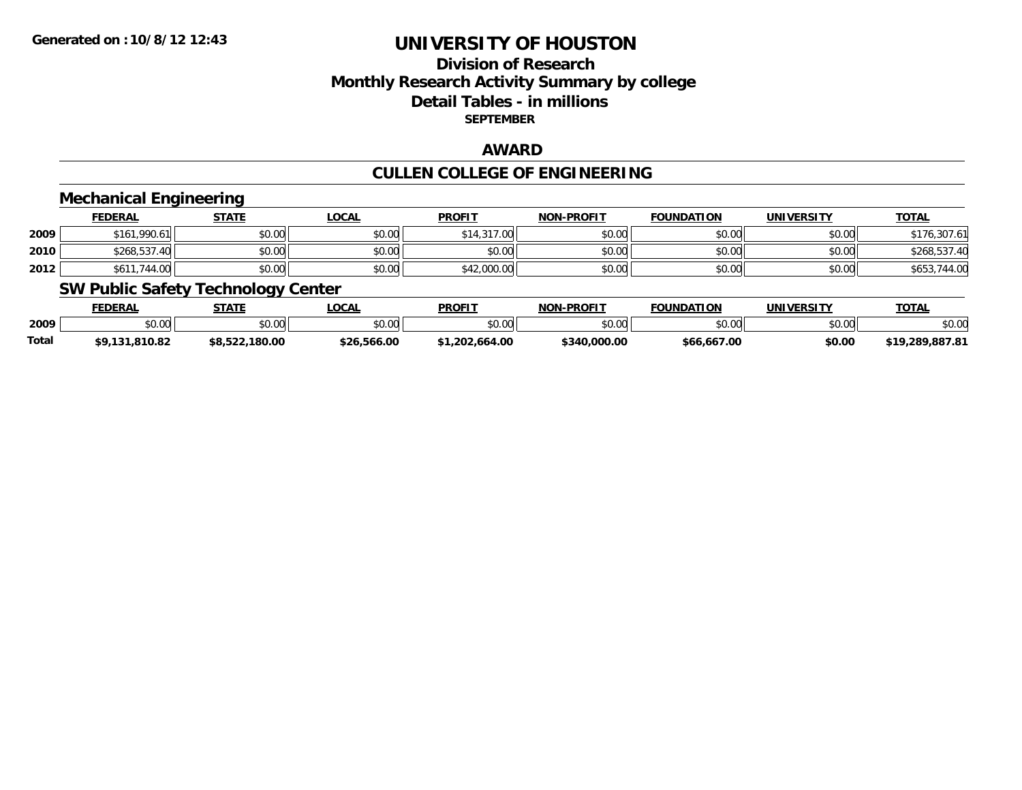## **Division of ResearchMonthly Research Activity Summary by college Detail Tables - in millions SEPTEMBER**

### **AWARD**

# **CULLEN COLLEGE OF ENGINEERING**

### **Mechanical Engineering**

|      | <b>FEDERAL</b> | <u>STATE</u> | <u>LOCAL</u> | <b>PROFIT</b> | <b>NON-PROFIT</b> | <b>FOUNDATION</b> | <b>UNIVERSITY</b> | <b>TOTAL</b>    |
|------|----------------|--------------|--------------|---------------|-------------------|-------------------|-------------------|-----------------|
| 2009 | \$161,990.61   | \$0.00       | \$0.00       | \$14,317.00   | \$0.00            | \$0.00            | \$0.00            | .307.61         |
| 2010 | \$268,537.40   | \$0.00       | \$0.00       | \$0.00        | \$0.00            | \$0.00            | \$0.00            | \$268,537.40    |
| 2012 | \$611,744.00   | \$0.00       | \$0.00       | \$42,000.00   | \$0.00            | \$0.00            | \$0.00            | 744.00<br>\$653 |

### **SW Public Safety Technology Center**

|       | <b>FEDERAL</b>     | STATE          | <b>_OCAL</b> | <b>PROFIT</b>  | <b>J-PROFIT</b><br>NON- | <b>FOUNDATION</b> | UNIVERSITY | <b>TOTAL</b>               |
|-------|--------------------|----------------|--------------|----------------|-------------------------|-------------------|------------|----------------------------|
| 2009  | $\sim$ 00<br>vu.uu | \$0.00         | \$0.00       | \$0.00         | en uu<br>DU.UG          | \$0.00            | \$0.00     | \$0.00                     |
| Total | 131.810.82         | \$8,522,180.00 | \$26,566.00  | .664.00<br>202 | \$340.000.00            | \$66,667.00       | \$0.00     | /.289.887.81<br><b>τ1Ο</b> |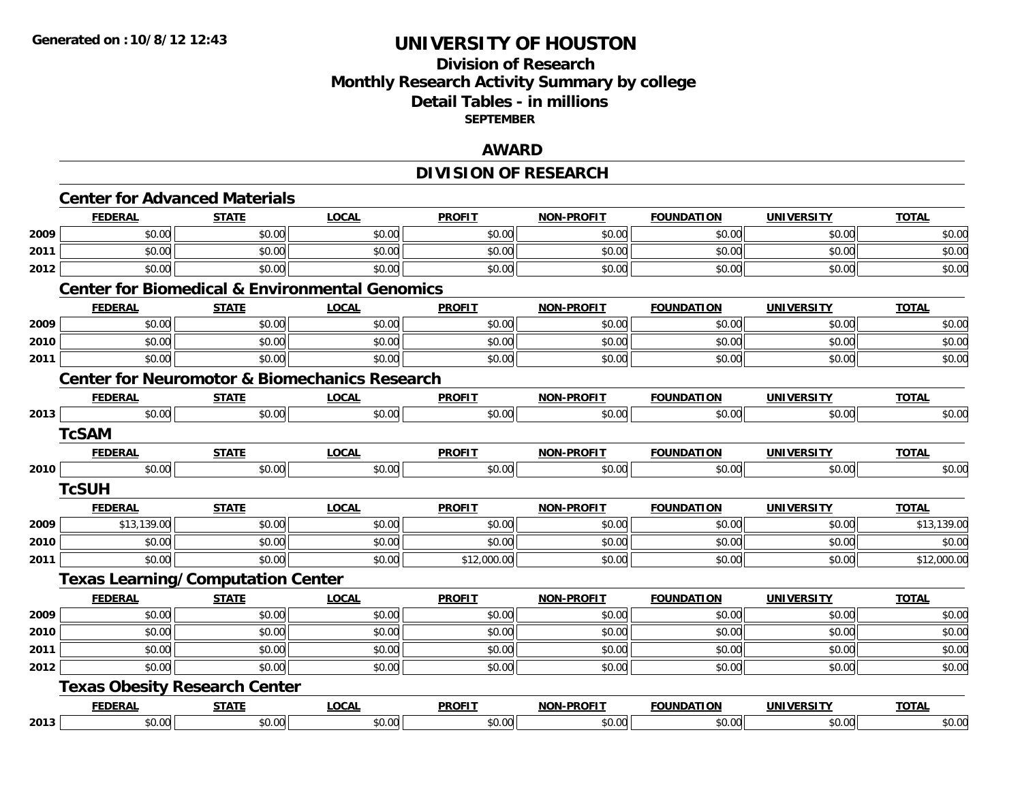## **Division of Research Monthly Research Activity Summary by college Detail Tables - in millions SEPTEMBER**

### **AWARD**

# **DIVISION OF RESEARCH**

|      | <b>Center for Advanced Materials</b>     |              |                                                           |               |                   |                   |                   |              |
|------|------------------------------------------|--------------|-----------------------------------------------------------|---------------|-------------------|-------------------|-------------------|--------------|
|      | <b>FEDERAL</b>                           | <b>STATE</b> | <b>LOCAL</b>                                              | <b>PROFIT</b> | <b>NON-PROFIT</b> | <b>FOUNDATION</b> | <b>UNIVERSITY</b> | <b>TOTAL</b> |
| 2009 | \$0.00                                   | \$0.00       | \$0.00                                                    | \$0.00        | \$0.00            | \$0.00            | \$0.00            | \$0.00       |
| 2011 | \$0.00                                   | \$0.00       | \$0.00                                                    | \$0.00        | \$0.00            | \$0.00            | \$0.00            | \$0.00       |
| 2012 | \$0.00                                   | \$0.00       | \$0.00                                                    | \$0.00        | \$0.00            | \$0.00            | \$0.00            | \$0.00       |
|      |                                          |              | <b>Center for Biomedical &amp; Environmental Genomics</b> |               |                   |                   |                   |              |
|      | <b>FEDERAL</b>                           | <b>STATE</b> | <b>LOCAL</b>                                              | <b>PROFIT</b> | <b>NON-PROFIT</b> | <b>FOUNDATION</b> | <b>UNIVERSITY</b> | <b>TOTAL</b> |
| 2009 | \$0.00                                   | \$0.00       | \$0.00                                                    | \$0.00        | \$0.00            | \$0.00            | \$0.00            | \$0.00       |
| 2010 | \$0.00                                   | \$0.00       | \$0.00                                                    | \$0.00        | \$0.00            | \$0.00            | \$0.00            | \$0.00       |
| 2011 | \$0.00                                   | \$0.00       | \$0.00                                                    | \$0.00        | \$0.00            | \$0.00            | \$0.00            | \$0.00       |
|      |                                          |              | <b>Center for Neuromotor &amp; Biomechanics Research</b>  |               |                   |                   |                   |              |
|      | <b>FEDERAL</b>                           | <b>STATE</b> | <b>LOCAL</b>                                              | <b>PROFIT</b> | <b>NON-PROFIT</b> | <b>FOUNDATION</b> | <b>UNIVERSITY</b> | <b>TOTAL</b> |
| 2013 | \$0.00                                   | \$0.00       | \$0.00                                                    | \$0.00        | \$0.00            | \$0.00            | \$0.00            | \$0.00       |
|      | <b>TcSAM</b>                             |              |                                                           |               |                   |                   |                   |              |
|      | <b>FEDERAL</b>                           | <b>STATE</b> | <b>LOCAL</b>                                              | <b>PROFIT</b> | NON-PROFIT        | <b>FOUNDATION</b> | <b>UNIVERSITY</b> | <b>TOTAL</b> |
| 2010 | \$0.00                                   | \$0.00       | \$0.00                                                    | \$0.00        | \$0.00            | \$0.00            | \$0.00            | \$0.00       |
|      | <b>TcSUH</b>                             |              |                                                           |               |                   |                   |                   |              |
|      | <b>FEDERAL</b>                           | <b>STATE</b> | <b>LOCAL</b>                                              | <b>PROFIT</b> | <b>NON-PROFIT</b> | <b>FOUNDATION</b> | <b>UNIVERSITY</b> | <b>TOTAL</b> |
| 2009 | \$13,139.00                              | \$0.00       | \$0.00                                                    | \$0.00        | \$0.00            | \$0.00            | \$0.00            | \$13,139.00  |
| 2010 | \$0.00                                   | \$0.00       | \$0.00                                                    | \$0.00        | \$0.00            | \$0.00            | \$0.00            | \$0.00       |
| 2011 | \$0.00                                   | \$0.00       | \$0.00                                                    | \$12,000.00   | \$0.00            | \$0.00            | \$0.00            | \$12,000.00  |
|      | <b>Texas Learning/Computation Center</b> |              |                                                           |               |                   |                   |                   |              |
|      | <b>FEDERAL</b>                           | <b>STATE</b> | <b>LOCAL</b>                                              | <b>PROFIT</b> | <b>NON-PROFIT</b> | <b>FOUNDATION</b> | <b>UNIVERSITY</b> | <b>TOTAL</b> |
| 2009 | \$0.00                                   | \$0.00       | \$0.00                                                    | \$0.00        | \$0.00            | \$0.00            | \$0.00            | \$0.00       |
| 2010 | \$0.00                                   | \$0.00       | \$0.00                                                    | \$0.00        | \$0.00            | \$0.00            | \$0.00            | \$0.00       |
| 2011 | \$0.00                                   | \$0.00       | \$0.00                                                    | \$0.00        | \$0.00            | \$0.00            | \$0.00            | \$0.00       |
| 2012 | \$0.00                                   | \$0.00       | \$0.00                                                    | \$0.00        | \$0.00            | \$0.00            | \$0.00            | \$0.00       |
|      | <b>Texas Obesity Research Center</b>     |              |                                                           |               |                   |                   |                   |              |
|      | <b>FEDERAL</b>                           | <b>STATE</b> | <b>LOCAL</b>                                              | <b>PROFIT</b> | NON-PROFIT        | <b>FOUNDATION</b> | <b>UNIVERSITY</b> | <b>TOTAL</b> |
| 2013 | \$0.00                                   | \$0.00       | \$0.00                                                    | \$0.00        | \$0.00            | \$0.00            | \$0.00            | \$0.00       |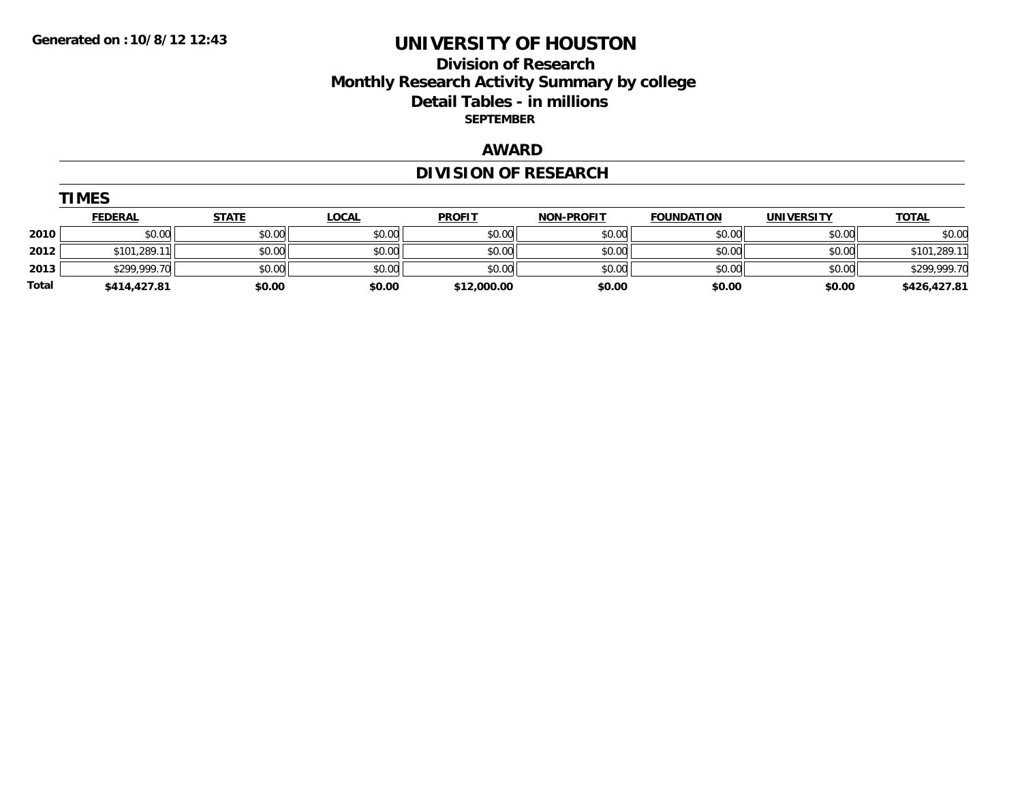## **Division of Research Monthly Research Activity Summary by college Detail Tables - in millions SEPTEMBER**

### **AWARD**

# **DIVISION OF RESEARCH**

|       | <u>FEDERAL</u> | <b>STATE</b> | <u>LOCAL</u> | <b>PROFIT</b> | <b>NON-PROFIT</b> | <b>FOUNDATION</b> | <b>UNIVERSITY</b> | <b>TOTAL</b> |
|-------|----------------|--------------|--------------|---------------|-------------------|-------------------|-------------------|--------------|
| 2010  | \$0.00         | \$0.00       | \$0.00       | \$0.00        | \$0.00            | \$0.00            | \$0.00            | \$0.00       |
| 2012  | \$101,289.11   | \$0.00       | \$0.00       | \$0.00        | \$0.00            | \$0.00            | \$0.00            | \$101,289.11 |
| 2013  | \$299,999.70   | \$0.00       | \$0.00       | \$0.00        | \$0.00            | \$0.00            | \$0.00            | \$299,999.70 |
| Total | \$414,427.81   | \$0.00       | \$0.00       | \$12,000.00   | \$0.00            | \$0.00            | \$0.00            | \$426,427.81 |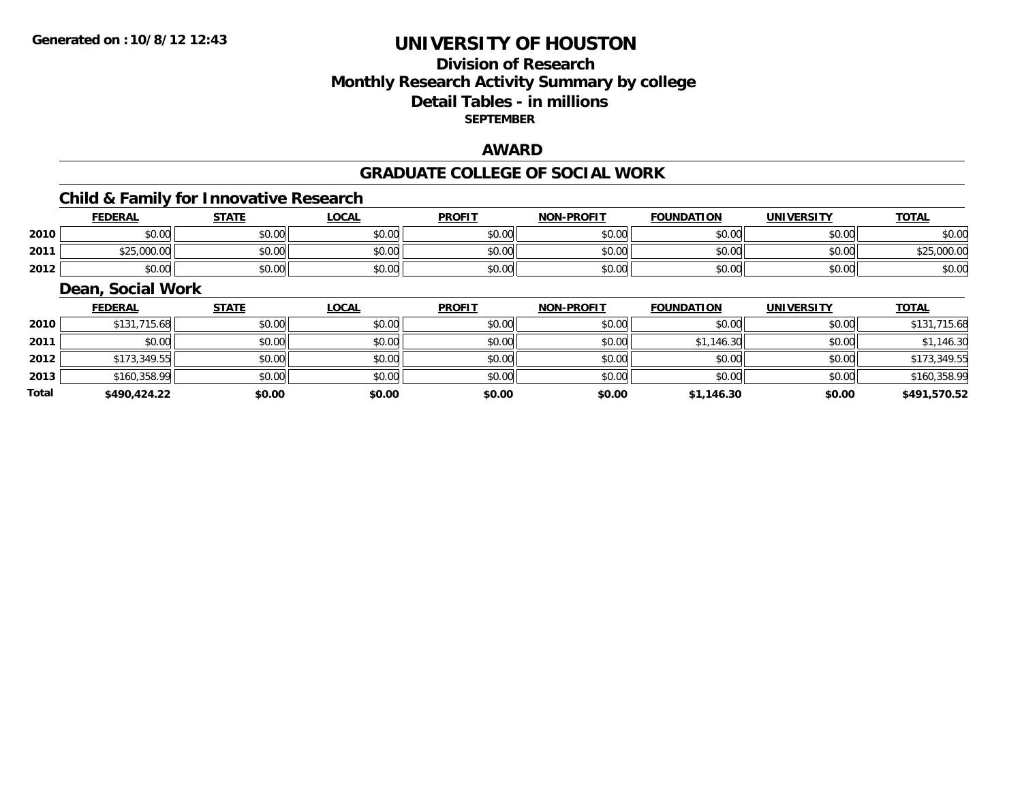## **Division of ResearchMonthly Research Activity Summary by college Detail Tables - in millions SEPTEMBER**

#### **AWARD**

#### **GRADUATE COLLEGE OF SOCIAL WORK**

## **Child & Family for Innovative Research**

|      | <b>EDERAL</b> | <b>STATE</b>          | <b>LOCAL</b> | <b>PROFIT</b> | <b>NON-PROFIT</b> | <b>FOUNDATION</b> | UNIVERSITY | <b>TOTAL</b>      |
|------|---------------|-----------------------|--------------|---------------|-------------------|-------------------|------------|-------------------|
| 2010 | \$0.00        | 40.00<br>JU.UU        | \$0.00       | \$0.00        | mn n¢<br>ง∪.∪บ    | \$0.00            | \$0.00     | \$0.00            |
| 2011 | \$25,000.00   | <b>AO OO</b><br>vv.vv | \$0.00       | \$0.00        | mn n¢<br>JU.UU    | \$0.00            | \$0.00     | <b>COR OOO OC</b> |
| 2012 | \$0.00        | \$0.00                | \$0.00       | \$0.00        | \$0.00            | \$0.00            | \$0.00     | \$0.00            |

#### **Dean, Social Work**

|       | <b>FEDERAL</b> | <b>STATE</b> | <b>LOCAL</b> | <b>PROFIT</b> | <b>NON-PROFIT</b> | <b>FOUNDATION</b> | <b>UNIVERSITY</b> | <b>TOTAL</b> |
|-------|----------------|--------------|--------------|---------------|-------------------|-------------------|-------------------|--------------|
| 2010  | \$131,715.68   | \$0.00       | \$0.00       | \$0.00        | \$0.00            | \$0.00            | \$0.00            | \$131,715.68 |
| 2011  | \$0.00         | \$0.00       | \$0.00       | \$0.00        | \$0.00            | \$1,146.30        | \$0.00            | \$1,146.30   |
| 2012  | \$173,349.55   | \$0.00       | \$0.00       | \$0.00        | \$0.00            | \$0.00            | \$0.00            | \$173,349.55 |
| 2013  | \$160,358.99   | \$0.00       | \$0.00       | \$0.00        | \$0.00            | \$0.00            | \$0.00            | \$160,358.99 |
| Total | \$490,424.22   | \$0.00       | \$0.00       | \$0.00        | \$0.00            | \$1,146.30        | \$0.00            | \$491,570.52 |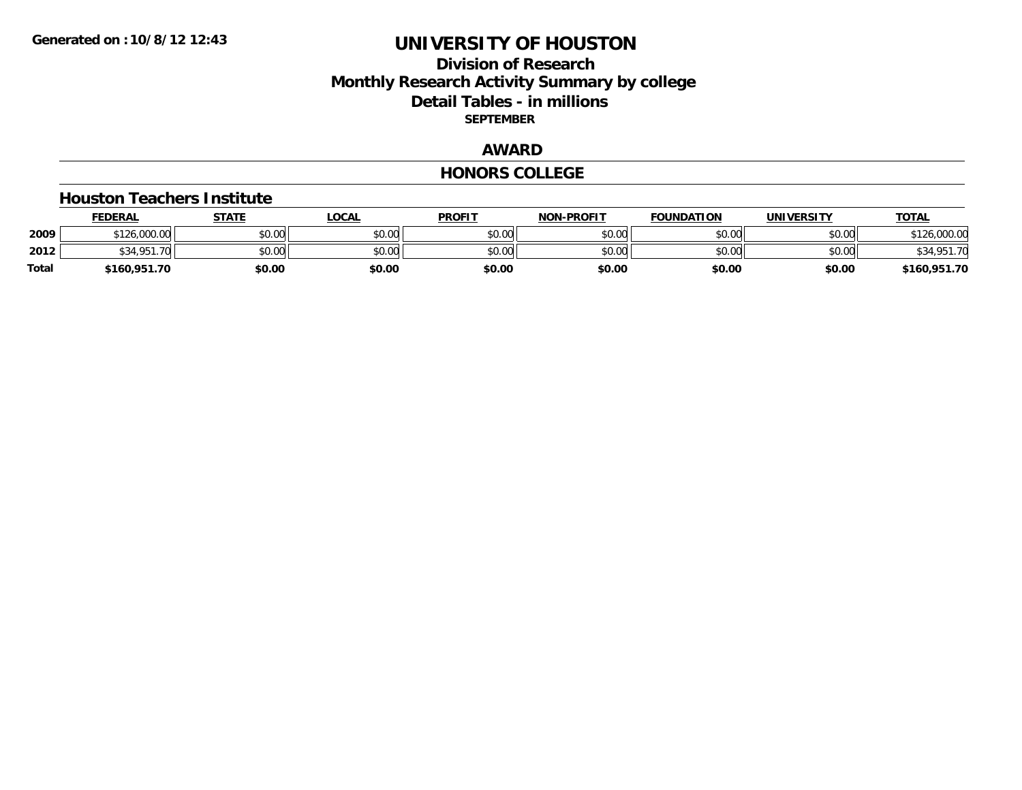### **Division of Research Monthly Research Activity Summary by college Detail Tables - in millions SEPTEMBER**

### **AWARD**

#### **HONORS COLLEGE**

#### **Houston Teachers Institute**

|       | <b>FEDERAL</b>   | STATE  | <b>LOCAL</b> | <b>PROFIT</b> | <b>NON-PROFIT</b> | <b>FOUNDATION</b> | UNIVERSITY | <b>TOTAL</b> |
|-------|------------------|--------|--------------|---------------|-------------------|-------------------|------------|--------------|
| 2009  | \$126,000.00     | \$0.00 | \$0.00       | \$0.00        | \$0.00            | \$0.00            | \$0.00     | 126,000.00   |
| 2012  | \$34.951.<br>.70 | \$0.00 | \$0.00       | \$0.00        | \$0.00            | \$0.00            | \$0.00     | \$34,951.70  |
| Total | \$160,951.70     | \$0.00 | \$0.00       | \$0.00        | \$0.00            | \$0.00            | \$0.00     | \$160,951.70 |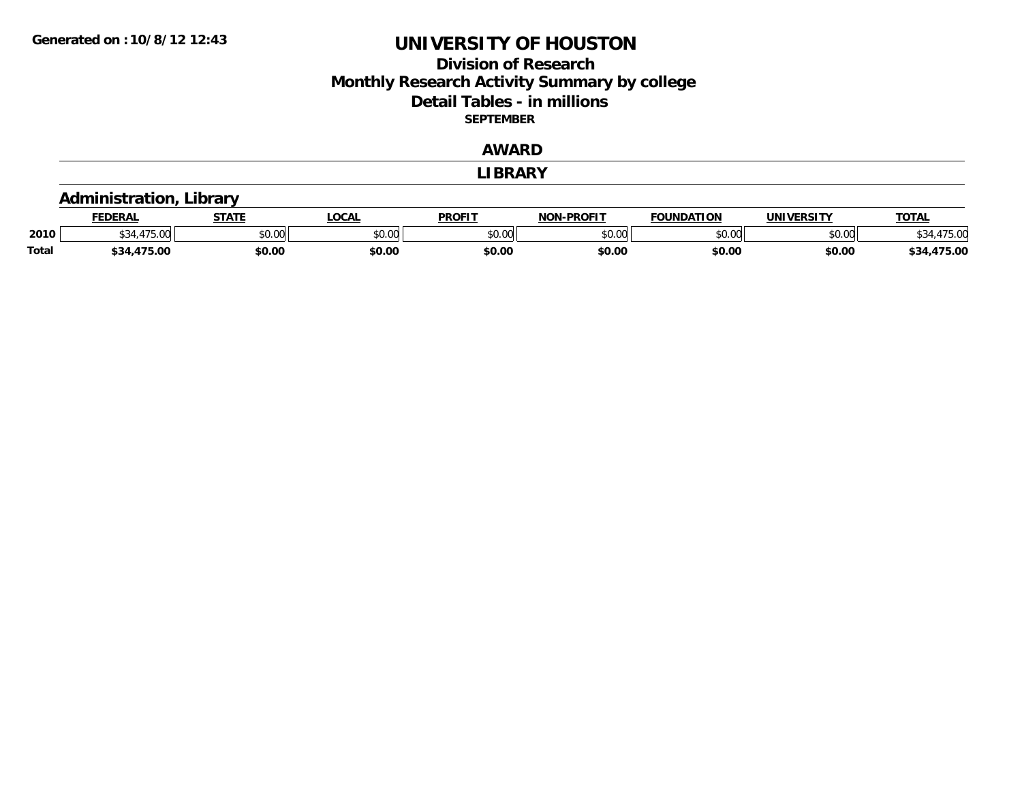### **Division of Research Monthly Research Activity Summary by college Detail Tables - in millions SEPTEMBER**

#### **AWARD**

#### **LIBRARY**

### **Administration, Library**

|              | <b>FEDERAI</b> | стлть         | _OCAL  | <b>PROFIT</b> | <b>NON-PROFIT</b> | .<br>`מחווווה: | <b>UNIVERSITY</b> | TOTA. |
|--------------|----------------|---------------|--------|---------------|-------------------|----------------|-------------------|-------|
| 2010         | $\sim$         | 0.00<br>wu.uu | \$0.00 | vv.v          | 0.00<br>vu.uu     | 0000<br>. UU   | to ool<br>JU.UU   |       |
| <b>Total</b> | '75.00<br>ົາ4  | \$0.00        | \$0.00 | \$0.00        | \$0.00            | \$0.00         | \$0.00            |       |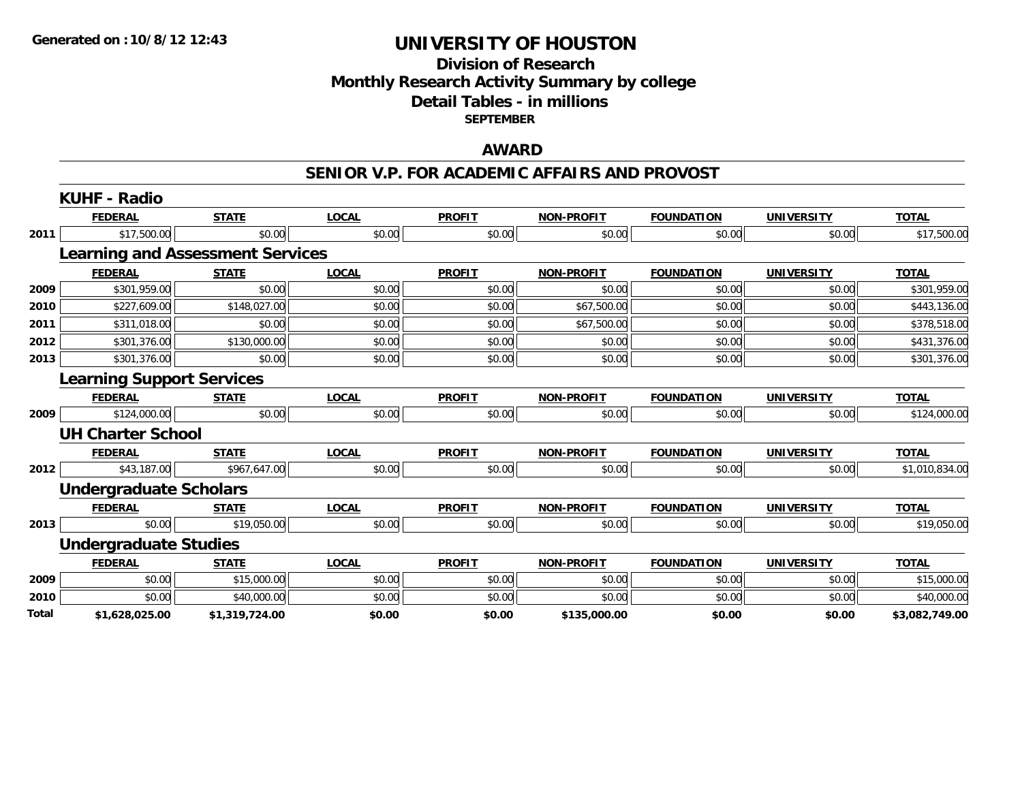### **Division of Research Monthly Research Activity Summary by college Detail Tables - in millions SEPTEMBER**

### **AWARD**

#### **SENIOR V.P. FOR ACADEMIC AFFAIRS AND PROVOST**

|       | <b>KUHF - Radio</b>                     |                |              |               |                   |                   |                   |                |
|-------|-----------------------------------------|----------------|--------------|---------------|-------------------|-------------------|-------------------|----------------|
|       | <b>FEDERAL</b>                          | <b>STATE</b>   | <b>LOCAL</b> | <b>PROFIT</b> | <b>NON-PROFIT</b> | <b>FOUNDATION</b> | <b>UNIVERSITY</b> | <b>TOTAL</b>   |
| 2011  | \$17,500.00                             | \$0.00         | \$0.00       | \$0.00        | \$0.00            | \$0.00            | \$0.00            | \$17,500.00    |
|       | <b>Learning and Assessment Services</b> |                |              |               |                   |                   |                   |                |
|       | <b>FEDERAL</b>                          | <b>STATE</b>   | <b>LOCAL</b> | <b>PROFIT</b> | <b>NON-PROFIT</b> | <b>FOUNDATION</b> | <b>UNIVERSITY</b> | <b>TOTAL</b>   |
| 2009  | \$301,959.00                            | \$0.00         | \$0.00       | \$0.00        | \$0.00            | \$0.00            | \$0.00            | \$301,959.00   |
| 2010  | \$227,609.00                            | \$148,027.00   | \$0.00       | \$0.00        | \$67,500.00       | \$0.00            | \$0.00            | \$443,136.00   |
| 2011  | \$311,018.00                            | \$0.00         | \$0.00       | \$0.00        | \$67,500.00       | \$0.00            | \$0.00            | \$378,518.00   |
| 2012  | \$301,376.00                            | \$130,000.00   | \$0.00       | \$0.00        | \$0.00            | \$0.00            | \$0.00            | \$431,376.00   |
| 2013  | \$301,376.00                            | \$0.00         | \$0.00       | \$0.00        | \$0.00            | \$0.00            | \$0.00            | \$301,376.00   |
|       | <b>Learning Support Services</b>        |                |              |               |                   |                   |                   |                |
|       | <b>FEDERAL</b>                          | <b>STATE</b>   | <b>LOCAL</b> | <b>PROFIT</b> | <b>NON-PROFIT</b> | <b>FOUNDATION</b> | <b>UNIVERSITY</b> | <b>TOTAL</b>   |
| 2009  | \$124,000.00                            | \$0.00         | \$0.00       | \$0.00        | \$0.00            | \$0.00            | \$0.00            | \$124,000.00   |
|       | <b>UH Charter School</b>                |                |              |               |                   |                   |                   |                |
|       | <b>FEDERAL</b>                          | <b>STATE</b>   | <b>LOCAL</b> | <b>PROFIT</b> | <b>NON-PROFIT</b> | <b>FOUNDATION</b> | <b>UNIVERSITY</b> | <b>TOTAL</b>   |
| 2012  | \$43,187.00                             | \$967,647.00   | \$0.00       | \$0.00        | \$0.00            | \$0.00            | \$0.00            | \$1,010,834.00 |
|       | <b>Undergraduate Scholars</b>           |                |              |               |                   |                   |                   |                |
|       | <b>FEDERAL</b>                          | <b>STATE</b>   | <b>LOCAL</b> | <b>PROFIT</b> | <b>NON-PROFIT</b> | <b>FOUNDATION</b> | <b>UNIVERSITY</b> | <b>TOTAL</b>   |
| 2013  | \$0.00                                  | \$19,050.00    | \$0.00       | \$0.00        | \$0.00            | \$0.00            | \$0.00            | \$19,050.00    |
|       | <b>Undergraduate Studies</b>            |                |              |               |                   |                   |                   |                |
|       | <b>FEDERAL</b>                          | <b>STATE</b>   | <b>LOCAL</b> | <b>PROFIT</b> | <b>NON-PROFIT</b> | <b>FOUNDATION</b> | <b>UNIVERSITY</b> | <b>TOTAL</b>   |
| 2009  | \$0.00                                  | \$15,000.00    | \$0.00       | \$0.00        | \$0.00            | \$0.00            | \$0.00            | \$15,000.00    |
| 2010  | \$0.00                                  | \$40,000.00    | \$0.00       | \$0.00        | \$0.00            | \$0.00            | \$0.00            | \$40,000.00    |
| Total | \$1,628,025.00                          | \$1,319,724.00 | \$0.00       | \$0.00        | \$135,000.00      | \$0.00            | \$0.00            | \$3,082,749.00 |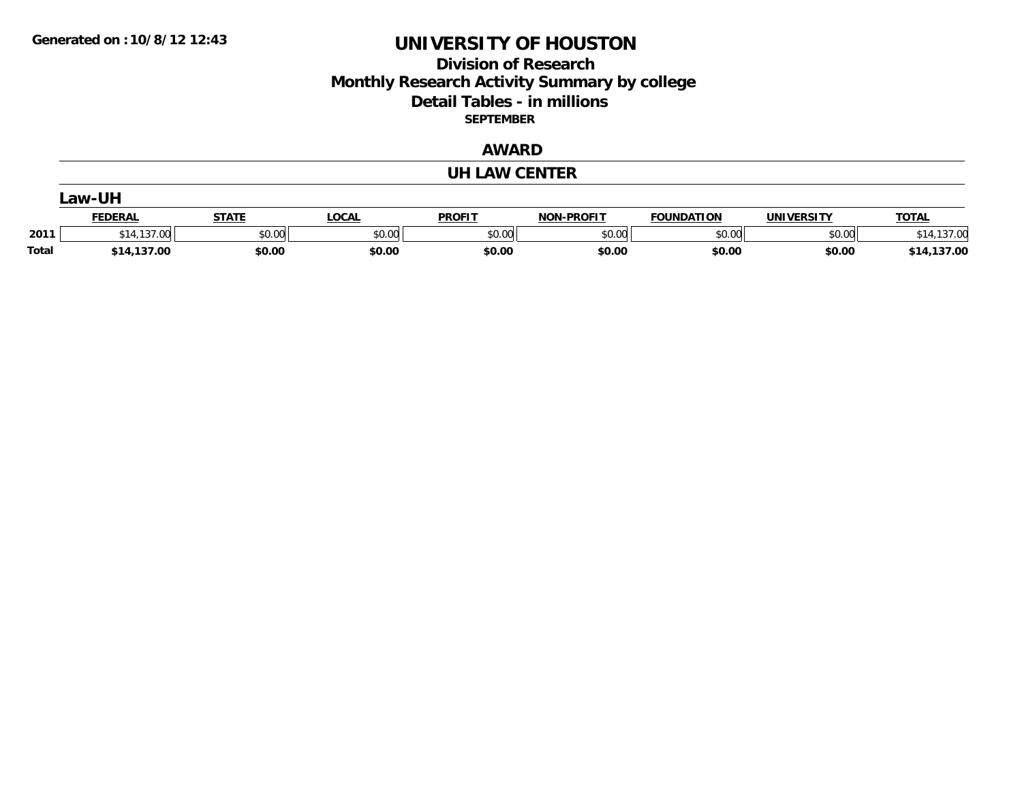## **Division of Research Monthly Research Activity Summary by college Detail Tables - in millions SEPTEMBER**

### **AWARD**

#### **UH LAW CENTER**

|       | _aw-UH                             |                       |        |               |                   |                   |            |                 |  |  |  |
|-------|------------------------------------|-----------------------|--------|---------------|-------------------|-------------------|------------|-----------------|--|--|--|
|       | <b>FEDERAL</b>                     | <b>STATE</b><br>SIAIE | LOCAL  | <b>PROFIT</b> | <b>NON-PROFIT</b> | <b>FOUNDATION</b> | UNIVERSITY | <b>TOTAL</b>    |  |  |  |
| 2011  | $\overline{\phantom{a}}$<br>$\sim$ | \$0.00                | \$0.00 | \$0.00        | \$0.00            | \$0.00            | \$0.00     | .137.00         |  |  |  |
| Total | \$14,137.00                        | \$0.00                | \$0.00 | \$0.00        | \$0.00            | \$0.00            | \$0.00     | 137.00<br>\$14. |  |  |  |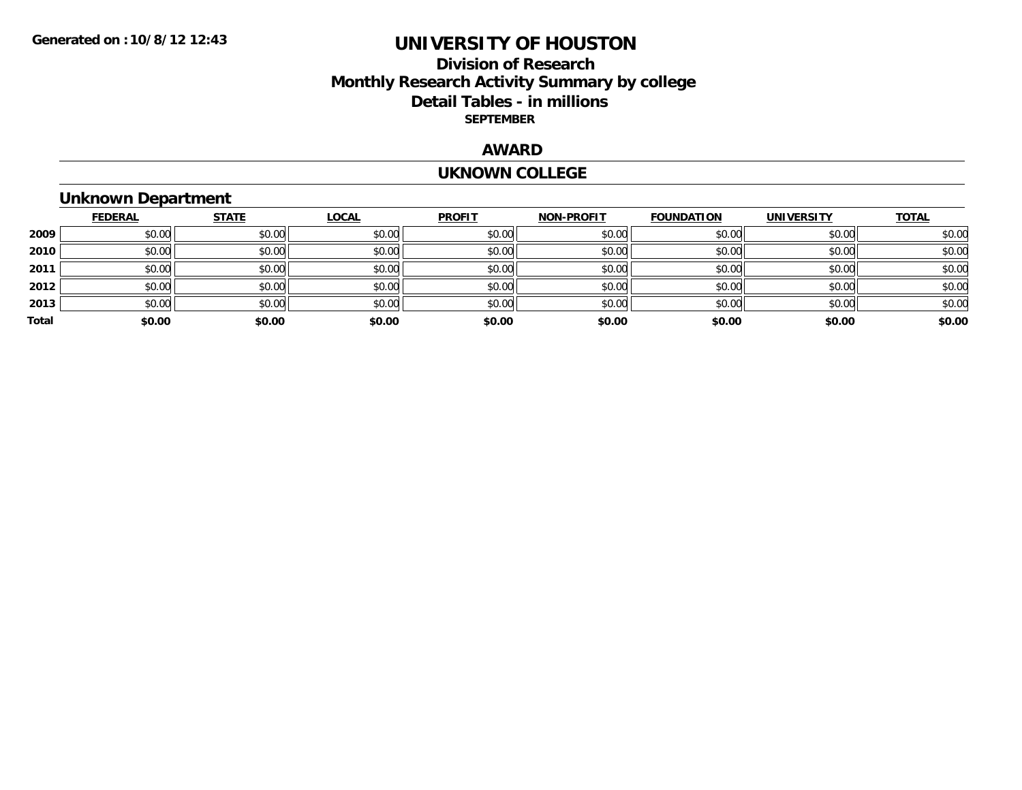### **Division of Research Monthly Research Activity Summary by college Detail Tables - in millions SEPTEMBER**

### **AWARD**

#### **UKNOWN COLLEGE**

## **Unknown Department**

|       | <b>FEDERAL</b> | <b>STATE</b> | <b>LOCAL</b> | <b>PROFIT</b> | NON-PROFIT | <b>FOUNDATION</b> | <b>UNIVERSITY</b> | <b>TOTAL</b> |
|-------|----------------|--------------|--------------|---------------|------------|-------------------|-------------------|--------------|
| 2009  | \$0.00         | \$0.00       | \$0.00       | \$0.00        | \$0.00     | \$0.00            | \$0.00            | \$0.00       |
| 2010  | \$0.00         | \$0.00       | \$0.00       | \$0.00        | \$0.00     | \$0.00            | \$0.00            | \$0.00       |
| 2011  | \$0.00         | \$0.00       | \$0.00       | \$0.00        | \$0.00     | \$0.00            | \$0.00            | \$0.00       |
| 2012  | \$0.00         | \$0.00       | \$0.00       | \$0.00        | \$0.00     | \$0.00            | \$0.00            | \$0.00       |
| 2013  | \$0.00         | \$0.00       | \$0.00       | \$0.00        | \$0.00     | \$0.00            | \$0.00            | \$0.00       |
| Total | \$0.00         | \$0.00       | \$0.00       | \$0.00        | \$0.00     | \$0.00            | \$0.00            | \$0.00       |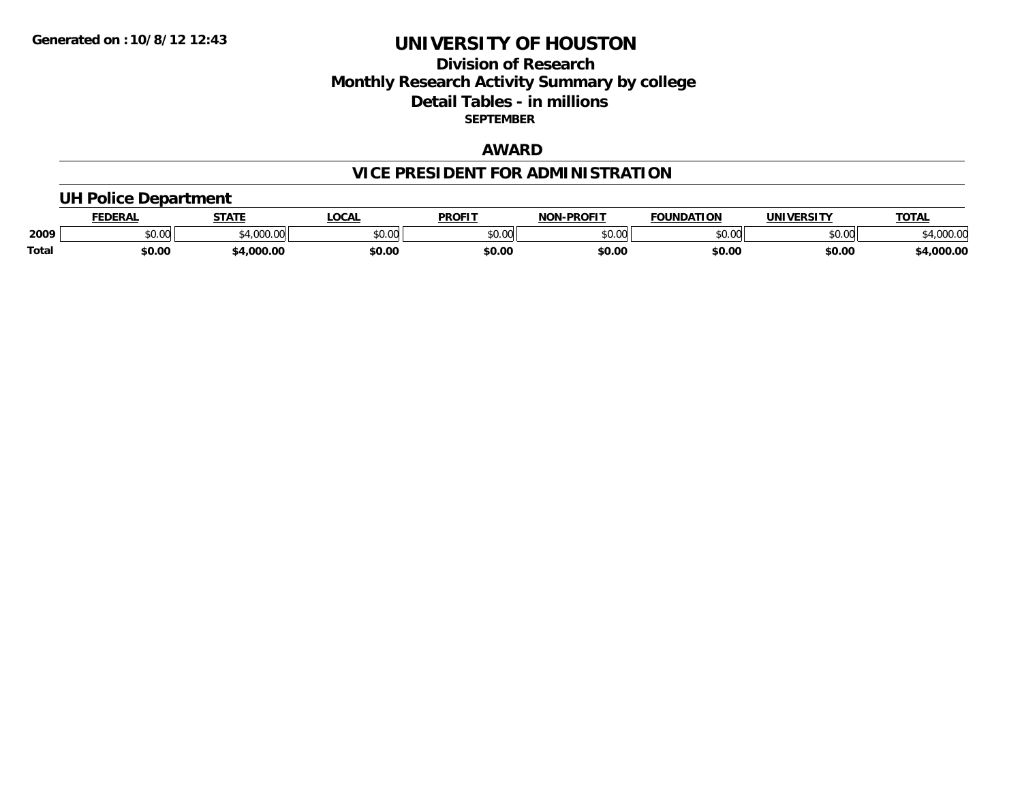### **Division of Research Monthly Research Activity Summary by college Detail Tables - in millions SEPTEMBER**

### **AWARD**

## **VICE PRESIDENT FOR ADMINISTRATION**

### **UH Police Department**

|       | <b>EDERAL</b> | <b>STATE</b>      | <b>LOCAL</b> | <b>PROFIT</b> | -PROFIT<br>וחרות | <b>FOUNDATION</b> | UNIVERSITY | <b>TOTAL</b>       |
|-------|---------------|-------------------|--------------|---------------|------------------|-------------------|------------|--------------------|
| 2009  | \$0.00        | 1.000<br>-4,000.c | \$0.00       | 0000<br>vv.vv | 0000<br>DU.UU    | \$0.00            | \$0.00     | 00000<br>14,000.00 |
| Total | \$0.00        | ,000.00           | \$0.00       | \$0.00        | \$0.00           | \$0.00            | \$0.00     | 4,000.00           |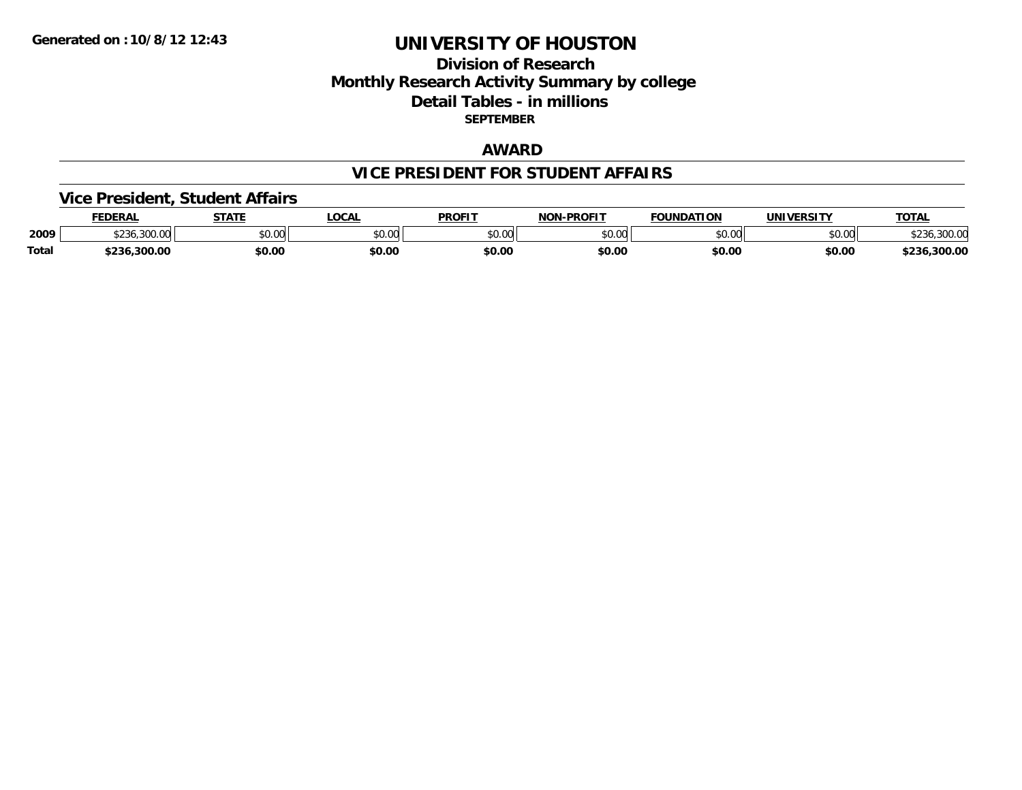### **Division of Research Monthly Research Activity Summary by college Detail Tables - in millions SEPTEMBER**

### **AWARD**

#### **VICE PRESIDENT FOR STUDENT AFFAIRS**

### **Vice President, Student Affairs**

|              | <b>FEDERAL</b> | <b>CTATE</b>  | .OCAL  | <b>PROFIT</b>  | <b>LPROFIT</b><br>חרות | <b>FOUNDATION</b> | <b>IINIVEDSITV</b> | <b>TOTAL</b> |
|--------------|----------------|---------------|--------|----------------|------------------------|-------------------|--------------------|--------------|
| 2009         | \$230.300.00I  | 0000<br>JU.UU | \$0.00 | ტი იი<br>JU.UU | ልስ ባህ<br>DU.UU         | JU.UU             | \$0.00             | 300.01       |
| <b>Total</b> |                | \$0.00        | \$0.00 | \$0.OC         | \$0.00                 | \$0.00            | \$0.00             | .300.00      |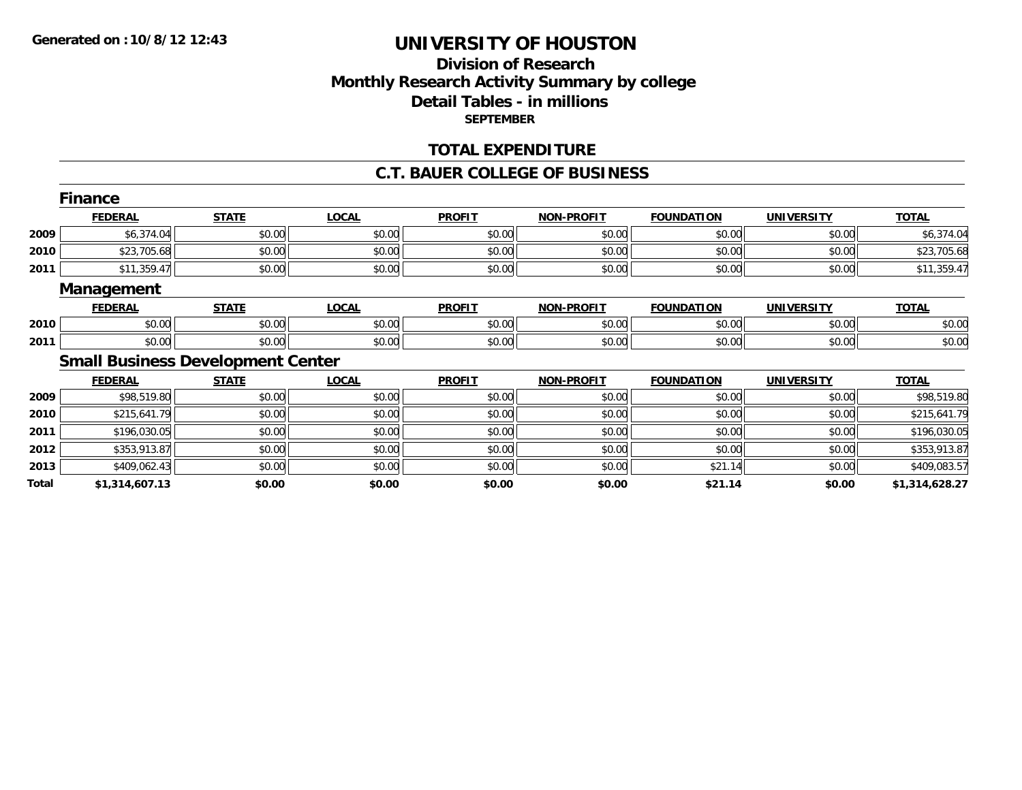## **Division of ResearchMonthly Research Activity Summary by college Detail Tables - in millions SEPTEMBER**

#### **TOTAL EXPENDITURE**

#### **C.T. BAUER COLLEGE OF BUSINESS**

|       | <b>Finance</b>    |                                          |              |               |                   |                   |                   |                |
|-------|-------------------|------------------------------------------|--------------|---------------|-------------------|-------------------|-------------------|----------------|
|       | <b>FEDERAL</b>    | <b>STATE</b>                             | <b>LOCAL</b> | <b>PROFIT</b> | <b>NON-PROFIT</b> | <b>FOUNDATION</b> | <b>UNIVERSITY</b> | <b>TOTAL</b>   |
| 2009  | \$6,374.04        | \$0.00                                   | \$0.00       | \$0.00        | \$0.00            | \$0.00            | \$0.00            | \$6,374.04     |
| 2010  | \$23,705.68       | \$0.00                                   | \$0.00       | \$0.00        | \$0.00            | \$0.00            | \$0.00            | \$23,705.68    |
| 2011  | \$11,359.47       | \$0.00                                   | \$0.00       | \$0.00        | \$0.00            | \$0.00            | \$0.00            | \$11,359.47    |
|       | <b>Management</b> |                                          |              |               |                   |                   |                   |                |
|       | <b>FEDERAL</b>    | <b>STATE</b>                             | <b>LOCAL</b> | <b>PROFIT</b> | <b>NON-PROFIT</b> | <b>FOUNDATION</b> | <b>UNIVERSITY</b> | <b>TOTAL</b>   |
| 2010  | \$0.00            | \$0.00                                   | \$0.00       | \$0.00        | \$0.00            | \$0.00            | \$0.00            | \$0.00         |
| 2011  | \$0.00            | \$0.00                                   | \$0.00       | \$0.00        | \$0.00            | \$0.00            | \$0.00            | \$0.00         |
|       |                   | <b>Small Business Development Center</b> |              |               |                   |                   |                   |                |
|       | <b>FEDERAL</b>    | <b>STATE</b>                             | <b>LOCAL</b> | <b>PROFIT</b> | <b>NON-PROFIT</b> | <b>FOUNDATION</b> | <b>UNIVERSITY</b> | <b>TOTAL</b>   |
| 2009  | \$98,519.80       | \$0.00                                   | \$0.00       | \$0.00        | \$0.00            | \$0.00            | \$0.00            | \$98,519.80    |
| 2010  | \$215,641.79      | \$0.00                                   | \$0.00       | \$0.00        | \$0.00            | \$0.00            | \$0.00            | \$215,641.79   |
| 2011  | \$196,030.05      | \$0.00                                   | \$0.00       | \$0.00        | \$0.00            | \$0.00            | \$0.00            | \$196,030.05   |
| 2012  | \$353,913.87      | \$0.00                                   | \$0.00       | \$0.00        | \$0.00            | \$0.00            | \$0.00            | \$353,913.87   |
| 2013  | \$409,062.43      | \$0.00                                   | \$0.00       | \$0.00        | \$0.00            | \$21.14           | \$0.00            | \$409,083.57   |
| Total | \$1,314,607.13    | \$0.00                                   | \$0.00       | \$0.00        | \$0.00            | \$21.14           | \$0.00            | \$1,314,628.27 |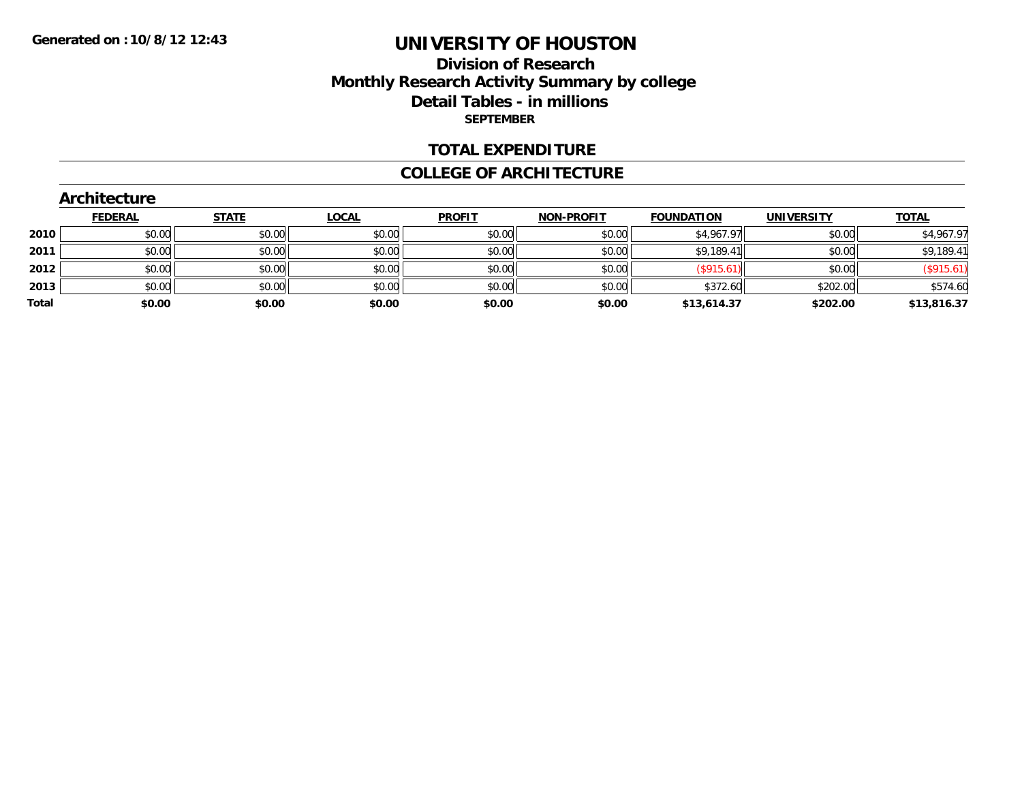### **Division of Research Monthly Research Activity Summary by college Detail Tables - in millions SEPTEMBER**

#### **TOTAL EXPENDITURE**

#### **COLLEGE OF ARCHITECTURE**

#### **Architecture**

|       | <b>FEDERAL</b> | <b>STATE</b> | <b>LOCAL</b> | <b>PROFIT</b> | NON-PROFIT | <b>FOUNDATION</b> | <b>UNIVERSITY</b> | <b>TOTAL</b> |
|-------|----------------|--------------|--------------|---------------|------------|-------------------|-------------------|--------------|
| 2010  | \$0.00         | \$0.00       | \$0.00       | \$0.00        | \$0.00     | \$4,967.97        | \$0.00            | \$4,967.97   |
| 2011  | \$0.00         | \$0.00       | \$0.00       | \$0.00        | \$0.00     | \$9,189.41        | \$0.00            | \$9,189.41   |
| 2012  | \$0.00         | \$0.00       | \$0.00       | \$0.00        | \$0.00     | $($ \$915.61)     | \$0.00            | (\$915.61)   |
| 2013  | \$0.00         | \$0.00       | \$0.00       | \$0.00        | \$0.00     | \$372.60          | \$202.00          | \$574.60     |
| Total | \$0.00         | \$0.00       | \$0.00       | \$0.00        | \$0.00     | \$13,614.37       | \$202.00          | \$13,816.37  |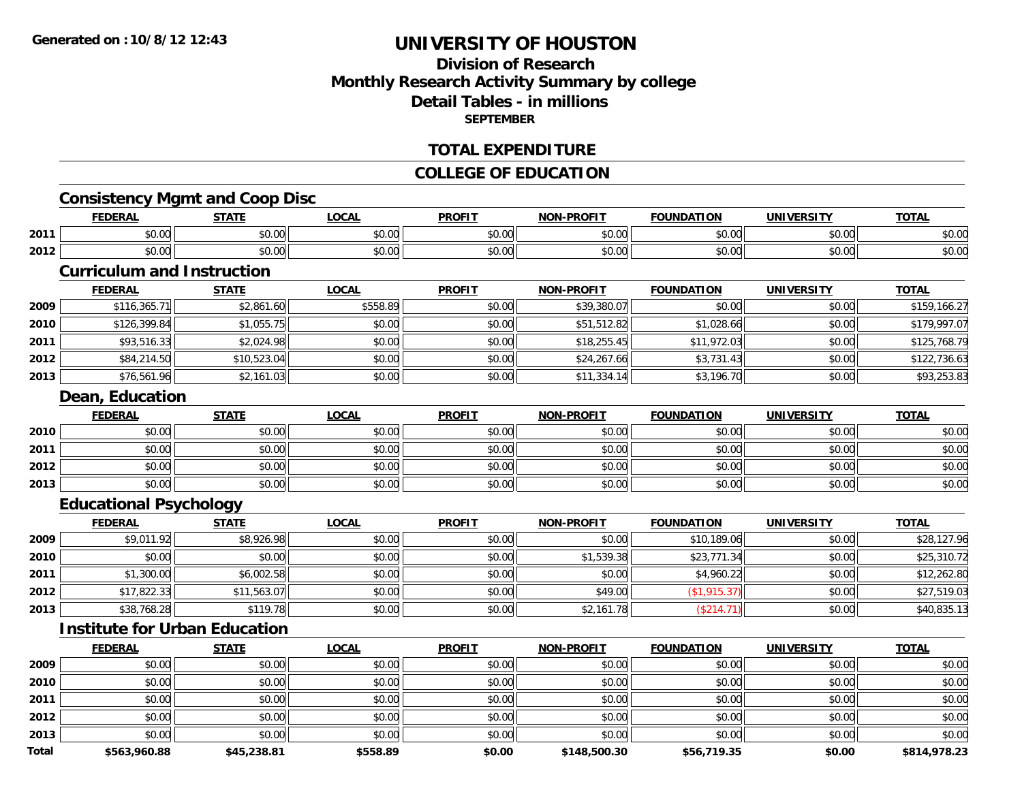## **Division of ResearchMonthly Research Activity Summary by college Detail Tables - in millionsSEPTEMBER**

#### **TOTAL EXPENDITURE**

### **COLLEGE OF EDUCATION**

## **Consistency Mgmt and Coop Disc**

|      | <b>FEDERAL</b>         | <b>STATE</b><br>. | LOCAL                | <b>PROFIT</b> | -PROFIT<br><b>NIONI</b> | <b>FOUNDATION</b>  | <b>UNIVERSITY</b> | <b>TOTAL</b>           |
|------|------------------------|-------------------|----------------------|---------------|-------------------------|--------------------|-------------------|------------------------|
| 2011 | $\sim$ $\sim$<br>vu.uu | 0.00<br>JU.UU     | 0.00<br><b>JU.UU</b> | 0000<br>งบ.บบ | 0000<br>pu.uu           | ስ ለሰ<br>JU.UU      | 0000<br>PO.OO     | $\sim$ $\sim$<br>ง∪.∪บ |
| 2012 | $\sim$<br>ተ ለ<br>vu.uu | 0.00<br>JU.UU     | 0.00<br><b>JU.UU</b> | \$0.00        | 0000<br>DU.UU           | $\sim$ 00<br>JU.UU | 0000<br>PO.OO     | $\sim$ $\sim$<br>ง∪.∪บ |

### **Curriculum and Instruction**

|      | <b>FEDERAL</b> | <u>STATE</u> | <u>LOCAL</u> | <b>PROFIT</b> | <b>NON-PROFIT</b> | <b>FOUNDATION</b> | <b>UNIVERSITY</b> | <b>TOTAL</b> |
|------|----------------|--------------|--------------|---------------|-------------------|-------------------|-------------------|--------------|
| 2009 | \$116,365.71   | \$2,861.60   | \$558.89     | \$0.00        | \$39,380.07       | \$0.00            | \$0.00            | \$159,166.27 |
| 2010 | \$126,399.84   | \$1,055.75   | \$0.00       | \$0.00        | \$51,512.82       | \$1,028.66        | \$0.00            | \$179,997.07 |
| 2011 | \$93,516.33    | \$2,024.98   | \$0.00       | \$0.00        | \$18,255.45       | \$11,972.03       | \$0.00            | \$125,768.79 |
| 2012 | \$84,214.50    | \$10,523.04  | \$0.00       | \$0.00        | \$24,267.66       | \$3,731.43        | \$0.00            | \$122,736.63 |
| 2013 | \$76,561.96    | \$2,161.03   | \$0.00       | \$0.00        | \$11,334.14       | \$3,196.70        | \$0.00            | \$93,253.83  |

#### **Dean, Education**

|      | <u>FEDERAL</u> | <b>STATE</b> | <u>LOCAL</u> | <b>PROFIT</b> | <b>NON-PROFIT</b> | <b>FOUNDATION</b> | <b>UNIVERSITY</b> | <b>TOTAL</b> |
|------|----------------|--------------|--------------|---------------|-------------------|-------------------|-------------------|--------------|
| 2010 | \$0.00         | \$0.00       | \$0.00       | \$0.00        | \$0.00            | \$0.00            | \$0.00            | \$0.00       |
| 2011 | \$0.00         | \$0.00       | \$0.00       | \$0.00        | \$0.00            | \$0.00            | \$0.00            | \$0.00       |
| 2012 | \$0.00         | \$0.00       | \$0.00       | \$0.00        | \$0.00            | \$0.00            | \$0.00            | \$0.00       |
| 2013 | \$0.00         | \$0.00       | \$0.00       | \$0.00        | \$0.00            | \$0.00            | \$0.00            | \$0.00       |

## **Educational Psychology**

|      | <u>FEDERAL</u> | <b>STATE</b> | <b>LOCAL</b> | <b>PROFIT</b> | <b>NON-PROFIT</b> | <b>FOUNDATION</b> | <b>UNIVERSITY</b> | <b>TOTAL</b> |
|------|----------------|--------------|--------------|---------------|-------------------|-------------------|-------------------|--------------|
| 2009 | \$9,011.92     | \$8,926.98   | \$0.00       | \$0.00        | \$0.00            | \$10,189.06       | \$0.00            | \$28,127.96  |
| 2010 | \$0.00         | \$0.00       | \$0.00       | \$0.00        | \$1.539.38        | \$23,771.34       | \$0.00            | \$25,310.72  |
| 2011 | \$1,300.00     | \$6,002.58   | \$0.00       | \$0.00        | \$0.00            | \$4,960.22        | \$0.00            | \$12,262.80  |
| 2012 | \$17,822.33    | \$11,563.07  | \$0.00       | \$0.00        | \$49.00           | (\$1,915.37)      | \$0.00            | \$27,519.03  |
| 2013 | \$38,768.28    | \$119.78     | \$0.00       | \$0.00        | \$2,161.78        | (\$214.71)        | \$0.00            | \$40,835.13  |

#### **Institute for Urban Education**

|       | <b>FEDERAL</b> | <b>STATE</b> | LOCAL    | <b>PROFIT</b> | <b>NON-PROFIT</b> | <b>FOUNDATION</b> | <b>UNIVERSITY</b> | <b>TOTAL</b> |
|-------|----------------|--------------|----------|---------------|-------------------|-------------------|-------------------|--------------|
| 2009  | \$0.00         | \$0.00       | \$0.00   | \$0.00        | \$0.00            | \$0.00            | \$0.00            | \$0.00       |
| 2010  | \$0.00         | \$0.00       | \$0.00   | \$0.00        | \$0.00            | \$0.00            | \$0.00            | \$0.00       |
| 2011  | \$0.00         | \$0.00       | \$0.00   | \$0.00        | \$0.00            | \$0.00            | \$0.00            | \$0.00       |
| 2012  | \$0.00         | \$0.00       | \$0.00   | \$0.00        | \$0.00            | \$0.00            | \$0.00            | \$0.00       |
| 2013  | \$0.00         | \$0.00       | \$0.00   | \$0.00        | \$0.00            | \$0.00            | \$0.00            | \$0.00       |
| Total | \$563,960.88   | \$45,238.81  | \$558.89 | \$0.00        | \$148,500.30      | \$56,719.35       | \$0.00            | \$814,978.23 |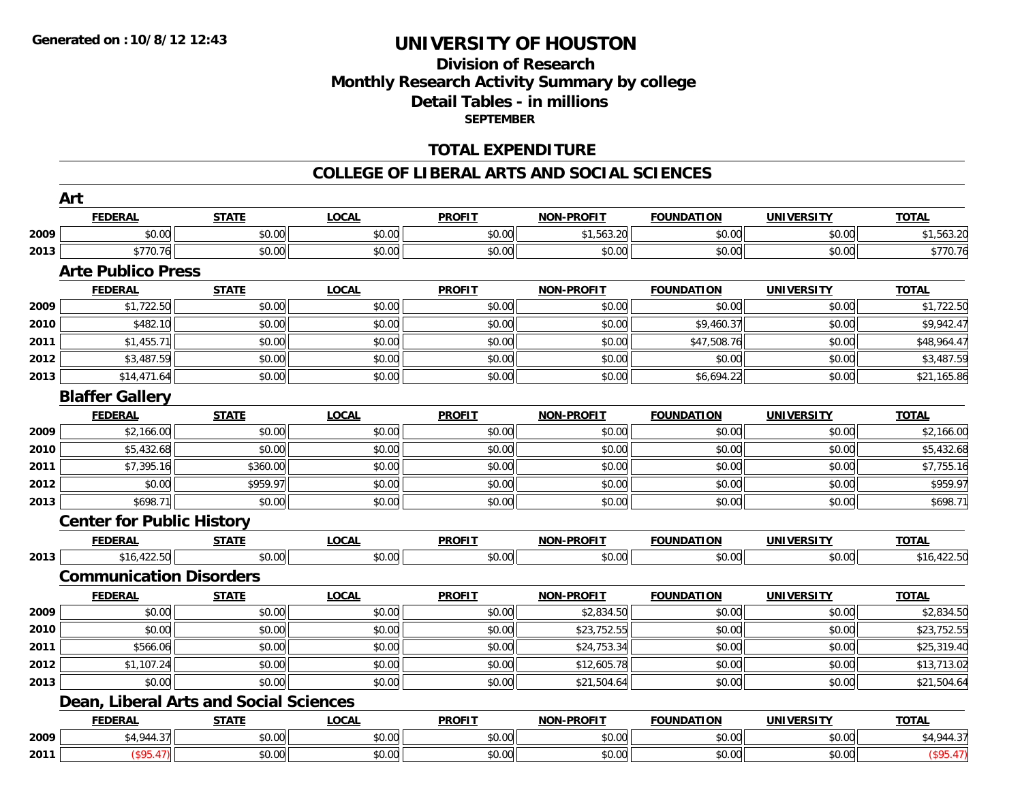### **Division of Research Monthly Research Activity Summary by college Detail Tables - in millions SEPTEMBER**

### **TOTAL EXPENDITURE**

#### **COLLEGE OF LIBERAL ARTS AND SOCIAL SCIENCES**

|      | Art                                    |              |              |               |                   |                   |                   |              |
|------|----------------------------------------|--------------|--------------|---------------|-------------------|-------------------|-------------------|--------------|
|      | <b>FEDERAL</b>                         | <b>STATE</b> | <b>LOCAL</b> | <b>PROFIT</b> | <b>NON-PROFIT</b> | <b>FOUNDATION</b> | <b>UNIVERSITY</b> | <b>TOTAL</b> |
| 2009 | \$0.00                                 | \$0.00       | \$0.00       | \$0.00        | \$1,563.20        | \$0.00            | \$0.00            | \$1,563.20   |
| 2013 | \$770.76                               | \$0.00       | \$0.00       | \$0.00        | \$0.00            | \$0.00            | \$0.00            | \$770.76     |
|      | <b>Arte Publico Press</b>              |              |              |               |                   |                   |                   |              |
|      | <b>FEDERAL</b>                         | <b>STATE</b> | <b>LOCAL</b> | <b>PROFIT</b> | <b>NON-PROFIT</b> | <b>FOUNDATION</b> | <b>UNIVERSITY</b> | <b>TOTAL</b> |
| 2009 | \$1,722.50                             | \$0.00       | \$0.00       | \$0.00        | \$0.00            | \$0.00            | \$0.00            | \$1,722.50   |
| 2010 | \$482.10                               | \$0.00       | \$0.00       | \$0.00        | \$0.00            | \$9,460.37        | \$0.00            | \$9,942.47   |
| 2011 | \$1,455.71                             | \$0.00       | \$0.00       | \$0.00        | \$0.00            | \$47,508.76       | \$0.00            | \$48,964.47  |
| 2012 | \$3,487.59                             | \$0.00       | \$0.00       | \$0.00        | \$0.00            | \$0.00            | \$0.00            | \$3,487.59   |
| 2013 | \$14,471.64                            | \$0.00       | \$0.00       | \$0.00        | \$0.00            | \$6,694.22        | \$0.00            | \$21,165.86  |
|      | <b>Blaffer Gallery</b>                 |              |              |               |                   |                   |                   |              |
|      | <b>FEDERAL</b>                         | <b>STATE</b> | <b>LOCAL</b> | <b>PROFIT</b> | <b>NON-PROFIT</b> | <b>FOUNDATION</b> | <b>UNIVERSITY</b> | <b>TOTAL</b> |
| 2009 | \$2,166.00                             | \$0.00       | \$0.00       | \$0.00        | \$0.00            | \$0.00            | \$0.00            | \$2,166.00   |
| 2010 | \$5,432.68                             | \$0.00       | \$0.00       | \$0.00        | \$0.00            | \$0.00            | \$0.00            | \$5,432.68   |
| 2011 | \$7,395.16                             | \$360.00     | \$0.00       | \$0.00        | \$0.00            | \$0.00            | \$0.00            | \$7,755.16   |
| 2012 | \$0.00                                 | \$959.97     | \$0.00       | \$0.00        | \$0.00            | \$0.00            | \$0.00            | \$959.97     |
| 2013 | \$698.71                               | \$0.00       | \$0.00       | \$0.00        | \$0.00            | \$0.00            | \$0.00            | \$698.71     |
|      | <b>Center for Public History</b>       |              |              |               |                   |                   |                   |              |
|      | <b>FEDERAL</b>                         | <b>STATE</b> | <b>LOCAL</b> | <b>PROFIT</b> | <b>NON-PROFIT</b> | <b>FOUNDATION</b> | <b>UNIVERSITY</b> | <b>TOTAL</b> |
| 2013 | \$16,422.50                            | \$0.00       | \$0.00       | \$0.00        | \$0.00            | \$0.00            | \$0.00            | \$16,422.50  |
|      | <b>Communication Disorders</b>         |              |              |               |                   |                   |                   |              |
|      | <b>FEDERAL</b>                         | <b>STATE</b> | <b>LOCAL</b> | <b>PROFIT</b> | <b>NON-PROFIT</b> | <b>FOUNDATION</b> | <b>UNIVERSITY</b> | <b>TOTAL</b> |
| 2009 | \$0.00                                 | \$0.00       | \$0.00       | \$0.00        | \$2,834.50        | \$0.00            | \$0.00            | \$2,834.50   |
| 2010 | \$0.00                                 | \$0.00       | \$0.00       | \$0.00        | \$23,752.55       | \$0.00            | \$0.00            | \$23,752.55  |
| 2011 | \$566.06                               | \$0.00       | \$0.00       | \$0.00        | \$24,753.34       | \$0.00            | \$0.00            | \$25,319.40  |
| 2012 | \$1,107.24                             | \$0.00       | \$0.00       | \$0.00        | \$12,605.78       | \$0.00            | \$0.00            | \$13,713.02  |
| 2013 | \$0.00                                 | \$0.00       | \$0.00       | \$0.00        | \$21,504.64       | \$0.00            | \$0.00            | \$21,504.64  |
|      | Dean, Liberal Arts and Social Sciences |              |              |               |                   |                   |                   |              |
|      | <b>FEDERAL</b>                         | <b>STATE</b> | <b>LOCAL</b> | <b>PROFIT</b> | <b>NON-PROFIT</b> | <b>FOUNDATION</b> | <b>UNIVERSITY</b> | <b>TOTAL</b> |
| 2009 | \$4,944.37                             | \$0.00       | \$0.00       | \$0.00        | \$0.00            | \$0.00            | \$0.00            | \$4,944.37   |
| 2011 | (\$95.47)                              | \$0.00       | \$0.00       | \$0.00        | \$0.00            | \$0.00            | \$0.00            | (\$95.47)    |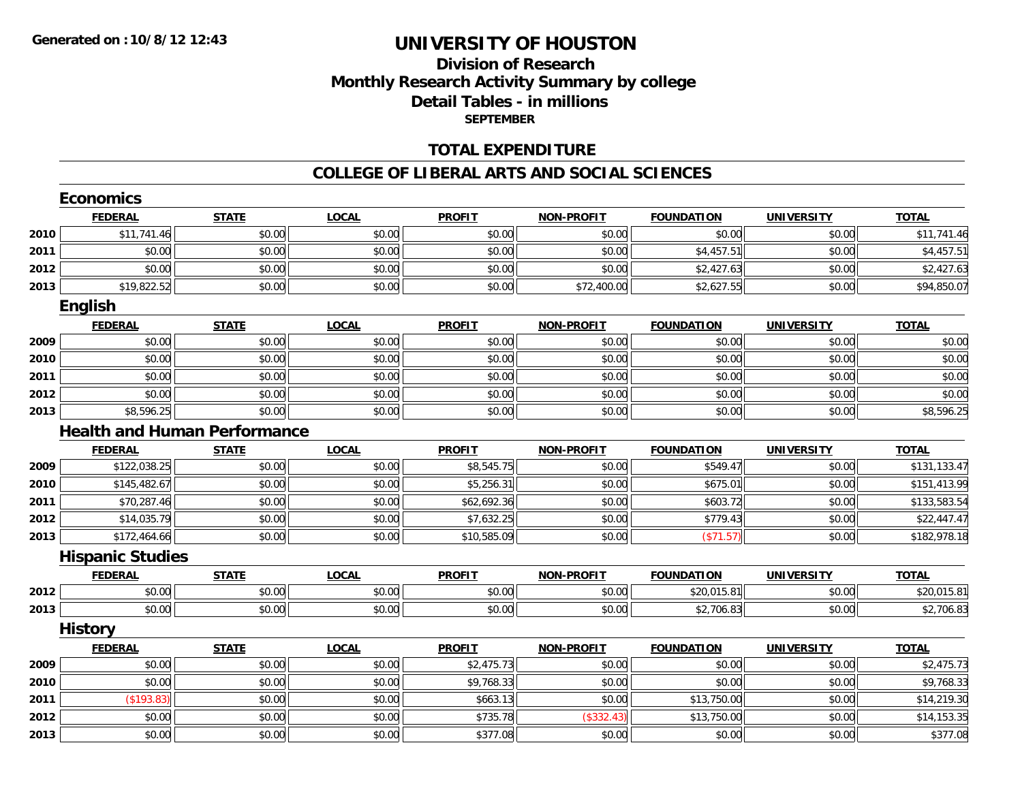## **Division of ResearchMonthly Research Activity Summary by college Detail Tables - in millions SEPTEMBER**

#### **TOTAL EXPENDITURE**

#### **COLLEGE OF LIBERAL ARTS AND SOCIAL SCIENCES**

|      | <b>Economics</b>                    |              |              |               |                   |                   |                   |              |
|------|-------------------------------------|--------------|--------------|---------------|-------------------|-------------------|-------------------|--------------|
|      | <b>FEDERAL</b>                      | <b>STATE</b> | <b>LOCAL</b> | <b>PROFIT</b> | <b>NON-PROFIT</b> | <b>FOUNDATION</b> | <b>UNIVERSITY</b> | <b>TOTAL</b> |
| 2010 | \$11,741.46                         | \$0.00       | \$0.00       | \$0.00        | \$0.00            | \$0.00            | \$0.00            | \$11,741.46  |
| 2011 | \$0.00                              | \$0.00       | \$0.00       | \$0.00        | \$0.00            | \$4,457.51        | \$0.00            | \$4,457.51   |
| 2012 | \$0.00                              | \$0.00       | \$0.00       | \$0.00        | \$0.00            | \$2,427.63        | \$0.00            | \$2,427.63   |
| 2013 | \$19,822.52                         | \$0.00       | \$0.00       | \$0.00        | \$72,400.00       | \$2,627.55        | \$0.00            | \$94,850.07  |
|      | English                             |              |              |               |                   |                   |                   |              |
|      | <b>FEDERAL</b>                      | <b>STATE</b> | <b>LOCAL</b> | <b>PROFIT</b> | <b>NON-PROFIT</b> | <b>FOUNDATION</b> | <b>UNIVERSITY</b> | <b>TOTAL</b> |
| 2009 | \$0.00                              | \$0.00       | \$0.00       | \$0.00        | \$0.00            | \$0.00            | \$0.00            | \$0.00       |
| 2010 | \$0.00                              | \$0.00       | \$0.00       | \$0.00        | \$0.00            | \$0.00            | \$0.00            | \$0.00       |
| 2011 | \$0.00                              | \$0.00       | \$0.00       | \$0.00        | \$0.00            | \$0.00            | \$0.00            | \$0.00       |
| 2012 | \$0.00                              | \$0.00       | \$0.00       | \$0.00        | \$0.00            | \$0.00            | \$0.00            | \$0.00       |
| 2013 | \$8,596.25                          | \$0.00       | \$0.00       | \$0.00        | \$0.00            | \$0.00            | \$0.00            | \$8,596.25   |
|      | <b>Health and Human Performance</b> |              |              |               |                   |                   |                   |              |
|      | <b>FEDERAL</b>                      | <b>STATE</b> | <b>LOCAL</b> | <b>PROFIT</b> | <b>NON-PROFIT</b> | <b>FOUNDATION</b> | <b>UNIVERSITY</b> | <b>TOTAL</b> |
| 2009 | \$122,038.25                        | \$0.00       | \$0.00       | \$8,545.75    | \$0.00            | \$549.47          | \$0.00            | \$131,133.47 |
| 2010 | \$145,482.67                        | \$0.00       | \$0.00       | \$5,256.31    | \$0.00            | \$675.01          | \$0.00            | \$151,413.99 |
| 2011 | \$70,287.46                         | \$0.00       | \$0.00       | \$62,692.36   | \$0.00            | \$603.72          | \$0.00            | \$133,583.54 |
| 2012 | \$14,035.79                         | \$0.00       | \$0.00       | \$7,632.25    | \$0.00            | \$779.43          | \$0.00            | \$22,447.47  |
| 2013 | \$172,464.66                        | \$0.00       | \$0.00       | \$10,585.09   | \$0.00            | (\$71.57)         | \$0.00            | \$182,978.18 |
|      | <b>Hispanic Studies</b>             |              |              |               |                   |                   |                   |              |
|      | <b>FEDERAL</b>                      | <b>STATE</b> | <b>LOCAL</b> | <b>PROFIT</b> | <b>NON-PROFIT</b> | <b>FOUNDATION</b> | <b>UNIVERSITY</b> | <b>TOTAL</b> |
| 2012 | \$0.00                              | \$0.00       | \$0.00       | \$0.00        | \$0.00            | \$20,015.81       | \$0.00            | \$20,015.81  |
| 2013 | \$0.00                              | \$0.00       | \$0.00       | \$0.00        | \$0.00            | \$2,706.83        | \$0.00            | \$2,706.83   |
|      | <b>History</b>                      |              |              |               |                   |                   |                   |              |
|      | <b>FEDERAL</b>                      | <b>STATE</b> | <b>LOCAL</b> | <b>PROFIT</b> | <b>NON-PROFIT</b> | <b>FOUNDATION</b> | <b>UNIVERSITY</b> | <b>TOTAL</b> |
| 2009 | \$0.00                              | \$0.00       | \$0.00       | \$2,475.73    | \$0.00            | \$0.00            | \$0.00            | \$2,475.73   |
| 2010 | \$0.00                              | \$0.00       | \$0.00       | \$9,768.33    | \$0.00            | \$0.00            | \$0.00            | \$9,768.33   |
| 2011 | (\$193.83)                          | \$0.00       | \$0.00       | \$663.13      | \$0.00            | \$13,750.00       | \$0.00            | \$14,219.30  |
| 2012 | \$0.00                              | \$0.00       | \$0.00       | \$735.78      | (\$332.43)        | \$13,750.00       | \$0.00            | \$14,153.35  |
| 2013 | \$0.00                              | \$0.00       | \$0.00       | \$377.08      | \$0.00            | \$0.00            | \$0.00            | \$377.08     |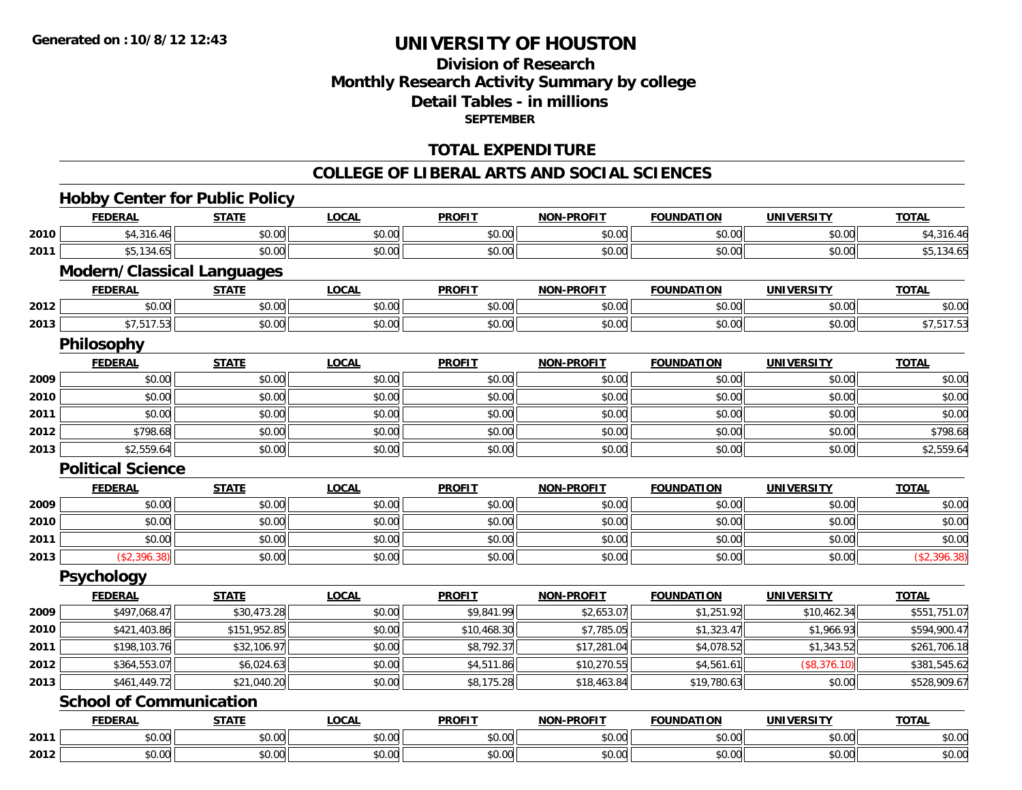## **Division of ResearchMonthly Research Activity Summary by college Detail Tables - in millions SEPTEMBER**

### **TOTAL EXPENDITURE**

#### **COLLEGE OF LIBERAL ARTS AND SOCIAL SCIENCES**

## **Hobby Center for Public Policy**

|      | <b>FEDERAL</b>                    | <b>STATE</b> | <b>LOCAL</b> | <b>PROFIT</b> | <b>NON-PROFIT</b> | <b>FOUNDATION</b> | <b>UNIVERSITY</b> | <b>TOTAL</b> |
|------|-----------------------------------|--------------|--------------|---------------|-------------------|-------------------|-------------------|--------------|
| 2010 | \$4,316.46                        | \$0.00       | \$0.00       | \$0.00        | \$0.00            | \$0.00            | \$0.00            | \$4,316.46   |
| 2011 | \$5,134.65                        | \$0.00       | \$0.00       | \$0.00        | \$0.00            | \$0.00            | \$0.00            | \$5,134.65   |
|      | <b>Modern/Classical Languages</b> |              |              |               |                   |                   |                   |              |
|      | <b>FEDERAL</b>                    | <b>STATE</b> | <b>LOCAL</b> | <b>PROFIT</b> | <b>NON-PROFIT</b> | <b>FOUNDATION</b> | <b>UNIVERSITY</b> | <b>TOTAL</b> |
| 2012 | \$0.00                            | \$0.00       | \$0.00       | \$0.00        | \$0.00            | \$0.00            | \$0.00            | \$0.00       |
| 2013 | \$7,517.53                        | \$0.00       | \$0.00       | \$0.00        | \$0.00            | \$0.00            | \$0.00            | \$7,517.53   |
|      | Philosophy                        |              |              |               |                   |                   |                   |              |
|      | <b>FEDERAL</b>                    | <b>STATE</b> | <b>LOCAL</b> | <b>PROFIT</b> | <b>NON-PROFIT</b> | <b>FOUNDATION</b> | <b>UNIVERSITY</b> | <b>TOTAL</b> |
| 2009 | \$0.00                            | \$0.00       | \$0.00       | \$0.00        | \$0.00            | \$0.00            | \$0.00            | \$0.00       |
| 2010 | \$0.00                            | \$0.00       | \$0.00       | \$0.00        | \$0.00            | \$0.00            | \$0.00            | \$0.00       |
| 2011 | \$0.00                            | \$0.00       | \$0.00       | \$0.00        | \$0.00            | \$0.00            | \$0.00            | \$0.00       |
| 2012 | \$798.68                          | \$0.00       | \$0.00       | \$0.00        | \$0.00            | \$0.00            | \$0.00            | \$798.68     |
| 2013 | \$2,559.64                        | \$0.00       | \$0.00       | \$0.00        | \$0.00            | \$0.00            | \$0.00            | \$2,559.64   |
|      | <b>Political Science</b>          |              |              |               |                   |                   |                   |              |
|      | <b>FEDERAL</b>                    | <b>STATE</b> | <b>LOCAL</b> | <b>PROFIT</b> | <b>NON-PROFIT</b> | <b>FOUNDATION</b> | <b>UNIVERSITY</b> | <b>TOTAL</b> |
| 2009 | \$0.00                            | \$0.00       | \$0.00       | \$0.00        | \$0.00            | \$0.00            | \$0.00            | \$0.00       |
| 2010 | \$0.00                            | \$0.00       | \$0.00       | \$0.00        | \$0.00            | \$0.00            | \$0.00            | \$0.00       |
| 2011 | \$0.00                            | \$0.00       | \$0.00       | \$0.00        | \$0.00            | \$0.00            | \$0.00            | \$0.00       |
| 2013 | (\$2,396.38)                      | \$0.00       | \$0.00       | \$0.00        | \$0.00            | \$0.00            | \$0.00            | (\$2,396.38) |
|      | <b>Psychology</b>                 |              |              |               |                   |                   |                   |              |
|      | <b>FEDERAL</b>                    | <b>STATE</b> | <b>LOCAL</b> | <b>PROFIT</b> | <b>NON-PROFIT</b> | <b>FOUNDATION</b> | <b>UNIVERSITY</b> | <b>TOTAL</b> |
| 2009 | \$497,068.47                      | \$30,473.28  | \$0.00       | \$9,841.99    | \$2,653.07        | \$1,251.92        | \$10,462.34       | \$551,751.07 |
| 2010 | \$421,403.86                      | \$151,952.85 | \$0.00       | \$10,468.30   | \$7,785.05        | \$1,323.47        | \$1,966.93        | \$594,900.47 |
| 2011 | \$198,103.76                      | \$32,106.97  | \$0.00       | \$8,792.37    | \$17,281.04       | \$4,078.52        | \$1,343.52        | \$261,706.18 |
| 2012 | \$364,553.07                      | \$6,024.63   | \$0.00       | \$4,511.86    | \$10,270.55       | \$4,561.61        | (\$8,376.10)      | \$381,545.62 |
| 2013 | \$461,449.72                      | \$21,040.20  | \$0.00       | \$8,175.28    | \$18,463.84       | \$19,780.63       | \$0.00            | \$528,909.67 |
|      | <b>School of Communication</b>    |              |              |               |                   |                   |                   |              |
|      | <b>FEDERAL</b>                    | <b>STATE</b> | <b>LOCAL</b> | <b>PROFIT</b> | <b>NON-PROFIT</b> | <b>FOUNDATION</b> | <b>UNIVERSITY</b> | <b>TOTAL</b> |
| 2011 | \$0.00                            | \$0.00       | \$0.00       | \$0.00        | \$0.00            | \$0.00            | \$0.00            | \$0.00       |
| 2012 | \$0.00                            | \$0.00       | \$0.00       | \$0.00        | \$0.00            | \$0.00            | \$0.00            | \$0.00       |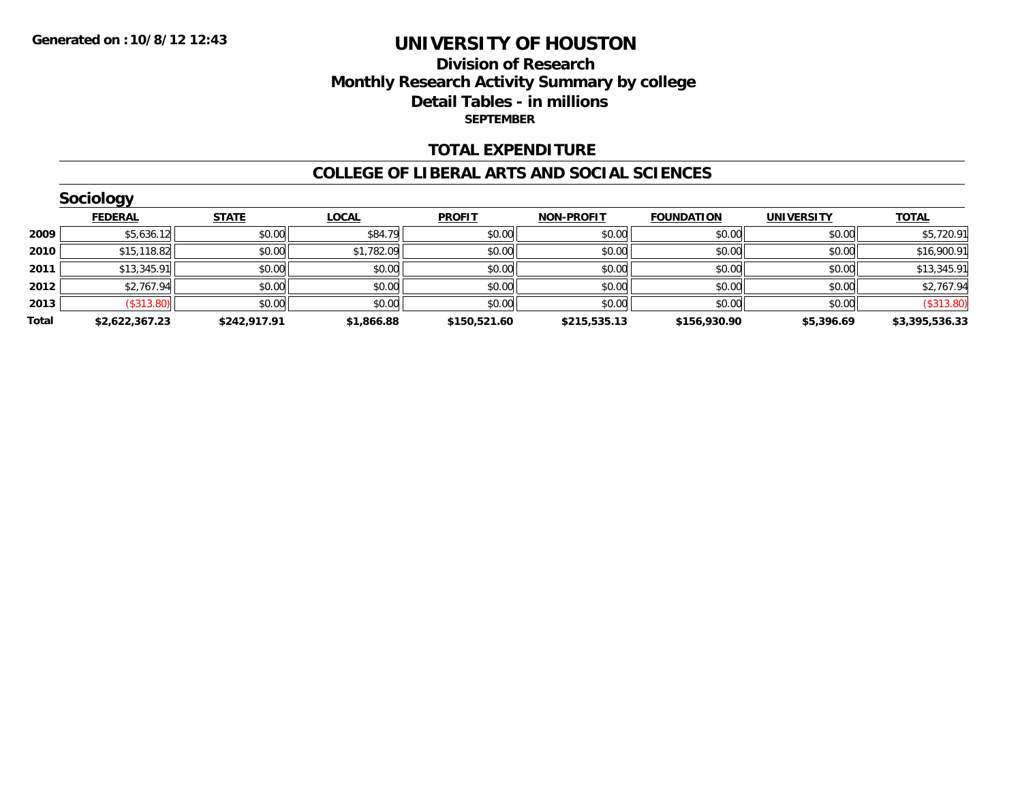### **Division of Research Monthly Research Activity Summary by college Detail Tables - in millions SEPTEMBER**

#### **TOTAL EXPENDITURE**

#### **COLLEGE OF LIBERAL ARTS AND SOCIAL SCIENCES**

|       | <b>Sociology</b> |              |              |               |                   |                   |                   |                |  |  |  |
|-------|------------------|--------------|--------------|---------------|-------------------|-------------------|-------------------|----------------|--|--|--|
|       | <b>FEDERAL</b>   | <b>STATE</b> | <b>LOCAL</b> | <b>PROFIT</b> | <b>NON-PROFIT</b> | <b>FOUNDATION</b> | <b>UNIVERSITY</b> | <b>TOTAL</b>   |  |  |  |
| 2009  | \$5,636.12       | \$0.00       | \$84.79      | \$0.00        | \$0.00            | \$0.00            | \$0.00            | \$5,720.91     |  |  |  |
| 2010  | \$15,118.82      | \$0.00       | \$1,782.09   | \$0.00        | \$0.00            | \$0.00            | \$0.00            | \$16,900.91    |  |  |  |
| 2011  | \$13,345.91      | \$0.00       | \$0.00       | \$0.00        | \$0.00            | \$0.00            | \$0.00            | \$13,345.91    |  |  |  |
| 2012  | \$2,767.94       | \$0.00       | \$0.00       | \$0.00        | \$0.00            | \$0.00            | \$0.00            | \$2,767.94     |  |  |  |
| 2013  | (\$313.80)       | \$0.00       | \$0.00       | \$0.00        | \$0.00            | \$0.00            | \$0.00            | (\$313.80)     |  |  |  |
| Total | \$2,622,367.23   | \$242,917.91 | \$1,866.88   | \$150,521.60  | \$215,535.13      | \$156,930.90      | \$5,396.69        | \$3,395,536.33 |  |  |  |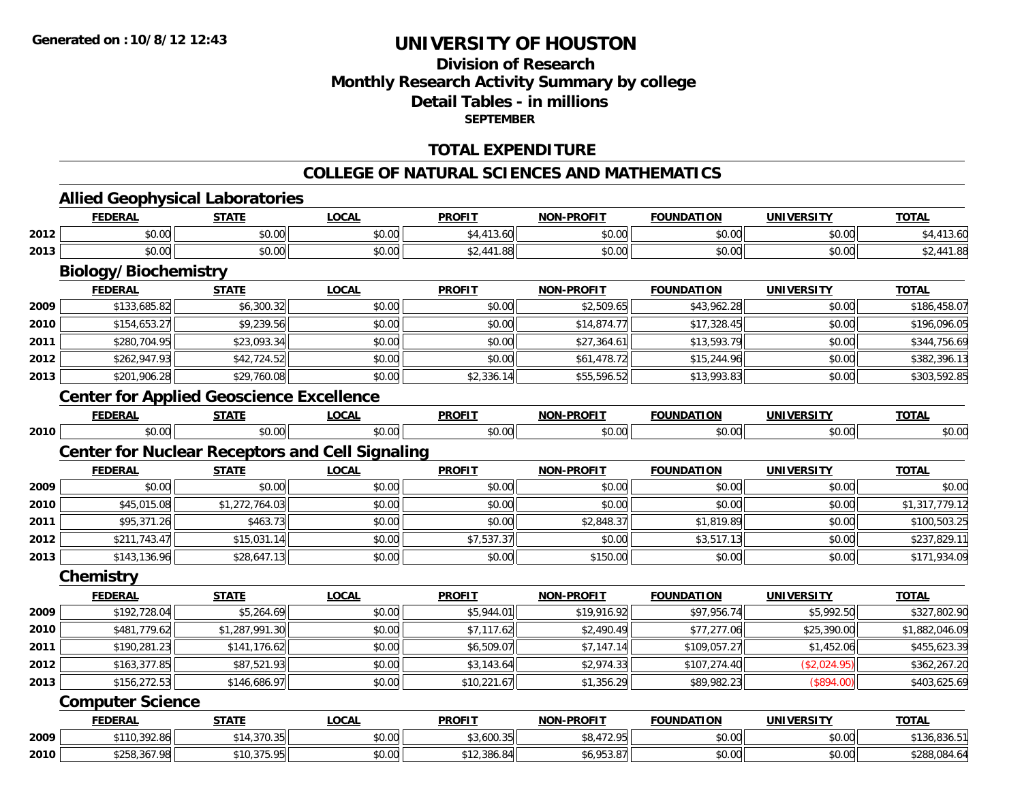## **Division of ResearchMonthly Research Activity Summary by college Detail Tables - in millions SEPTEMBER**

### **TOTAL EXPENDITURE**

#### **COLLEGE OF NATURAL SCIENCES AND MATHEMATICS**

## **Allied Geophysical Laboratories**

|      | <b>FEDERAL</b>                                         | <b>STATE</b>   | <b>LOCAL</b> | <b>PROFIT</b> | <b>NON-PROFIT</b> | <b>FOUNDATION</b> | <b>UNIVERSITY</b> | <b>TOTAL</b>   |
|------|--------------------------------------------------------|----------------|--------------|---------------|-------------------|-------------------|-------------------|----------------|
| 2012 | \$0.00                                                 | \$0.00         | \$0.00       | \$4,413.60    | \$0.00            | \$0.00            | \$0.00            | \$4,413.60     |
| 2013 | \$0.00                                                 | \$0.00         | \$0.00       | \$2,441.88    | \$0.00            | \$0.00            | \$0.00            | \$2,441.88     |
|      | <b>Biology/Biochemistry</b>                            |                |              |               |                   |                   |                   |                |
|      | <b>FEDERAL</b>                                         | <b>STATE</b>   | <b>LOCAL</b> | <b>PROFIT</b> | <b>NON-PROFIT</b> | <b>FOUNDATION</b> | <b>UNIVERSITY</b> | <b>TOTAL</b>   |
| 2009 | \$133,685.82                                           | \$6,300.32     | \$0.00       | \$0.00        | \$2,509.65        | \$43,962.28       | \$0.00            | \$186,458.07   |
| 2010 | \$154,653.27                                           | \$9,239.56     | \$0.00       | \$0.00        | \$14,874.77       | \$17,328.45       | \$0.00            | \$196,096.05   |
| 2011 | \$280,704.95                                           | \$23,093.34    | \$0.00       | \$0.00        | \$27,364.61       | \$13,593.79       | \$0.00            | \$344,756.69   |
| 2012 | \$262,947.93                                           | \$42,724.52    | \$0.00       | \$0.00        | \$61,478.72       | \$15,244.96       | \$0.00            | \$382,396.13   |
| 2013 | \$201,906.28                                           | \$29,760.08    | \$0.00       | \$2,336.14    | \$55,596.52       | \$13,993.83       | \$0.00            | \$303,592.85   |
|      | <b>Center for Applied Geoscience Excellence</b>        |                |              |               |                   |                   |                   |                |
|      | <b>FEDERAL</b>                                         | <b>STATE</b>   | <b>LOCAL</b> | <b>PROFIT</b> | <b>NON-PROFIT</b> | <b>FOUNDATION</b> | <b>UNIVERSITY</b> | <b>TOTAL</b>   |
| 2010 | \$0.00                                                 | \$0.00         | \$0.00       | \$0.00        | \$0.00            | \$0.00            | \$0.00            | \$0.00         |
|      | <b>Center for Nuclear Receptors and Cell Signaling</b> |                |              |               |                   |                   |                   |                |
|      | <b>FEDERAL</b>                                         | <b>STATE</b>   | <b>LOCAL</b> | <b>PROFIT</b> | <b>NON-PROFIT</b> | <b>FOUNDATION</b> | <b>UNIVERSITY</b> | <b>TOTAL</b>   |
| 2009 | \$0.00                                                 | \$0.00         | \$0.00       | \$0.00        | \$0.00            | \$0.00            | \$0.00            | \$0.00         |
| 2010 | \$45,015.08                                            | \$1,272,764.03 | \$0.00       | \$0.00        | \$0.00            | \$0.00            | \$0.00            | \$1,317,779.12 |
| 2011 | \$95,371.26                                            | \$463.73       | \$0.00       | \$0.00        | \$2,848.37        | \$1,819.89        | \$0.00            | \$100,503.25   |
| 2012 | \$211,743.47                                           | \$15,031.14    | \$0.00       | \$7,537.37    | \$0.00            | \$3,517.13        | \$0.00            | \$237,829.11   |
| 2013 | \$143,136.96                                           | \$28,647.13    | \$0.00       | \$0.00        | \$150.00          | \$0.00            | \$0.00            | \$171,934.09   |
|      | Chemistry                                              |                |              |               |                   |                   |                   |                |
|      | <b>FEDERAL</b>                                         | <b>STATE</b>   | <b>LOCAL</b> | <b>PROFIT</b> | <b>NON-PROFIT</b> | <b>FOUNDATION</b> | <b>UNIVERSITY</b> | <b>TOTAL</b>   |
| 2009 | \$192,728.04                                           | \$5,264.69     | \$0.00       | \$5,944.01    | \$19,916.92       | \$97,956.74       | \$5,992.50        | \$327,802.90   |
| 2010 | \$481,779.62                                           | \$1,287,991.30 | \$0.00       | \$7,117.62    | \$2,490.49        | \$77,277.06       | \$25,390.00       | \$1,882,046.09 |
| 2011 | \$190,281.23                                           | \$141,176.62   | \$0.00       | \$6,509.07    | \$7,147.14        | \$109,057.27      | \$1,452.06        | \$455,623.39   |
| 2012 | \$163,377.85                                           | \$87,521.93    | \$0.00       | \$3,143.64    | \$2,974.33        | \$107,274.40      | (\$2,024.95)      | \$362,267.20   |
| 2013 | \$156,272.53                                           | \$146,686.97   | \$0.00       | \$10,221.67   | \$1,356.29        | \$89,982.23       | (\$894.00)        | \$403,625.69   |
|      | <b>Computer Science</b>                                |                |              |               |                   |                   |                   |                |
|      | <b>FEDERAL</b>                                         | <b>STATE</b>   | <b>LOCAL</b> | <b>PROFIT</b> | <b>NON-PROFIT</b> | <b>FOUNDATION</b> | <b>UNIVERSITY</b> | <b>TOTAL</b>   |
| 2009 | \$110,392.86                                           | \$14,370.35    | \$0.00       | \$3,600.35    | \$8,472.95        | \$0.00            | \$0.00            | \$136,836.51   |
| 2010 | \$258,367.98                                           | \$10,375.95    | \$0.00       | \$12,386.84   | \$6,953.87        | \$0.00            | \$0.00            | \$288,084.64   |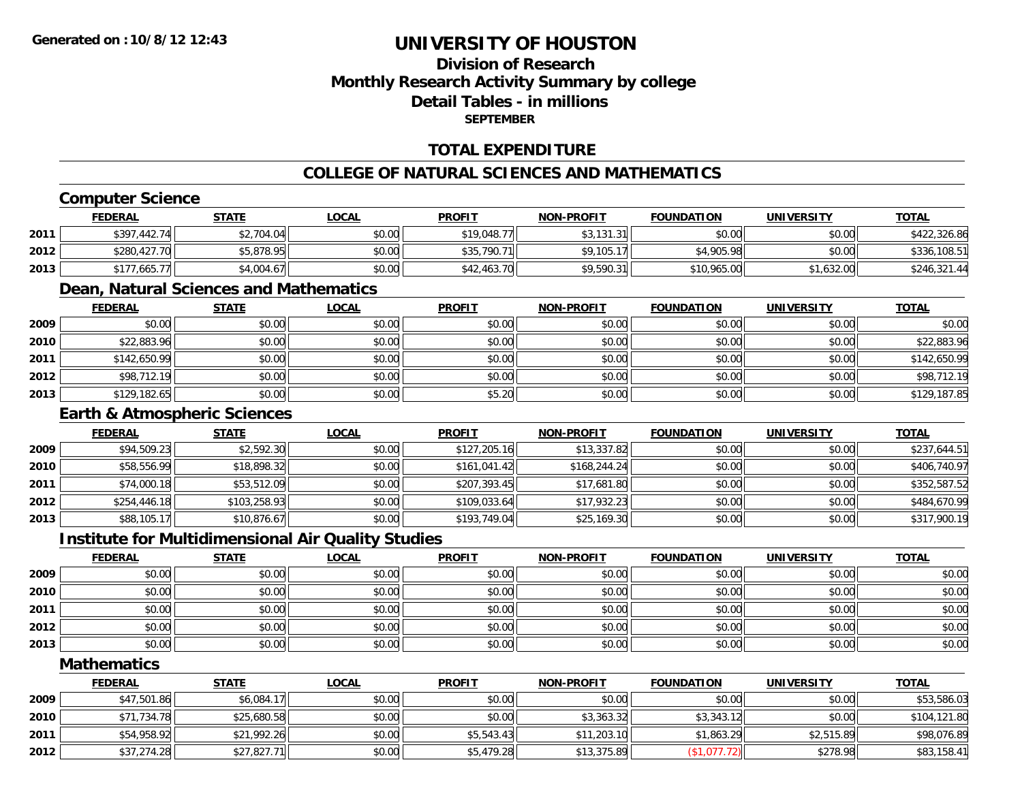## **Division of ResearchMonthly Research Activity Summary by college Detail Tables - in millionsSEPTEMBER**

### **TOTAL EXPENDITURE**

### **COLLEGE OF NATURAL SCIENCES AND MATHEMATICS**

## **Computer Science**

|      | <u>FEDERAL</u> | <b>STATE</b> | <u>LOCAL</u> | <b>PROFIT</b> | <b>NON-PROFIT</b> | <b>FOUNDATION</b> | UNIVERSITY | <b>TOTAL</b> |
|------|----------------|--------------|--------------|---------------|-------------------|-------------------|------------|--------------|
| 2011 | \$397,442.74   | \$2,704.04   | \$0.00       | \$19,048.77   | \$3,131.31        | \$0.00            | \$0.00     | \$422,326.86 |
| 2012 | \$280,427.70   | \$5,878.95   | \$0.00       | \$35,790.71   | \$9,105.17        | \$4,905.98        | \$0.00     | \$336,108.51 |
| 2013 | 1,665.7        | \$4,004.67   | \$0.00       | \$42,463.70   | \$9,590.31        | \$10,965.00       | \$1,632.00 | \$246,321.44 |

## **Dean, Natural Sciences and Mathematics**

|      | <b>FEDERAL</b> | <b>STATE</b> | <b>LOCAL</b> | <b>PROFIT</b> | <b>NON-PROFIT</b> | <b>FOUNDATION</b> | <b>UNIVERSITY</b> | <b>TOTAL</b> |
|------|----------------|--------------|--------------|---------------|-------------------|-------------------|-------------------|--------------|
| 2009 | \$0.00         | \$0.00       | \$0.00       | \$0.00        | \$0.00            | \$0.00            | \$0.00            | \$0.00       |
| 2010 | \$22,883.96    | \$0.00       | \$0.00       | \$0.00        | \$0.00            | \$0.00            | \$0.00            | \$22,883.96  |
| 2011 | \$142,650.99   | \$0.00       | \$0.00       | \$0.00        | \$0.00            | \$0.00            | \$0.00            | \$142,650.99 |
| 2012 | \$98,712.19    | \$0.00       | \$0.00       | \$0.00        | \$0.00            | \$0.00            | \$0.00            | \$98,712.19  |
| 2013 | \$129,182.65   | \$0.00       | \$0.00       | \$5.20        | \$0.00            | \$0.00            | \$0.00            | \$129,187.85 |

### **Earth & Atmospheric Sciences**

|      | <b>FEDERAL</b> | <b>STATE</b> | <b>LOCAL</b> | <b>PROFIT</b> | <b>NON-PROFIT</b> | <b>FOUNDATION</b> | <b>UNIVERSITY</b> | <b>TOTAL</b> |
|------|----------------|--------------|--------------|---------------|-------------------|-------------------|-------------------|--------------|
| 2009 | \$94,509.23    | \$2,592.30   | \$0.00       | \$127,205.16  | \$13,337.82       | \$0.00            | \$0.00            | \$237,644.51 |
| 2010 | \$58,556.99    | \$18,898.32  | \$0.00       | \$161,041.42  | \$168.244.24      | \$0.00            | \$0.00            | \$406,740.97 |
| 2011 | \$74,000.18    | \$53,512.09  | \$0.00       | \$207,393.45  | \$17,681.80       | \$0.00            | \$0.00            | \$352,587.52 |
| 2012 | \$254,446.18   | \$103,258.93 | \$0.00       | \$109,033.64  | \$17,932.23       | \$0.00            | \$0.00            | \$484,670.99 |
| 2013 | \$88,105.17    | \$10,876.67  | \$0.00       | \$193,749.04  | \$25,169.30       | \$0.00            | \$0.00            | \$317,900.19 |

## **Institute for Multidimensional Air Quality Studies**

|      | <b>FEDERAL</b> | <b>STATE</b> | <u>LOCAL</u> | <b>PROFIT</b> | <b>NON-PROFIT</b> | <b>FOUNDATION</b> | <b>UNIVERSITY</b> | <b>TOTAL</b> |
|------|----------------|--------------|--------------|---------------|-------------------|-------------------|-------------------|--------------|
| 2009 | \$0.00         | \$0.00       | \$0.00       | \$0.00        | \$0.00            | \$0.00            | \$0.00            | \$0.00       |
| 2010 | \$0.00         | \$0.00       | \$0.00       | \$0.00        | \$0.00            | \$0.00            | \$0.00            | \$0.00       |
| 2011 | \$0.00         | \$0.00       | \$0.00       | \$0.00        | \$0.00            | \$0.00            | \$0.00            | \$0.00       |
| 2012 | \$0.00         | \$0.00       | \$0.00       | \$0.00        | \$0.00            | \$0.00            | \$0.00            | \$0.00       |
| 2013 | \$0.00         | \$0.00       | \$0.00       | \$0.00        | \$0.00            | \$0.00            | \$0.00            | \$0.00       |

#### **Mathematics**

|      | <b>FEDERAL</b> | <u>STATE</u> | <u>LOCAL</u> | <b>PROFIT</b> | <b>NON-PROFIT</b> | <b>FOUNDATION</b> | <b>UNIVERSITY</b> | <b>TOTAL</b> |
|------|----------------|--------------|--------------|---------------|-------------------|-------------------|-------------------|--------------|
| 2009 | \$47,501.86    | \$6,084.17   | \$0.00       | \$0.00        | \$0.00            | \$0.00            | \$0.00            | \$53,586.03  |
| 2010 | \$71,734.78    | \$25,680.58  | \$0.00       | \$0.00        | \$3,363.32        | \$3,343.12        | \$0.00            | \$104,121.80 |
| 2011 | \$54,958.92    | \$21,992.26  | \$0.00       | \$5.543.43    | \$11.203.10       | \$1,863.29        | \$2,515.89        | \$98,076.89  |
| 2012 | \$37,274.28    | \$27,827.71  | \$0.00       | \$5,479.28    | \$13,375.89       | \$1,077.72        | \$278.98          | \$83,158.41  |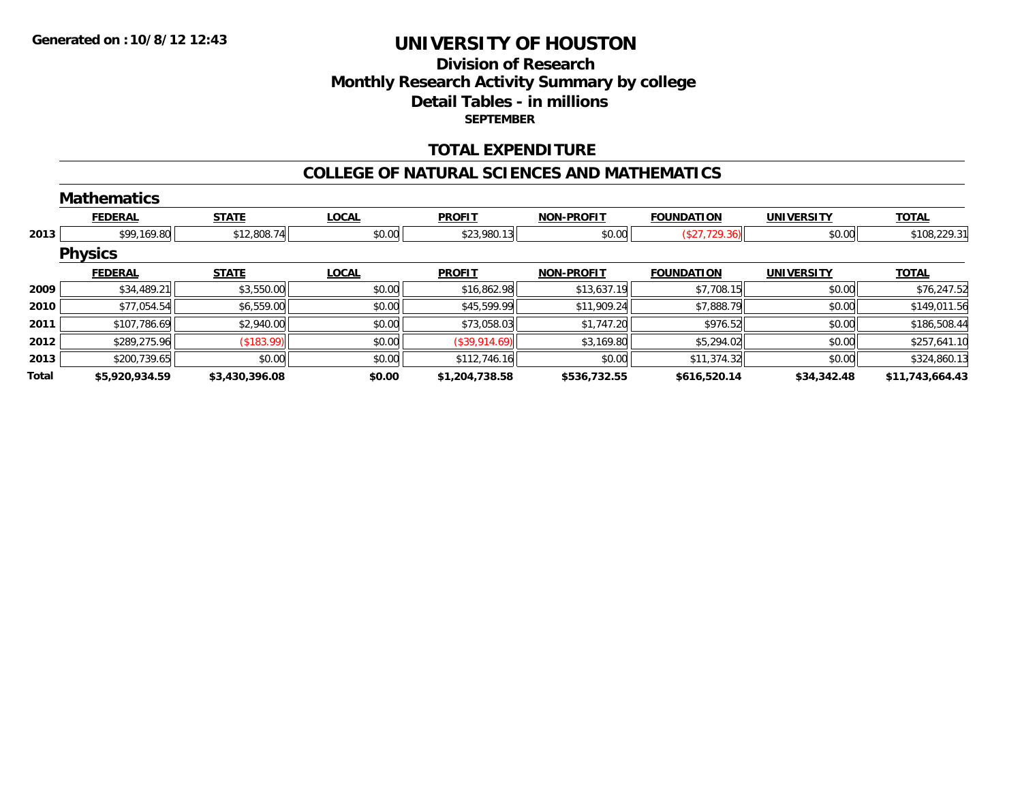## **Division of ResearchMonthly Research Activity Summary by college Detail Tables - in millions SEPTEMBER**

### **TOTAL EXPENDITURE**

#### **COLLEGE OF NATURAL SCIENCES AND MATHEMATICS**

|       | <b>Mathematics</b> |                |              |                |                   |                   |                   |                 |
|-------|--------------------|----------------|--------------|----------------|-------------------|-------------------|-------------------|-----------------|
|       | <b>FEDERAL</b>     | <b>STATE</b>   | <b>LOCAL</b> | <b>PROFIT</b>  | <b>NON-PROFIT</b> | <b>FOUNDATION</b> | <b>UNIVERSITY</b> | <b>TOTAL</b>    |
| 2013  | \$99,169.80        | \$12,808.74    | \$0.00       | \$23,980.13    | \$0.00            | (\$27,729.36)     | \$0.00            | \$108,229.31    |
|       | <b>Physics</b>     |                |              |                |                   |                   |                   |                 |
|       | <b>FEDERAL</b>     | <b>STATE</b>   | <b>LOCAL</b> | <b>PROFIT</b>  | <b>NON-PROFIT</b> | <b>FOUNDATION</b> | <b>UNIVERSITY</b> | <b>TOTAL</b>    |
| 2009  | \$34,489.21        | \$3,550.00     | \$0.00       | \$16,862.98    | \$13,637.19       | \$7,708.15        | \$0.00            | \$76,247.52     |
| 2010  | \$77,054.54        | \$6,559.00     | \$0.00       | \$45,599.99    | \$11,909.24       | \$7,888.79        | \$0.00            | \$149,011.56    |
| 2011  | \$107,786.69       | \$2,940.00     | \$0.00       | \$73,058.03    | \$1,747.20        | \$976.52          | \$0.00            | \$186,508.44    |
| 2012  | \$289,275.96       | ( \$183.99)    | \$0.00       | (\$39,914.69)  | \$3,169.80        | \$5,294.02        | \$0.00            | \$257,641.10    |
| 2013  | \$200,739.65       | \$0.00         | \$0.00       | \$112,746.16   | \$0.00            | \$11,374.32       | \$0.00            | \$324,860.13    |
| Total | \$5,920,934.59     | \$3,430,396.08 | \$0.00       | \$1,204,738.58 | \$536,732.55      | \$616,520.14      | \$34,342.48       | \$11,743,664.43 |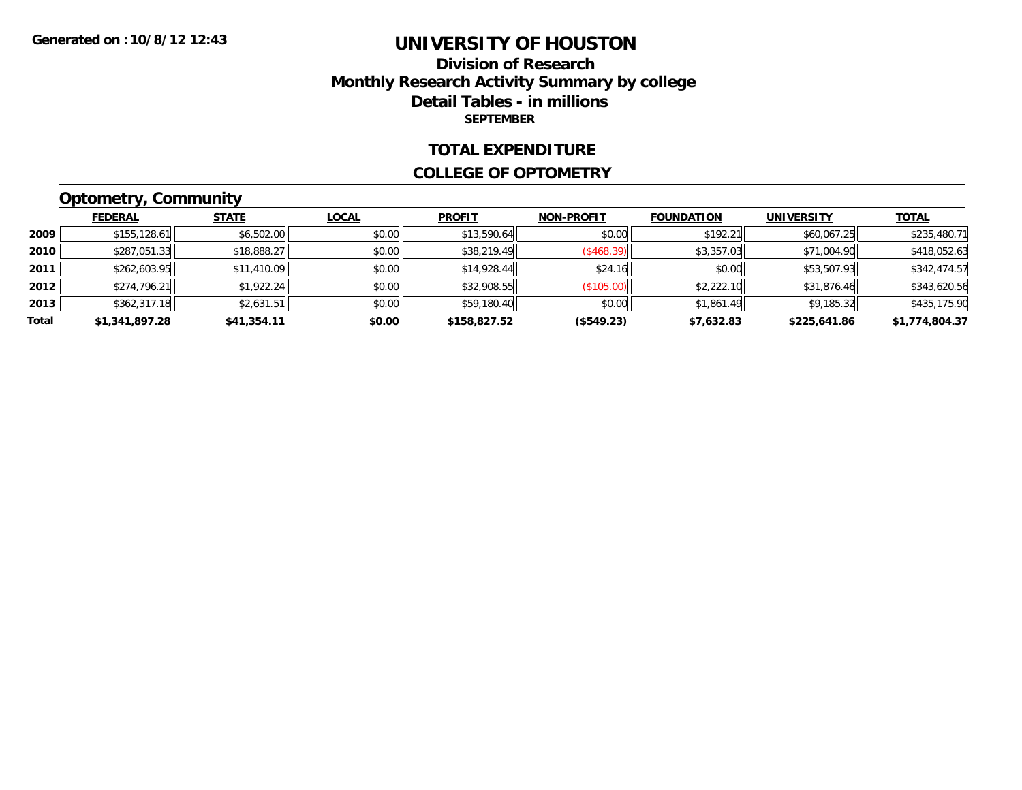### **Division of Research Monthly Research Activity Summary by college Detail Tables - in millions SEPTEMBER**

#### **TOTAL EXPENDITURE**

#### **COLLEGE OF OPTOMETRY**

## **Optometry, Community**

|       | <b>FEDERAL</b> | <b>STATE</b> | LOCAL  | <b>PROFIT</b> | <b>NON-PROFIT</b> | <b>FOUNDATION</b> | <b>UNIVERSITY</b> | <b>TOTAL</b>   |
|-------|----------------|--------------|--------|---------------|-------------------|-------------------|-------------------|----------------|
| 2009  | \$155, 128.61  | \$6,502.00   | \$0.00 | \$13,590.64   | \$0.00            | \$192.21          | \$60,067.25       | \$235,480.71   |
| 2010  | \$287,051.33   | \$18,888.27  | \$0.00 | \$38,219.49   | (\$468.39)        | \$3,357.03        | \$71,004.90       | \$418,052.63   |
| 2011  | \$262,603.95   | \$11,410.09  | \$0.00 | \$14,928.44   | \$24.16           | \$0.00            | \$53,507.93       | \$342,474.57   |
| 2012  | \$274,796.21   | \$1,922.24   | \$0.00 | \$32,908.55   | (\$105.00)        | \$2,222.10        | \$31,876.46       | \$343,620.56   |
| 2013  | \$362,317.18   | \$2,631.51   | \$0.00 | \$59,180.40   | \$0.00            | \$1,861.49        | \$9,185.32        | \$435,175.90   |
| Total | \$1,341,897.28 | \$41,354.11  | \$0.00 | \$158,827.52  | (\$549.23)        | \$7,632.83        | \$225,641.86      | \$1,774,804.37 |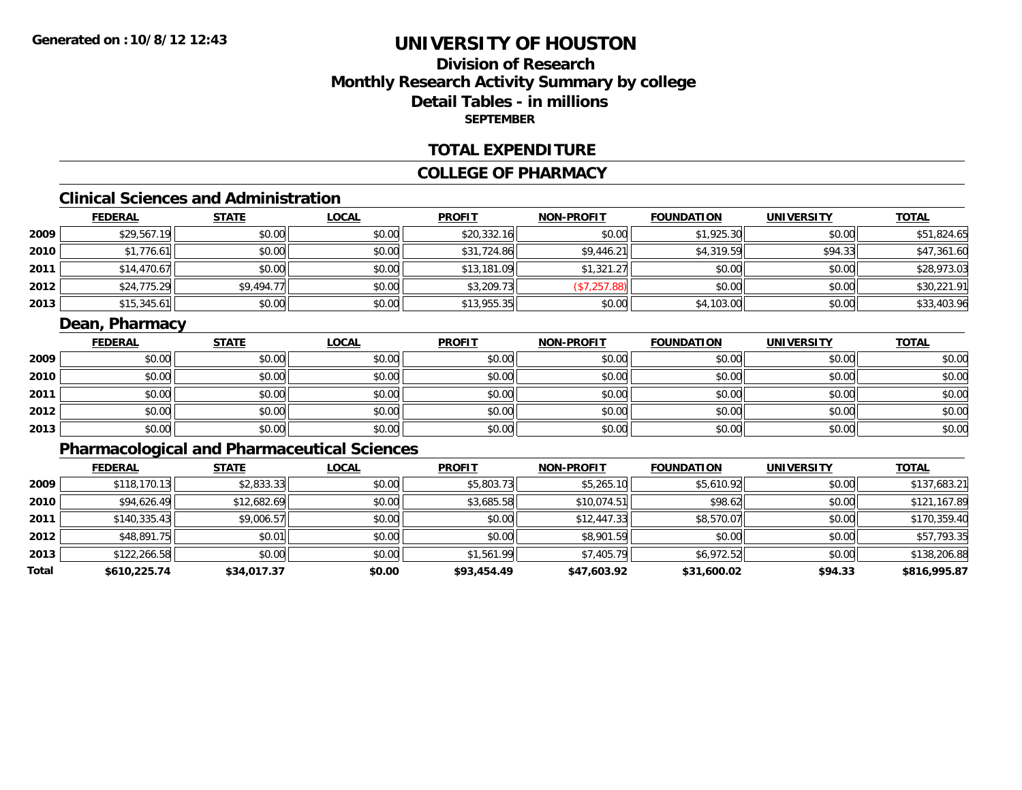## **Division of ResearchMonthly Research Activity Summary by college Detail Tables - in millions SEPTEMBER**

#### **TOTAL EXPENDITURE**

#### **COLLEGE OF PHARMACY**

## **Clinical Sciences and Administration**

|        | <b>FEDERAL</b> | <b>STATE</b> | <b>LOCAL</b> | <b>PROFIT</b> | <b>NON-PROFIT</b> | <b>FOUNDATION</b> | <b>UNIVERSITY</b> | <b>TOTAL</b> |
|--------|----------------|--------------|--------------|---------------|-------------------|-------------------|-------------------|--------------|
| 2009   | \$29,567.19    | \$0.00       | \$0.00       | \$20,332.16   | \$0.00            | \$1,925.30        | \$0.00            | \$51,824.65  |
| ا 2010 | \$1,776.61     | \$0.00       | \$0.00       | \$31,724.86   | \$9,446.21        | \$4,319.59        | \$94.33           | \$47,361.60  |
| 2011   | \$14,470.67    | \$0.00       | \$0.00       | \$13,181.09   | \$1,321.27        | \$0.00            | \$0.00            | \$28,973.03  |
| 2012   | \$24,775.29    | \$9,494.77   | \$0.00       | \$3,209.73    | (\$7,257.88)      | \$0.00            | \$0.00            | \$30,221.91  |
| 2013   | \$15,345.61    | \$0.00       | \$0.00       | \$13,955.35   | \$0.00            | \$4,103.00        | \$0.00            | \$33,403.96  |

### **Dean, Pharmacy**

|      | <b>FEDERAL</b> | <b>STATE</b> | <b>LOCAL</b> | <b>PROFIT</b> | <b>NON-PROFIT</b> | <b>FOUNDATION</b> | <b>UNIVERSITY</b> | <b>TOTAL</b> |
|------|----------------|--------------|--------------|---------------|-------------------|-------------------|-------------------|--------------|
| 2009 | \$0.00         | \$0.00       | \$0.00       | \$0.00        | \$0.00            | \$0.00            | \$0.00            | \$0.00       |
| 2010 | \$0.00         | \$0.00       | \$0.00       | \$0.00        | \$0.00            | \$0.00            | \$0.00            | \$0.00       |
| 2011 | \$0.00         | \$0.00       | \$0.00       | \$0.00        | \$0.00            | \$0.00            | \$0.00            | \$0.00       |
| 2012 | \$0.00         | \$0.00       | \$0.00       | \$0.00        | \$0.00            | \$0.00            | \$0.00            | \$0.00       |
| 2013 | \$0.00         | \$0.00       | \$0.00       | \$0.00        | \$0.00            | \$0.00            | \$0.00            | \$0.00       |

## **Pharmacological and Pharmaceutical Sciences**

|       | <b>FEDERAL</b> | <b>STATE</b> | <b>LOCAL</b> | <b>PROFIT</b> | <b>NON-PROFIT</b> | <b>FOUNDATION</b> | <b>UNIVERSITY</b> | <u>TOTAL</u> |
|-------|----------------|--------------|--------------|---------------|-------------------|-------------------|-------------------|--------------|
| 2009  | \$118,170.13   | \$2,833.33   | \$0.00       | \$5,803.73    | \$5,265.10        | \$5,610.92        | \$0.00            | \$137,683.21 |
| 2010  | \$94,626.49    | \$12,682.69  | \$0.00       | \$3,685.58    | \$10,074.51       | \$98.62           | \$0.00            | \$121,167.89 |
| 2011  | \$140,335.43   | \$9,006.57   | \$0.00       | \$0.00        | \$12,447.33       | \$8,570.07        | \$0.00            | \$170,359.40 |
| 2012  | \$48,891.75    | \$0.01       | \$0.00       | \$0.00        | \$8,901.59        | \$0.00            | \$0.00            | \$57,793.35  |
| 2013  | \$122,266.58   | \$0.00       | \$0.00       | \$1,561.99    | \$7,405.79        | \$6,972.52        | \$0.00            | \$138,206.88 |
| Total | \$610,225.74   | \$34,017.37  | \$0.00       | \$93,454.49   | \$47,603.92       | \$31,600.02       | \$94.33           | \$816,995.87 |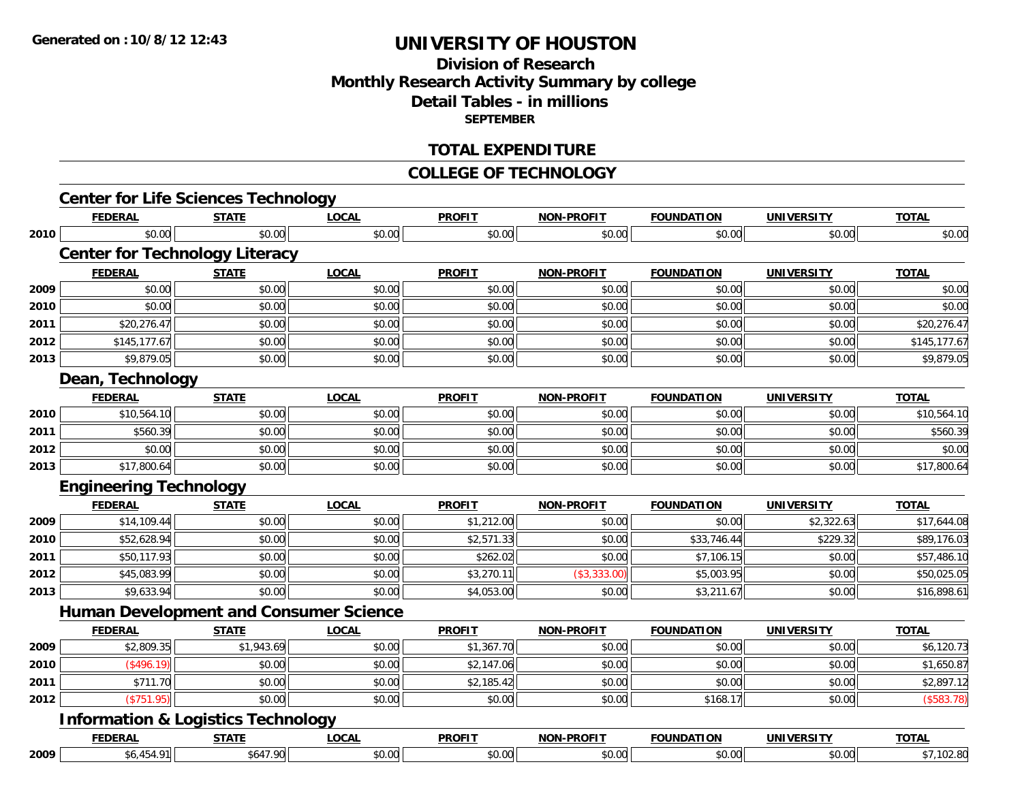## **Division of ResearchMonthly Research Activity Summary by college Detail Tables - in millions SEPTEMBER**

#### **TOTAL EXPENDITURE**

#### **COLLEGE OF TECHNOLOGY**

|      | <b>Center for Life Sciences Technology</b>    |              |              |               |                   |                   |                   |              |
|------|-----------------------------------------------|--------------|--------------|---------------|-------------------|-------------------|-------------------|--------------|
|      | <b>FEDERAL</b>                                | <b>STATE</b> | <b>LOCAL</b> | <b>PROFIT</b> | <b>NON-PROFIT</b> | <b>FOUNDATION</b> | <b>UNIVERSITY</b> | <b>TOTAL</b> |
| 2010 | \$0.00                                        | \$0.00       | \$0.00       | \$0.00        | \$0.00            | \$0.00            | \$0.00            | \$0.00       |
|      | <b>Center for Technology Literacy</b>         |              |              |               |                   |                   |                   |              |
|      | <b>FEDERAL</b>                                | <b>STATE</b> | <b>LOCAL</b> | <b>PROFIT</b> | <b>NON-PROFIT</b> | <b>FOUNDATION</b> | <b>UNIVERSITY</b> | <b>TOTAL</b> |
| 2009 | \$0.00                                        | \$0.00       | \$0.00       | \$0.00        | \$0.00            | \$0.00            | \$0.00            | \$0.00       |
| 2010 | \$0.00                                        | \$0.00       | \$0.00       | \$0.00        | \$0.00            | \$0.00            | \$0.00            | \$0.00       |
| 2011 | \$20,276.47                                   | \$0.00       | \$0.00       | \$0.00        | \$0.00            | \$0.00            | \$0.00            | \$20,276.47  |
| 2012 | \$145,177.67                                  | \$0.00       | \$0.00       | \$0.00        | \$0.00            | \$0.00            | \$0.00            | \$145,177.67 |
| 2013 | \$9,879.05                                    | \$0.00       | \$0.00       | \$0.00        | \$0.00            | \$0.00            | \$0.00            | \$9,879.05   |
|      | Dean, Technology                              |              |              |               |                   |                   |                   |              |
|      | <b>FEDERAL</b>                                | <b>STATE</b> | <b>LOCAL</b> | <b>PROFIT</b> | <b>NON-PROFIT</b> | <b>FOUNDATION</b> | <b>UNIVERSITY</b> | <b>TOTAL</b> |
| 2010 | \$10,564.10                                   | \$0.00       | \$0.00       | \$0.00        | \$0.00            | \$0.00            | \$0.00            | \$10,564.10  |
| 2011 | \$560.39                                      | \$0.00       | \$0.00       | \$0.00        | \$0.00            | \$0.00            | \$0.00            | \$560.39     |
| 2012 | \$0.00                                        | \$0.00       | \$0.00       | \$0.00        | \$0.00            | \$0.00            | \$0.00            | \$0.00       |
| 2013 | \$17,800.64                                   | \$0.00       | \$0.00       | \$0.00        | \$0.00            | \$0.00            | \$0.00            | \$17,800.64  |
|      | <b>Engineering Technology</b>                 |              |              |               |                   |                   |                   |              |
|      | <b>FEDERAL</b>                                | <b>STATE</b> | <b>LOCAL</b> | <b>PROFIT</b> | <b>NON-PROFIT</b> | <b>FOUNDATION</b> | <b>UNIVERSITY</b> | <b>TOTAL</b> |
| 2009 | \$14,109.44                                   | \$0.00       | \$0.00       | \$1,212.00    | \$0.00            | \$0.00            | \$2,322.63        | \$17,644.08  |
| 2010 | \$52,628.94                                   | \$0.00       | \$0.00       | \$2,571.33    | \$0.00            | \$33,746.44       | \$229.32          | \$89,176.03  |
| 2011 | \$50,117.93                                   | \$0.00       | \$0.00       | \$262.02      | \$0.00            | \$7,106.15        | \$0.00            | \$57,486.10  |
| 2012 | \$45,083.99                                   | \$0.00       | \$0.00       | \$3,270.11    | (\$3,333.00)      | \$5,003.95        | \$0.00            | \$50,025.05  |
| 2013 | \$9,633.94                                    | \$0.00       | \$0.00       | \$4,053.00    | \$0.00            | \$3,211.67        | \$0.00            | \$16,898.61  |
|      | <b>Human Development and Consumer Science</b> |              |              |               |                   |                   |                   |              |
|      | <b>FEDERAL</b>                                | <b>STATE</b> | <b>LOCAL</b> | <b>PROFIT</b> | <b>NON-PROFIT</b> | <b>FOUNDATION</b> | <b>UNIVERSITY</b> | <b>TOTAL</b> |
| 2009 | \$2,809.35                                    | \$1,943.69   | \$0.00       | \$1,367.70    | \$0.00            | \$0.00            | \$0.00            | \$6,120.73   |
| 2010 | $($ \$496.19)                                 | \$0.00       | \$0.00       | \$2,147.06    | \$0.00            | \$0.00            | \$0.00            | \$1,650.87   |
| 2011 | \$711.70                                      | \$0.00       | \$0.00       | \$2,185.42    | \$0.00            | \$0.00            | \$0.00            | \$2,897.12   |
| 2012 | (\$751.95)                                    | \$0.00       | \$0.00       | \$0.00        | \$0.00            | \$168.17          | \$0.00            | (\$583.78)   |
|      |                                               |              |              |               |                   |                   |                   |              |
|      | <b>Information &amp; Logistics Technology</b> |              |              |               |                   |                   |                   |              |
|      | <b>FEDERAL</b>                                | <b>STATE</b> | <b>LOCAL</b> | <b>PROFIT</b> | <b>NON-PROFIT</b> | <b>FOUNDATION</b> | <b>UNIVERSITY</b> | <b>TOTAL</b> |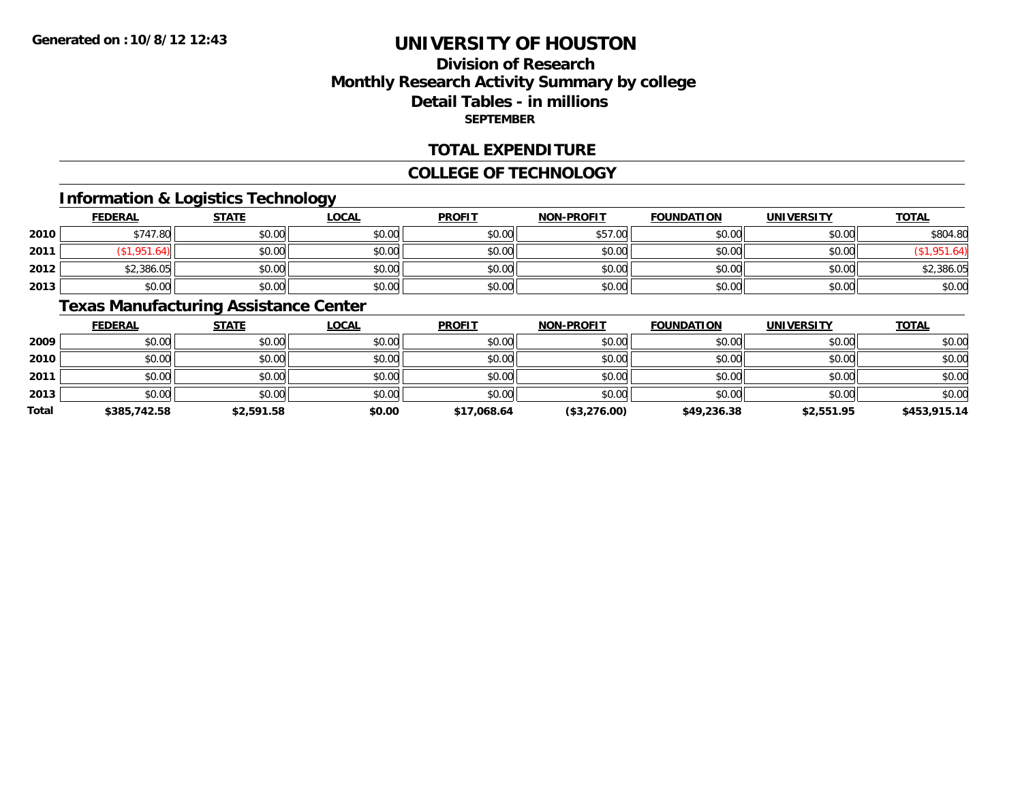## **Division of ResearchMonthly Research Activity Summary by college Detail Tables - in millions SEPTEMBER**

#### **TOTAL EXPENDITURE**

#### **COLLEGE OF TECHNOLOGY**

### **Information & Logistics Technology**

|      | <b>FEDERAL</b> | <b>STATE</b> | <u>LOCAL</u> | <b>PROFIT</b> | <b>NON-PROFIT</b> | <b>FOUNDATION</b> | <b>UNIVERSITY</b> | <b>TOTAL</b> |
|------|----------------|--------------|--------------|---------------|-------------------|-------------------|-------------------|--------------|
| 2010 | \$747.80       | \$0.00       | \$0.00       | \$0.00        | \$57.00           | \$0.00            | \$0.00            | \$804.80     |
| 2011 | .951           | \$0.00       | \$0.00       | \$0.00        | \$0.00            | \$0.00            | \$0.00            |              |
| 2012 | \$2,386.05     | \$0.00       | \$0.00       | \$0.00        | \$0.00            | \$0.00            | \$0.00            | \$2,386.05   |
| 2013 | \$0.00         | \$0.00       | \$0.00       | \$0.00        | \$0.00            | \$0.00            | \$0.00            | \$0.00       |

### **Texas Manufacturing Assistance Center**

|              | <u>FEDERAL</u> | <b>STATE</b> | <u>LOCAL</u> | <b>PROFIT</b> | <b>NON-PROFIT</b> | <b>FOUNDATION</b> | <b>UNIVERSITY</b> | <b>TOTAL</b> |
|--------------|----------------|--------------|--------------|---------------|-------------------|-------------------|-------------------|--------------|
| 2009         | \$0.00         | \$0.00       | \$0.00       | \$0.00        | \$0.00            | \$0.00            | \$0.00            | \$0.00       |
| 2010         | \$0.00         | \$0.00       | \$0.00       | \$0.00        | \$0.00            | \$0.00            | \$0.00            | \$0.00       |
| 2011         | \$0.00         | \$0.00       | \$0.00       | \$0.00        | \$0.00            | \$0.00            | \$0.00            | \$0.00       |
| 2013         | \$0.00         | \$0.00       | \$0.00       | \$0.00        | \$0.00            | \$0.00            | \$0.00            | \$0.00       |
| <b>Total</b> | \$385,742.58   | \$2,591.58   | \$0.00       | \$17,068.64   | (\$3,276.00)      | \$49,236.38       | \$2,551.95        | \$453,915.14 |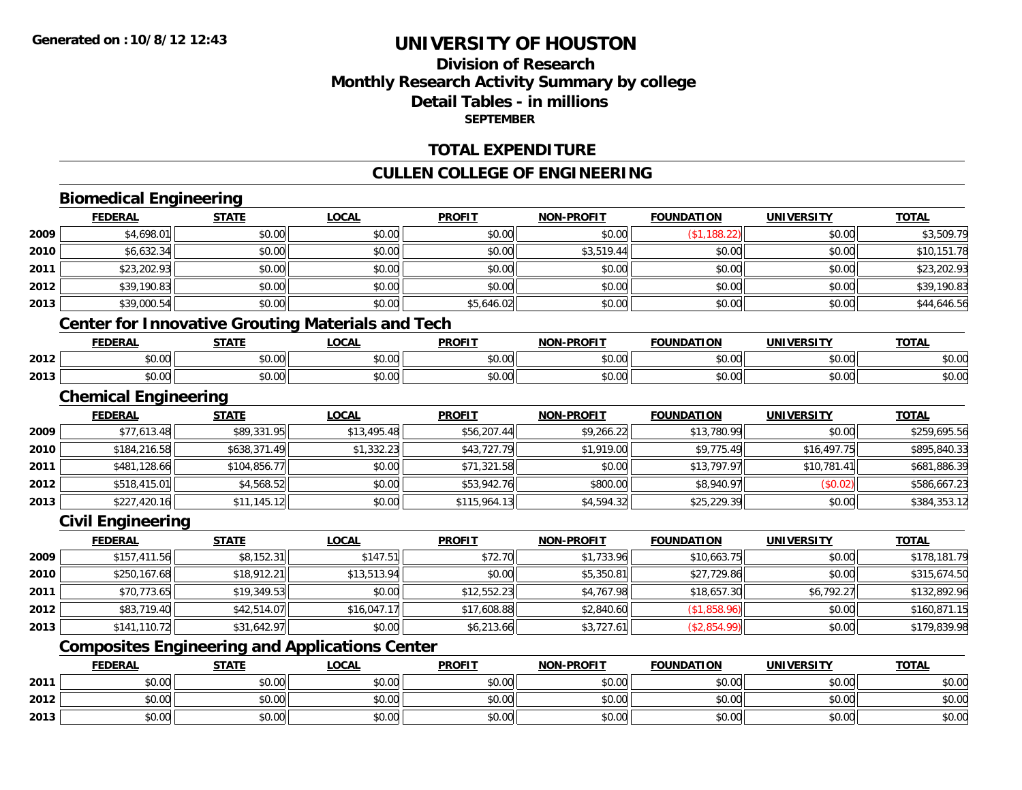## **Division of ResearchMonthly Research Activity Summary by college Detail Tables - in millions SEPTEMBER**

### **TOTAL EXPENDITURE**

### **CULLEN COLLEGE OF ENGINEERING**

## **Biomedical Engineering**

**2012**

**2013**

|      | <b>FEDERAL</b>              | <b>STATE</b> | <b>LOCAL</b>                                             | <b>PROFIT</b> | <b>NON-PROFIT</b> | <b>FOUNDATION</b> | <b>UNIVERSITY</b> | <b>TOTAL</b> |
|------|-----------------------------|--------------|----------------------------------------------------------|---------------|-------------------|-------------------|-------------------|--------------|
| 2009 | \$4,698.01                  | \$0.00       | \$0.00                                                   | \$0.00        | \$0.00            | (\$1,188.22)      | \$0.00            | \$3,509.79   |
| 2010 | \$6,632.34                  | \$0.00       | \$0.00                                                   | \$0.00        | \$3,519.44        | \$0.00            | \$0.00            | \$10,151.78  |
| 2011 | \$23,202.93                 | \$0.00       | \$0.00                                                   | \$0.00        | \$0.00            | \$0.00            | \$0.00            | \$23,202.93  |
| 2012 | \$39,190.83                 | \$0.00       | \$0.00                                                   | \$0.00        | \$0.00            | \$0.00            | \$0.00            | \$39,190.83  |
| 2013 | \$39,000.54                 | \$0.00       | \$0.00                                                   | \$5,646.02    | \$0.00            | \$0.00            | \$0.00            | \$44,646.56  |
|      |                             |              | <b>Center for Innovative Grouting Materials and Tech</b> |               |                   |                   |                   |              |
|      | <b>FEDERAL</b>              | <b>STATE</b> | <b>LOCAL</b>                                             | <b>PROFIT</b> | <b>NON-PROFIT</b> | <b>FOUNDATION</b> | <b>UNIVERSITY</b> | <b>TOTAL</b> |
| 2012 | \$0.00                      | \$0.00       | \$0.00                                                   | \$0.00        | \$0.00            | \$0.00            | \$0.00            | \$0.00       |
| 2013 | \$0.00                      | \$0.00       | \$0.00                                                   | \$0.00        | \$0.00            | \$0.00            | \$0.00            | \$0.00       |
|      | <b>Chemical Engineering</b> |              |                                                          |               |                   |                   |                   |              |
|      | <b>FEDERAL</b>              | <b>STATE</b> | <b>LOCAL</b>                                             | <b>PROFIT</b> | <b>NON-PROFIT</b> | <b>FOUNDATION</b> | <b>UNIVERSITY</b> | <b>TOTAL</b> |
| 2009 | \$77,613.48                 | \$89,331.95  | \$13,495.48                                              | \$56,207.44   | \$9,266.22        | \$13,780.99       | \$0.00            | \$259,695.56 |
| 2010 | \$184,216.58                | \$638,371.49 | \$1,332.23                                               | \$43,727.79   | \$1,919.00        | \$9,775.49        | \$16,497.75       | \$895,840.33 |
| 2011 | \$481,128.66                | \$104,856.77 | \$0.00                                                   | \$71,321.58   | \$0.00            | \$13,797.97       | \$10,781.41       | \$681,886.39 |
| 2012 | \$518,415.01                | \$4,568.52   | \$0.00                                                   | \$53,942.76   | \$800.00          | \$8,940.97        | (\$0.02)          | \$586,667.23 |
| 2013 | \$227,420.16                | \$11,145.12  | \$0.00                                                   | \$115,964.13  | \$4,594.32        | \$25,229.39       | \$0.00            | \$384,353.12 |
|      | <b>Civil Engineering</b>    |              |                                                          |               |                   |                   |                   |              |
|      | <b>FEDERAL</b>              | <b>STATE</b> | <b>LOCAL</b>                                             | <b>PROFIT</b> | <b>NON-PROFIT</b> | <b>FOUNDATION</b> | <b>UNIVERSITY</b> | <b>TOTAL</b> |
| 2009 | \$157,411.56                | \$8,152.31   | \$147.51                                                 | \$72.70       | \$1,733.96        | \$10,663.75       | \$0.00            | \$178,181.79 |
| 2010 | \$250,167.68                | \$18,912.21  | \$13,513.94                                              | \$0.00        | \$5,350.81        | \$27,729.86       | \$0.00            | \$315,674.50 |
| 2011 | \$70,773.65                 | \$19,349.53  | \$0.00                                                   | \$12,552.23   | \$4,767.98        | \$18,657.30       | \$6,792.27        | \$132,892.96 |
| 2012 | \$83,719.40                 | \$42,514.07  | \$16,047.17                                              | \$17,608.88   | \$2,840.60        | (\$1,858.96)      | \$0.00            | \$160,871.15 |
| 2013 | \$141,110.72                | \$31,642.97  | \$0.00                                                   | \$6,213.66    | \$3,727.61        | (\$2,854.99)      | \$0.00            | \$179,839.98 |
|      |                             |              | <b>Composites Engineering and Applications Center</b>    |               |                   |                   |                   |              |
|      | <b>FEDERAL</b>              | <b>STATE</b> | <b>LOCAL</b>                                             | <b>PROFIT</b> | <b>NON-PROFIT</b> | <b>FOUNDATION</b> | <b>UNIVERSITY</b> | <b>TOTAL</b> |
| 2011 | \$0.00                      | \$0.00       | \$0.00                                                   | \$0.00        | \$0.00            | \$0.00            | \$0.00            | \$0.00       |

2 | \$0.00 \$0.00 \$0.00 \$0.00 \$0.00 \$0.00 \$0.00 \$0.00 \$0.00 \$0.00 \$0.00 \$0.00 \$0.00 \$0.00 \$0.00 \$0.00 \$0.00

\$0.00 \$0.00 \$0.00 \$0.00 \$0.00 \$0.00 \$0.00 \$0.00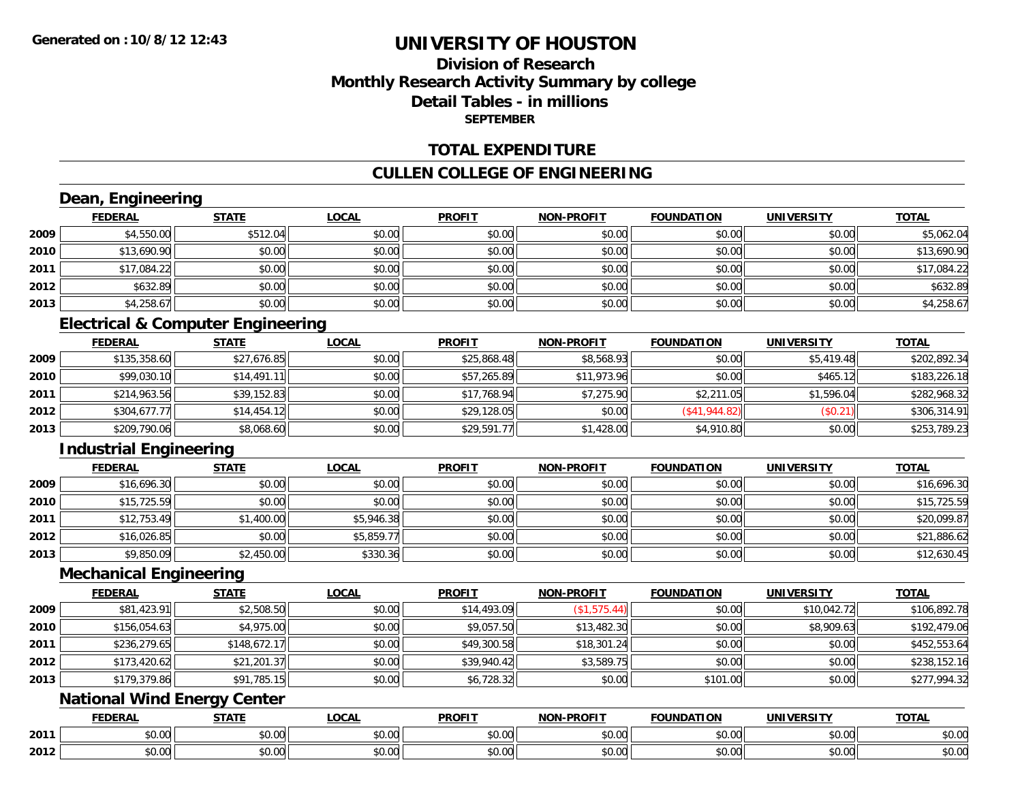## **Division of ResearchMonthly Research Activity Summary by college Detail Tables - in millionsSEPTEMBER**

#### **TOTAL EXPENDITURE**

### **CULLEN COLLEGE OF ENGINEERING**

## **Dean, Engineering**

|      | <b>FEDERAL</b> | <b>STATE</b> | <u>LOCAL</u> | <b>PROFIT</b> | <b>NON-PROFIT</b> | <b>FOUNDATION</b> | <b>UNIVERSITY</b> | <b>TOTAL</b> |
|------|----------------|--------------|--------------|---------------|-------------------|-------------------|-------------------|--------------|
| 2009 | \$4,550.00     | \$512.04     | \$0.00       | \$0.00        | \$0.00            | \$0.00            | \$0.00            | \$5,062.04   |
| 2010 | \$13,690.90    | \$0.00       | \$0.00       | \$0.00        | \$0.00            | \$0.00            | \$0.00            | \$13,690.90  |
| 2011 | \$17,084.22    | \$0.00       | \$0.00       | \$0.00        | \$0.00            | \$0.00            | \$0.00            | \$17,084.22  |
| 2012 | \$632.89       | \$0.00       | \$0.00       | \$0.00        | \$0.00            | \$0.00            | \$0.00            | \$632.89     |
| 2013 | \$4,258.67     | \$0.00       | \$0.00       | \$0.00        | \$0.00            | \$0.00            | \$0.00            | \$4,258.67   |

## **Electrical & Computer Engineering**

|      | <b>FEDERAL</b> | <b>STATE</b> | <b>LOCAL</b> | <b>PROFIT</b> | <b>NON-PROFIT</b> | <b>FOUNDATION</b> | <b>UNIVERSITY</b> | <u>TOTAL</u> |
|------|----------------|--------------|--------------|---------------|-------------------|-------------------|-------------------|--------------|
| 2009 | \$135,358.60   | \$27,676.85  | \$0.00       | \$25,868.48   | \$8,568.93        | \$0.00            | \$5,419.48        | \$202,892.34 |
| 2010 | \$99,030.10    | \$14.491.11  | \$0.00       | \$57,265.89   | \$11,973.96       | \$0.00            | \$465.12          | \$183,226.18 |
| 2011 | \$214,963.56   | \$39,152.83  | \$0.00       | \$17,768.94   | \$7,275.90        | \$2,211.05        | \$1,596.04        | \$282,968.32 |
| 2012 | \$304,677.77   | \$14,454.12  | \$0.00       | \$29,128.05   | \$0.00            | (S41, 944.82)     | (\$0.21)          | \$306,314.91 |
| 2013 | \$209,790.06   | \$8,068.60   | \$0.00       | \$29,591.77   | \$1,428.00        | \$4,910.80        | \$0.00            | \$253,789.23 |

## **Industrial Engineering**

|      | <u>FEDERAL</u> | <b>STATE</b> | <b>LOCAL</b> | <b>PROFIT</b> | <b>NON-PROFIT</b> | <b>FOUNDATION</b> | <b>UNIVERSITY</b> | <b>TOTAL</b> |
|------|----------------|--------------|--------------|---------------|-------------------|-------------------|-------------------|--------------|
| 2009 | \$16,696.30    | \$0.00       | \$0.00       | \$0.00        | \$0.00            | \$0.00            | \$0.00            | \$16,696.30  |
| 2010 | \$15,725.59    | \$0.00       | \$0.00       | \$0.00        | \$0.00            | \$0.00            | \$0.00            | \$15,725.59  |
| 2011 | \$12,753.49    | \$1,400.00   | \$5,946.38   | \$0.00        | \$0.00            | \$0.00            | \$0.00            | \$20,099.87  |
| 2012 | \$16,026.85    | \$0.00       | \$5,859.77   | \$0.00        | \$0.00            | \$0.00            | \$0.00            | \$21,886.62  |
| 2013 | \$9,850.09     | \$2,450.00   | \$330.36     | \$0.00        | \$0.00            | \$0.00            | \$0.00            | \$12,630.45  |

#### **Mechanical Engineering**

|      | <b>FEDERAL</b> | <b>STATE</b> | <u>LOCAL</u> | <b>PROFIT</b> | <b>NON-PROFIT</b> | <b>FOUNDATION</b> | <b>UNIVERSITY</b> | <b>TOTAL</b> |
|------|----------------|--------------|--------------|---------------|-------------------|-------------------|-------------------|--------------|
| 2009 | \$81,423.91    | \$2,508.50   | \$0.00       | \$14,493.09   | (\$1,575.44)      | \$0.00            | \$10,042.72       | \$106,892.78 |
| 2010 | \$156,054.63   | \$4,975.00   | \$0.00       | \$9,057.50    | \$13,482.30       | \$0.00            | \$8,909.63        | \$192,479.06 |
| 2011 | \$236,279.65   | \$148,672.17 | \$0.00       | \$49,300.58   | \$18,301.24       | \$0.00            | \$0.00            | \$452,553.64 |
| 2012 | \$173,420.62   | \$21,201.37  | \$0.00       | \$39,940.42   | \$3,589.75        | \$0.00            | \$0.00            | \$238,152.16 |
| 2013 | \$179,379.86   | \$91,785.15  | \$0.00       | \$6,728.32    | \$0.00            | \$101.00          | \$0.00            | \$277,994.32 |

## **National Wind Energy Center**

|      | <b>FEDERAL</b> | <b>CTATE</b>    | LOCAI              | <b>PROFIT</b> | <b>DDAELT</b><br><b>NIONI</b><br>ж. | <b>FOUNDATION</b> | UNIVERSITY           | <b>TOTAL</b>             |
|------|----------------|-----------------|--------------------|---------------|-------------------------------------|-------------------|----------------------|--------------------------|
| 2011 | ልስ ባህ<br>שט.טע | ሖጣ<br>JU.UU     | $\sim$ 00<br>DU.UU | 0000<br>JU.UU | $\sim$<br>$\sim$<br>PO.OO           | 0000<br>JU.UU     | 0000<br><b>DU.UG</b> | $\sim$<br><b>JU.UU</b>   |
| 2012 | nn na<br>JU.UU | $\sim$<br>JU.UU | $\sim$ 00<br>PU.UU | 0.00<br>JU.UU | 0.00<br>vv.vv                       | 0.00<br>JU.UU     | 0000<br><b>DU.UG</b> | $\cdots$<br><b>JU.UU</b> |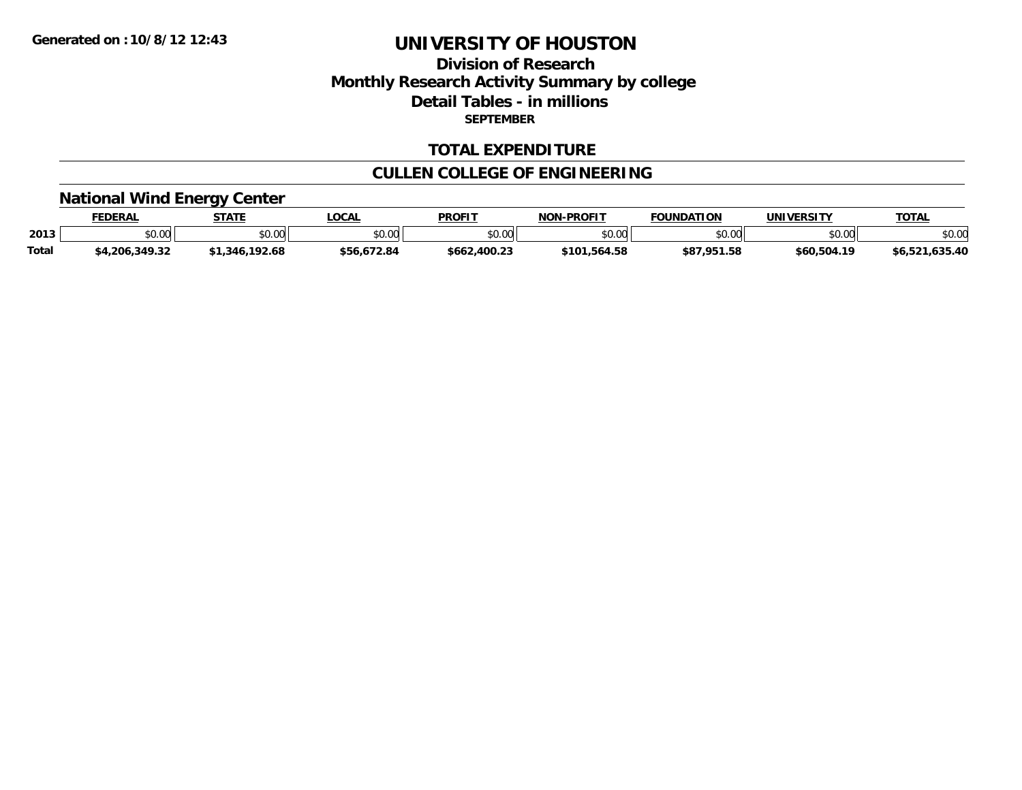## **Division of ResearchMonthly Research Activity Summary by college Detail Tables - in millions SEPTEMBER**

#### **TOTAL EXPENDITURE**

### **CULLEN COLLEGE OF ENGINEERING**

# **National Wind Energy Center**

|              | <b>FEDERAL</b> | <b>STATE</b>   | LOCAL       | <b>PROFIT</b> | <b>NON-PROFIT</b> | <b>FOUNDATION</b> | UNIVERSITY  | <b>TOTAL</b>   |
|--------------|----------------|----------------|-------------|---------------|-------------------|-------------------|-------------|----------------|
| 2013         | \$0.00         | ≮N UU<br>JU.UL | \$0.00      | \$0.00        | \$0.00            | ደበ በበ<br>DU.UU    | \$0.00      | \$0.00         |
| <b>Total</b> | \$4,206,349.32 | \$1,346,192.68 | \$56,672.84 | \$662,400.23  | \$101.564.58      | \$87.951.58       | \$60,504.19 | \$6,521,635.40 |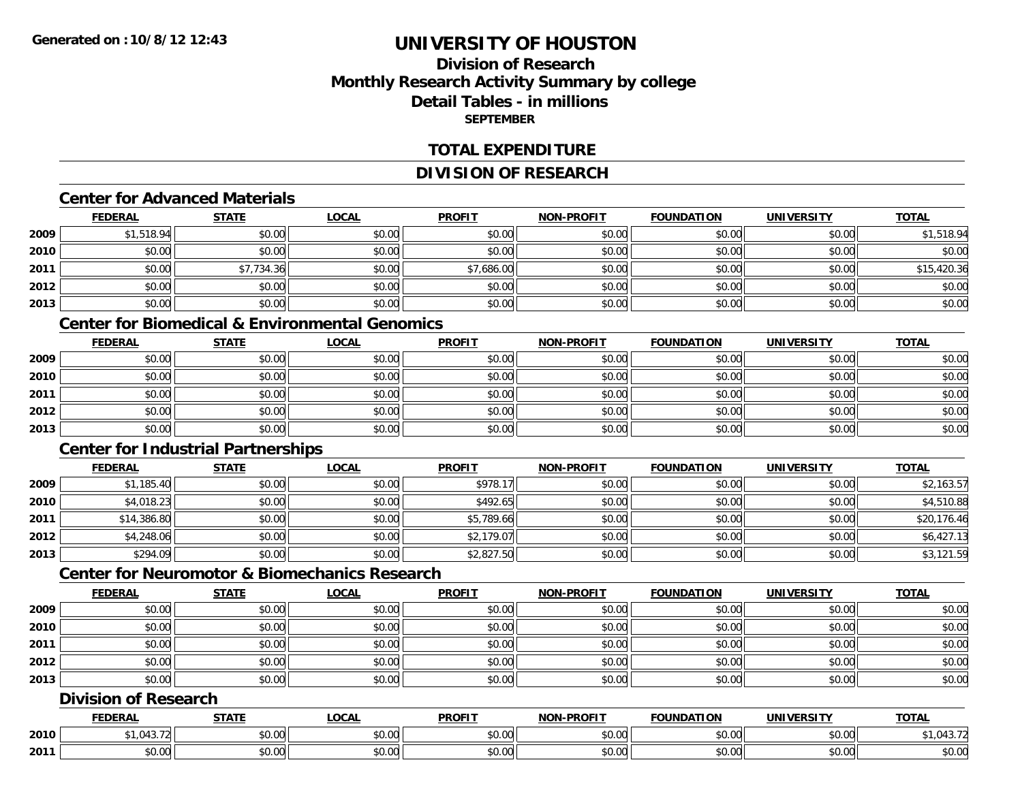## **Division of ResearchMonthly Research Activity Summary by college Detail Tables - in millionsSEPTEMBER**

#### **TOTAL EXPENDITURE**

### **DIVISION OF RESEARCH**

#### **Center for Advanced Materials**

|      | <b>FEDERAL</b> | <b>STATE</b> | <u>LOCAL</u> | <b>PROFIT</b> | <b>NON-PROFIT</b> | <b>FOUNDATION</b> | <b>UNIVERSITY</b> | <b>TOTAL</b> |
|------|----------------|--------------|--------------|---------------|-------------------|-------------------|-------------------|--------------|
| 2009 | \$1,518.94     | \$0.00       | \$0.00       | \$0.00        | \$0.00            | \$0.00            | \$0.00            | \$1,518.94   |
| 2010 | \$0.00         | \$0.00       | \$0.00       | \$0.00        | \$0.00            | \$0.00            | \$0.00            | \$0.00       |
| 2011 | \$0.00         | \$7,734.36   | \$0.00       | \$7,686.00    | \$0.00            | \$0.00            | \$0.00            | \$15,420.36  |
| 2012 | \$0.00         | \$0.00       | \$0.00       | \$0.00        | \$0.00            | \$0.00            | \$0.00            | \$0.00       |
| 2013 | \$0.00         | \$0.00       | \$0.00       | \$0.00        | \$0.00            | \$0.00            | \$0.00            | \$0.00       |

#### **Center for Biomedical & Environmental Genomics**

|      | <u>FEDERAL</u> | <u>STATE</u> | <u>LOCAL</u> | <b>PROFIT</b> | <b>NON-PROFIT</b> | <b>FOUNDATION</b> | <b>UNIVERSITY</b> | <b>TOTAL</b> |
|------|----------------|--------------|--------------|---------------|-------------------|-------------------|-------------------|--------------|
| 2009 | \$0.00         | \$0.00       | \$0.00       | \$0.00        | \$0.00            | \$0.00            | \$0.00            | \$0.00       |
| 2010 | \$0.00         | \$0.00       | \$0.00       | \$0.00        | \$0.00            | \$0.00            | \$0.00            | \$0.00       |
| 2011 | \$0.00         | \$0.00       | \$0.00       | \$0.00        | \$0.00            | \$0.00            | \$0.00            | \$0.00       |
| 2012 | \$0.00         | \$0.00       | \$0.00       | \$0.00        | \$0.00            | \$0.00            | \$0.00            | \$0.00       |
| 2013 | \$0.00         | \$0.00       | \$0.00       | \$0.00        | \$0.00            | \$0.00            | \$0.00            | \$0.00       |

## **Center for Industrial Partnerships**

|      | <u>FEDERAL</u> | <b>STATE</b> | <b>LOCAL</b> | <b>PROFIT</b> | <b>NON-PROFIT</b> | <b>FOUNDATION</b> | <b>UNIVERSITY</b> | <b>TOTAL</b> |
|------|----------------|--------------|--------------|---------------|-------------------|-------------------|-------------------|--------------|
| 2009 | \$1,185.40     | \$0.00       | \$0.00       | \$978.17      | \$0.00            | \$0.00            | \$0.00            | \$2,163.57   |
| 2010 | \$4,018.23     | \$0.00       | \$0.00       | \$492.65      | \$0.00            | \$0.00            | \$0.00            | \$4,510.88   |
| 2011 | \$14,386.80    | \$0.00       | \$0.00       | \$5,789.66    | \$0.00            | \$0.00            | \$0.00            | \$20,176.46  |
| 2012 | \$4,248.06     | \$0.00       | \$0.00       | \$2,179.07    | \$0.00            | \$0.00            | \$0.00            | \$6,427.13   |
| 2013 | \$294.09       | \$0.00       | \$0.00       | \$2,827.50    | \$0.00            | \$0.00            | \$0.00            | \$3,121.59   |

## **Center for Neuromotor & Biomechanics Research**

|      | <b>FEDERAL</b> | <u>STATE</u> | <b>LOCAL</b> | <b>PROFIT</b> | <b>NON-PROFIT</b> | <b>FOUNDATION</b> | <b>UNIVERSITY</b> | <b>TOTAL</b> |
|------|----------------|--------------|--------------|---------------|-------------------|-------------------|-------------------|--------------|
| 2009 | \$0.00         | \$0.00       | \$0.00       | \$0.00        | \$0.00            | \$0.00            | \$0.00            | \$0.00       |
| 2010 | \$0.00         | \$0.00       | \$0.00       | \$0.00        | \$0.00            | \$0.00            | \$0.00            | \$0.00       |
| 2011 | \$0.00         | \$0.00       | \$0.00       | \$0.00        | \$0.00            | \$0.00            | \$0.00            | \$0.00       |
| 2012 | \$0.00         | \$0.00       | \$0.00       | \$0.00        | \$0.00            | \$0.00            | \$0.00            | \$0.00       |
| 2013 | \$0.00         | \$0.00       | \$0.00       | \$0.00        | \$0.00            | \$0.00            | \$0.00            | \$0.00       |

### **Division of Research**

|      | <b>DERAI</b>                            | <b>CTATI</b>                  | .OCAI              | <b>PROFIT</b>      | <b>DDOEIT</b><br><b>NION</b> | TION<br>INDA. | EN. 31                   | <b>TOTAL</b> |
|------|-----------------------------------------|-------------------------------|--------------------|--------------------|------------------------------|---------------|--------------------------|--------------|
| 2010 |                                         | ÷0.<br>ט.ט                    | $\sim$ 00<br>₽U.UU | 0.00<br>ູນບ.ບບ     | 0.00<br><b>JU.UU</b>         | 40.00         | $\sim$ $\sim$<br>JUJJUU, | . ئ          |
| 2011 | $\sim$ $\sim$<br>$\overline{0}$<br>ט.טע | $\uparrow$ $\uparrow$<br>vv.u | $\sim$ 00<br>PU.UU | $\sim$ 00<br>JU.UU | 0.00<br><b>JU.UU</b>         | JU.UU         | 0.001<br>PO.OO           | \$0.00       |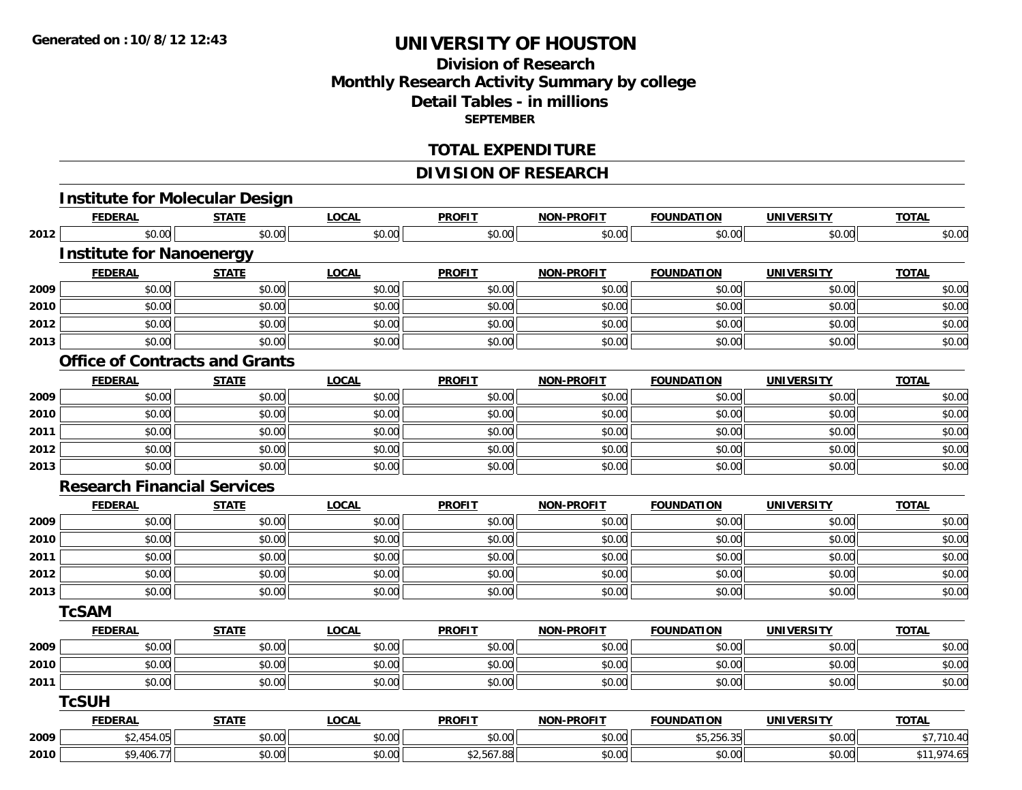## **Division of ResearchMonthly Research Activity Summary by college Detail Tables - in millions SEPTEMBER**

#### **TOTAL EXPENDITURE**

## **DIVISION OF RESEARCH**

|      | <b>Institute for Molecular Design</b> |              |              |               |                   |                   |                   |              |
|------|---------------------------------------|--------------|--------------|---------------|-------------------|-------------------|-------------------|--------------|
|      | <b>FEDERAL</b>                        | <b>STATE</b> | <b>LOCAL</b> | <b>PROFIT</b> | <b>NON-PROFIT</b> | <b>FOUNDATION</b> | <b>UNIVERSITY</b> | <b>TOTAL</b> |
| 2012 | \$0.00                                | \$0.00       | \$0.00       | \$0.00        | \$0.00            | \$0.00            | \$0.00            | \$0.00       |
|      | <b>Institute for Nanoenergy</b>       |              |              |               |                   |                   |                   |              |
|      | <b>FEDERAL</b>                        | <b>STATE</b> | <b>LOCAL</b> | <b>PROFIT</b> | <b>NON-PROFIT</b> | <b>FOUNDATION</b> | <b>UNIVERSITY</b> | <b>TOTAL</b> |
| 2009 | \$0.00                                | \$0.00       | \$0.00       | \$0.00        | \$0.00            | \$0.00            | \$0.00            | \$0.00       |
| 2010 | \$0.00                                | \$0.00       | \$0.00       | \$0.00        | \$0.00            | \$0.00            | \$0.00            | \$0.00       |
| 2012 | \$0.00                                | \$0.00       | \$0.00       | \$0.00        | \$0.00            | \$0.00            | \$0.00            | \$0.00       |
| 2013 | \$0.00                                | \$0.00       | \$0.00       | \$0.00        | \$0.00            | \$0.00            | \$0.00            | \$0.00       |
|      | <b>Office of Contracts and Grants</b> |              |              |               |                   |                   |                   |              |
|      | <b>FEDERAL</b>                        | <b>STATE</b> | <b>LOCAL</b> | <b>PROFIT</b> | <b>NON-PROFIT</b> | <b>FOUNDATION</b> | <b>UNIVERSITY</b> | <b>TOTAL</b> |
| 2009 | \$0.00                                | \$0.00       | \$0.00       | \$0.00        | \$0.00            | \$0.00            | \$0.00            | \$0.00       |
| 2010 | \$0.00                                | \$0.00       | \$0.00       | \$0.00        | \$0.00            | \$0.00            | \$0.00            | \$0.00       |
| 2011 | \$0.00                                | \$0.00       | \$0.00       | \$0.00        | \$0.00            | \$0.00            | \$0.00            | \$0.00       |
| 2012 | \$0.00                                | \$0.00       | \$0.00       | \$0.00        | \$0.00            | \$0.00            | \$0.00            | \$0.00       |
| 2013 | \$0.00                                | \$0.00       | \$0.00       | \$0.00        | \$0.00            | \$0.00            | \$0.00            | \$0.00       |
|      | <b>Research Financial Services</b>    |              |              |               |                   |                   |                   |              |
|      | <b>FEDERAL</b>                        | <b>STATE</b> | <b>LOCAL</b> | <b>PROFIT</b> | <b>NON-PROFIT</b> | <b>FOUNDATION</b> | <b>UNIVERSITY</b> | <b>TOTAL</b> |
| 2009 | \$0.00                                | \$0.00       | \$0.00       | \$0.00        | \$0.00            | \$0.00            | \$0.00            | \$0.00       |
| 2010 | \$0.00                                | \$0.00       | \$0.00       | \$0.00        | \$0.00            | \$0.00            | \$0.00            | \$0.00       |
| 2011 | \$0.00                                | \$0.00       | \$0.00       | \$0.00        | \$0.00            | \$0.00            | \$0.00            | \$0.00       |
| 2012 | \$0.00                                | \$0.00       | \$0.00       | \$0.00        | \$0.00            | \$0.00            | \$0.00            | \$0.00       |
| 2013 | \$0.00                                | \$0.00       | \$0.00       | \$0.00        | \$0.00            | \$0.00            | \$0.00            | \$0.00       |
|      | <b>TcSAM</b>                          |              |              |               |                   |                   |                   |              |
|      | <b>FEDERAL</b>                        | <b>STATE</b> | <b>LOCAL</b> | <b>PROFIT</b> | <b>NON-PROFIT</b> | <b>FOUNDATION</b> | <b>UNIVERSITY</b> | <b>TOTAL</b> |
| 2009 | \$0.00                                | \$0.00       | \$0.00       | \$0.00        | \$0.00            | \$0.00            | \$0.00            | \$0.00       |
| 2010 | \$0.00                                | \$0.00       | \$0.00       | \$0.00        | \$0.00            | \$0.00            | \$0.00            | \$0.00       |
| 2011 | \$0.00                                | \$0.00       | \$0.00       | \$0.00        | \$0.00            | \$0.00            | \$0.00            | \$0.00       |
|      | <b>TcSUH</b>                          |              |              |               |                   |                   |                   |              |
|      | <b>FEDERAL</b>                        | <b>STATE</b> | <b>LOCAL</b> | <b>PROFIT</b> | <b>NON-PROFIT</b> | <b>FOUNDATION</b> | <b>UNIVERSITY</b> | <b>TOTAL</b> |
| 2009 | \$2,454.05                            | \$0.00       | \$0.00       | \$0.00        | \$0.00            | \$5,256.35        | \$0.00            | \$7,710.40   |
| 2010 | \$9,406.77                            | \$0.00       | \$0.00       | \$2,567.88    | \$0.00            | \$0.00            | \$0.00            | \$11,974.65  |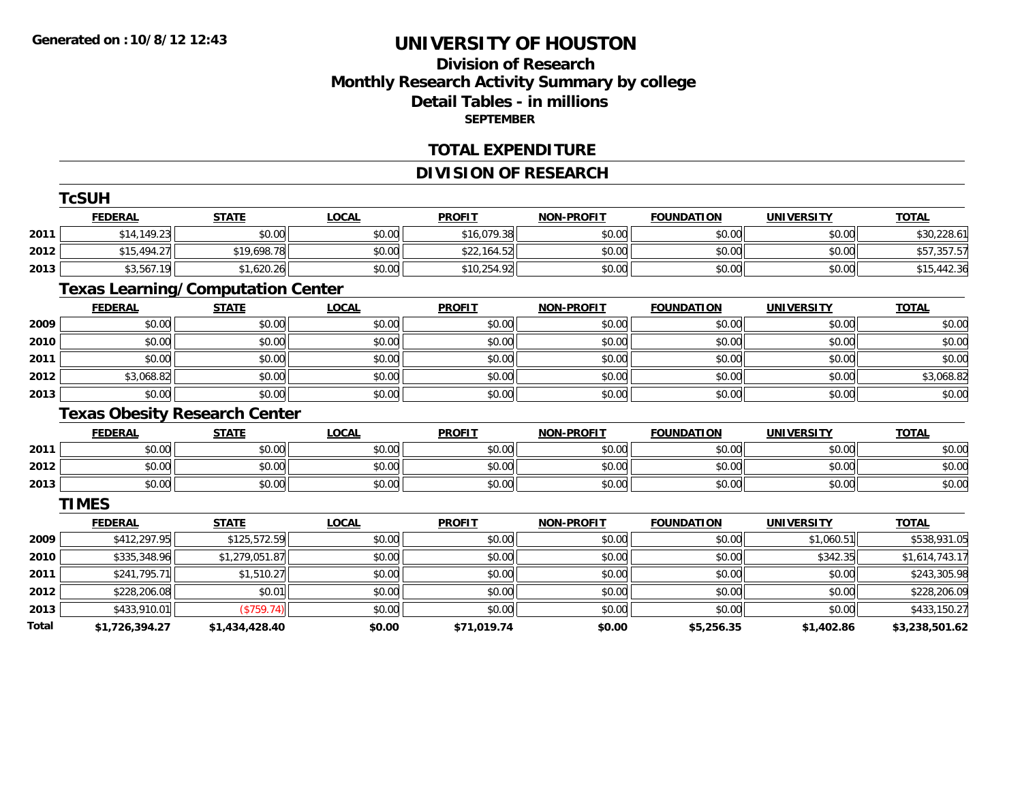## **Division of ResearchMonthly Research Activity Summary by college Detail Tables - in millions SEPTEMBER**

#### **TOTAL EXPENDITURE**

## **DIVISION OF RESEARCH**

|       | <b>TcSUH</b>   |                                          |              |               |                   |                   |                   |                |
|-------|----------------|------------------------------------------|--------------|---------------|-------------------|-------------------|-------------------|----------------|
|       | <b>FEDERAL</b> | <b>STATE</b>                             | <b>LOCAL</b> | <b>PROFIT</b> | <b>NON-PROFIT</b> | <b>FOUNDATION</b> | <b>UNIVERSITY</b> | <b>TOTAL</b>   |
| 2011  | \$14,149.23    | \$0.00                                   | \$0.00       | \$16,079.38   | \$0.00            | \$0.00            | \$0.00            | \$30,228.61    |
| 2012  | \$15,494.27    | \$19,698.78                              | \$0.00       | \$22,164.52   | \$0.00            | \$0.00            | \$0.00            | \$57,357.57    |
| 2013  | \$3,567.19     | \$1,620.26                               | \$0.00       | \$10,254.92   | \$0.00            | \$0.00            | \$0.00            | \$15,442.36    |
|       |                | <b>Texas Learning/Computation Center</b> |              |               |                   |                   |                   |                |
|       | <b>FEDERAL</b> | <b>STATE</b>                             | <b>LOCAL</b> | <b>PROFIT</b> | <b>NON-PROFIT</b> | <b>FOUNDATION</b> | <b>UNIVERSITY</b> | <b>TOTAL</b>   |
| 2009  | \$0.00         | \$0.00                                   | \$0.00       | \$0.00        | \$0.00            | \$0.00            | \$0.00            | \$0.00         |
| 2010  | \$0.00         | \$0.00                                   | \$0.00       | \$0.00        | \$0.00            | \$0.00            | \$0.00            | \$0.00         |
| 2011  | \$0.00         | \$0.00                                   | \$0.00       | \$0.00        | \$0.00            | \$0.00            | \$0.00            | \$0.00         |
| 2012  | \$3,068.82     | \$0.00                                   | \$0.00       | \$0.00        | \$0.00            | \$0.00            | \$0.00            | \$3,068.82     |
| 2013  | \$0.00         | \$0.00                                   | \$0.00       | \$0.00        | \$0.00            | \$0.00            | \$0.00            | \$0.00         |
|       |                | <b>Texas Obesity Research Center</b>     |              |               |                   |                   |                   |                |
|       | <b>FEDERAL</b> | <b>STATE</b>                             | <b>LOCAL</b> | <b>PROFIT</b> | <b>NON-PROFIT</b> | <b>FOUNDATION</b> | <b>UNIVERSITY</b> | <b>TOTAL</b>   |
| 2011  | \$0.00         | \$0.00                                   | \$0.00       | \$0.00        | \$0.00            | \$0.00            | \$0.00            | \$0.00         |
| 2012  | \$0.00         | \$0.00                                   | \$0.00       | \$0.00        | \$0.00            | \$0.00            | \$0.00            | \$0.00         |
| 2013  | \$0.00         | \$0.00                                   | \$0.00       | \$0.00        | \$0.00            | \$0.00            | \$0.00            | \$0.00         |
|       | <b>TIMES</b>   |                                          |              |               |                   |                   |                   |                |
|       | <b>FEDERAL</b> | <b>STATE</b>                             | <b>LOCAL</b> | <b>PROFIT</b> | <b>NON-PROFIT</b> | <b>FOUNDATION</b> | <b>UNIVERSITY</b> | <b>TOTAL</b>   |
| 2009  | \$412,297.95   | \$125,572.59                             | \$0.00       | \$0.00        | \$0.00            | \$0.00            | \$1,060.51        | \$538,931.05   |
| 2010  | \$335,348.96   | \$1,279,051.87                           | \$0.00       | \$0.00        | \$0.00            | \$0.00            | \$342.35          | \$1,614,743.17 |
| 2011  | \$241,795.71   | \$1,510.27                               | \$0.00       | \$0.00        | \$0.00            | \$0.00            | \$0.00            | \$243,305.98   |
| 2012  | \$228,206.08   | \$0.01                                   | \$0.00       | \$0.00        | \$0.00            | \$0.00            | \$0.00            | \$228,206.09   |
| 2013  | \$433,910.01   | (\$759.74)                               | \$0.00       | \$0.00        | \$0.00            | \$0.00            | \$0.00            | \$433,150.27   |
| Total | \$1,726,394.27 | \$1,434,428.40                           | \$0.00       | \$71,019.74   | \$0.00            | \$5,256.35        | \$1,402.86        | \$3,238,501.62 |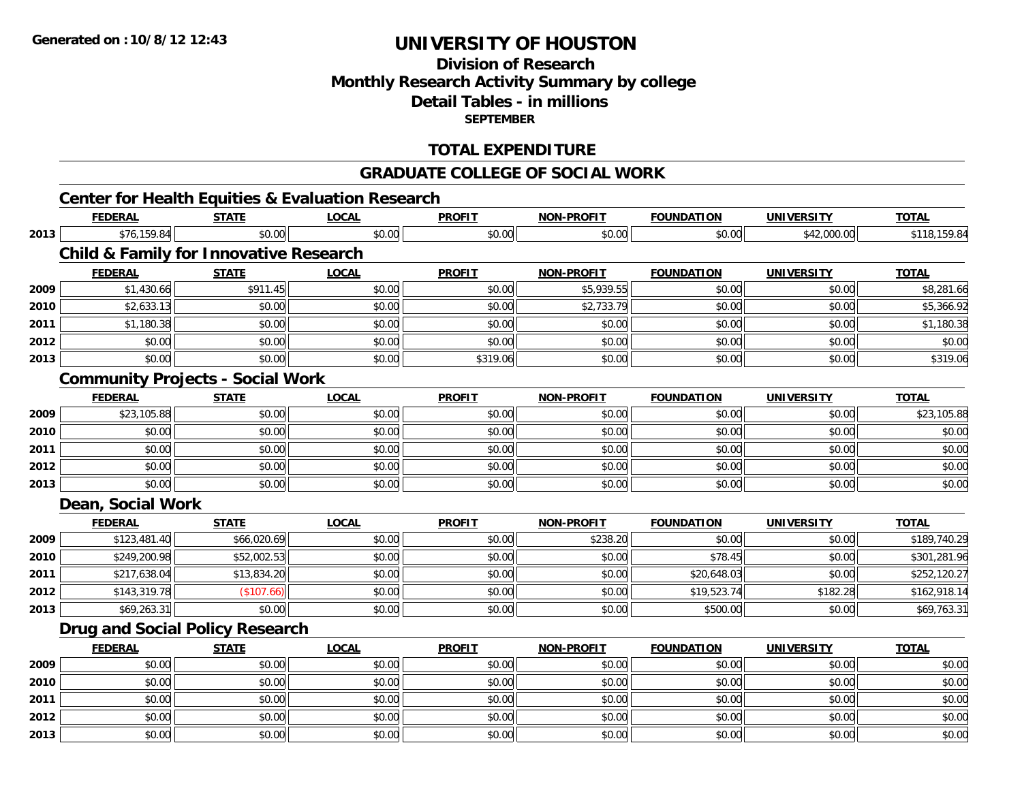## **Division of ResearchMonthly Research Activity Summary by college Detail Tables - in millions SEPTEMBER**

### **TOTAL EXPENDITURE**

#### **GRADUATE COLLEGE OF SOCIAL WORK**

# **Center for Health Equities & Evaluation Research**

|      | <b>FEDERAL</b>                                    | <b>STATE</b> | <b>LOCAL</b> | <b>PROFIT</b> | <b>NON-PROFIT</b> | <b>FOUNDATION</b> | <b>UNIVERSITY</b> | <b>TOTAL</b> |
|------|---------------------------------------------------|--------------|--------------|---------------|-------------------|-------------------|-------------------|--------------|
| 2013 | \$76,159.84                                       | \$0.00       | \$0.00       | \$0.00        | \$0.00            | \$0.00            | \$42,000.00       | \$118,159.84 |
|      | <b>Child &amp; Family for Innovative Research</b> |              |              |               |                   |                   |                   |              |
|      | <b>FEDERAL</b>                                    | <b>STATE</b> | <b>LOCAL</b> | <b>PROFIT</b> | <b>NON-PROFIT</b> | <b>FOUNDATION</b> | <b>UNIVERSITY</b> | <b>TOTAL</b> |
| 2009 | \$1,430.66                                        | \$911.45     | \$0.00       | \$0.00        | \$5,939.55        | \$0.00            | \$0.00            | \$8,281.66   |
| 2010 | \$2,633.13                                        | \$0.00       | \$0.00       | \$0.00        | \$2,733.79        | \$0.00            | \$0.00            | \$5,366.92   |
| 2011 | \$1,180.38                                        | \$0.00       | \$0.00       | \$0.00        | \$0.00            | \$0.00            | \$0.00            | \$1,180.38   |
| 2012 | \$0.00                                            | \$0.00       | \$0.00       | \$0.00        | \$0.00            | \$0.00            | \$0.00            | \$0.00       |
| 2013 | \$0.00                                            | \$0.00       | \$0.00       | \$319.06      | \$0.00            | \$0.00            | \$0.00            | \$319.06     |
|      | <b>Community Projects - Social Work</b>           |              |              |               |                   |                   |                   |              |
|      | <b>FEDERAL</b>                                    | <b>STATE</b> | <b>LOCAL</b> | <b>PROFIT</b> | <b>NON-PROFIT</b> | <b>FOUNDATION</b> | <b>UNIVERSITY</b> | <b>TOTAL</b> |
| 2009 | \$23,105.88                                       | \$0.00       | \$0.00       | \$0.00        | \$0.00            | \$0.00            | \$0.00            | \$23,105.88  |
| 2010 | \$0.00                                            | \$0.00       | \$0.00       | \$0.00        | \$0.00            | \$0.00            | \$0.00            | \$0.00       |
| 2011 | \$0.00                                            | \$0.00       | \$0.00       | \$0.00        | \$0.00            | \$0.00            | \$0.00            | \$0.00       |
| 2012 | \$0.00                                            | \$0.00       | \$0.00       | \$0.00        | \$0.00            | \$0.00            | \$0.00            | \$0.00       |
| 2013 | \$0.00                                            | \$0.00       | \$0.00       | \$0.00        | \$0.00            | \$0.00            | \$0.00            | \$0.00       |
|      | Dean, Social Work                                 |              |              |               |                   |                   |                   |              |
|      | <b>FEDERAL</b>                                    | <b>STATE</b> | <b>LOCAL</b> | <b>PROFIT</b> | <b>NON-PROFIT</b> | <b>FOUNDATION</b> | <b>UNIVERSITY</b> | <b>TOTAL</b> |
| 2009 | \$123,481.40                                      | \$66,020.69  | \$0.00       | \$0.00        | \$238.20          | \$0.00            | \$0.00            | \$189,740.29 |
| 2010 | \$249,200.98                                      | \$52,002.53  | \$0.00       | \$0.00        | \$0.00            | \$78.45           | \$0.00            | \$301,281.96 |
| 2011 | \$217,638.04                                      | \$13,834.20  | \$0.00       | \$0.00        | \$0.00            | \$20,648.03       | \$0.00            | \$252,120.27 |
| 2012 | \$143,319.78                                      | (\$107.66)   | \$0.00       | \$0.00        | \$0.00            | \$19,523.74       | \$182.28          | \$162,918.14 |
| 2013 | \$69,263.31                                       | \$0.00       | \$0.00       | \$0.00        | \$0.00            | \$500.00          | \$0.00            | \$69,763.31  |
|      | Drug and Social Policy Research                   |              |              |               |                   |                   |                   |              |
|      | <b>FEDERAL</b>                                    | <b>STATE</b> | <b>LOCAL</b> | <b>PROFIT</b> | <b>NON-PROFIT</b> | <b>FOUNDATION</b> | <b>UNIVERSITY</b> | <b>TOTAL</b> |
| 2009 | \$0.00                                            | \$0.00       | \$0.00       | \$0.00        | \$0.00            | \$0.00            | \$0.00            | \$0.00       |
| 2010 | \$0.00                                            | \$0.00       | \$0.00       | \$0.00        | \$0.00            | \$0.00            | \$0.00            | \$0.00       |
| 2011 | \$0.00                                            | \$0.00       | \$0.00       | \$0.00        | \$0.00            | \$0.00            | \$0.00            | \$0.00       |
| 2012 | \$0.00                                            | \$0.00       | \$0.00       | \$0.00        | \$0.00            | \$0.00            | \$0.00            | \$0.00       |
| 2013 | \$0.00                                            | \$0.00       | \$0.00       | \$0.00        | \$0.00            | \$0.00            | \$0.00            | \$0.00       |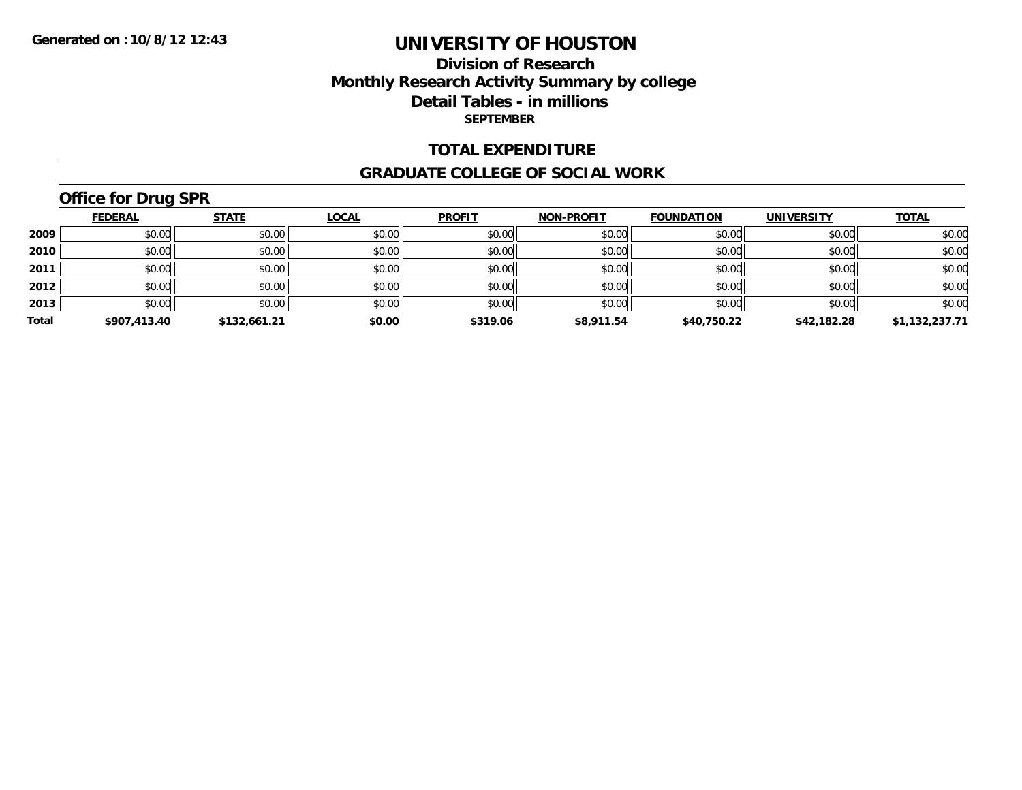### **Division of Research Monthly Research Activity Summary by college Detail Tables - in millions SEPTEMBER**

#### **TOTAL EXPENDITURE**

#### **GRADUATE COLLEGE OF SOCIAL WORK**

## **Office for Drug SPR**

|       | <b>FEDERAL</b> | <b>STATE</b> | <b>LOCAL</b> | <b>PROFIT</b> | <b>NON-PROFIT</b> | <b>FOUNDATION</b> | <b>UNIVERSITY</b> | <u>TOTAL</u>   |
|-------|----------------|--------------|--------------|---------------|-------------------|-------------------|-------------------|----------------|
| 2009  | \$0.00         | \$0.00       | \$0.00       | \$0.00        | \$0.00            | \$0.00            | \$0.00            | \$0.00         |
| 2010  | \$0.00         | \$0.00       | \$0.00       | \$0.00        | \$0.00            | \$0.00            | \$0.00            | \$0.00         |
| 2011  | \$0.00         | \$0.00       | \$0.00       | \$0.00        | \$0.00            | \$0.00            | \$0.00            | \$0.00         |
| 2012  | \$0.00         | \$0.00       | \$0.00       | \$0.00        | \$0.00            | \$0.00            | \$0.00            | \$0.00         |
| 2013  | \$0.00         | \$0.00       | \$0.00       | \$0.00        | \$0.00            | \$0.00            | \$0.00            | \$0.00         |
| Total | \$907,413.40   | \$132,661.21 | \$0.00       | \$319.06      | \$8,911.54        | \$40,750.22       | \$42,182.28       | \$1,132,237.71 |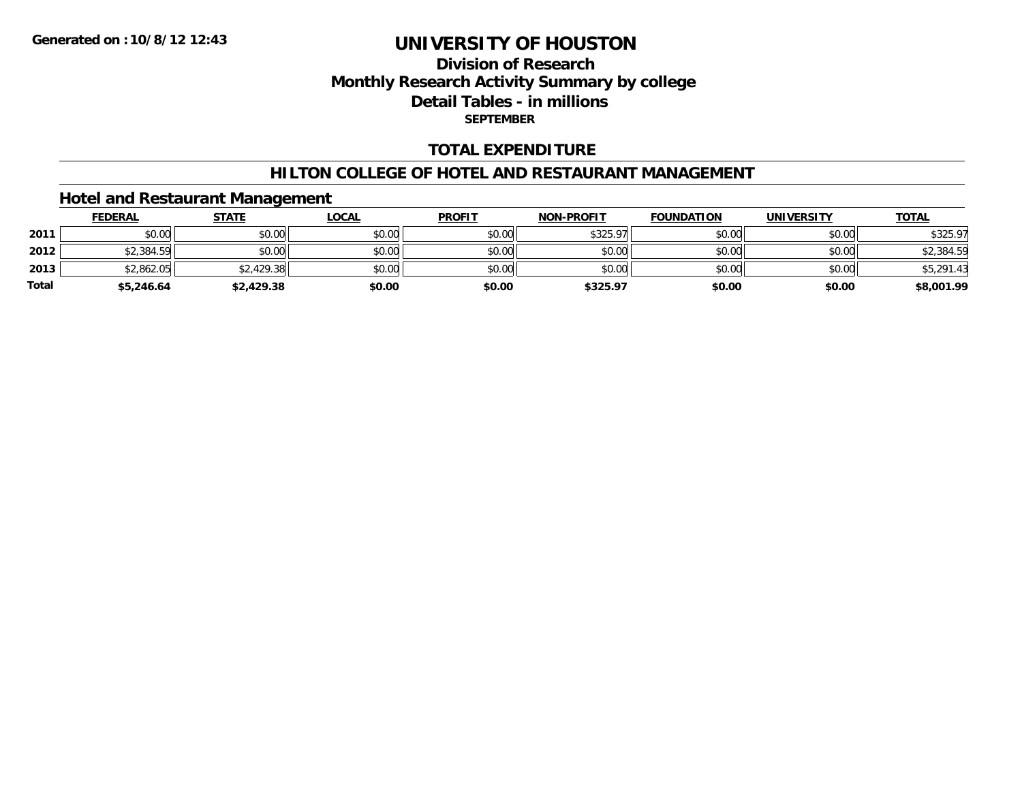## **Division of ResearchMonthly Research Activity Summary by college Detail Tables - in millions SEPTEMBER**

#### **TOTAL EXPENDITURE**

#### **HILTON COLLEGE OF HOTEL AND RESTAURANT MANAGEMENT**

### **Hotel and Restaurant Management**

|              | <b>FEDERAL</b> | <u>STATE</u> | <u>LOCAL</u> | <b>PROFIT</b> | <b>NON-PROFIT</b> | <b>FOUNDATION</b> | <b>UNIVERSITY</b> | <b>TOTAL</b> |
|--------------|----------------|--------------|--------------|---------------|-------------------|-------------------|-------------------|--------------|
| 2011         | \$0.00         | \$0.00       | \$0.00       | \$0.00        | \$325.97          | \$0.00            | \$0.00            | \$325.97     |
| 2012         | \$2,384.59     | \$0.00       | \$0.00       | \$0.00        | \$0.00            | \$0.00            | \$0.00            | \$2,384.59   |
| 2013         | \$2,862.05     | \$2,429.38   | \$0.00       | \$0.00        | \$0.00            | \$0.00            | \$0.00            | \$5,291.43   |
| <b>Total</b> | \$5,246.64     | \$2,429.38   | \$0.00       | \$0.00        | \$325.97          | \$0.00            | \$0.00            | \$8,001.99   |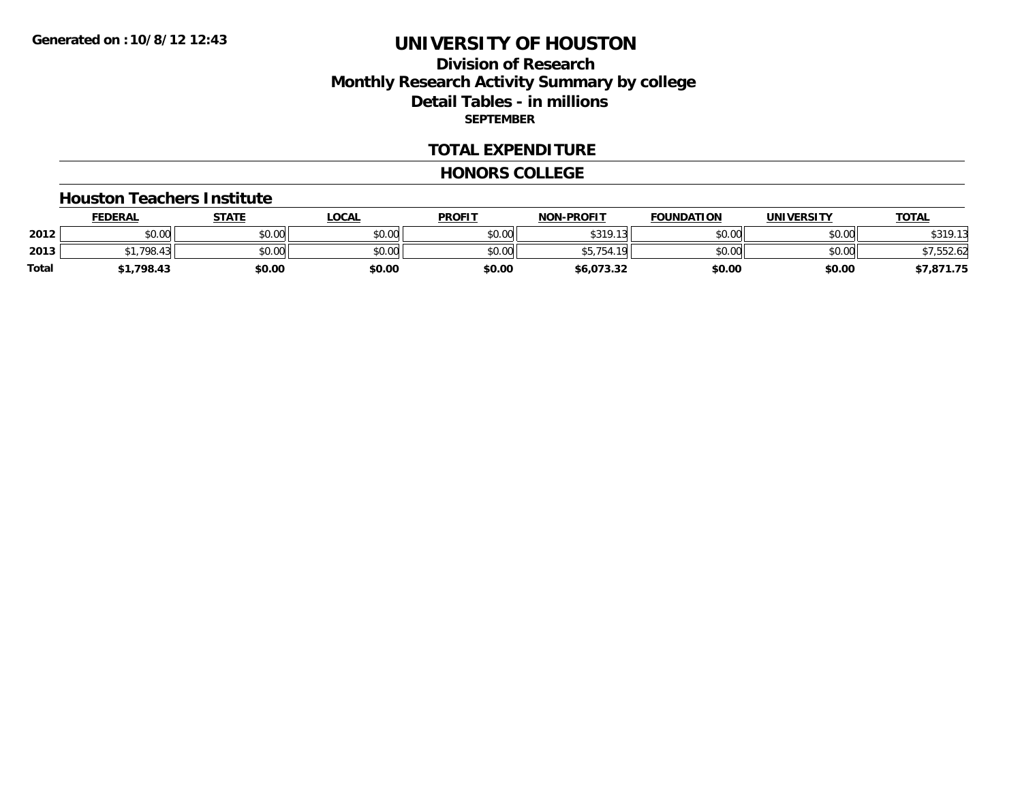## **Division of ResearchMonthly Research Activity Summary by college Detail Tables - in millions SEPTEMBER**

#### **TOTAL EXPENDITURE**

#### **HONORS COLLEGE**

#### **Houston Teachers Institute**

|       | <b>FEDERAL</b> | STATE  | <u>LOCAL</u> | <b>PROFIT</b> | <b>NON-PROFIT</b> | <b>FOUNDATION</b> | <b>UNIVERSITY</b> | <b>TOTAL</b> |
|-------|----------------|--------|--------------|---------------|-------------------|-------------------|-------------------|--------------|
| 2012  | \$0.00         | \$0.00 | \$0.00       | \$0.00        | \$319.1           | \$0.00            | \$0.00            | \$319.13     |
| 2013  | 798.43         | \$0.00 | \$0.00       | \$0.00        | 1 O I<br>JJ. I JT | \$0.00            | \$0.00            | $*7.552.62$  |
| Total | 61,798.43      | \$0.00 | \$0.00       | \$0.00        | \$6,073.32        | \$0.00            | \$0.00            | \$7,871.75   |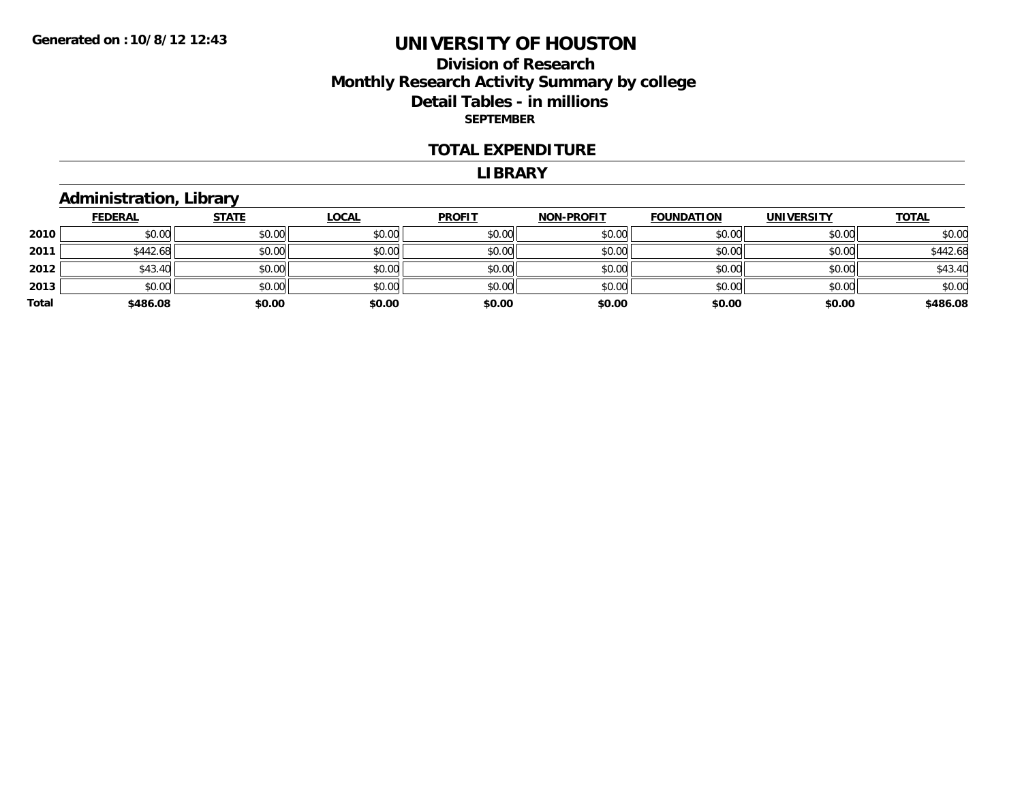### **Division of Research Monthly Research Activity Summary by college Detail Tables - in millions SEPTEMBER**

#### **TOTAL EXPENDITURE**

#### **LIBRARY**

### **Administration, Library**

|       | <b>FEDERAL</b> | <b>STATE</b> | <b>LOCAL</b> | <b>PROFIT</b> | <b>NON-PROFIT</b> | <b>FOUNDATION</b> | <b>UNIVERSITY</b> | <b>TOTAL</b> |
|-------|----------------|--------------|--------------|---------------|-------------------|-------------------|-------------------|--------------|
| 2010  | \$0.00         | \$0.00       | \$0.00       | \$0.00        | \$0.00            | \$0.00            | \$0.00            | \$0.00       |
| 2011  | \$442.68       | \$0.00       | \$0.00       | \$0.00        | \$0.00            | \$0.00            | \$0.00            | \$442.68     |
| 2012  | \$43.40        | \$0.00       | \$0.00       | \$0.00        | \$0.00            | \$0.00            | \$0.00            | \$43.40      |
| 2013  | \$0.00         | \$0.00       | \$0.00       | \$0.00        | \$0.00            | \$0.00            | \$0.00            | \$0.00       |
| Total | \$486.08       | \$0.00       | \$0.00       | \$0.00        | \$0.00            | \$0.00            | \$0.00            | \$486.08     |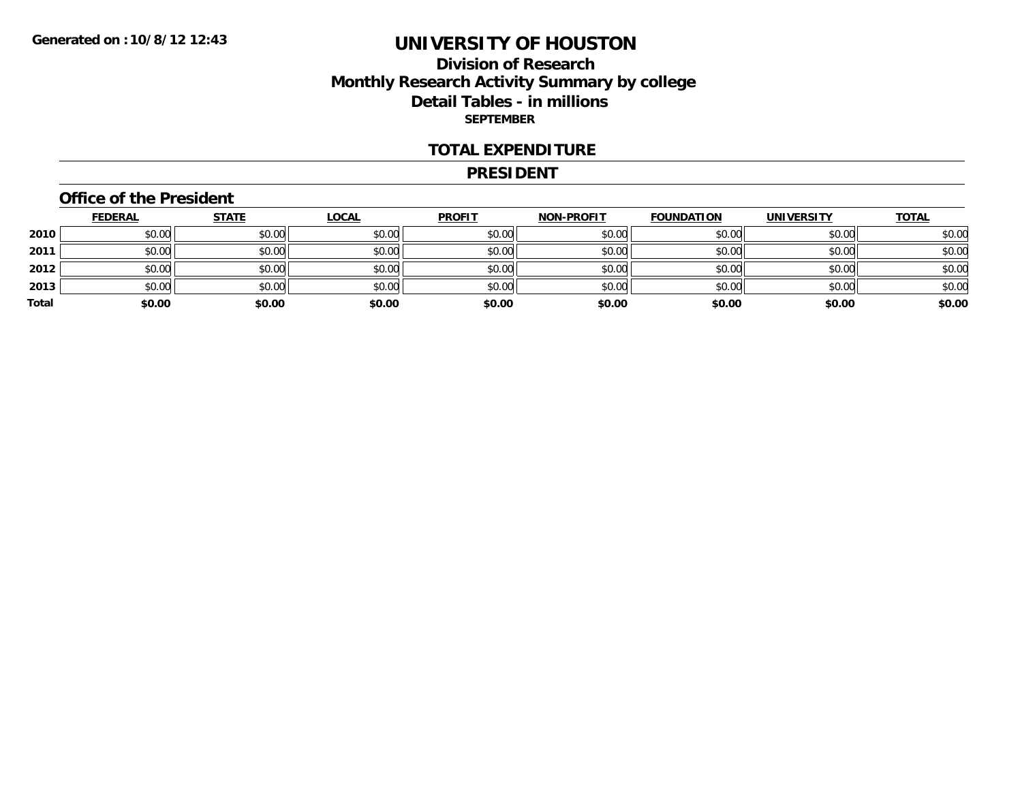### **Division of Research Monthly Research Activity Summary by college Detail Tables - in millions SEPTEMBER**

#### **TOTAL EXPENDITURE**

#### **PRESIDENT**

#### **Office of the President**

|       | <b>FEDERAL</b> | <b>STATE</b> | <b>LOCAL</b> | <b>PROFIT</b> | <b>NON-PROFIT</b> | <b>FOUNDATION</b> | <b>UNIVERSITY</b> | <b>TOTAL</b> |
|-------|----------------|--------------|--------------|---------------|-------------------|-------------------|-------------------|--------------|
| 2010  | \$0.00         | \$0.00       | \$0.00       | \$0.00        | \$0.00            | \$0.00            | \$0.00            | \$0.00       |
| 2011  | \$0.00         | \$0.00       | \$0.00       | \$0.00        | \$0.00            | \$0.00            | \$0.00            | \$0.00       |
| 2012  | \$0.00         | \$0.00       | \$0.00       | \$0.00        | \$0.00            | \$0.00            | \$0.00            | \$0.00       |
| 2013  | \$0.00         | \$0.00       | \$0.00       | \$0.00        | \$0.00            | \$0.00            | \$0.00            | \$0.00       |
| Total | \$0.00         | \$0.00       | \$0.00       | \$0.00        | \$0.00            | \$0.00            | \$0.00            | \$0.00       |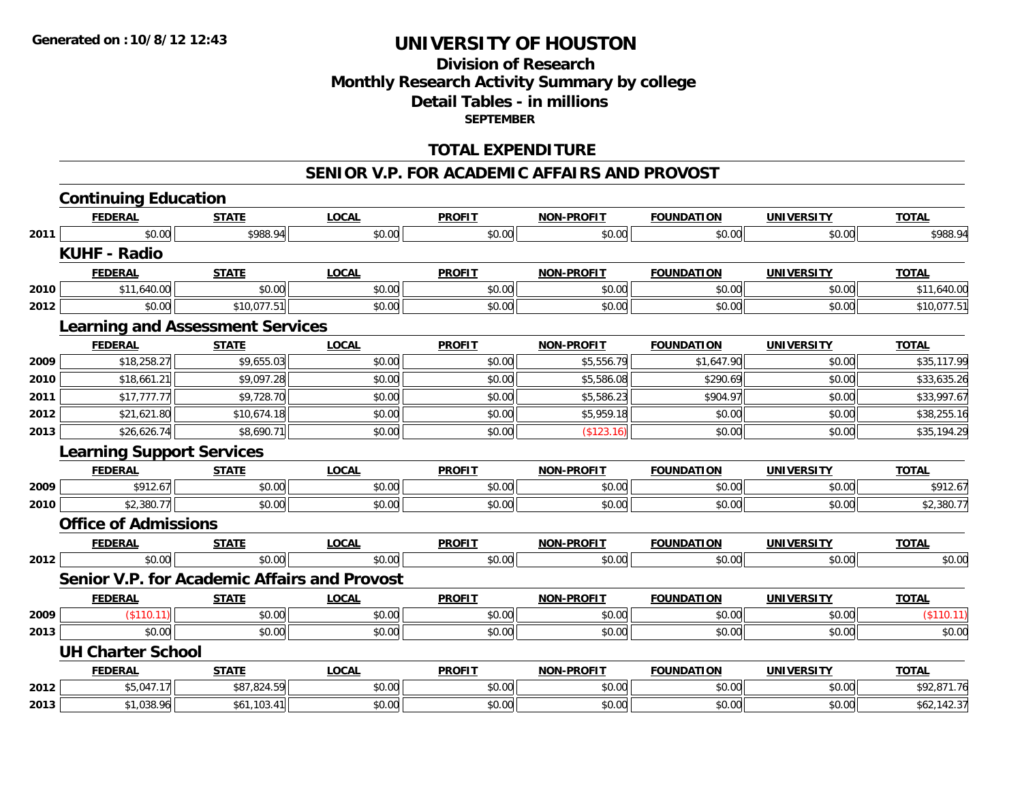## **Division of ResearchMonthly Research Activity Summary by college Detail Tables - in millions SEPTEMBER**

#### **TOTAL EXPENDITURE**

#### **SENIOR V.P. FOR ACADEMIC AFFAIRS AND PROVOST**

|      | <b>Continuing Education</b>                         |              |              |               |                   |                   |                   |              |
|------|-----------------------------------------------------|--------------|--------------|---------------|-------------------|-------------------|-------------------|--------------|
|      | <b>FEDERAL</b>                                      | <b>STATE</b> | <b>LOCAL</b> | <b>PROFIT</b> | NON-PROFIT        | <b>FOUNDATION</b> | <b>UNIVERSITY</b> | <b>TOTAL</b> |
| 2011 | \$0.00                                              | \$988.94     | \$0.00       | \$0.00        | \$0.00            | \$0.00            | \$0.00            | \$988.94     |
|      | <b>KUHF - Radio</b>                                 |              |              |               |                   |                   |                   |              |
|      | <b>FEDERAL</b>                                      | <b>STATE</b> | <b>LOCAL</b> | <b>PROFIT</b> | <b>NON-PROFIT</b> | <b>FOUNDATION</b> | <b>UNIVERSITY</b> | <b>TOTAL</b> |
| 2010 | \$11,640.00                                         | \$0.00       | \$0.00       | \$0.00        | \$0.00            | \$0.00            | \$0.00            | \$11,640.00  |
| 2012 | \$0.00                                              | \$10,077.51  | \$0.00       | \$0.00        | \$0.00            | \$0.00            | \$0.00            | \$10,077.51  |
|      | <b>Learning and Assessment Services</b>             |              |              |               |                   |                   |                   |              |
|      | <b>FEDERAL</b>                                      | <b>STATE</b> | <b>LOCAL</b> | <b>PROFIT</b> | NON-PROFIT        | <b>FOUNDATION</b> | <b>UNIVERSITY</b> | <b>TOTAL</b> |
| 2009 | \$18,258.27                                         | \$9,655.03   | \$0.00       | \$0.00        | \$5,556.79        | \$1,647.90        | \$0.00            | \$35,117.99  |
| 2010 | \$18,661.21                                         | \$9,097.28   | \$0.00       | \$0.00        | \$5,586.08        | \$290.69          | \$0.00            | \$33,635.26  |
| 2011 | \$17,777.77                                         | \$9,728.70   | \$0.00       | \$0.00        | \$5,586.23        | \$904.97          | \$0.00            | \$33,997.67  |
| 2012 | \$21,621.80                                         | \$10,674.18  | \$0.00       | \$0.00        | \$5,959.18        | \$0.00            | \$0.00            | \$38,255.16  |
| 2013 | \$26,626.74                                         | \$8,690.71   | \$0.00       | \$0.00        | (\$123.16)        | \$0.00            | \$0.00            | \$35,194.29  |
|      | <b>Learning Support Services</b>                    |              |              |               |                   |                   |                   |              |
|      | <b>FEDERAL</b>                                      | <b>STATE</b> | <b>LOCAL</b> | <b>PROFIT</b> | <b>NON-PROFIT</b> | <b>FOUNDATION</b> | <b>UNIVERSITY</b> | <b>TOTAL</b> |
| 2009 | \$912.67                                            | \$0.00       | \$0.00       | \$0.00        | \$0.00            | \$0.00            | \$0.00            | \$912.67     |
| 2010 | \$2,380.77                                          | \$0.00       | \$0.00       | \$0.00        | \$0.00            | \$0.00            | \$0.00            | \$2,380.77   |
|      | <b>Office of Admissions</b>                         |              |              |               |                   |                   |                   |              |
|      | <b>FEDERAL</b>                                      | <b>STATE</b> | <b>LOCAL</b> | <b>PROFIT</b> | <b>NON-PROFIT</b> | <b>FOUNDATION</b> | <b>UNIVERSITY</b> | <b>TOTAL</b> |
| 2012 | \$0.00                                              | \$0.00       | \$0.00       | \$0.00        | \$0.00            | \$0.00            | \$0.00            | \$0.00       |
|      | <b>Senior V.P. for Academic Affairs and Provost</b> |              |              |               |                   |                   |                   |              |
|      | <b>FEDERAL</b>                                      | <b>STATE</b> | <b>LOCAL</b> | <b>PROFIT</b> | <b>NON-PROFIT</b> | <b>FOUNDATION</b> | <b>UNIVERSITY</b> | <b>TOTAL</b> |
| 2009 | (\$110.11)                                          | \$0.00       | \$0.00       | \$0.00        | \$0.00            | \$0.00            | \$0.00            | (\$110.11)   |
| 2013 | \$0.00                                              | \$0.00       | \$0.00       | \$0.00        | \$0.00            | \$0.00            | \$0.00            | \$0.00       |
|      | <b>UH Charter School</b>                            |              |              |               |                   |                   |                   |              |
|      | <b>FEDERAL</b>                                      | <b>STATE</b> | <b>LOCAL</b> | <b>PROFIT</b> | <b>NON-PROFIT</b> | <b>FOUNDATION</b> | <b>UNIVERSITY</b> | <b>TOTAL</b> |
| 2012 | \$5,047.17                                          | \$87,824.59  | \$0.00       | \$0.00        | \$0.00            | \$0.00            | \$0.00            | \$92,871.76  |
| 2013 | \$1,038.96                                          | \$61,103.41  | \$0.00       | \$0.00        | \$0.00            | \$0.00            | \$0.00            | \$62,142.37  |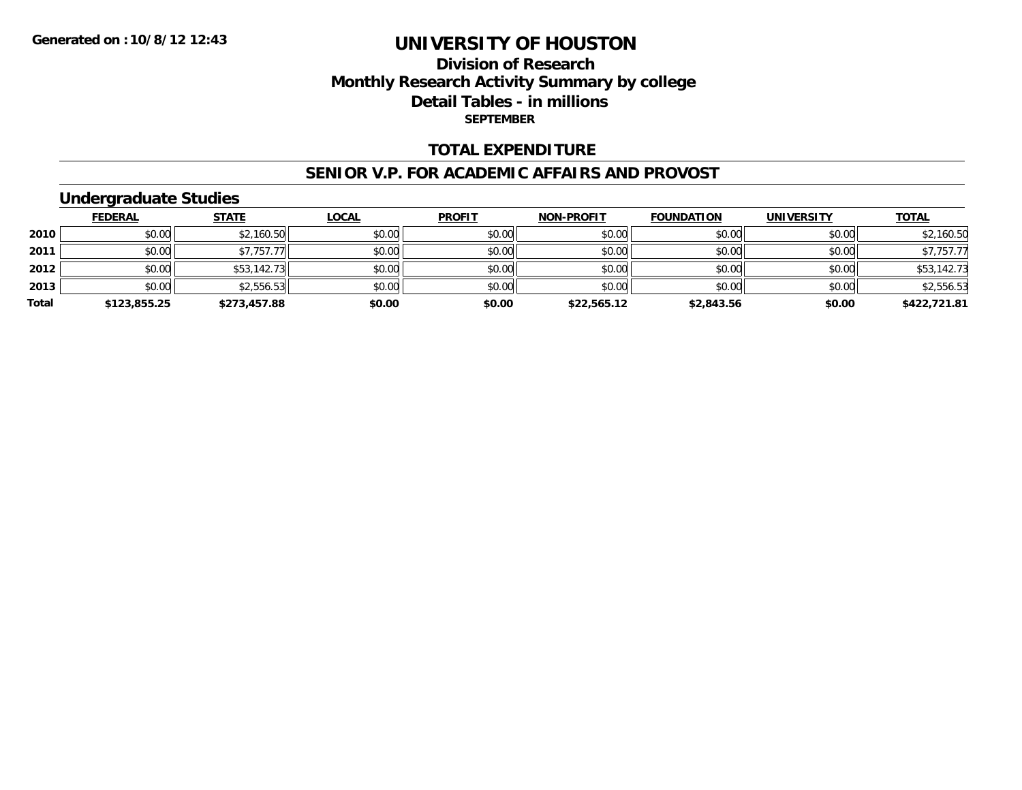## **Division of ResearchMonthly Research Activity Summary by college Detail Tables - in millions SEPTEMBER**

#### **TOTAL EXPENDITURE**

#### **SENIOR V.P. FOR ACADEMIC AFFAIRS AND PROVOST**

### **Undergraduate Studies**

|       | <b>FEDERAL</b> | <u>STATE</u> | <u>LOCAL</u> | <b>PROFIT</b> | <b>NON-PROFIT</b> | <b>FOUNDATION</b> | <b>UNIVERSITY</b> | <b>TOTAL</b> |
|-------|----------------|--------------|--------------|---------------|-------------------|-------------------|-------------------|--------------|
| 2010  | \$0.00         | \$2,160.50   | \$0.00       | \$0.00        | \$0.00            | \$0.00            | \$0.00            | \$2,160.50   |
| 2011  | \$0.00         | \$7,757.77   | \$0.00       | \$0.00        | \$0.00            | \$0.00            | \$0.00            | \$7,757.77   |
| 2012  | \$0.00         | \$53,142.73  | \$0.00       | \$0.00        | \$0.00            | \$0.00            | \$0.00            | \$53,142.73  |
| 2013  | \$0.00         | \$2,556.53   | \$0.00       | \$0.00        | \$0.00            | \$0.00            | \$0.00            | \$2,556.53   |
| Total | \$123,855.25   | \$273,457.88 | \$0.00       | \$0.00        | \$22,565.12       | \$2,843.56        | \$0.00            | \$422,721.81 |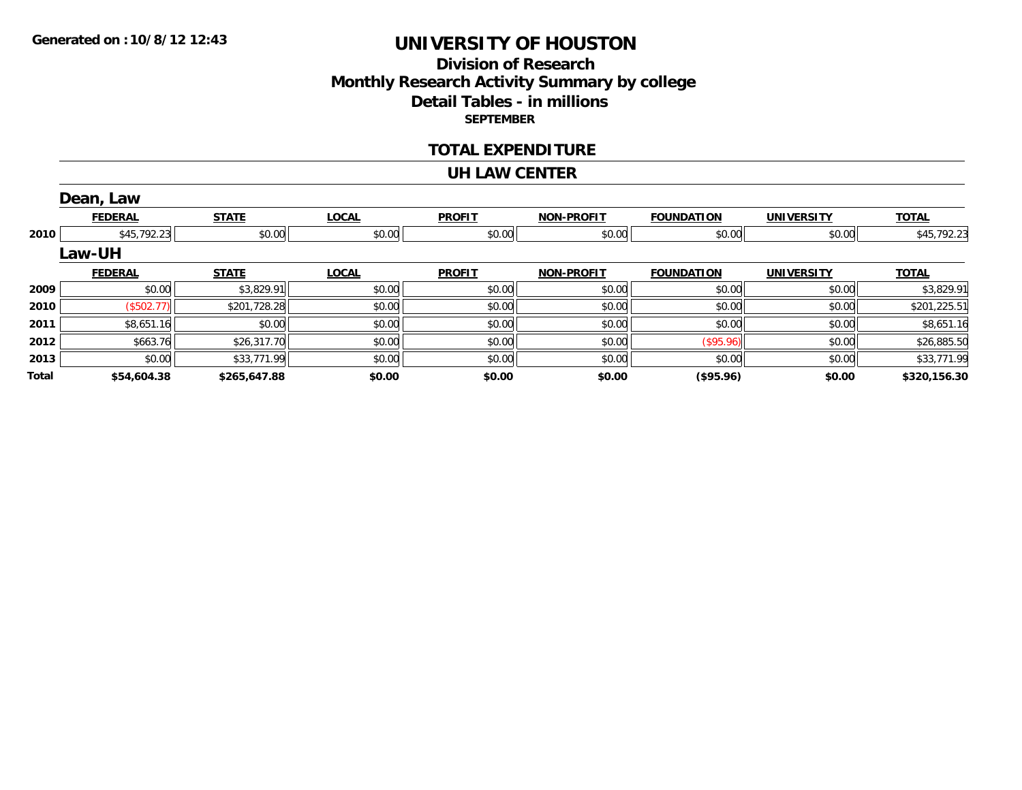### **Division of ResearchMonthly Research Activity Summary by college Detail Tables - in millions SEPTEMBER**

#### **TOTAL EXPENDITURE**

#### **UH LAW CENTER**

|       | Dean, Law      |              |              |               |                   |                   |                   |              |
|-------|----------------|--------------|--------------|---------------|-------------------|-------------------|-------------------|--------------|
|       | <b>FEDERAL</b> | <b>STATE</b> | <b>LOCAL</b> | <b>PROFIT</b> | <b>NON-PROFIT</b> | <b>FOUNDATION</b> | <b>UNIVERSITY</b> | <b>TOTAL</b> |
| 2010  | \$45,792.23    | \$0.00       | \$0.00       | \$0.00        | \$0.00            | \$0.00            | \$0.00            | \$45,792.23  |
|       | <b>Law-UH</b>  |              |              |               |                   |                   |                   |              |
|       | <b>FEDERAL</b> | <b>STATE</b> | <b>LOCAL</b> | <b>PROFIT</b> | <b>NON-PROFIT</b> | <b>FOUNDATION</b> | <b>UNIVERSITY</b> | <b>TOTAL</b> |
| 2009  | \$0.00         | \$3,829.91   | \$0.00       | \$0.00        | \$0.00            | \$0.00            | \$0.00            | \$3,829.91   |
| 2010  | (\$502.77)     | \$201,728.28 | \$0.00       | \$0.00        | \$0.00            | \$0.00            | \$0.00            | \$201,225.51 |
| 2011  | \$8,651.16     | \$0.00       | \$0.00       | \$0.00        | \$0.00            | \$0.00            | \$0.00            | \$8,651.16   |
| 2012  | \$663.76       | \$26,317.70  | \$0.00       | \$0.00        | \$0.00            | (\$95.96)         | \$0.00            | \$26,885.50  |
| 2013  | \$0.00         | \$33,771.99  | \$0.00       | \$0.00        | \$0.00            | \$0.00            | \$0.00            | \$33,771.99  |
| Total | \$54,604.38    | \$265,647.88 | \$0.00       | \$0.00        | \$0.00            | (\$95.96)         | \$0.00            | \$320,156.30 |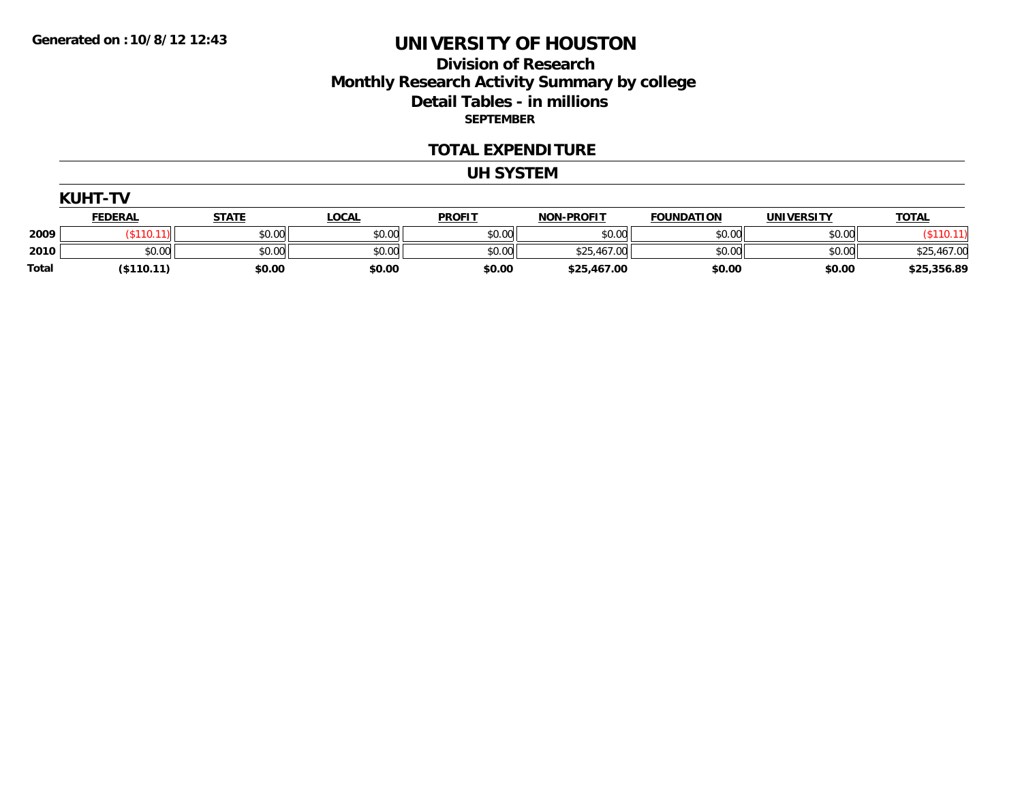### **Division of Research Monthly Research Activity Summary by college Detail Tables - in millions SEPTEMBER**

#### **TOTAL EXPENDITURE**

#### **UH SYSTEM**

| UH<br>1<br>T |
|--------------|
|--------------|

|       | <u>FEDERAL</u> | <b>STATE</b> | <b>LOCAL</b> | <b>PROFIT</b> | <b>NON-PROFIT</b> | <b>FOUNDATION</b> | UNIVERSITY | <b>TOTAL</b> |
|-------|----------------|--------------|--------------|---------------|-------------------|-------------------|------------|--------------|
| 2009  |                | \$0.00       | \$0.00       | \$0.00        | \$0.00            | \$0.00            | \$0.00     |              |
| 2010  | \$0.00         | \$0.00       | \$0.00       | \$0.00        | \$25,467.00       | \$0.00            | \$0.00     | \$25,467.00  |
| Total | (\$110.11`     | \$0.00       | \$0.00       | \$0.00        | \$25,467.00       | \$0.00            | \$0.00     | \$25,356.89  |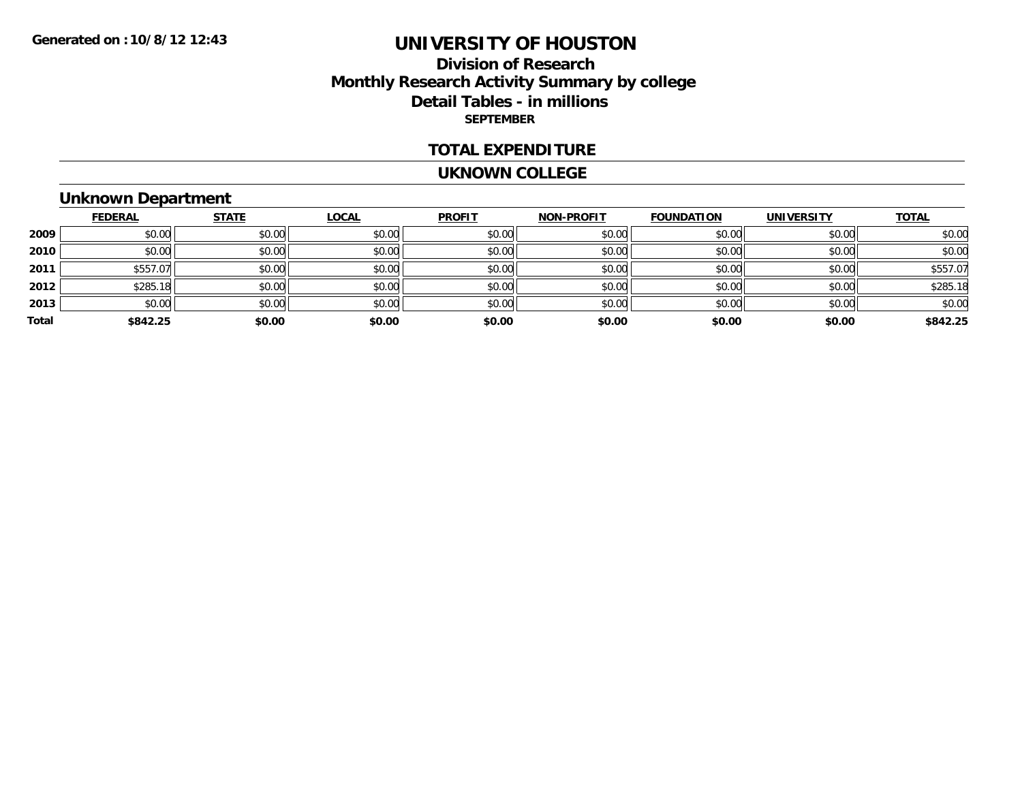### **Division of Research Monthly Research Activity Summary by college Detail Tables - in millions SEPTEMBER**

#### **TOTAL EXPENDITURE**

#### **UKNOWN COLLEGE**

# **Unknown Department**

|       | <b>FEDERAL</b> | <b>STATE</b> | <b>LOCAL</b> | <b>PROFIT</b> | <b>NON-PROFIT</b> | <b>FOUNDATION</b> | <b>UNIVERSITY</b> | <b>TOTAL</b> |
|-------|----------------|--------------|--------------|---------------|-------------------|-------------------|-------------------|--------------|
| 2009  | \$0.00         | \$0.00       | \$0.00       | \$0.00        | \$0.00            | \$0.00            | \$0.00            | \$0.00       |
| 2010  | \$0.00         | \$0.00       | \$0.00       | \$0.00        | \$0.00            | \$0.00            | \$0.00            | \$0.00       |
| 2011  | \$557.07       | \$0.00       | \$0.00       | \$0.00        | \$0.00            | \$0.00            | \$0.00            | \$557.07     |
| 2012  | \$285.18       | \$0.00       | \$0.00       | \$0.00        | \$0.00            | \$0.00            | \$0.00            | \$285.18     |
| 2013  | \$0.00         | \$0.00       | \$0.00       | \$0.00        | \$0.00            | \$0.00            | \$0.00            | \$0.00       |
| Total | \$842.25       | \$0.00       | \$0.00       | \$0.00        | \$0.00            | \$0.00            | \$0.00            | \$842.25     |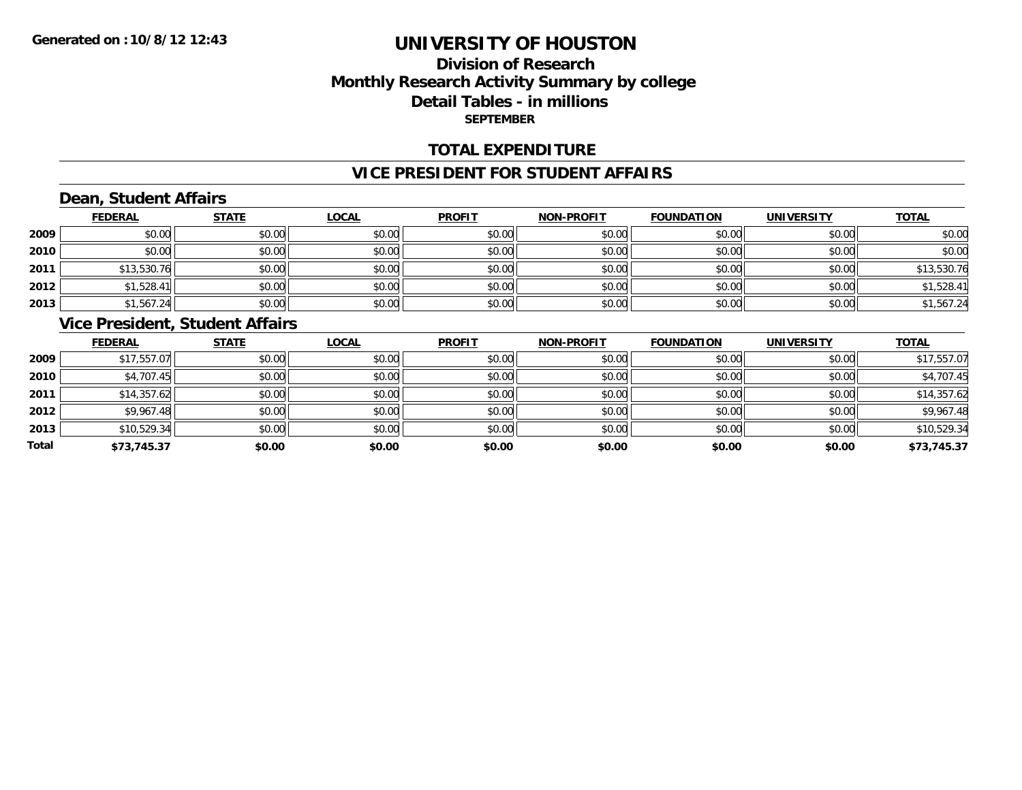### **Division of ResearchMonthly Research Activity Summary by college Detail Tables - in millions SEPTEMBER**

### **TOTAL EXPENDITURE**

#### **VICE PRESIDENT FOR STUDENT AFFAIRS**

# **Dean, Student Affairs**

|      | <b>FEDERAL</b> | <b>STATE</b> | <b>LOCAL</b> | <b>PROFIT</b> | <b>NON-PROFIT</b> | <b>FOUNDATION</b> | <b>UNIVERSITY</b> | <b>TOTAL</b> |
|------|----------------|--------------|--------------|---------------|-------------------|-------------------|-------------------|--------------|
| 2009 | \$0.00         | \$0.00       | \$0.00       | \$0.00        | \$0.00            | \$0.00            | \$0.00            | \$0.00       |
| 2010 | \$0.00         | \$0.00       | \$0.00       | \$0.00        | \$0.00            | \$0.00            | \$0.00            | \$0.00       |
| 2011 | \$13,530.76    | \$0.00       | \$0.00       | \$0.00        | \$0.00            | \$0.00            | \$0.00            | \$13,530.76  |
| 2012 | \$1,528.41     | \$0.00       | \$0.00       | \$0.00        | \$0.00            | \$0.00            | \$0.00            | \$1,528.41   |
| 2013 | \$1,567.24     | \$0.00       | \$0.00       | \$0.00        | \$0.00            | \$0.00            | \$0.00            | \$1,567.24   |

### **Vice President, Student Affairs**

|       | <b>FEDERAL</b> | <b>STATE</b> | <b>LOCAL</b> | <b>PROFIT</b> | <b>NON-PROFIT</b> | <b>FOUNDATION</b> | <b>UNIVERSITY</b> | <b>TOTAL</b> |
|-------|----------------|--------------|--------------|---------------|-------------------|-------------------|-------------------|--------------|
| 2009  | \$17,557.07    | \$0.00       | \$0.00       | \$0.00        | \$0.00            | \$0.00            | \$0.00            | \$17,557.07  |
| 2010  | \$4,707.45     | \$0.00       | \$0.00       | \$0.00        | \$0.00            | \$0.00            | \$0.00            | \$4,707.45   |
| 2011  | \$14,357.62    | \$0.00       | \$0.00       | \$0.00        | \$0.00            | \$0.00            | \$0.00            | \$14,357.62  |
| 2012  | \$9,967.48     | \$0.00       | \$0.00       | \$0.00        | \$0.00            | \$0.00            | \$0.00            | \$9,967.48   |
| 2013  | \$10,529.34    | \$0.00       | \$0.00       | \$0.00        | \$0.00            | \$0.00            | \$0.00            | \$10,529.34  |
| Total | \$73,745.37    | \$0.00       | \$0.00       | \$0.00        | \$0.00            | \$0.00            | \$0.00            | \$73,745.37  |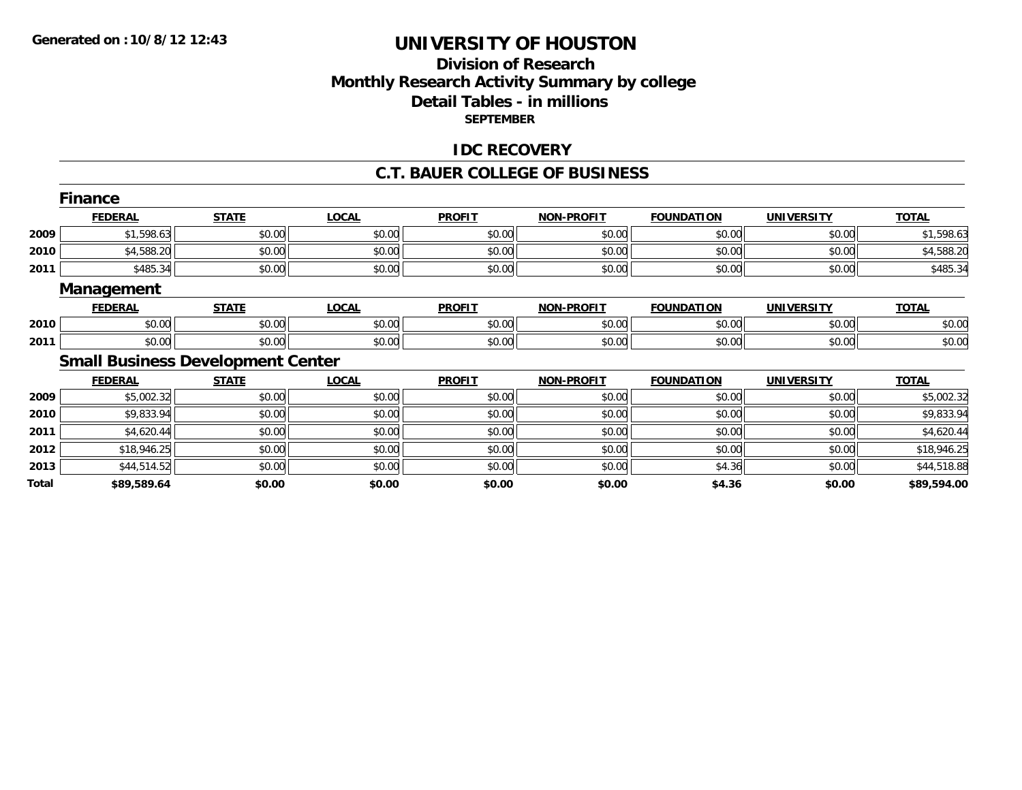### **Division of Research Monthly Research Activity Summary by college Detail Tables - in millions SEPTEMBER**

#### **IDC RECOVERY**

#### **C.T. BAUER COLLEGE OF BUSINESS**

|       | <b>Finance</b>    |                                          |              |               |                   |                   |                   |              |
|-------|-------------------|------------------------------------------|--------------|---------------|-------------------|-------------------|-------------------|--------------|
|       | <b>FEDERAL</b>    | <b>STATE</b>                             | <b>LOCAL</b> | <b>PROFIT</b> | <b>NON-PROFIT</b> | <b>FOUNDATION</b> | <b>UNIVERSITY</b> | <b>TOTAL</b> |
| 2009  | \$1,598.63        | \$0.00                                   | \$0.00       | \$0.00        | \$0.00            | \$0.00            | \$0.00            | \$1,598.63   |
| 2010  | \$4,588.20        | \$0.00                                   | \$0.00       | \$0.00        | \$0.00            | \$0.00            | \$0.00            | \$4,588.20   |
| 2011  | \$485.34          | \$0.00                                   | \$0.00       | \$0.00        | \$0.00            | \$0.00            | \$0.00            | \$485.34     |
|       | <b>Management</b> |                                          |              |               |                   |                   |                   |              |
|       | <b>FEDERAL</b>    | <b>STATE</b>                             | <b>LOCAL</b> | <b>PROFIT</b> | <b>NON-PROFIT</b> | <b>FOUNDATION</b> | <b>UNIVERSITY</b> | <b>TOTAL</b> |
| 2010  | \$0.00            | \$0.00                                   | \$0.00       | \$0.00        | \$0.00            | \$0.00            | \$0.00            | \$0.00       |
| 2011  | \$0.00            | \$0.00                                   | \$0.00       | \$0.00        | \$0.00            | \$0.00            | \$0.00            | \$0.00       |
|       |                   | <b>Small Business Development Center</b> |              |               |                   |                   |                   |              |
|       | <b>FEDERAL</b>    | <b>STATE</b>                             | <b>LOCAL</b> | <b>PROFIT</b> | <b>NON-PROFIT</b> | <b>FOUNDATION</b> | <b>UNIVERSITY</b> | <b>TOTAL</b> |
| 2009  | \$5,002.32        | \$0.00                                   | \$0.00       | \$0.00        | \$0.00            | \$0.00            | \$0.00            | \$5,002.32   |
| 2010  | \$9,833.94        | \$0.00                                   | \$0.00       | \$0.00        | \$0.00            | \$0.00            | \$0.00            | \$9,833.94   |
| 2011  | \$4,620.44        | \$0.00                                   | \$0.00       | \$0.00        | \$0.00            | \$0.00            | \$0.00            | \$4,620.44   |
| 2012  | \$18,946.25       | \$0.00                                   | \$0.00       | \$0.00        | \$0.00            | \$0.00            | \$0.00            | \$18,946.25  |
| 2013  | \$44,514.52       | \$0.00                                   | \$0.00       | \$0.00        | \$0.00            | \$4.36            | \$0.00            | \$44,518.88  |
| Total | \$89,589.64       | \$0.00                                   | \$0.00       | \$0.00        | \$0.00            | \$4.36            | \$0.00            | \$89,594.00  |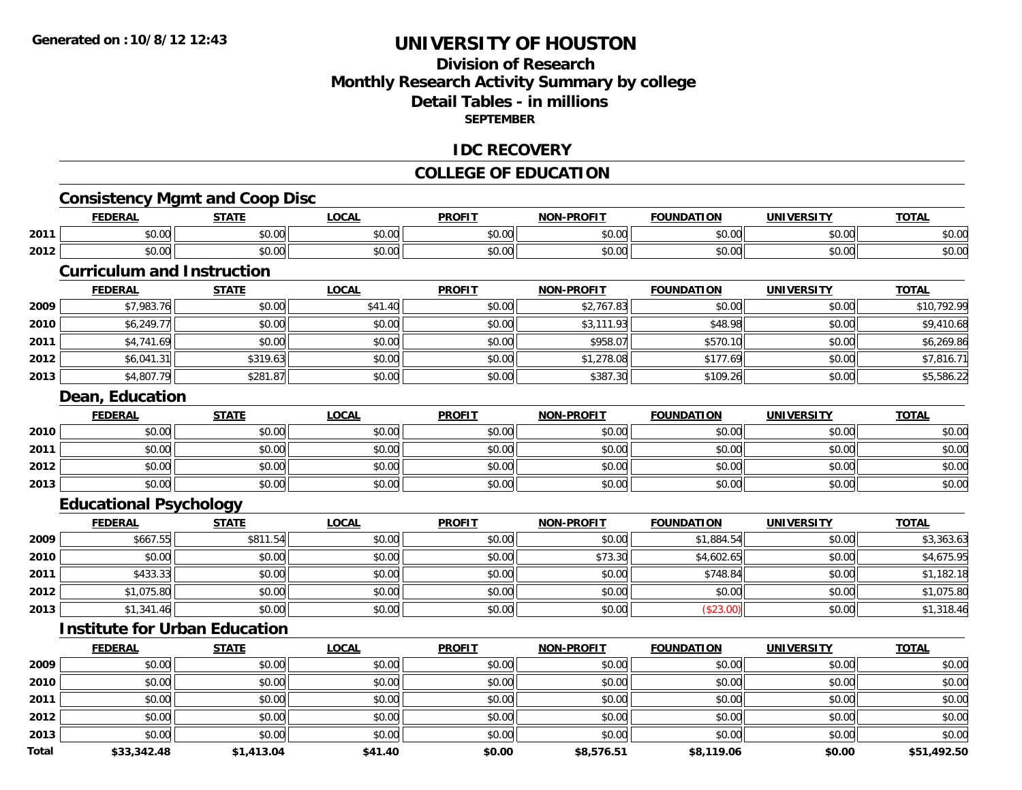### **Division of ResearchMonthly Research Activity Summary by college Detail Tables - in millionsSEPTEMBER**

#### **IDC RECOVERY**

### **COLLEGE OF EDUCATION**

# **Consistency Mgmt and Coop Disc**

|      | <b>EENEDA</b><br>$-1$  | <b>CTATE</b>           | _OCAI                  | <b>PROFIT</b> | <b>LDDOFIT</b><br><b>ארות</b> | <b>FOUNDATION</b><br>10L | UNIVERSITY    | <b>TAT.</b> |
|------|------------------------|------------------------|------------------------|---------------|-------------------------------|--------------------------|---------------|-------------|
| 2011 | $\sim$<br>0 t<br>JU.UU | $\sim$ $\sim$<br>JU.UU | $\sim$ $\sim$<br>JU.UU | 0000<br>JU.UU | \$0.00                        | \$0.00                   | 0.00<br>JU.UU | \$0.00      |
| 2012 | $\sim$ 00<br>vu.uu     | 0.00<br>vu.uu          | $\sim$ $\sim$<br>vu.vu | 0.00<br>PO.OO | \$0.00                        | $\sim$ 00<br>\$0.00      | 0000<br>PO.OO | \$0.00      |

#### **Curriculum and Instruction**

|      | <b>FEDERAL</b> | <b>STATE</b> | <u>LOCAL</u> | <b>PROFIT</b> | <b>NON-PROFIT</b> | <b>FOUNDATION</b> | <b>UNIVERSITY</b> | <b>TOTAL</b> |
|------|----------------|--------------|--------------|---------------|-------------------|-------------------|-------------------|--------------|
| 2009 | \$7,983.76     | \$0.00       | \$41.40      | \$0.00        | \$2,767.83        | \$0.00            | \$0.00            | \$10,792.99  |
| 2010 | \$6,249.77     | \$0.00       | \$0.00       | \$0.00        | \$3,111.93        | \$48.98           | \$0.00            | \$9,410.68   |
| 2011 | \$4,741.69     | \$0.00       | \$0.00       | \$0.00        | \$958.07          | \$570.10          | \$0.00            | \$6,269.86   |
| 2012 | \$6,041.31     | \$319.63     | \$0.00       | \$0.00        | \$1,278.08        | \$177.69          | \$0.00            | \$7,816.71   |
| 2013 | \$4,807.79     | \$281.87     | \$0.00       | \$0.00        | \$387.30          | \$109.26          | \$0.00            | \$5,586.22   |

#### **Dean, Education**

|      | <u>FEDERAL</u> | <b>STATE</b> | <u>LOCAL</u> | <b>PROFIT</b> | <b>NON-PROFIT</b> | <b>FOUNDATION</b> | <b>UNIVERSITY</b> | <b>TOTAL</b> |
|------|----------------|--------------|--------------|---------------|-------------------|-------------------|-------------------|--------------|
| 2010 | \$0.00         | \$0.00       | \$0.00       | \$0.00        | \$0.00            | \$0.00            | \$0.00            | \$0.00       |
| 2011 | \$0.00         | \$0.00       | \$0.00       | \$0.00        | \$0.00            | \$0.00            | \$0.00            | \$0.00       |
| 2012 | \$0.00         | \$0.00       | \$0.00       | \$0.00        | \$0.00            | \$0.00            | \$0.00            | \$0.00       |
| 2013 | \$0.00         | \$0.00       | \$0.00       | \$0.00        | \$0.00            | \$0.00            | \$0.00            | \$0.00       |

### **Educational Psychology**

|      | <b>FEDERAL</b> | <u>STATE</u> | <u>LOCAL</u> | <b>PROFIT</b> | <b>NON-PROFIT</b> | <b>FOUNDATION</b> | <b>UNIVERSITY</b> | <b>TOTAL</b> |
|------|----------------|--------------|--------------|---------------|-------------------|-------------------|-------------------|--------------|
| 2009 | \$667.55       | \$811.54     | \$0.00       | \$0.00        | \$0.00            | \$1,884.54        | \$0.00            | \$3,363.63   |
| 2010 | \$0.00         | \$0.00       | \$0.00       | \$0.00        | \$73.30           | \$4,602.65        | \$0.00            | \$4,675.95   |
| 2011 | \$433.33       | \$0.00       | \$0.00       | \$0.00        | \$0.00            | \$748.84          | \$0.00            | \$1,182.18   |
| 2012 | \$1,075.80     | \$0.00       | \$0.00       | \$0.00        | \$0.00            | \$0.00            | \$0.00            | \$1,075.80   |
| 2013 | \$1,341.46     | \$0.00       | \$0.00       | \$0.00        | \$0.00            | (\$23.00)         | \$0.00            | \$1,318.46   |

# **Institute for Urban Education**

|              | <b>FEDERAL</b> | <b>STATE</b> | LOCAL   | <b>PROFIT</b> | <b>NON-PROFIT</b> | <b>FOUNDATION</b> | <b>UNIVERSITY</b> | <b>TOTAL</b> |
|--------------|----------------|--------------|---------|---------------|-------------------|-------------------|-------------------|--------------|
| 2009         | \$0.00         | \$0.00       | \$0.00  | \$0.00        | \$0.00            | \$0.00            | \$0.00            | \$0.00       |
| 2010         | \$0.00         | \$0.00       | \$0.00  | \$0.00        | \$0.00            | \$0.00            | \$0.00            | \$0.00       |
| 2011         | \$0.00         | \$0.00       | \$0.00  | \$0.00        | \$0.00            | \$0.00            | \$0.00            | \$0.00       |
| 2012         | \$0.00         | \$0.00       | \$0.00  | \$0.00        | \$0.00            | \$0.00            | \$0.00            | \$0.00       |
| 2013         | \$0.00         | \$0.00       | \$0.00  | \$0.00        | \$0.00            | \$0.00            | \$0.00            | \$0.00       |
| <b>Total</b> | \$33,342.48    | \$1,413.04   | \$41.40 | \$0.00        | \$8,576.51        | \$8,119.06        | \$0.00            | \$51,492.50  |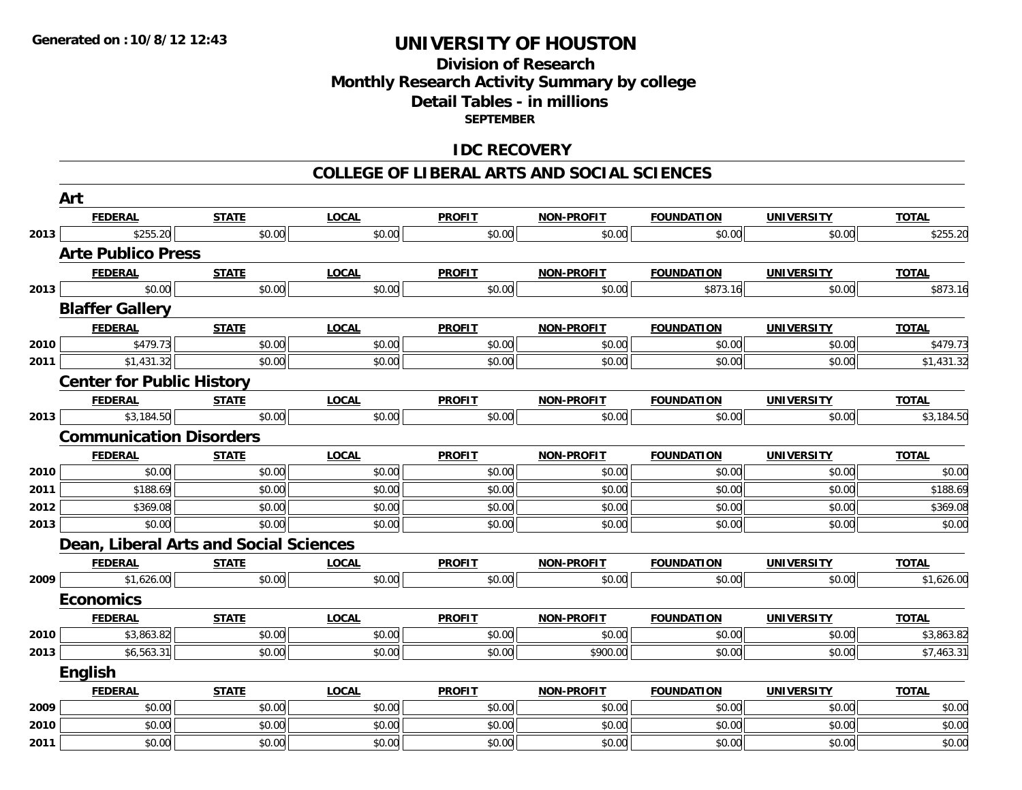### **Division of ResearchMonthly Research Activity Summary by college Detail Tables - in millions SEPTEMBER**

### **IDC RECOVERY**

#### **COLLEGE OF LIBERAL ARTS AND SOCIAL SCIENCES**

|      | Art                                    |              |              |               |                   |                   |                   |              |
|------|----------------------------------------|--------------|--------------|---------------|-------------------|-------------------|-------------------|--------------|
|      | <b>FEDERAL</b>                         | <u>STATE</u> | <b>LOCAL</b> | <b>PROFIT</b> | <u>NON-PROFIT</u> | <b>FOUNDATION</b> | <u>UNIVERSITY</u> | <b>TOTAL</b> |
| 2013 | \$255.20                               | \$0.00       | \$0.00       | \$0.00        | \$0.00            | \$0.00            | \$0.00            | \$255.20     |
|      | <b>Arte Publico Press</b>              |              |              |               |                   |                   |                   |              |
|      | <u>FEDERAL</u>                         | <b>STATE</b> | <b>LOCAL</b> | <b>PROFIT</b> | <b>NON-PROFIT</b> | <b>FOUNDATION</b> | <b>UNIVERSITY</b> | <b>TOTAL</b> |
| 2013 | \$0.00                                 | \$0.00       | \$0.00       | \$0.00        | \$0.00            | \$873.16          | \$0.00            | \$873.16     |
|      | <b>Blaffer Gallery</b>                 |              |              |               |                   |                   |                   |              |
|      | <b>FEDERAL</b>                         | <b>STATE</b> | <b>LOCAL</b> | <b>PROFIT</b> | <b>NON-PROFIT</b> | <b>FOUNDATION</b> | <b>UNIVERSITY</b> | <b>TOTAL</b> |
| 2010 | \$479.73                               | \$0.00       | \$0.00       | \$0.00        | \$0.00            | \$0.00            | \$0.00            | \$479.73     |
| 2011 | \$1,431.32                             | \$0.00       | \$0.00       | \$0.00        | \$0.00            | \$0.00            | \$0.00            | \$1,431.32   |
|      | <b>Center for Public History</b>       |              |              |               |                   |                   |                   |              |
|      | <b>FEDERAL</b>                         | <b>STATE</b> | <b>LOCAL</b> | <b>PROFIT</b> | NON-PROFIT        | <b>FOUNDATION</b> | <b>UNIVERSITY</b> | <b>TOTAL</b> |
| 2013 | \$3,184.50                             | \$0.00       | \$0.00       | \$0.00        | \$0.00            | \$0.00            | \$0.00            | \$3,184.50   |
|      | <b>Communication Disorders</b>         |              |              |               |                   |                   |                   |              |
|      | <b>FEDERAL</b>                         | <b>STATE</b> | <b>LOCAL</b> | <b>PROFIT</b> | <b>NON-PROFIT</b> | <b>FOUNDATION</b> | <b>UNIVERSITY</b> | <b>TOTAL</b> |
| 2010 | \$0.00                                 | \$0.00       | \$0.00       | \$0.00        | \$0.00            | \$0.00            | \$0.00            | \$0.00       |
| 2011 | \$188.69                               | \$0.00       | \$0.00       | \$0.00        | \$0.00            | \$0.00            | \$0.00            | \$188.69     |
| 2012 | \$369.08                               | \$0.00       | \$0.00       | \$0.00        | \$0.00            | \$0.00            | \$0.00            | \$369.08     |
| 2013 | \$0.00                                 | \$0.00       | \$0.00       | \$0.00        | \$0.00            | \$0.00            | \$0.00            | \$0.00       |
|      | Dean, Liberal Arts and Social Sciences |              |              |               |                   |                   |                   |              |
|      | <b>FEDERAL</b>                         | <b>STATE</b> | <b>LOCAL</b> | <b>PROFIT</b> | NON-PROFIT        | <b>FOUNDATION</b> | <b>UNIVERSITY</b> | <b>TOTAL</b> |
| 2009 | \$1,626.00                             | \$0.00       | \$0.00       | \$0.00        | \$0.00            | \$0.00            | \$0.00            | \$1,626.00   |
|      | <b>Economics</b>                       |              |              |               |                   |                   |                   |              |
|      | <b>FEDERAL</b>                         | <b>STATE</b> | <b>LOCAL</b> | <b>PROFIT</b> | <b>NON-PROFIT</b> | <b>FOUNDATION</b> | <b>UNIVERSITY</b> | <b>TOTAL</b> |
| 2010 | \$3,863.82                             | \$0.00       | \$0.00       | \$0.00        | \$0.00            | \$0.00            | \$0.00            | \$3,863.82   |
| 2013 | \$6,563.31                             | \$0.00       | \$0.00       | \$0.00        | \$900.00          | \$0.00            | \$0.00            | \$7,463.31   |
|      | English                                |              |              |               |                   |                   |                   |              |
|      | <b>FEDERAL</b>                         | <b>STATE</b> | <b>LOCAL</b> | <b>PROFIT</b> | <b>NON-PROFIT</b> | <b>FOUNDATION</b> | <b>UNIVERSITY</b> | <b>TOTAL</b> |
| 2009 | \$0.00                                 | \$0.00       | \$0.00       | \$0.00        | \$0.00            | \$0.00            | \$0.00            | \$0.00       |
| 2010 | \$0.00                                 | \$0.00       | \$0.00       | \$0.00        | \$0.00            | \$0.00            | \$0.00            | \$0.00       |
| 2011 | \$0.00                                 | \$0.00       | \$0.00       | \$0.00        | \$0.00            | \$0.00            | \$0.00            | \$0.00       |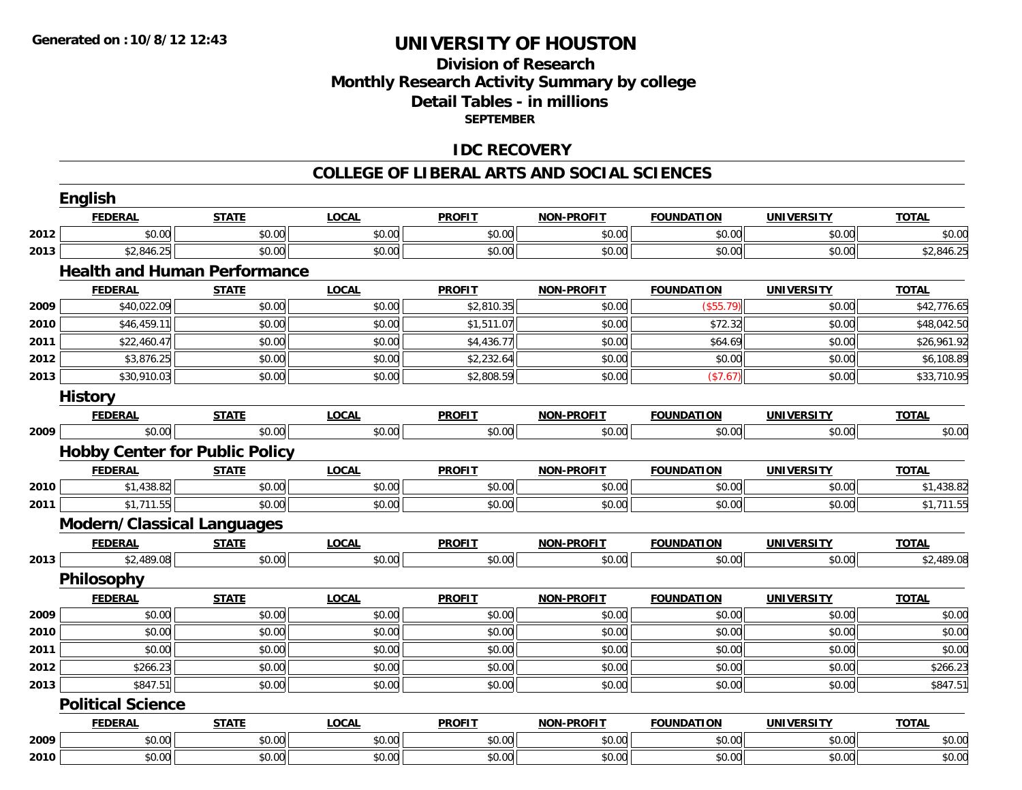### **Division of Research Monthly Research Activity Summary by college Detail Tables - in millions SEPTEMBER**

### **IDC RECOVERY**

#### **COLLEGE OF LIBERAL ARTS AND SOCIAL SCIENCES**

|      | <b>FEDERAL</b>                    | <b>STATE</b>                          | <b>LOCAL</b> | <b>PROFIT</b> | <b>NON-PROFIT</b> | <b>FOUNDATION</b> | <b>UNIVERSITY</b> | <b>TOTAL</b> |
|------|-----------------------------------|---------------------------------------|--------------|---------------|-------------------|-------------------|-------------------|--------------|
| 2012 | \$0.00                            | \$0.00                                | \$0.00       | \$0.00        | \$0.00            | \$0.00            | \$0.00            | \$0.00       |
| 2013 | \$2,846.25                        | \$0.00                                | \$0.00       | \$0.00        | \$0.00            | \$0.00            | \$0.00            | \$2,846.25   |
|      |                                   | <b>Health and Human Performance</b>   |              |               |                   |                   |                   |              |
|      | <b>FEDERAL</b>                    | <b>STATE</b>                          | <b>LOCAL</b> | <b>PROFIT</b> | <b>NON-PROFIT</b> | <b>FOUNDATION</b> | <b>UNIVERSITY</b> | <b>TOTAL</b> |
| 2009 | \$40,022.09                       | \$0.00                                | \$0.00       | \$2,810.35    | \$0.00            | (\$55.79)         | \$0.00            | \$42,776.65  |
| 2010 | \$46,459.11                       | \$0.00                                | \$0.00       | \$1,511.07    | \$0.00            | \$72.32           | \$0.00            | \$48,042.50  |
| 2011 | \$22,460.47                       | \$0.00                                | \$0.00       | \$4,436.77    | \$0.00            | \$64.69           | \$0.00            | \$26,961.92  |
| 2012 | \$3,876.25                        | \$0.00                                | \$0.00       | \$2,232.64    | \$0.00            | \$0.00            | \$0.00            | \$6,108.89   |
| 2013 | \$30,910.03                       | \$0.00                                | \$0.00       | \$2,808.59    | \$0.00            | (\$7.67)          | \$0.00            | \$33,710.95  |
|      | <b>History</b>                    |                                       |              |               |                   |                   |                   |              |
|      | <b>FEDERAL</b>                    | <b>STATE</b>                          | <b>LOCAL</b> | <b>PROFIT</b> | <b>NON-PROFIT</b> | <b>FOUNDATION</b> | <b>UNIVERSITY</b> | <b>TOTAL</b> |
| 2009 | \$0.00                            | \$0.00                                | \$0.00       | \$0.00        | \$0.00            | \$0.00            | \$0.00            | \$0.00       |
|      |                                   | <b>Hobby Center for Public Policy</b> |              |               |                   |                   |                   |              |
|      | <b>FEDERAL</b>                    | <b>STATE</b>                          | <b>LOCAL</b> | <b>PROFIT</b> | <b>NON-PROFIT</b> | <b>FOUNDATION</b> | <b>UNIVERSITY</b> | <b>TOTAL</b> |
| 2010 | \$1,438.82                        | \$0.00                                | \$0.00       | \$0.00        | \$0.00            | \$0.00            | \$0.00            | \$1,438.82   |
| 2011 | \$1,711.55                        | \$0.00                                | \$0.00       | \$0.00        | \$0.00            | \$0.00            | \$0.00            | \$1,711.55   |
|      | <b>Modern/Classical Languages</b> |                                       |              |               |                   |                   |                   |              |
|      | <b>FEDERAL</b>                    | <b>STATE</b>                          | <b>LOCAL</b> | <b>PROFIT</b> | <b>NON-PROFIT</b> | <b>FOUNDATION</b> | <b>UNIVERSITY</b> | <b>TOTAL</b> |
| 2013 | \$2,489.08                        | \$0.00                                | \$0.00       | \$0.00        | \$0.00            | \$0.00            | \$0.00            | \$2,489.08   |
|      | Philosophy                        |                                       |              |               |                   |                   |                   |              |
|      | <b>FEDERAL</b>                    | <b>STATE</b>                          | <b>LOCAL</b> | <b>PROFIT</b> | <b>NON-PROFIT</b> | <b>FOUNDATION</b> | <b>UNIVERSITY</b> | <b>TOTAL</b> |
| 2009 | \$0.00                            | \$0.00                                | \$0.00       | \$0.00        | \$0.00            | \$0.00            | \$0.00            | \$0.00       |
| 2010 | \$0.00                            | \$0.00                                | \$0.00       | \$0.00        | \$0.00            | \$0.00            | \$0.00            | \$0.00       |
| 2011 | \$0.00                            | \$0.00                                | \$0.00       | \$0.00        | \$0.00            | \$0.00            | \$0.00            | \$0.00       |
| 2012 | \$266.23                          | \$0.00                                | \$0.00       | \$0.00        | \$0.00            | \$0.00            | \$0.00            | \$266.23     |
| 2013 | \$847.51                          | \$0.00                                | \$0.00       | \$0.00        | \$0.00            | \$0.00            | \$0.00            | \$847.51     |
|      | <b>Political Science</b>          |                                       |              |               |                   |                   |                   |              |
|      | <b>FEDERAL</b>                    | <b>STATE</b>                          | <b>LOCAL</b> | <b>PROFIT</b> | <b>NON-PROFIT</b> | <b>FOUNDATION</b> | <b>UNIVERSITY</b> | <b>TOTAL</b> |
| 2009 | \$0.00                            | \$0.00                                | \$0.00       | \$0.00        | \$0.00            | \$0.00            | \$0.00            | \$0.00       |
| 2010 | \$0.00                            | \$0.00                                | \$0.00       | \$0.00        | \$0.00            | \$0.00            | \$0.00            | \$0.00       |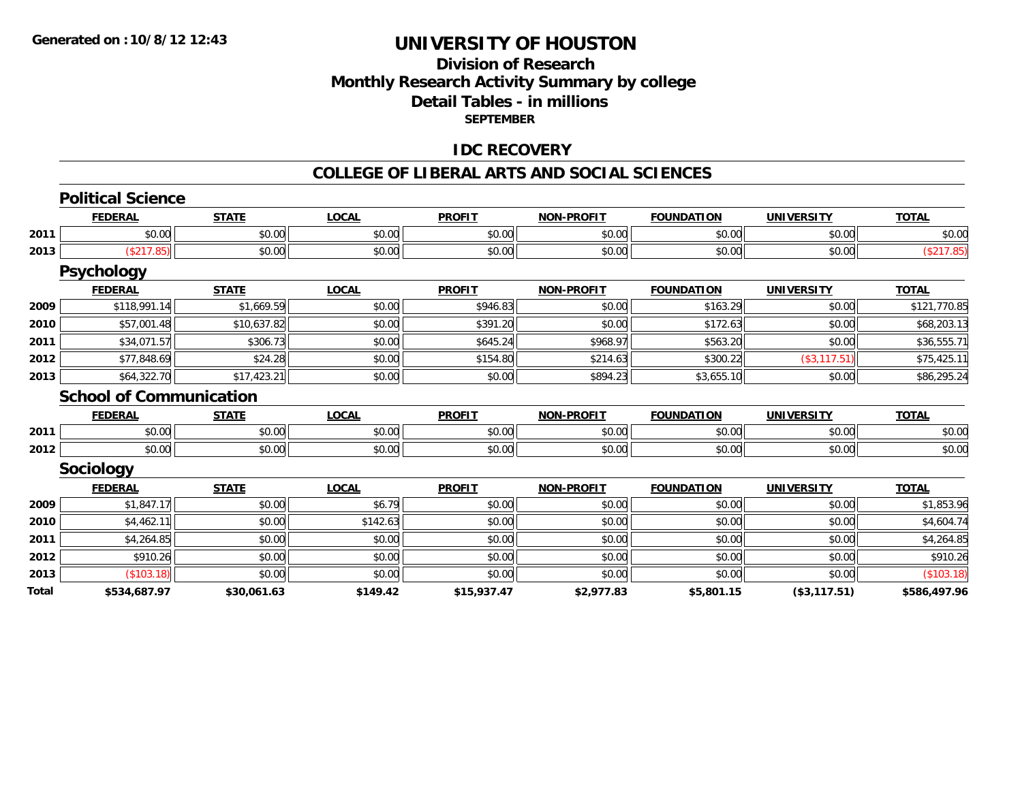### **Division of Research Monthly Research Activity Summary by college Detail Tables - in millions SEPTEMBER**

#### **IDC RECOVERY**

#### **COLLEGE OF LIBERAL ARTS AND SOCIAL SCIENCES**

|      | <b>FEDERAL</b>                 | <b>STATE</b> | <b>LOCAL</b> | <b>PROFIT</b> | <b>NON-PROFIT</b> | <b>FOUNDATION</b> | <b>UNIVERSITY</b> | <b>TOTAL</b> |
|------|--------------------------------|--------------|--------------|---------------|-------------------|-------------------|-------------------|--------------|
| 2011 | \$0.00                         | \$0.00       | \$0.00       | \$0.00        | \$0.00            | \$0.00            | \$0.00            | \$0.00       |
| 2013 | (\$217.85)                     | \$0.00       | \$0.00       | \$0.00        | \$0.00            | \$0.00            | \$0.00            | (\$217.85)   |
|      | <b>Psychology</b>              |              |              |               |                   |                   |                   |              |
|      | <b>FEDERAL</b>                 | <b>STATE</b> | <b>LOCAL</b> | <b>PROFIT</b> | <b>NON-PROFIT</b> | <b>FOUNDATION</b> | <b>UNIVERSITY</b> | <b>TOTAL</b> |
| 2009 | \$118,991.14                   | \$1,669.59   | \$0.00       | \$946.83      | \$0.00            | \$163.29          | \$0.00            | \$121,770.85 |
| 2010 | \$57,001.48                    | \$10,637.82  | \$0.00       | \$391.20      | \$0.00            | \$172.63          | \$0.00            | \$68,203.13  |
| 2011 | \$34,071.57                    | \$306.73     | \$0.00       | \$645.24      | \$968.97          | \$563.20          | \$0.00            | \$36,555.71  |
| 2012 | \$77,848.69                    | \$24.28      | \$0.00       | \$154.80      | \$214.63          | \$300.22          | (\$3,117.51)      | \$75,425.11  |
| 2013 | \$64,322.70                    | \$17,423.21  | \$0.00       | \$0.00        | \$894.23          | \$3,655.10        | \$0.00            | \$86,295.24  |
|      | <b>School of Communication</b> |              |              |               |                   |                   |                   |              |
|      | <b>FEDERAL</b>                 | <b>STATE</b> | <b>LOCAL</b> | <b>PROFIT</b> | <b>NON-PROFIT</b> | <b>FOUNDATION</b> | <b>UNIVERSITY</b> | <b>TOTAL</b> |
| 2011 | \$0.00                         | \$0.00       | \$0.00       | \$0.00        | \$0.00            | \$0.00            | \$0.00            | \$0.00       |
| 2012 | \$0.00                         | \$0.00       | \$0.00       | \$0.00        | \$0.00            | \$0.00            | \$0.00            | \$0.00       |
|      | <b>Sociology</b>               |              |              |               |                   |                   |                   |              |
|      | <b>FEDERAL</b>                 | <b>STATE</b> | <b>LOCAL</b> | <b>PROFIT</b> | <b>NON-PROFIT</b> | <b>FOUNDATION</b> | <b>UNIVERSITY</b> | <b>TOTAL</b> |
| 2009 | \$1,847.17                     | \$0.00       | \$6.79       | \$0.00        | \$0.00            | \$0.00            | \$0.00            | \$1,853.96   |
| 2010 | \$4,462.11                     | \$0.00       | \$142.63     | \$0.00        | \$0.00            | \$0.00            | \$0.00            | \$4,604.74   |
| 2011 | \$4,264.85                     | \$0.00       | \$0.00       | \$0.00        | \$0.00            | \$0.00            | \$0.00            | \$4,264.85   |
| 2012 | \$910.26                       | \$0.00       | \$0.00       | \$0.00        | \$0.00            | \$0.00            | \$0.00            | \$910.26     |
|      | (\$103.18)                     | \$0.00       | \$0.00       | \$0.00        | \$0.00            | \$0.00            | \$0.00            | (\$103.18)   |
| 2013 |                                |              |              |               |                   |                   |                   |              |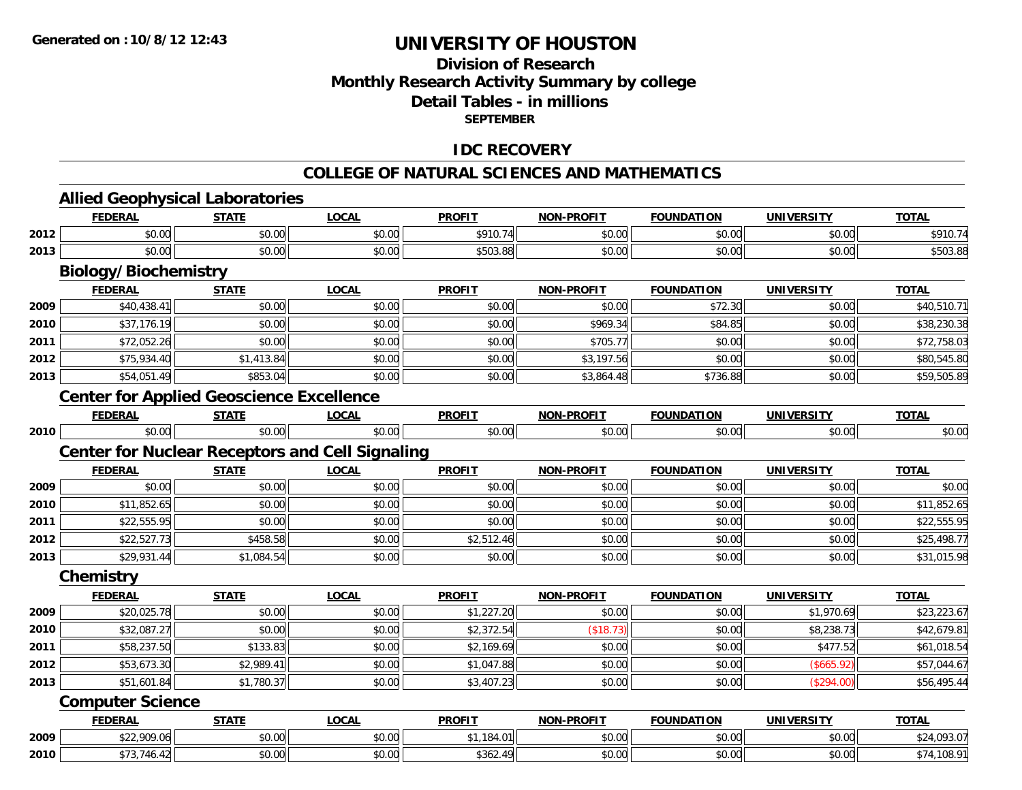### **Division of ResearchMonthly Research Activity Summary by college Detail Tables - in millions SEPTEMBER**

#### **IDC RECOVERY**

#### **COLLEGE OF NATURAL SCIENCES AND MATHEMATICS**

# **Allied Geophysical Laboratories**

|      | <b>FEDERAL</b>                                         | <b>STATE</b> | <b>LOCAL</b> | <b>PROFIT</b> | <b>NON-PROFIT</b> | <b>FOUNDATION</b> | <b>UNIVERSITY</b> | <b>TOTAL</b> |  |  |  |  |
|------|--------------------------------------------------------|--------------|--------------|---------------|-------------------|-------------------|-------------------|--------------|--|--|--|--|
| 2012 | \$0.00                                                 | \$0.00       | \$0.00       | \$910.74      | \$0.00            | \$0.00            | \$0.00            | \$910.74     |  |  |  |  |
| 2013 | \$0.00                                                 | \$0.00       | \$0.00       | \$503.88      | \$0.00            | \$0.00            | \$0.00            | \$503.88     |  |  |  |  |
|      | <b>Biology/Biochemistry</b>                            |              |              |               |                   |                   |                   |              |  |  |  |  |
|      | <b>FEDERAL</b>                                         | <b>STATE</b> | <b>LOCAL</b> | <b>PROFIT</b> | <b>NON-PROFIT</b> | <b>FOUNDATION</b> | <b>UNIVERSITY</b> | <b>TOTAL</b> |  |  |  |  |
| 2009 | \$40,438.41                                            | \$0.00       | \$0.00       | \$0.00        | \$0.00            | \$72.30           | \$0.00            | \$40,510.71  |  |  |  |  |
| 2010 | \$37,176.19                                            | \$0.00       | \$0.00       | \$0.00        | \$969.34          | \$84.85           | \$0.00            | \$38,230.38  |  |  |  |  |
| 2011 | \$72,052.26                                            | \$0.00       | \$0.00       | \$0.00        | \$705.77          | \$0.00            | \$0.00            | \$72,758.03  |  |  |  |  |
| 2012 | \$75,934.40                                            | \$1,413.84   | \$0.00       | \$0.00        | \$3,197.56        | \$0.00            | \$0.00            | \$80,545.80  |  |  |  |  |
| 2013 | \$54,051.49                                            | \$853.04     | \$0.00       | \$0.00        | \$3,864.48        | \$736.88          | \$0.00            | \$59,505.89  |  |  |  |  |
|      | <b>Center for Applied Geoscience Excellence</b>        |              |              |               |                   |                   |                   |              |  |  |  |  |
|      | <b>FEDERAL</b>                                         | <b>STATE</b> | <b>LOCAL</b> | <b>PROFIT</b> | <b>NON-PROFIT</b> | <b>FOUNDATION</b> | <b>UNIVERSITY</b> | <b>TOTAL</b> |  |  |  |  |
| 2010 | \$0.00                                                 | \$0.00       | \$0.00       | \$0.00        | \$0.00            | \$0.00            | \$0.00            | \$0.00       |  |  |  |  |
|      | <b>Center for Nuclear Receptors and Cell Signaling</b> |              |              |               |                   |                   |                   |              |  |  |  |  |
|      | <b>FEDERAL</b>                                         | <b>STATE</b> | <b>LOCAL</b> | <b>PROFIT</b> | <b>NON-PROFIT</b> | <b>FOUNDATION</b> | <b>UNIVERSITY</b> | <b>TOTAL</b> |  |  |  |  |
| 2009 | \$0.00                                                 | \$0.00       | \$0.00       | \$0.00        | \$0.00            | \$0.00            | \$0.00            | \$0.00       |  |  |  |  |
| 2010 | \$11,852.65                                            | \$0.00       | \$0.00       | \$0.00        | \$0.00            | \$0.00            | \$0.00            | \$11,852.65  |  |  |  |  |
| 2011 | \$22,555.95                                            | \$0.00       | \$0.00       | \$0.00        | \$0.00            | \$0.00            | \$0.00            | \$22,555.95  |  |  |  |  |
| 2012 | \$22,527.73                                            | \$458.58     | \$0.00       | \$2,512.46    | \$0.00            | \$0.00            | \$0.00            | \$25,498.77  |  |  |  |  |
| 2013 | \$29,931.44                                            | \$1,084.54   | \$0.00       | \$0.00        | \$0.00            | \$0.00            | \$0.00            | \$31,015.98  |  |  |  |  |
|      | Chemistry                                              |              |              |               |                   |                   |                   |              |  |  |  |  |
|      | <b>FEDERAL</b>                                         | <b>STATE</b> | <b>LOCAL</b> | <b>PROFIT</b> | <b>NON-PROFIT</b> | <b>FOUNDATION</b> | <b>UNIVERSITY</b> | <b>TOTAL</b> |  |  |  |  |
| 2009 | \$20,025.78                                            | \$0.00       | \$0.00       | \$1,227.20    | \$0.00            | \$0.00            | \$1,970.69        | \$23,223.67  |  |  |  |  |
| 2010 | \$32,087.27                                            | \$0.00       | \$0.00       | \$2,372.54    | (\$18.73)         | \$0.00            | \$8,238.73        | \$42,679.81  |  |  |  |  |
| 2011 | \$58,237.50                                            | \$133.83     | \$0.00       | \$2,169.69    | \$0.00            | \$0.00            | \$477.52          | \$61,018.54  |  |  |  |  |
| 2012 | \$53,673.30                                            | \$2,989.41   | \$0.00       | \$1,047.88    | \$0.00            | \$0.00            | (\$665.92)        | \$57,044.67  |  |  |  |  |
| 2013 | \$51,601.84                                            | \$1,780.37   | \$0.00       | \$3,407.23    | \$0.00            | \$0.00            | (\$294.00)        | \$56,495.44  |  |  |  |  |
|      | <b>Computer Science</b>                                |              |              |               |                   |                   |                   |              |  |  |  |  |
|      | <b>FEDERAL</b>                                         | <b>STATE</b> | <b>LOCAL</b> | <b>PROFIT</b> | <b>NON-PROFIT</b> | <b>FOUNDATION</b> | <b>UNIVERSITY</b> | <b>TOTAL</b> |  |  |  |  |
| 2009 | \$22,909.06                                            | \$0.00       | \$0.00       | \$1,184.01    | \$0.00            | \$0.00            | \$0.00            | \$24,093.07  |  |  |  |  |
| 2010 | \$73,746.42                                            | \$0.00       | \$0.00       | \$362.49      | \$0.00            | \$0.00            | \$0.00            | \$74,108.91  |  |  |  |  |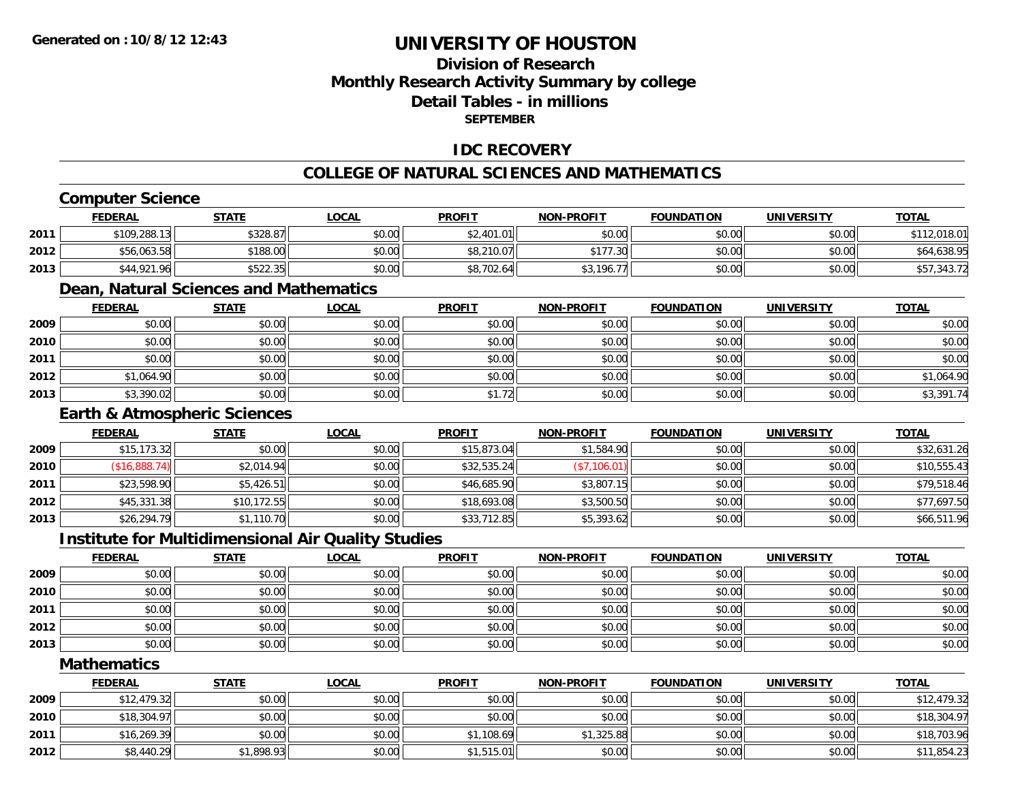### **Division of ResearchMonthly Research Activity Summary by college Detail Tables - in millionsSEPTEMBER**

### **IDC RECOVERY**

### **COLLEGE OF NATURAL SCIENCES AND MATHEMATICS**

### **Computer Science**

|      | <b>FEDERAL</b> | <b>STATE</b> | <u>LOCAL</u> | <b>PROFIT</b>  | <b>NON-PROFIT</b>            | <b>FOUNDATION</b> | UNIVERSITY | <b>TOTAL</b> |
|------|----------------|--------------|--------------|----------------|------------------------------|-------------------|------------|--------------|
| 2011 | \$109,288.13   | \$328.87     | \$0.00       | \$2.401.<br>01 | \$0.00                       | \$0.00            | \$0.00     | \$112,018.01 |
| 2012 | \$56,063.58    | \$188.00     | \$0.00       | \$8,210.07     | $*177.30$                    | \$0.00            | \$0.00     | \$64,638.95  |
| 2013 | \$44,921.96    | \$522.35     | \$0.00       | \$8,702.64     | 196.<br><b>ሰገ</b><br>- 771 1 | \$0.00            | \$0.00     | \$57,343.72  |

### **Dean, Natural Sciences and Mathematics**

|      | <b>FEDERAL</b> | <b>STATE</b> | <b>LOCAL</b> | <b>PROFIT</b> | <b>NON-PROFIT</b> | <b>FOUNDATION</b> | <b>UNIVERSITY</b> | <b>TOTAL</b> |
|------|----------------|--------------|--------------|---------------|-------------------|-------------------|-------------------|--------------|
| 2009 | \$0.00         | \$0.00       | \$0.00       | \$0.00        | \$0.00            | \$0.00            | \$0.00            | \$0.00       |
| 2010 | \$0.00         | \$0.00       | \$0.00       | \$0.00        | \$0.00            | \$0.00            | \$0.00            | \$0.00       |
| 2011 | \$0.00         | \$0.00       | \$0.00       | \$0.00        | \$0.00            | \$0.00            | \$0.00            | \$0.00       |
| 2012 | \$1,064.90     | \$0.00       | \$0.00       | \$0.00        | \$0.00            | \$0.00            | \$0.00            | \$1,064.90   |
| 2013 | \$3,390.02     | \$0.00       | \$0.00       | \$1.72        | \$0.00            | \$0.00            | \$0.00            | \$3,391.74   |

### **Earth & Atmospheric Sciences**

|      | <b>FEDERAL</b> | <u>STATE</u> | <u>LOCAL</u> | <b>PROFIT</b> | <b>NON-PROFIT</b> | <b>FOUNDATION</b> | <b>UNIVERSITY</b> | <b>TOTAL</b> |
|------|----------------|--------------|--------------|---------------|-------------------|-------------------|-------------------|--------------|
| 2009 | \$15, 173.32   | \$0.00       | \$0.00       | \$15,873.04   | \$1,584.90        | \$0.00            | \$0.00            | \$32,631.26  |
| 2010 | (\$16,888.74)  | \$2,014.94   | \$0.00       | \$32,535.24   | (\$7,106.01)      | \$0.00            | \$0.00            | \$10,555.43  |
| 2011 | \$23,598.90    | \$5,426.51   | \$0.00       | \$46,685.90   | \$3,807.15        | \$0.00            | \$0.00            | \$79,518.46  |
| 2012 | \$45,331.38    | \$10,172.55  | \$0.00       | \$18,693.08   | \$3,500.50        | \$0.00            | \$0.00            | \$77,697.50  |
| 2013 | \$26,294.79    | \$1,110.70   | \$0.00       | \$33,712.85   | \$5,393.62        | \$0.00            | \$0.00            | \$66,511.96  |

#### **Institute for Multidimensional Air Quality Studies**

|      | <u>FEDERAL</u> | <b>STATE</b> | <b>LOCAL</b> | <b>PROFIT</b> | <b>NON-PROFIT</b> | <b>FOUNDATION</b> | <b>UNIVERSITY</b> | <b>TOTAL</b> |
|------|----------------|--------------|--------------|---------------|-------------------|-------------------|-------------------|--------------|
| 2009 | \$0.00         | \$0.00       | \$0.00       | \$0.00        | \$0.00            | \$0.00            | \$0.00            | \$0.00       |
| 2010 | \$0.00         | \$0.00       | \$0.00       | \$0.00        | \$0.00            | \$0.00            | \$0.00            | \$0.00       |
| 2011 | \$0.00         | \$0.00       | \$0.00       | \$0.00        | \$0.00            | \$0.00            | \$0.00            | \$0.00       |
| 2012 | \$0.00         | \$0.00       | \$0.00       | \$0.00        | \$0.00            | \$0.00            | \$0.00            | \$0.00       |
| 2013 | \$0.00         | \$0.00       | \$0.00       | \$0.00        | \$0.00            | \$0.00            | \$0.00            | \$0.00       |

#### **Mathematics**

|      | <b>FEDERAL</b> | <b>STATE</b> | <u>LOCAL</u> | <b>PROFIT</b> | <b>NON-PROFIT</b> | <b>FOUNDATION</b> | <b>UNIVERSITY</b> | <b>TOTAL</b> |
|------|----------------|--------------|--------------|---------------|-------------------|-------------------|-------------------|--------------|
| 2009 | \$12,479.32    | \$0.00       | \$0.00       | \$0.00        | \$0.00            | \$0.00            | \$0.00            | \$12,479.32  |
| 2010 | \$18,304.97    | \$0.00       | \$0.00       | \$0.00        | \$0.00            | \$0.00            | \$0.00            | \$18,304.97  |
| 2011 | \$16,269.39    | \$0.00       | \$0.00       | \$1,108.69    | \$1,325.88        | \$0.00            | \$0.00            | \$18,703.96  |
| 2012 | \$8,440.29     | \$1,898.93   | \$0.00       | \$1,515.01    | \$0.00            | \$0.00            | \$0.00            | \$11,854.23  |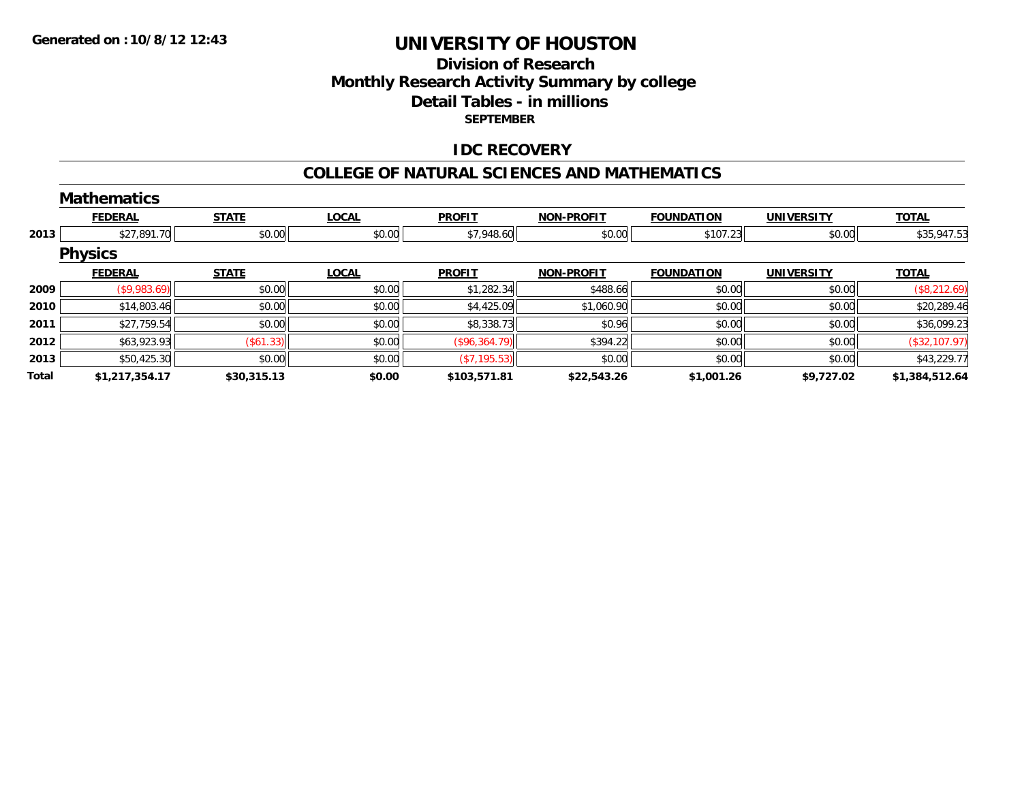### **Division of ResearchMonthly Research Activity Summary by college Detail Tables - in millions SEPTEMBER**

### **IDC RECOVERY**

#### **COLLEGE OF NATURAL SCIENCES AND MATHEMATICS**

|       | <b>Mathematics</b> |              |              |               |                   |                   |                   |                |
|-------|--------------------|--------------|--------------|---------------|-------------------|-------------------|-------------------|----------------|
|       | <b>FEDERAL</b>     | <b>STATE</b> | <b>LOCAL</b> | <b>PROFIT</b> | <b>NON-PROFIT</b> | <b>FOUNDATION</b> | <b>UNIVERSITY</b> | <b>TOTAL</b>   |
| 2013  | \$27,891.70        | \$0.00       | \$0.00       | \$7,948.60    | \$0.00            | \$107.23          | \$0.00            | \$35,947.53    |
|       | <b>Physics</b>     |              |              |               |                   |                   |                   |                |
|       | <b>FEDERAL</b>     | <b>STATE</b> | <b>LOCAL</b> | <b>PROFIT</b> | <b>NON-PROFIT</b> | <b>FOUNDATION</b> | <b>UNIVERSITY</b> | <b>TOTAL</b>   |
| 2009  | (\$9,983.69)       | \$0.00       | \$0.00       | \$1,282.34    | \$488.66          | \$0.00            | \$0.00            | (\$8,212.69)   |
| 2010  | \$14,803.46        | \$0.00       | \$0.00       | \$4,425.09    | \$1,060.90        | \$0.00            | \$0.00            | \$20,289.46    |
| 2011  | \$27,759.54        | \$0.00       | \$0.00       | \$8,338.73    | \$0.96            | \$0.00            | \$0.00            | \$36,099.23    |
| 2012  | \$63,923.93        | (S61.33)     | \$0.00       | (\$96,364.79) | \$394.22          | \$0.00            | \$0.00            | (\$32,107.97)  |
| 2013  | \$50,425.30        | \$0.00       | \$0.00       | (S7, 195.53)  | \$0.00            | \$0.00            | \$0.00            | \$43,229.77    |
| Total | \$1,217,354.17     | \$30,315.13  | \$0.00       | \$103,571.81  | \$22,543.26       | \$1,001.26        | \$9,727.02        | \$1,384,512.64 |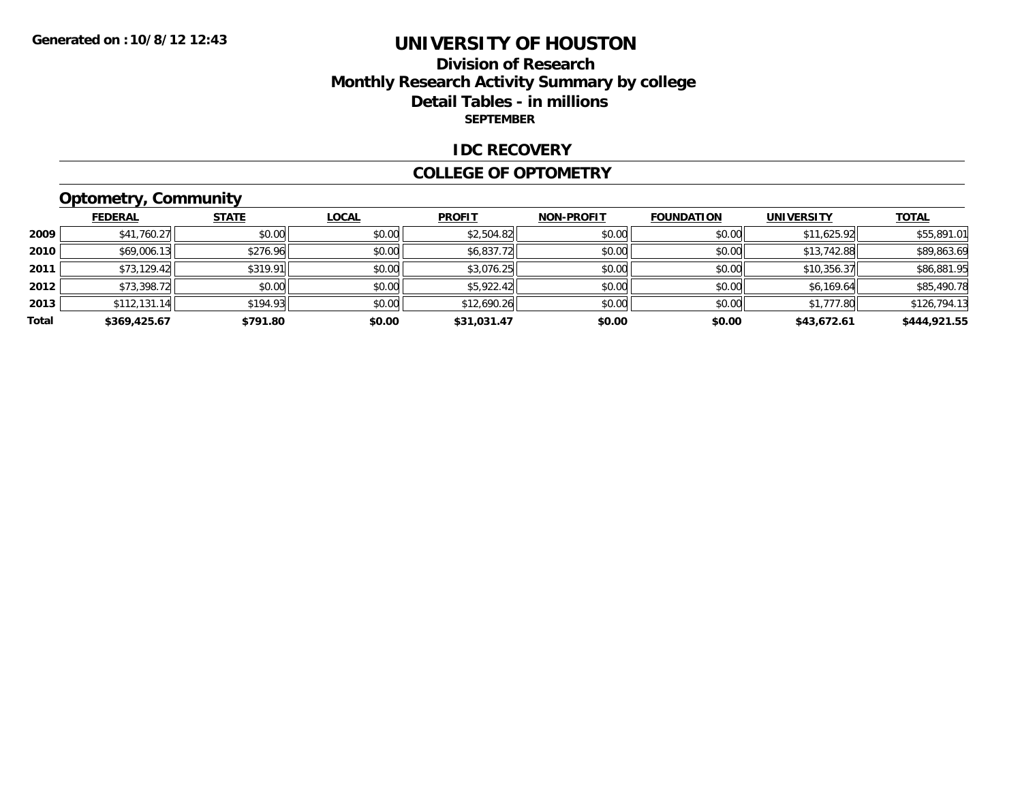### **Division of ResearchMonthly Research Activity Summary by college Detail Tables - in millions SEPTEMBER**

#### **IDC RECOVERY**

#### **COLLEGE OF OPTOMETRY**

# **Optometry, Community**

|       | <b>FEDERAL</b> | <b>STATE</b> | <b>LOCAL</b> | <b>PROFIT</b> | <b>NON-PROFIT</b> | <b>FOUNDATION</b> | <b>UNIVERSITY</b> | <b>TOTAL</b> |
|-------|----------------|--------------|--------------|---------------|-------------------|-------------------|-------------------|--------------|
| 2009  | \$41,760.27    | \$0.00       | \$0.00       | \$2,504.82    | \$0.00            | \$0.00            | \$11,625.92       | \$55,891.01  |
| 2010  | \$69,006.13    | \$276.96     | \$0.00       | \$6,837.72    | \$0.00            | \$0.00            | \$13,742.88       | \$89,863.69  |
| 2011  | \$73,129.42    | \$319.91     | \$0.00       | \$3,076.25    | \$0.00            | \$0.00            | \$10,356.37       | \$86,881.95  |
| 2012  | \$73,398.72    | \$0.00       | \$0.00       | \$5,922.42    | \$0.00            | \$0.00            | \$6,169.64        | \$85,490.78  |
| 2013  | \$112,131.14   | \$194.93     | \$0.00       | \$12,690.26   | \$0.00            | \$0.00            | \$1,777.80        | \$126,794.13 |
| Total | \$369,425.67   | \$791.80     | \$0.00       | \$31,031.47   | \$0.00            | \$0.00            | \$43,672.61       | \$444,921.55 |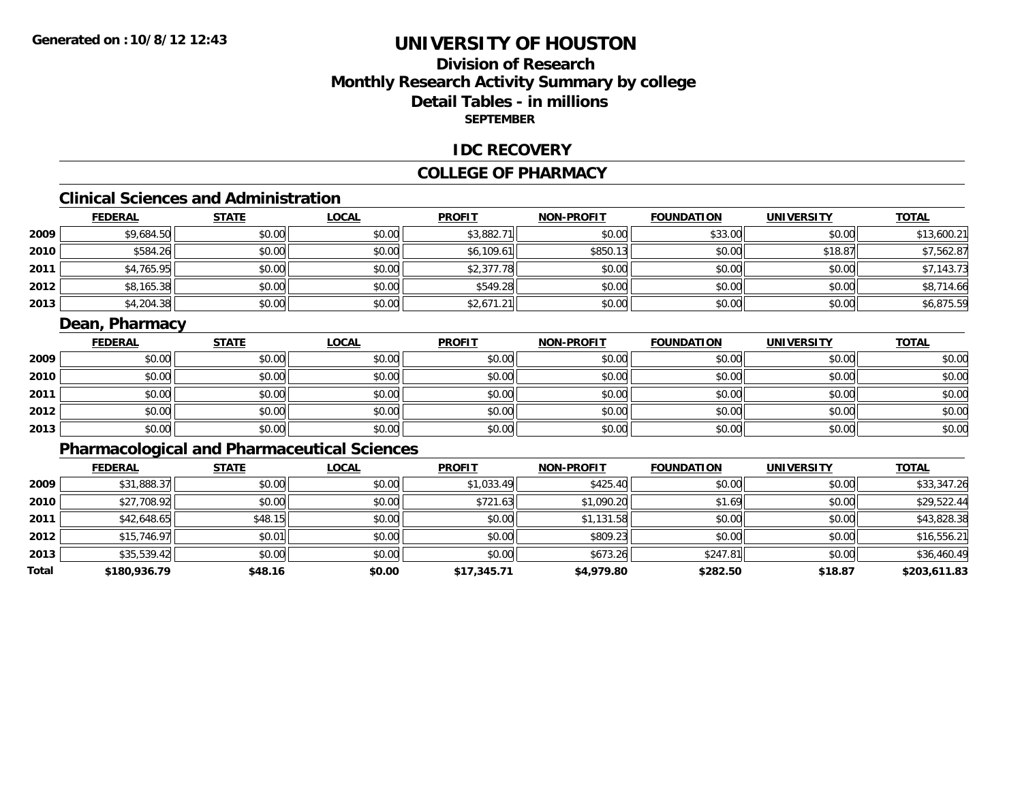### **Division of ResearchMonthly Research Activity Summary by college Detail Tables - in millions SEPTEMBER**

#### **IDC RECOVERY**

#### **COLLEGE OF PHARMACY**

# **Clinical Sciences and Administration**

|      | <b>FEDERAL</b> | <b>STATE</b> | <b>LOCAL</b> | <b>PROFIT</b> | <b>NON-PROFIT</b> | <b>FOUNDATION</b> | <b>UNIVERSITY</b> | <b>TOTAL</b> |
|------|----------------|--------------|--------------|---------------|-------------------|-------------------|-------------------|--------------|
| 2009 | \$9,684.50     | \$0.00       | \$0.00       | \$3,882.71    | \$0.00            | \$33.00           | \$0.00            | \$13,600.21  |
| 2010 | \$584.26       | \$0.00       | \$0.00       | \$6,109.61    | \$850.13          | \$0.00            | \$18.87           | \$7,562.87   |
| 2011 | \$4,765.95     | \$0.00       | \$0.00       | \$2,377.78    | \$0.00            | \$0.00            | \$0.00            | \$7,143.73   |
| 2012 | \$8,165.38     | \$0.00       | \$0.00       | \$549.28      | \$0.00            | \$0.00            | \$0.00            | \$8,714.66   |
| 2013 | \$4,204.38     | \$0.00       | \$0.00       | \$2,671.21    | \$0.00            | \$0.00            | \$0.00            | \$6,875.59   |

### **Dean, Pharmacy**

|      | <b>FEDERAL</b> | <b>STATE</b> | <b>LOCAL</b> | <b>PROFIT</b> | <b>NON-PROFIT</b> | <b>FOUNDATION</b> | <b>UNIVERSITY</b> | <b>TOTAL</b> |
|------|----------------|--------------|--------------|---------------|-------------------|-------------------|-------------------|--------------|
| 2009 | \$0.00         | \$0.00       | \$0.00       | \$0.00        | \$0.00            | \$0.00            | \$0.00            | \$0.00       |
| 2010 | \$0.00         | \$0.00       | \$0.00       | \$0.00        | \$0.00            | \$0.00            | \$0.00            | \$0.00       |
| 2011 | \$0.00         | \$0.00       | \$0.00       | \$0.00        | \$0.00            | \$0.00            | \$0.00            | \$0.00       |
| 2012 | \$0.00         | \$0.00       | \$0.00       | \$0.00        | \$0.00            | \$0.00            | \$0.00            | \$0.00       |
| 2013 | \$0.00         | \$0.00       | \$0.00       | \$0.00        | \$0.00            | \$0.00            | \$0.00            | \$0.00       |

### **Pharmacological and Pharmaceutical Sciences**

|       | <b>FEDERAL</b> | <b>STATE</b> | <b>LOCAL</b> | <b>PROFIT</b> | <b>NON-PROFIT</b> | <b>FOUNDATION</b> | <b>UNIVERSITY</b> | <b>TOTAL</b> |
|-------|----------------|--------------|--------------|---------------|-------------------|-------------------|-------------------|--------------|
| 2009  | \$31,888.37    | \$0.00       | \$0.00       | \$1,033.49    | \$425.40          | \$0.00            | \$0.00            | \$33,347.26  |
| 2010  | \$27,708.92    | \$0.00       | \$0.00       | \$721.63      | \$1,090.20        | \$1.69            | \$0.00            | \$29,522.44  |
| 2011  | \$42,648.65    | \$48.15      | \$0.00       | \$0.00        | \$1,131.58        | \$0.00            | \$0.00            | \$43,828.38  |
| 2012  | \$15,746.97    | \$0.01       | \$0.00       | \$0.00        | \$809.23          | \$0.00            | \$0.00            | \$16,556.21  |
| 2013  | \$35,539.42    | \$0.00       | \$0.00       | \$0.00        | \$673.26          | \$247.81          | \$0.00            | \$36,460.49  |
| Total | \$180,936.79   | \$48.16      | \$0.00       | \$17,345.71   | \$4,979.80        | \$282.50          | \$18.87           | \$203,611.83 |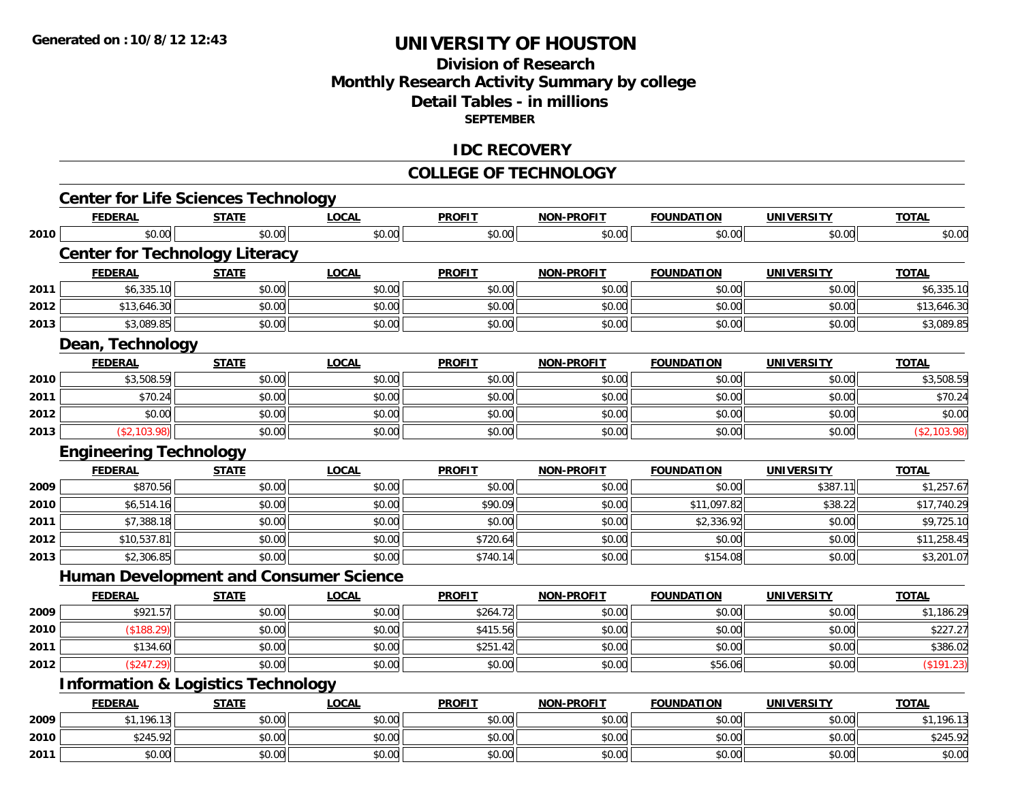### **Division of ResearchMonthly Research Activity Summary by college Detail Tables - in millions SEPTEMBER**

#### **IDC RECOVERY**

#### **COLLEGE OF TECHNOLOGY**

|      | <b>Center for Life Sciences Technology</b>    |              |              |               |                   |                   |                   |              |
|------|-----------------------------------------------|--------------|--------------|---------------|-------------------|-------------------|-------------------|--------------|
|      | <b>FEDERAL</b>                                | <b>STATE</b> | <b>LOCAL</b> | <b>PROFIT</b> | <b>NON-PROFIT</b> | <b>FOUNDATION</b> | <b>UNIVERSITY</b> | <b>TOTAL</b> |
| 2010 | \$0.00                                        | \$0.00       | \$0.00       | \$0.00        | \$0.00            | \$0.00            | \$0.00            | \$0.00       |
|      | <b>Center for Technology Literacy</b>         |              |              |               |                   |                   |                   |              |
|      | <b>FEDERAL</b>                                | <b>STATE</b> | <b>LOCAL</b> | <b>PROFIT</b> | <b>NON-PROFIT</b> | <b>FOUNDATION</b> | <b>UNIVERSITY</b> | <b>TOTAL</b> |
| 2011 | \$6,335.10                                    | \$0.00       | \$0.00       | \$0.00        | \$0.00            | \$0.00            | \$0.00            | \$6,335.10   |
| 2012 | \$13,646.30                                   | \$0.00       | \$0.00       | \$0.00        | \$0.00            | \$0.00            | \$0.00            | \$13,646.30  |
| 2013 | \$3,089.85                                    | \$0.00       | \$0.00       | \$0.00        | \$0.00            | \$0.00            | \$0.00            | \$3,089.85   |
|      | Dean, Technology                              |              |              |               |                   |                   |                   |              |
|      | <b>FEDERAL</b>                                | <b>STATE</b> | <b>LOCAL</b> | <b>PROFIT</b> | <b>NON-PROFIT</b> | <b>FOUNDATION</b> | <b>UNIVERSITY</b> | <b>TOTAL</b> |
| 2010 | \$3,508.59                                    | \$0.00       | \$0.00       | \$0.00        | \$0.00            | \$0.00            | \$0.00            | \$3,508.59   |
| 2011 | \$70.24                                       | \$0.00       | \$0.00       | \$0.00        | \$0.00            | \$0.00            | \$0.00            | \$70.24      |
| 2012 | \$0.00                                        | \$0.00       | \$0.00       | \$0.00        | \$0.00            | \$0.00            | \$0.00            | \$0.00       |
| 2013 | (\$2,103.98)                                  | \$0.00       | \$0.00       | \$0.00        | \$0.00            | \$0.00            | \$0.00            | (\$2,103.98) |
|      | <b>Engineering Technology</b>                 |              |              |               |                   |                   |                   |              |
|      | <b>FEDERAL</b>                                | <b>STATE</b> | <b>LOCAL</b> | <b>PROFIT</b> | <b>NON-PROFIT</b> | <b>FOUNDATION</b> | <b>UNIVERSITY</b> | <b>TOTAL</b> |
| 2009 | \$870.56                                      | \$0.00       | \$0.00       | \$0.00        | \$0.00            | \$0.00            | \$387.11          | \$1,257.67   |
| 2010 | \$6,514.16                                    | \$0.00       | \$0.00       | \$90.09       | \$0.00            | \$11,097.82       | \$38.22           | \$17,740.29  |
| 2011 | \$7,388.18                                    | \$0.00       | \$0.00       | \$0.00        | \$0.00            | \$2,336.92        | \$0.00            | \$9,725.10   |
| 2012 | \$10,537.81                                   | \$0.00       | \$0.00       | \$720.64      | \$0.00            | \$0.00            | \$0.00            | \$11,258.45  |
| 2013 | \$2,306.85                                    | \$0.00       | \$0.00       | \$740.14      | \$0.00            | \$154.08          | \$0.00            | \$3,201.07   |
|      | <b>Human Development and Consumer Science</b> |              |              |               |                   |                   |                   |              |
|      | <b>FEDERAL</b>                                | <b>STATE</b> | <b>LOCAL</b> | <b>PROFIT</b> | <b>NON-PROFIT</b> | <b>FOUNDATION</b> | <b>UNIVERSITY</b> | <b>TOTAL</b> |
| 2009 | \$921.57                                      | \$0.00       | \$0.00       | \$264.72      | \$0.00            | \$0.00            | \$0.00            | \$1,186.29   |
| 2010 | (\$188.29)                                    | \$0.00       | \$0.00       | \$415.56      | \$0.00            | \$0.00            | \$0.00            | \$227.27     |
| 2011 | \$134.60                                      | \$0.00       | \$0.00       | \$251.42      | \$0.00            | \$0.00            | \$0.00            | \$386.02     |
| 2012 | (\$247.29)                                    | \$0.00       | \$0.00       | \$0.00        | \$0.00            | \$56.06           | \$0.00            | (\$191.23)   |
|      | <b>Information &amp; Logistics Technology</b> |              |              |               |                   |                   |                   |              |
|      | <b>FEDERAL</b>                                | <b>STATE</b> | <b>LOCAL</b> | <b>PROFIT</b> | <b>NON-PROFIT</b> | <b>FOUNDATION</b> | <b>UNIVERSITY</b> | <b>TOTAL</b> |
| 2009 | \$1,196.13                                    | \$0.00       | \$0.00       | \$0.00        | \$0.00            | \$0.00            | \$0.00            | \$1,196.13   |
| 2010 | \$245.92                                      | \$0.00       | \$0.00       | \$0.00        | \$0.00            | \$0.00            | \$0.00            | \$245.92     |
| 2011 | \$0.00                                        | \$0.00       | \$0.00       | \$0.00        | \$0.00            | \$0.00            | \$0.00            | \$0.00       |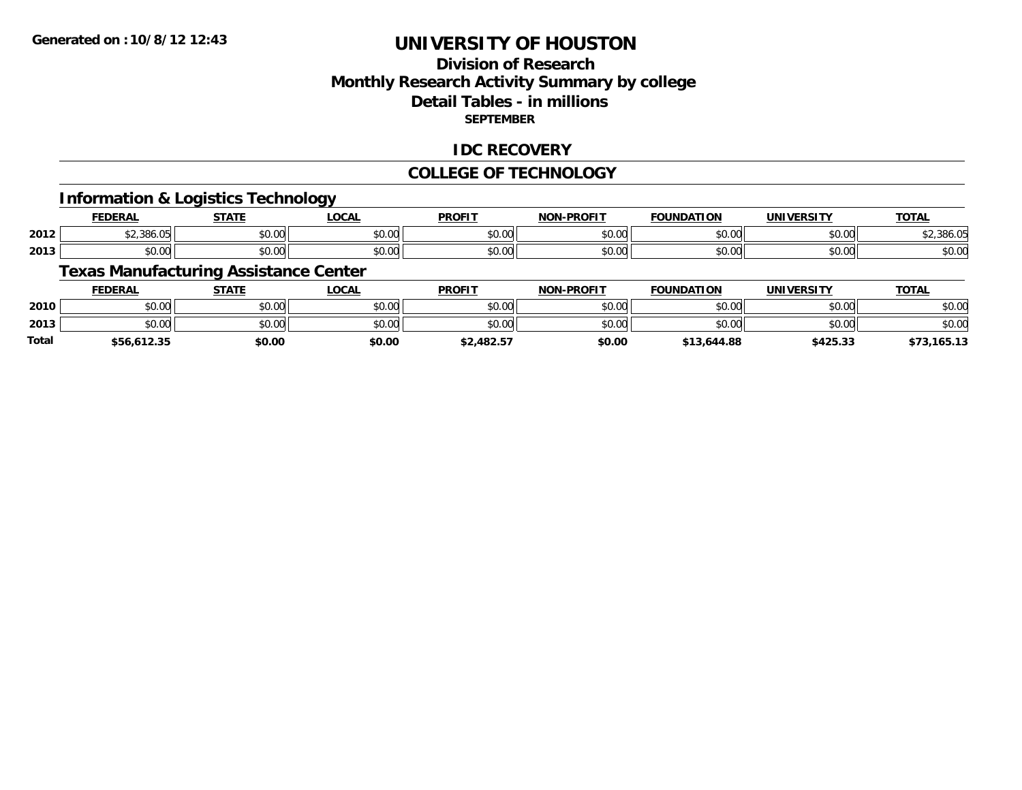### **Division of ResearchMonthly Research Activity Summary by college Detail Tables - in millions SEPTEMBER**

### **IDC RECOVERY**

#### **COLLEGE OF TECHNOLOGY**

#### **Information & Logistics Technology**

|      | <b>NEDAI</b><br>ERP | $- - - - -$        | $\sim$<br>UUM | <b>PROFIT</b>      | -PROFIT<br><b>NON</b> | ΠΟΝ          | IINIVERSITV   | $-2 - 1$<br>vı,       |
|------|---------------------|--------------------|---------------|--------------------|-----------------------|--------------|---------------|-----------------------|
| 2012 | \$2.386.05          | $\sim$ 00<br>JU.UU | 0.00<br>JU.UU | vv.v               | 0000<br>vv.vv         | 0000<br>ט.טע | 0.00<br>JU.UU | 300                   |
| 2013 | \$0.00              | $\sim$ 00<br>JU.UL | 0.00<br>JU.UU | $\sim$ 0.00<br>wv. | 0000<br>vv.vv         | 0000         | 0.00<br>JU.UU | $\sim$ $\sim$<br>D.U¢ |

### **Texas Manufacturing Assistance Center**

|       | <b>FEDERAL</b>               | STATE  | <u>LOCAL</u> | <b>PROFIT</b> | <b>NON-PROFIT</b> | <b>FOUNDATION</b> | UNIVERSITY | <u>TOTAL</u> |
|-------|------------------------------|--------|--------------|---------------|-------------------|-------------------|------------|--------------|
| 2010  | ሶስ ሰስ<br>DU.UU               | \$0.00 | \$0.00       | \$0.00        | \$0.00            | \$0.00            | \$0.00     | \$0.00       |
| 2013  | $*$ $\circ$ $\circ$<br>JU.UU | \$0.00 | \$0.00       | \$0.00        | \$0.00            | \$0.00            | \$0.00     | \$0.00       |
| Total | \$56,612.35                  | \$0.00 | \$0.00       | \$2,482.57    | \$0.00            | \$13,644.88       | \$425.33   | ,165.13      |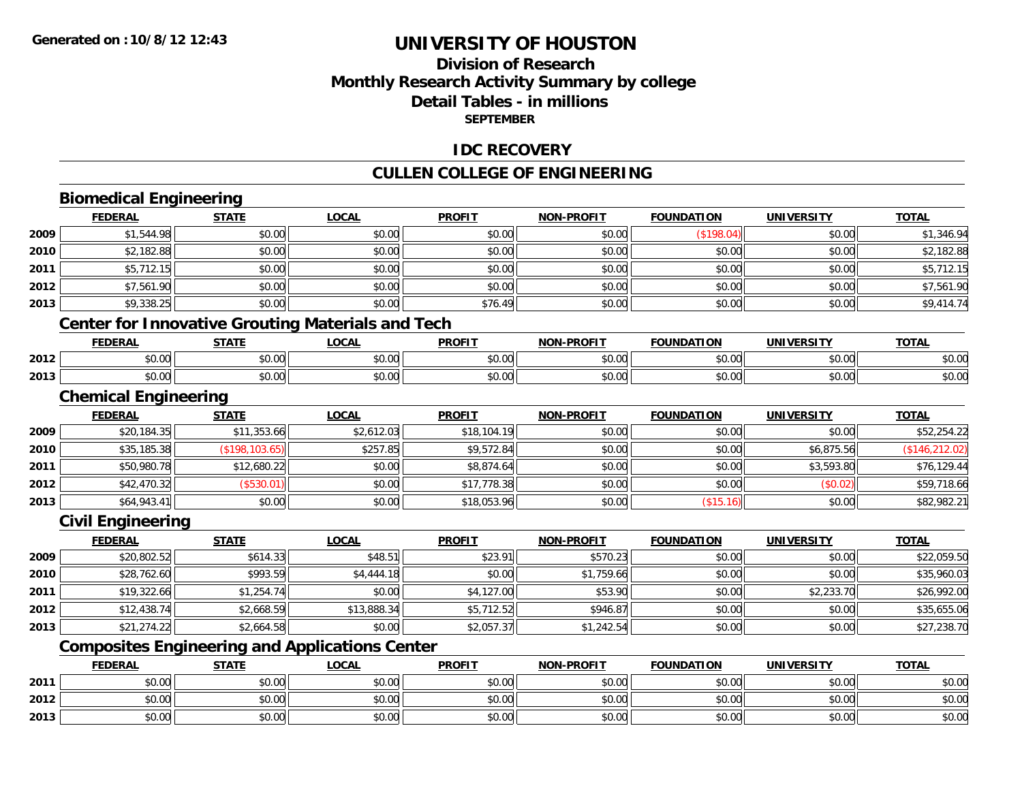### **Division of ResearchMonthly Research Activity Summary by college Detail Tables - in millions SEPTEMBER**

### **IDC RECOVERY**

### **CULLEN COLLEGE OF ENGINEERING**

# **Biomedical Engineering**

**2012**

**2013**

|      | <b>FEDERAL</b>                                           | <b>STATE</b>    | <b>LOCAL</b> | <b>PROFIT</b> | <b>NON-PROFIT</b> | <b>FOUNDATION</b> | <b>UNIVERSITY</b> | <b>TOTAL</b>    |
|------|----------------------------------------------------------|-----------------|--------------|---------------|-------------------|-------------------|-------------------|-----------------|
| 2009 | \$1,544.98                                               | \$0.00          | \$0.00       | \$0.00        | \$0.00            | (\$198.04)        | \$0.00            | \$1,346.94      |
| 2010 | \$2,182.88                                               | \$0.00          | \$0.00       | \$0.00        | \$0.00            | \$0.00            | \$0.00            | \$2,182.88      |
| 2011 | \$5,712.15                                               | \$0.00          | \$0.00       | \$0.00        | \$0.00            | \$0.00            | \$0.00            | \$5,712.15      |
| 2012 | \$7,561.90                                               | \$0.00          | \$0.00       | \$0.00        | \$0.00            | \$0.00            | \$0.00            | \$7,561.90      |
| 2013 | \$9,338.25                                               | \$0.00          | \$0.00       | \$76.49       | \$0.00            | \$0.00            | \$0.00            | \$9,414.74      |
|      | <b>Center for Innovative Grouting Materials and Tech</b> |                 |              |               |                   |                   |                   |                 |
|      | <b>FEDERAL</b>                                           | <b>STATE</b>    | <b>LOCAL</b> | <b>PROFIT</b> | <b>NON-PROFIT</b> | <b>FOUNDATION</b> | <b>UNIVERSITY</b> | <b>TOTAL</b>    |
| 2012 | \$0.00                                                   | \$0.00          | \$0.00       | \$0.00        | \$0.00            | \$0.00            | \$0.00            | \$0.00          |
| 2013 | \$0.00                                                   | \$0.00          | \$0.00       | \$0.00        | \$0.00            | \$0.00            | \$0.00            | \$0.00          |
|      | <b>Chemical Engineering</b>                              |                 |              |               |                   |                   |                   |                 |
|      | <b>FEDERAL</b>                                           | <b>STATE</b>    | <b>LOCAL</b> | <b>PROFIT</b> | <b>NON-PROFIT</b> | <b>FOUNDATION</b> | <b>UNIVERSITY</b> | <b>TOTAL</b>    |
| 2009 | \$20,184.35                                              | \$11,353.66     | \$2,612.03   | \$18,104.19   | \$0.00            | \$0.00            | \$0.00            | \$52,254.22     |
| 2010 | \$35,185.38                                              | (\$198, 103.65) | \$257.85     | \$9,572.84    | \$0.00            | \$0.00            | \$6,875.56        | (\$146, 212.02) |
| 2011 | \$50,980.78                                              | \$12,680.22     | \$0.00       | \$8,874.64    | \$0.00            | \$0.00            | \$3,593.80        | \$76,129.44     |
| 2012 | \$42,470.32                                              | (\$530.01)      | \$0.00       | \$17,778.38   | \$0.00            | \$0.00            | (\$0.02)          | \$59,718.66     |
| 2013 | \$64,943.41                                              | \$0.00          | \$0.00       | \$18,053.96   | \$0.00            | (\$15.16)         | \$0.00            | \$82,982.21     |
|      | <b>Civil Engineering</b>                                 |                 |              |               |                   |                   |                   |                 |
|      | <b>FEDERAL</b>                                           | <b>STATE</b>    | <b>LOCAL</b> | <b>PROFIT</b> | <b>NON-PROFIT</b> | <b>FOUNDATION</b> | <b>UNIVERSITY</b> | <b>TOTAL</b>    |
| 2009 | \$20,802.52                                              | \$614.33        | \$48.51      | \$23.91       | \$570.23          | \$0.00            | \$0.00            | \$22,059.50     |
| 2010 | \$28,762.60                                              | \$993.59        | \$4,444.18   | \$0.00        | \$1,759.66        | \$0.00            | \$0.00            | \$35,960.03     |
| 2011 | \$19,322.66                                              | \$1,254.74      | \$0.00       | \$4,127.00    | \$53.90           | \$0.00            | \$2,233.70        | \$26,992.00     |
| 2012 | \$12,438.74                                              | \$2,668.59      | \$13,888.34  | \$5,712.52    | \$946.87          | \$0.00            | \$0.00            | \$35,655.06     |
| 2013 | \$21,274.22                                              | \$2,664.58      | \$0.00       | \$2,057.37    | \$1,242.54        | \$0.00            | \$0.00            | \$27,238.70     |
|      | <b>Composites Engineering and Applications Center</b>    |                 |              |               |                   |                   |                   |                 |
|      | <b>FEDERAL</b>                                           | <b>STATE</b>    | <b>LOCAL</b> | <b>PROFIT</b> | <b>NON-PROFIT</b> | <b>FOUNDATION</b> | <b>UNIVERSITY</b> | <b>TOTAL</b>    |
| 2011 | \$0.00                                                   | \$0.00          | \$0.00       | \$0.00        | \$0.00            | \$0.00            | \$0.00            | \$0.00          |

2 | \$0.00 \$0.00 \$0.00 \$0.00 \$0.00 \$0.00 \$0.00 \$0.00 \$0.00 \$0.00 \$0.00 \$0.00 \$0.00 \$0.00 \$0.00 \$0.00 \$0.00

\$0.00 \$0.00 \$0.00 \$0.00 \$0.00 \$0.00 \$0.00 \$0.00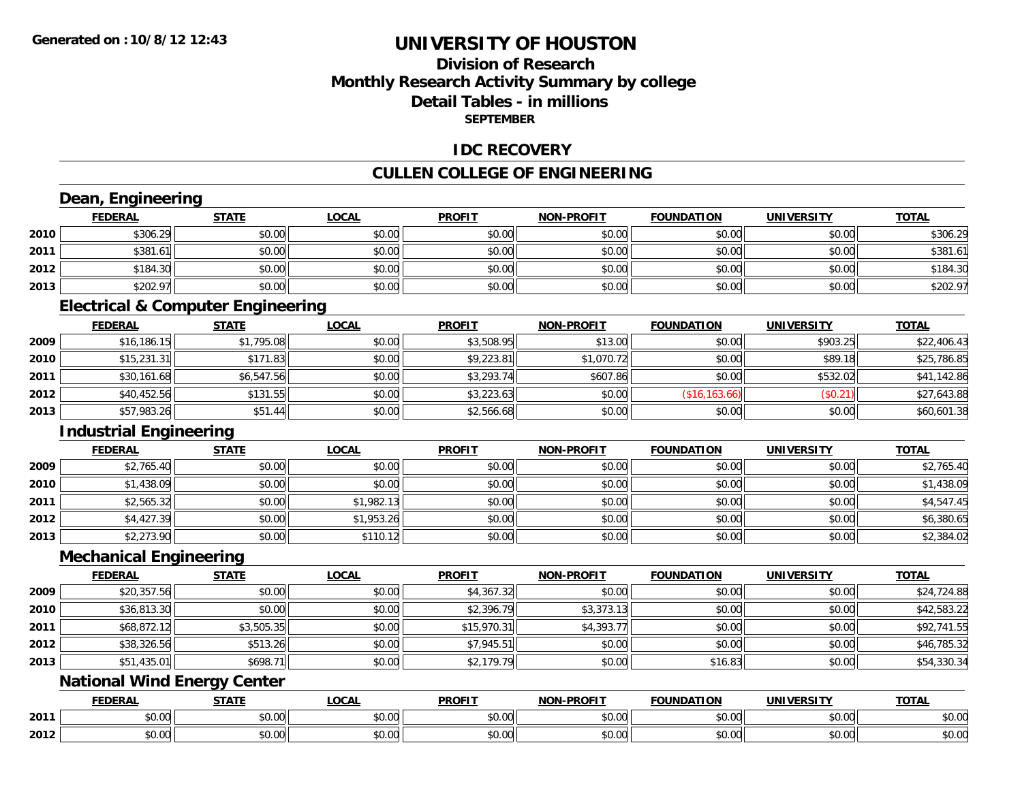### **Division of ResearchMonthly Research Activity Summary by college Detail Tables - in millionsSEPTEMBER**

#### **IDC RECOVERY**

### **CULLEN COLLEGE OF ENGINEERING**

# **Dean, Engineering**

|      | <b>FEDERAL</b>                | <b>STATE</b> | <u>LOCAL</u> | <b>PROFIT</b> | <b>NON-PROFIT</b> | <b>FOUNDATION</b> | <b>UNIVERSITY</b> | <b>TOTAL</b> |
|------|-------------------------------|--------------|--------------|---------------|-------------------|-------------------|-------------------|--------------|
| 2010 | \$306.29                      | \$0.00       | \$0.00       | \$0.00        | \$0.00            | \$0.00            | \$0.00            | \$306.29     |
| 2011 | \$381.61                      | \$0.00       | \$0.00       | \$0.00        | \$0.00            | \$0.00            | \$0.00            | \$381.61     |
| 2012 | \$184.30                      | \$0.00       | \$0.00       | \$0.00        | \$0.00            | \$0.00            | \$0.00            | \$184.30     |
| 2013 | \$202.97                      | \$0.00       | \$0.00       | \$0.00        | \$0.00            | \$0.00            | \$0.00            | \$202.97     |
|      | the control of the control of |              |              |               |                   |                   |                   |              |

#### **Electrical & Computer Engineering**

|      | <b>FEDERAL</b> | <u>STATE</u> | <b>LOCAL</b> | <b>PROFIT</b> | <b>NON-PROFIT</b> | <b>FOUNDATION</b> | <b>UNIVERSITY</b> | <b>TOTAL</b> |
|------|----------------|--------------|--------------|---------------|-------------------|-------------------|-------------------|--------------|
| 2009 | \$16,186.15    | \$1,795.08   | \$0.00       | \$3,508.95    | \$13.00           | \$0.00            | \$903.25          | \$22,406.43  |
| 2010 | \$15,231.31    | \$171.83     | \$0.00       | \$9,223.81    | \$1,070.72        | \$0.00            | \$89.18           | \$25,786.85  |
| 2011 | \$30,161.68    | \$6,547.56   | \$0.00       | \$3,293.74    | \$607.86          | \$0.00            | \$532.02          | \$41,142.86  |
| 2012 | \$40,452.56    | \$131.55     | \$0.00       | \$3,223.63    | \$0.00            | (\$16, 163.66)    | (\$0.21)          | \$27,643.88  |
| 2013 | \$57,983.26    | \$51.44      | \$0.00       | \$2,566.68    | \$0.00            | \$0.00            | \$0.00            | \$60,601.38  |

#### **Industrial Engineering**

|      | <b>FEDERAL</b> | <b>STATE</b> | <u>LOCAL</u> | <b>PROFIT</b> | <b>NON-PROFIT</b> | <b>FOUNDATION</b> | <b>UNIVERSITY</b> | <b>TOTAL</b> |
|------|----------------|--------------|--------------|---------------|-------------------|-------------------|-------------------|--------------|
| 2009 | \$2,765.40     | \$0.00       | \$0.00       | \$0.00        | \$0.00            | \$0.00            | \$0.00            | \$2,765.40   |
| 2010 | \$1,438.09     | \$0.00       | \$0.00       | \$0.00        | \$0.00            | \$0.00            | \$0.00            | \$1,438.09   |
| 2011 | \$2,565.32     | \$0.00       | \$1,982.13   | \$0.00        | \$0.00            | \$0.00            | \$0.00            | \$4,547.45   |
| 2012 | \$4,427.39     | \$0.00       | \$1,953.26   | \$0.00        | \$0.00            | \$0.00            | \$0.00            | \$6,380.65   |
| 2013 | \$2,273.90     | \$0.00       | \$110.12     | \$0.00        | \$0.00            | \$0.00            | \$0.00            | \$2,384.02   |

#### **Mechanical Engineering**

|      | <b>FEDERAL</b> | <b>STATE</b> | <u>LOCAL</u> | <b>PROFIT</b> | <b>NON-PROFIT</b> | <b>FOUNDATION</b> | <b>UNIVERSITY</b> | <b>TOTAL</b> |
|------|----------------|--------------|--------------|---------------|-------------------|-------------------|-------------------|--------------|
| 2009 | \$20,357.56    | \$0.00       | \$0.00       | \$4,367.32    | \$0.00            | \$0.00            | \$0.00            | \$24,724.88  |
| 2010 | \$36,813.30    | \$0.00       | \$0.00       | \$2,396.79    | \$3,373.13        | \$0.00            | \$0.00            | \$42,583.22  |
| 2011 | \$68,872.12    | \$3,505.35   | \$0.00       | \$15,970.31   | \$4,393.77        | \$0.00            | \$0.00            | \$92,741.55  |
| 2012 | \$38,326.56    | \$513.26     | \$0.00       | \$7,945.51    | \$0.00            | \$0.00            | \$0.00            | \$46,785.32  |
| 2013 | \$51,435.01    | \$698.71     | \$0.00       | \$2,179.79    | \$0.00            | \$16.83           | \$0.00            | \$54,330.34  |

### **National Wind Energy Center**

|      | <b>FEDERAL</b> | <b>STATE</b> | <b>_OCAI</b>   | <b>PROFIT</b> | <b>M-PROF!</b><br>.    | <b>FOUNDATION</b> | UNIVERSITY    | <b>TOTAL</b> |
|------|----------------|--------------|----------------|---------------|------------------------|-------------------|---------------|--------------|
| 2011 | 0.00<br>DU.UU  | ÷0.<br>טט.טע | ሶስ ስስ<br>JU.UU | 0.00<br>DU.UU | $\sim$ $\sim$<br>vu.vu | \$0.00            | 0.00<br>งบ.บบ | \$0.00       |
| 2012 | 0000<br>U.UU   | ሖጣ<br>,,,    | ሶስ ስስ<br>PU.UU | 0000<br>DU.UU | $\sim$ $\sim$<br>vu.vu | \$0.00            | \$0.00        | \$0.00       |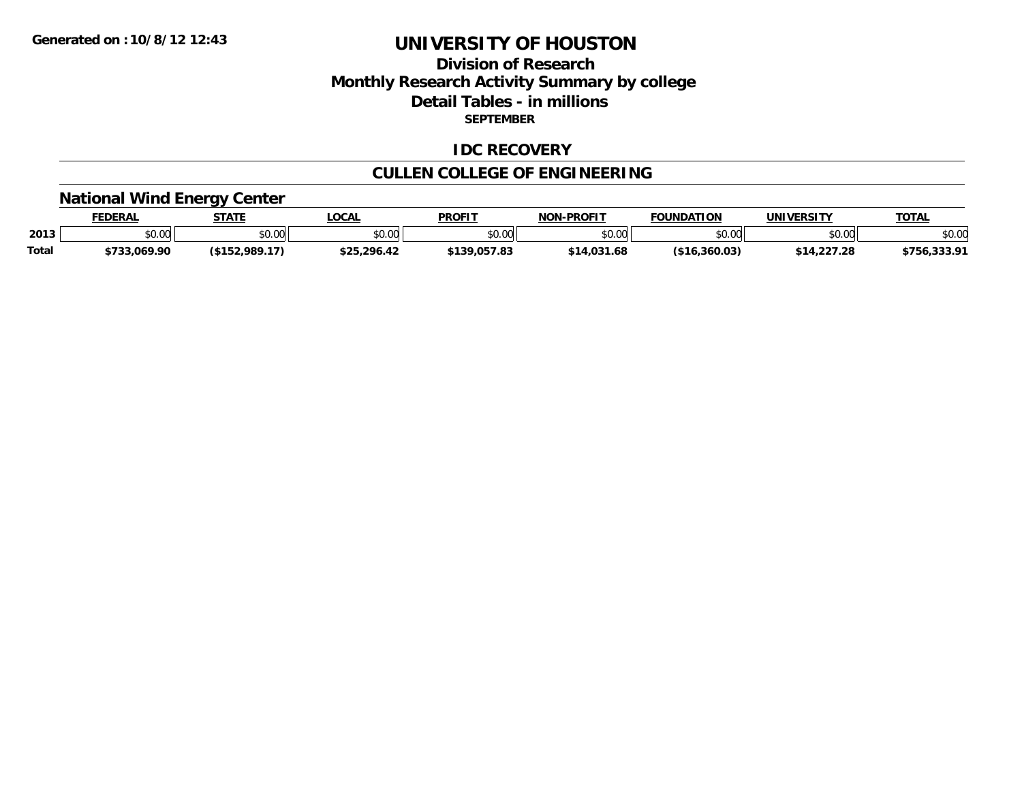### **Division of Research Monthly Research Activity Summary by college Detail Tables - in millions SEPTEMBER**

#### **IDC RECOVERY**

# **CULLEN COLLEGE OF ENGINEERING**

### **National Wind Energy Center**

|              | <b>FEDERAL</b>         | <b>STATE</b>                      | LOCAL       | <b>PROFIT</b>               | <b>LPROFIT</b><br><b>NON</b> | <b>FOUNDATION</b> | <b>UNIVERSITY</b> | <b>TOTAL</b>           |
|--------------|------------------------|-----------------------------------|-------------|-----------------------------|------------------------------|-------------------|-------------------|------------------------|
| 2013         | $n \cap \neg$<br>DU.UU | 0.00<br>JU.UU                     | \$0.00      | ≮N UV<br>JU.UU              | \$0.00                       | \$0.00            | 0000<br>DU.UU     | \$0.00                 |
| <b>Total</b> | \$733.069.90           | :,989.17<br><b>415</b><br>91 J.Z. | \$25.296.42 | <b>4120 057 82</b><br>ده. ا | \$14.031.68                  | 16،360.03         | \$14,227.28       | <br>キフドム<br>7 JU, JJJ. |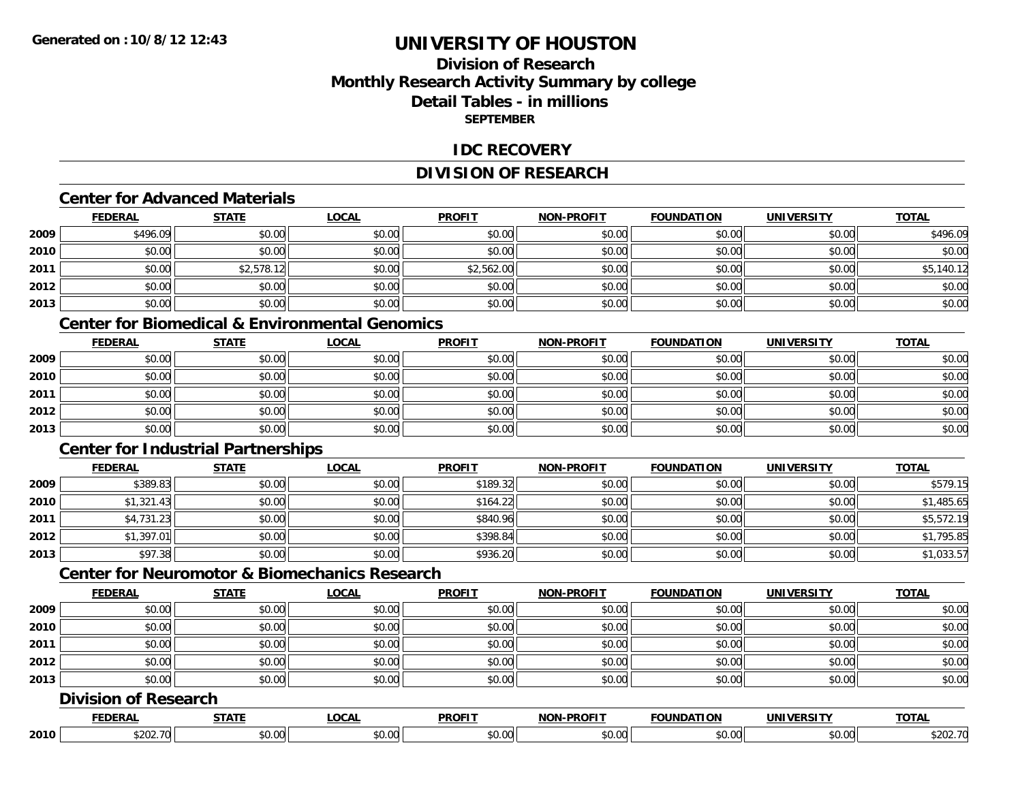### **Division of ResearchMonthly Research Activity Summary by college Detail Tables - in millionsSEPTEMBER**

#### **IDC RECOVERY**

### **DIVISION OF RESEARCH**

### **Center for Advanced Materials**

|      | <b>FEDERAL</b> | <b>STATE</b> | <b>LOCAL</b> | <b>PROFIT</b> | <b>NON-PROFIT</b> | <b>FOUNDATION</b> | <b>UNIVERSITY</b> | <b>TOTAL</b> |
|------|----------------|--------------|--------------|---------------|-------------------|-------------------|-------------------|--------------|
| 2009 | \$496.09       | \$0.00       | \$0.00       | \$0.00        | \$0.00            | \$0.00            | \$0.00            | \$496.09     |
| 2010 | \$0.00         | \$0.00       | \$0.00       | \$0.00        | \$0.00            | \$0.00            | \$0.00            | \$0.00       |
| 2011 | \$0.00         | \$2,578.12   | \$0.00       | \$2,562.00    | \$0.00            | \$0.00            | \$0.00            | \$5,140.12   |
| 2012 | \$0.00         | \$0.00       | \$0.00       | \$0.00        | \$0.00            | \$0.00            | \$0.00            | \$0.00       |
| 2013 | \$0.00         | \$0.00       | \$0.00       | \$0.00        | \$0.00            | \$0.00            | \$0.00            | \$0.00       |

# **Center for Biomedical & Environmental Genomics**

|      | <u>FEDERAL</u> | <b>STATE</b> | <b>LOCAL</b> | <b>PROFIT</b> | NON-PROFIT | <b>FOUNDATION</b> | <b>UNIVERSITY</b> | <b>TOTAL</b> |
|------|----------------|--------------|--------------|---------------|------------|-------------------|-------------------|--------------|
| 2009 | \$0.00         | \$0.00       | \$0.00       | \$0.00        | \$0.00     | \$0.00            | \$0.00            | \$0.00       |
| 2010 | \$0.00         | \$0.00       | \$0.00       | \$0.00        | \$0.00     | \$0.00            | \$0.00            | \$0.00       |
| 2011 | \$0.00         | \$0.00       | \$0.00       | \$0.00        | \$0.00     | \$0.00            | \$0.00            | \$0.00       |
| 2012 | \$0.00         | \$0.00       | \$0.00       | \$0.00        | \$0.00     | \$0.00            | \$0.00            | \$0.00       |
| 2013 | \$0.00         | \$0.00       | \$0.00       | \$0.00        | \$0.00     | \$0.00            | \$0.00            | \$0.00       |

### **Center for Industrial Partnerships**

|      | <u>FEDERAL</u> | <b>STATE</b> | <b>LOCAL</b> | <b>PROFIT</b> | <b>NON-PROFIT</b> | <b>FOUNDATION</b> | <b>UNIVERSITY</b> | <b>TOTAL</b> |
|------|----------------|--------------|--------------|---------------|-------------------|-------------------|-------------------|--------------|
| 2009 | \$389.83       | \$0.00       | \$0.00       | \$189.32      | \$0.00            | \$0.00            | \$0.00            | \$579.15     |
| 2010 | \$1,321.43     | \$0.00       | \$0.00       | \$164.22      | \$0.00            | \$0.00            | \$0.00            | \$1,485.65   |
| 2011 | \$4,731.23     | \$0.00       | \$0.00       | \$840.96      | \$0.00            | \$0.00            | \$0.00            | \$5,572.19   |
| 2012 | \$1,397.01     | \$0.00       | \$0.00       | \$398.84      | \$0.00            | \$0.00            | \$0.00            | \$1,795.85   |
| 2013 | \$97.38        | \$0.00       | \$0.00       | \$936.20      | \$0.00            | \$0.00            | \$0.00            | \$1,033.57   |

### **Center for Neuromotor & Biomechanics Research**

|      | <b>FEDERAL</b>              | <b>STATE</b> | <b>LOCAL</b> | <b>PROFIT</b> | <b>NON-PROFIT</b> | <b>FOUNDATION</b> | <b>UNIVERSITY</b> | <b>TOTAL</b> |
|------|-----------------------------|--------------|--------------|---------------|-------------------|-------------------|-------------------|--------------|
| 2009 | \$0.00                      | \$0.00       | \$0.00       | \$0.00        | \$0.00            | \$0.00            | \$0.00            | \$0.00       |
| 2010 | \$0.00                      | \$0.00       | \$0.00       | \$0.00        | \$0.00            | \$0.00            | \$0.00            | \$0.00       |
| 2011 | \$0.00                      | \$0.00       | \$0.00       | \$0.00        | \$0.00            | \$0.00            | \$0.00            | \$0.00       |
| 2012 | \$0.00                      | \$0.00       | \$0.00       | \$0.00        | \$0.00            | \$0.00            | \$0.00            | \$0.00       |
| 2013 | \$0.00                      | \$0.00       | \$0.00       | \$0.00        | \$0.00            | \$0.00            | \$0.00            | \$0.00       |
|      | <b>Division of Research</b> |              |              |               |                   |                   |                   |              |
|      | <b>FEDERAL</b>              | <b>STATE</b> | <b>LOCAL</b> | <b>PROFIT</b> | <b>NON-PROFIT</b> | <b>FOUNDATION</b> | <b>UNIVERSITY</b> | <b>TOTAL</b> |
| 2010 | \$202.70                    | \$0.00       | \$0.00       | \$0.00        | \$0.00            | \$0.00            | \$0.00            | \$202.70     |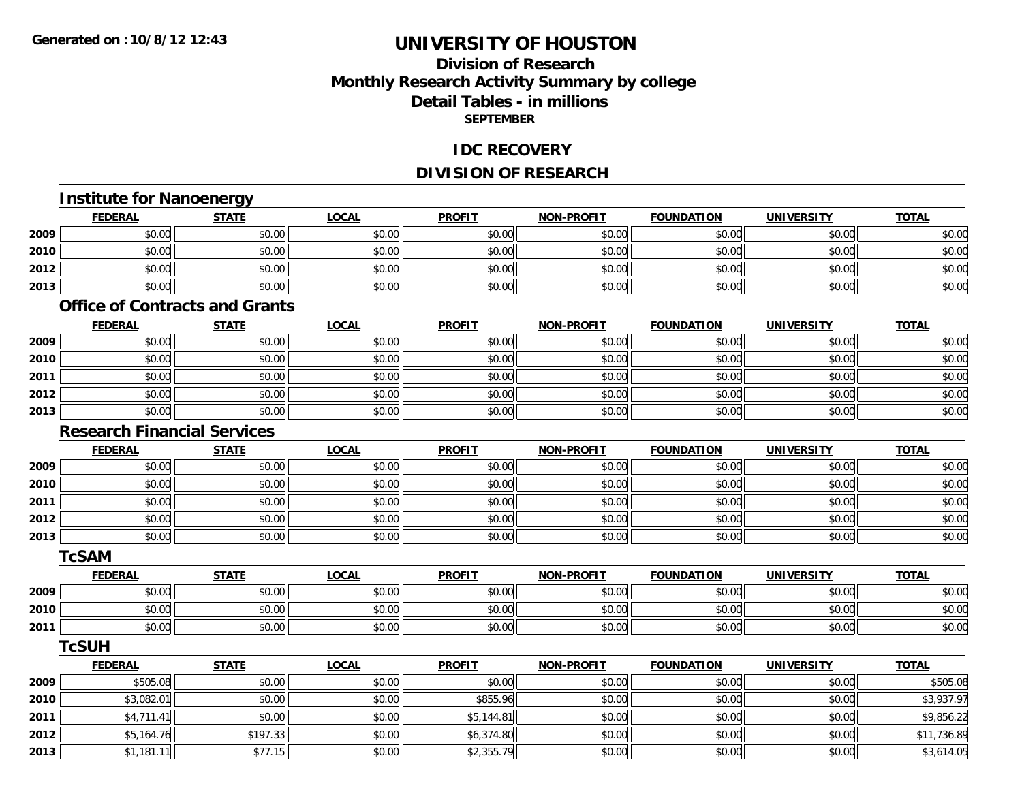### **Division of ResearchMonthly Research Activity Summary by college Detail Tables - in millions SEPTEMBER**

#### **IDC RECOVERY**

### **DIVISION OF RESEARCH**

|      | <b>Institute for Nanoenergy</b>       |              |              |               |                   |                   |                   |              |
|------|---------------------------------------|--------------|--------------|---------------|-------------------|-------------------|-------------------|--------------|
|      | <b>FEDERAL</b>                        | <b>STATE</b> | <b>LOCAL</b> | <b>PROFIT</b> | <b>NON-PROFIT</b> | <b>FOUNDATION</b> | <b>UNIVERSITY</b> | <b>TOTAL</b> |
| 2009 | \$0.00                                | \$0.00       | \$0.00       | \$0.00        | \$0.00            | \$0.00            | \$0.00            | \$0.00       |
| 2010 | \$0.00                                | \$0.00       | \$0.00       | \$0.00        | \$0.00            | \$0.00            | \$0.00            | \$0.00       |
| 2012 | \$0.00                                | \$0.00       | \$0.00       | \$0.00        | \$0.00            | \$0.00            | \$0.00            | \$0.00       |
| 2013 | \$0.00                                | \$0.00       | \$0.00       | \$0.00        | \$0.00            | \$0.00            | \$0.00            | \$0.00       |
|      | <b>Office of Contracts and Grants</b> |              |              |               |                   |                   |                   |              |
|      | <b>FEDERAL</b>                        | <b>STATE</b> | <b>LOCAL</b> | <b>PROFIT</b> | <b>NON-PROFIT</b> | <b>FOUNDATION</b> | <b>UNIVERSITY</b> | <b>TOTAL</b> |
| 2009 | \$0.00                                | \$0.00       | \$0.00       | \$0.00        | \$0.00            | \$0.00            | \$0.00            | \$0.00       |
| 2010 | \$0.00                                | \$0.00       | \$0.00       | \$0.00        | \$0.00            | \$0.00            | \$0.00            | \$0.00       |
| 2011 | \$0.00                                | \$0.00       | \$0.00       | \$0.00        | \$0.00            | \$0.00            | \$0.00            | \$0.00       |
| 2012 | \$0.00                                | \$0.00       | \$0.00       | \$0.00        | \$0.00            | \$0.00            | \$0.00            | \$0.00       |
| 2013 | \$0.00                                | \$0.00       | \$0.00       | \$0.00        | \$0.00            | \$0.00            | \$0.00            | \$0.00       |
|      | <b>Research Financial Services</b>    |              |              |               |                   |                   |                   |              |
|      | <b>FEDERAL</b>                        | <b>STATE</b> | <b>LOCAL</b> | <b>PROFIT</b> | <b>NON-PROFIT</b> | <b>FOUNDATION</b> | <b>UNIVERSITY</b> | <b>TOTAL</b> |
| 2009 | \$0.00                                | \$0.00       | \$0.00       | \$0.00        | \$0.00            | \$0.00            | \$0.00            | \$0.00       |
| 2010 | \$0.00                                | \$0.00       | \$0.00       | \$0.00        | \$0.00            | \$0.00            | \$0.00            | \$0.00       |
| 2011 | \$0.00                                | \$0.00       | \$0.00       | \$0.00        | \$0.00            | \$0.00            | \$0.00            | \$0.00       |
| 2012 | \$0.00                                | \$0.00       | \$0.00       | \$0.00        | \$0.00            | \$0.00            | \$0.00            | \$0.00       |
| 2013 | \$0.00                                | \$0.00       | \$0.00       | \$0.00        | \$0.00            | \$0.00            | \$0.00            | \$0.00       |
|      | <b>TcSAM</b>                          |              |              |               |                   |                   |                   |              |
|      | <b>FEDERAL</b>                        | <b>STATE</b> | <b>LOCAL</b> | <b>PROFIT</b> | <b>NON-PROFIT</b> | <b>FOUNDATION</b> | <b>UNIVERSITY</b> | <b>TOTAL</b> |
| 2009 | \$0.00                                | \$0.00       | \$0.00       | \$0.00        | \$0.00            | \$0.00            | \$0.00            | \$0.00       |
| 2010 | \$0.00                                | \$0.00       | \$0.00       | \$0.00        | \$0.00            | \$0.00            | \$0.00            | \$0.00       |
| 2011 | \$0.00                                | \$0.00       | \$0.00       | \$0.00        | \$0.00            | \$0.00            | \$0.00            | \$0.00       |
|      | <b>TcSUH</b>                          |              |              |               |                   |                   |                   |              |
|      | <b>FEDERAL</b>                        | <b>STATE</b> | <b>LOCAL</b> | <b>PROFIT</b> | <b>NON-PROFIT</b> | <b>FOUNDATION</b> | <b>UNIVERSITY</b> | <b>TOTAL</b> |
| 2009 | \$505.08                              | \$0.00       | \$0.00       | \$0.00        | \$0.00            | \$0.00            | \$0.00            | \$505.08     |
| 2010 | \$3,082.01                            | \$0.00       | \$0.00       | \$855.96      | \$0.00            | \$0.00            | \$0.00            | \$3,937.97   |
| 2011 | \$4,711.41                            | \$0.00       | \$0.00       | \$5,144.81    | \$0.00            | \$0.00            | \$0.00            | \$9,856.22   |
| 2012 | \$5,164.76                            | \$197.33     | \$0.00       | \$6,374.80    | \$0.00            | \$0.00            | \$0.00            | \$11,736.89  |
| 2013 | \$1.181.11                            | \$77.15      | \$0.00       | \$2,355.79    | \$0.00            | \$0.00            | \$0.00            | \$3,614.05   |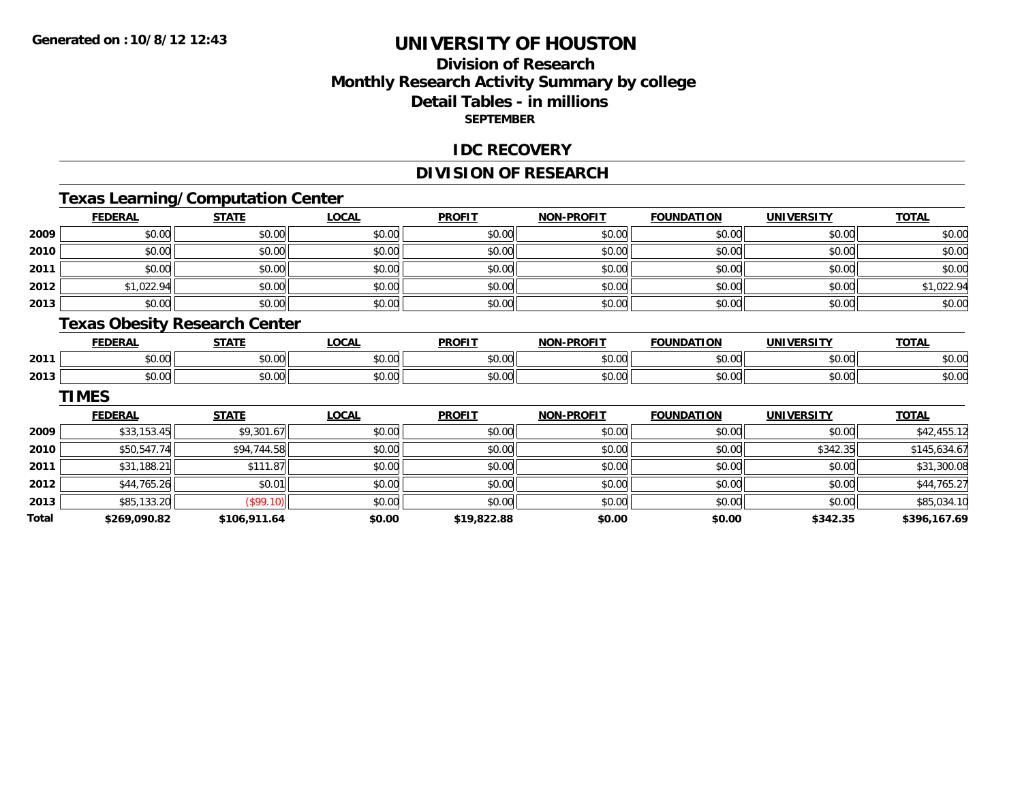### **Division of ResearchMonthly Research Activity Summary by college Detail Tables - in millions SEPTEMBER**

#### **IDC RECOVERY**

### **DIVISION OF RESEARCH**

# **Texas Learning/Computation Center**

|      | <b>FEDERAL</b> | <b>STATE</b>                         | <b>LOCAL</b> | <b>PROFIT</b> | <b>NON-PROFIT</b> | <b>FOUNDATION</b> | <b>UNIVERSITY</b> | <b>TOTAL</b> |
|------|----------------|--------------------------------------|--------------|---------------|-------------------|-------------------|-------------------|--------------|
| 2009 | \$0.00         | \$0.00                               | \$0.00       | \$0.00        | \$0.00            | \$0.00            | \$0.00            | \$0.00       |
| 2010 | \$0.00         | \$0.00                               | \$0.00       | \$0.00        | \$0.00            | \$0.00            | \$0.00            | \$0.00       |
| 2011 | \$0.00         | \$0.00                               | \$0.00       | \$0.00        | \$0.00            | \$0.00            | \$0.00            | \$0.00       |
| 2012 | \$1,022.94     | \$0.00                               | \$0.00       | \$0.00        | \$0.00            | \$0.00            | \$0.00            | \$1,022.94   |
| 2013 | \$0.00         | \$0.00                               | \$0.00       | \$0.00        | \$0.00            | \$0.00            | \$0.00            | \$0.00       |
|      |                | <b>Texas Obesity Research Center</b> |              |               |                   |                   |                   |              |
|      | <b>FEDERAL</b> | <b>STATE</b>                         | <b>LOCAL</b> | <b>PROFIT</b> | <b>NON-PROFIT</b> | <b>FOUNDATION</b> | <b>UNIVERSITY</b> | <b>TOTAL</b> |

|      | <b>FEDERAL</b>   | <b>СТЛТЕ</b>           | 00N<br>.vuni          | <b>PROFIT</b> | <b>-PROFIT</b><br>NON | <b>FOUNDATION</b> | UNIVERSITY     | $T^{\sim}$ |
|------|------------------|------------------------|-----------------------|---------------|-----------------------|-------------------|----------------|------------|
| 2011 | $\sim$ 00<br>ט.ט | $\sim$ $\sim$<br>DU.UU | $\sim$ $\sim$<br>JU.U | 0000<br>טט.טי | $n \cap \Omega$       | \$0.00            | 0.00<br>JU.UU  | \$0.00     |
| 2013 | ተሰ ሰሰ<br>pu.uu   | 0.00<br>DU.UU          | vv.vv                 | 0000<br>vv.vv | \$0.00                | \$0.00            | 0.001<br>DU.UU | \$0.00     |

#### **TIMES**

|       | <b>FEDERAL</b> | <b>STATE</b> | <u>LOCAL</u> | <b>PROFIT</b> | <b>NON-PROFIT</b> | <b>FOUNDATION</b> | <b>UNIVERSITY</b> | <b>TOTAL</b> |
|-------|----------------|--------------|--------------|---------------|-------------------|-------------------|-------------------|--------------|
| 2009  | \$33,153.45    | \$9,301.67   | \$0.00       | \$0.00        | \$0.00            | \$0.00            | \$0.00            | \$42,455.12  |
| 2010  | \$50,547.74    | \$94,744.58  | \$0.00       | \$0.00        | \$0.00            | \$0.00            | \$342.35          | \$145,634.67 |
| 2011  | \$31,188.21    | \$111.87     | \$0.00       | \$0.00        | \$0.00            | \$0.00            | \$0.00            | \$31,300.08  |
| 2012  | \$44,765.26    | \$0.01       | \$0.00       | \$0.00        | \$0.00            | \$0.00            | \$0.00            | \$44,765.27  |
| 2013  | \$85,133.20    | (\$99.10)    | \$0.00       | \$0.00        | \$0.00            | \$0.00            | \$0.00            | \$85,034.10  |
| Total | \$269,090.82   | \$106,911.64 | \$0.00       | \$19,822.88   | \$0.00            | \$0.00            | \$342.35          | \$396,167.69 |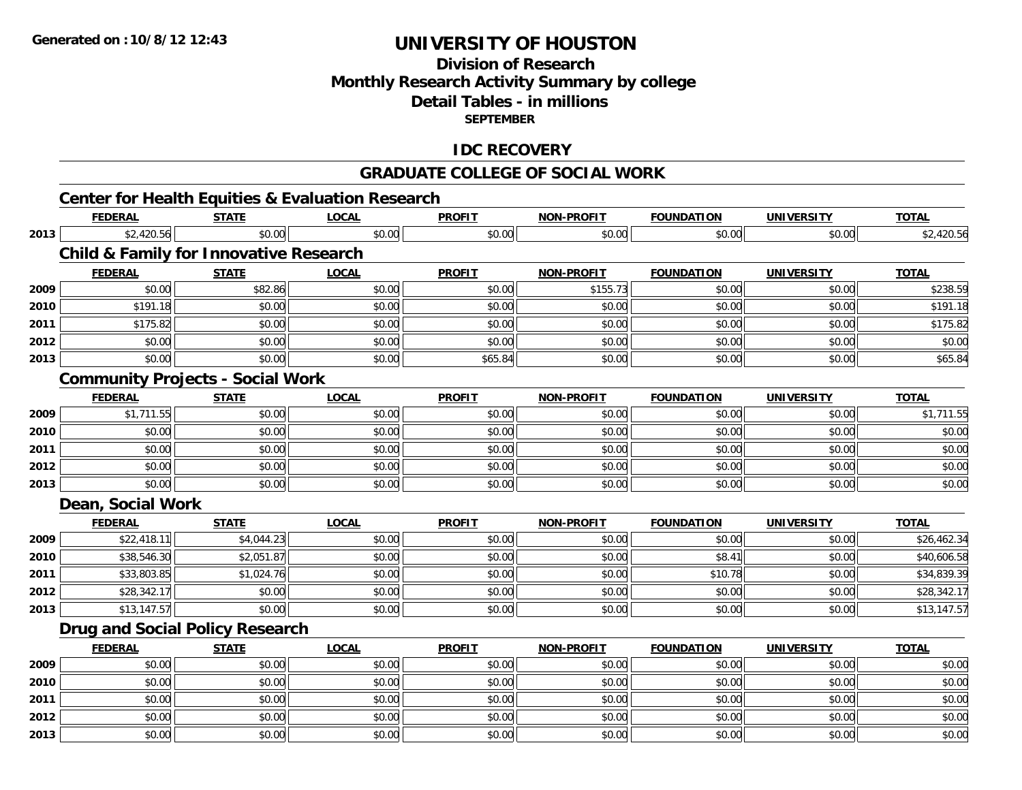**2013**

# **UNIVERSITY OF HOUSTON**

### **Division of ResearchMonthly Research Activity Summary by college Detail Tables - in millionsSEPTEMBER**

### **IDC RECOVERY**

#### **GRADUATE COLLEGE OF SOCIAL WORK**

#### **Center for Health Equities & Evaluation Research FEDERAL STATE LOCAL PROFIT NON-PROFIT FOUNDATION UNIVERSITY TOTALTOTAL 2013** $\texttt{[3]} \quad \texttt{[3]} \quad \texttt{[3]} \quad \texttt{[4]} \quad \texttt{[5]} \quad \texttt{[6]} \quad \texttt{[6]} \quad \texttt{[6]} \quad \texttt{[6]} \quad \texttt{[6]} \quad \texttt{[6]} \quad \texttt{[6]} \quad \texttt{[6]} \quad \texttt{[6]} \quad \texttt{[6]} \quad \texttt{[6]} \quad \texttt{[6]} \quad \texttt{[6]} \quad \texttt{[6]} \quad \texttt{[6]} \quad \texttt{[6]} \quad \texttt{[6]} \quad \texttt{[6]} \quad \texttt{[6]} \quad \texttt{$ **Child & Family for Innovative Research FEDERAL STATE LOCAL PROFIT NON-PROFIT FOUNDATION UNIVERSITY TOTAL2009** $\textbf{9} \hspace{15.5mm} \text{ $80.00]} \hspace{15.5mm} \text{ $80.00} \hspace{15.5mm} \text{ $81.86} \hspace{15.5mm} \text{ $155.73]} \hspace{15.5mm} \text{ $155.73]} \hspace{15.5mm} \text{ $155.73]} \hspace{15.5mm} \text{ $150.00]} \hspace{15.5mm} \text{ $150.00]} \hspace{15.5mm} \text{ $150.00]} \hspace{15.5mm} \text{ $150.00} \hspace{15.$ **2010** $\textsf{[0]} \quad \textsf{[0]} \quad \textsf{[1]} \quad \textsf{[1]} \quad \textsf{[0]} \quad \textsf{[1]} \quad \textsf{[0]} \quad \textsf{[1]} \quad \textsf{[0]} \quad \textsf{[1]} \quad \textsf{[1]} \quad \textsf{[1]} \quad \textsf{[1]} \quad \textsf{[1]} \quad \textsf{[1]} \quad \textsf{[1]} \quad \textsf{[1]} \quad \textsf{[1]} \quad \textsf{[1]} \quad \textsf{[1]} \quad \textsf{[1]} \quad \textsf{[1]} \quad \textsf{[1]} \quad \textsf{[1]} \quad \textsf{$ **2011** $\texttt{[1]} \quad \texttt{[1]} \quad \texttt{[1]} \quad \texttt{[1]} \quad \texttt{[1]} \quad \texttt{[1]} \quad \texttt{[1]} \quad \texttt{[1]} \quad \texttt{[1]} \quad \texttt{[1]} \quad \texttt{[1]} \quad \texttt{[1]} \quad \texttt{[1]} \quad \texttt{[1]} \quad \texttt{[1]} \quad \texttt{[1]} \quad \texttt{[1]} \quad \texttt{[1]} \quad \texttt{[1]} \quad \texttt{[1]} \quad \texttt{[1]} \quad \texttt{[1]} \quad \texttt{[1]} \quad \texttt{[1]} \quad \texttt{$ **2012**2 | \$0.00 \$0.00 \$0.00 \$0.00 \$0.00 \$0.00 \$0.00 \$0.00 \$0.00 \$0.00 \$0.00 \$0.00 \$0.00 \$0.00 \$0.00 \$0.00 \$0.00 **2013** \$0.00 \$0.00 \$0.00 \$65.84 \$0.00 \$0.00 \$0.00 \$65.84 **Community Projects - Social Work FEDERAL STATE LOCAL PROFIT NON-PROFIT FOUNDATION UNIVERSITY TOTAL2009** \$1,711.55 \$0.00 \$0.00 \$0.00 \$0.00 \$0.00 \$0.00 \$1,711.55 **2010**0 \$0.00 \$0.00 \$0.00 \$0.00 \$0.00 \$0.00 \$0.00 \$0.00 \$0.00 \$0.00 \$0.00 \$0.00 \$0.00 \$0.00 \$0.00 \$0.00 \$0.00 **2011** \$0.00 \$0.00 \$0.00 \$0.00 \$0.00 \$0.00 \$0.00 \$0.00 **2012**2 | \$0.00 \$0.00 \$0.00 \$0.00 \$0.00 \$0.00 \$0.00 \$0.00 \$0.00 \$0.00 \$0.00 \$0.00 \$0.00 \$0.00 \$0.00 \$0.00 \$0.00 \$0.0 **2013** \$0.00 \$0.00 \$0.00 \$0.00 \$0.00 \$0.00 \$0.00 \$0.00 **Dean, Social Work FEDERAL STATE LOCAL PROFIT NON-PROFIT FOUNDATION UNIVERSITY TOTALTOTAL 2009** \$22,418.11 \$4,044.23 \$0.00 \$0.00 \$0.00 \$0.00 \$0.00 \$26,462.34 **2010** \$38,546.30 \$2,051.87 \$0.00 \$0.00 \$0.00 \$8.41 \$0.00 \$40,606.58 **2011** \$33,803.85 \$1,024.76 \$0.00 \$0.00 \$0.00 \$10.78 \$0.00 \$34,839.39 **2012** \$28,342.17 \$0.00 \$0.00 \$0.00 \$0.00 \$0.00 \$0.00 \$28,342.17 **2013** $\textbf{3} \hspace{14.5mm} \text{ $3,147.57$} \hspace{14.5mm} \text{ $50.00$} \hspace{14.5mm} \text{ $50.00$} \hspace{14.5mm} \text{ $50.00$} \hspace{14.5mm} \text{ $50.00$} \hspace{14.5mm} \text{ $50.00$} \hspace{14.5mm} \text{ $50.00$} \hspace{14.5mm} \text{ $50.00$} \hspace{14.5mm} \text{ $50.00$} \hspace{14.5mm} \text{ $51,147.5$ **Drug and Social Policy Research FEDERAL STATE LOCAL PROFIT NON-PROFIT FOUNDATION UNIVERSITY TOTALTOTAL 2009** \$0.00 \$0.00 \$0.00 \$0.00 \$0.00 \$0.00 \$0.00 \$0.00 **2010** $\, \mathsf{0} \, | \qquad \qquad \mathsf{50.00} | \qquad \qquad \mathsf{50.00} | \qquad \qquad \mathsf{50.00} | \qquad \qquad \mathsf{50.00} | \qquad \qquad \mathsf{50.00} | \qquad \qquad \mathsf{50.00} | \qquad \qquad \mathsf{50.00} | \qquad \qquad \mathsf{50.00} | \qquad \qquad \mathsf{50.00} | \qquad \qquad \mathsf{50.00} | \qquad \qquad \mathsf{50.00} | \qquad \qquad \mathsf{50.00} | \qquad \q$ **2011** \$0.00 \$0.00 \$0.00 \$0.00 \$0.00 \$0.00 \$0.00 \$0.00 **2012**2 | \$0.00 \$0.00 \$0.00 \$0.00 \$0.00 \$0.00 \$0.00 \$0.00 \$0.00 \$0.00 \$0.00 \$0.00 \$0.00 \$0.00 \$0.00 \$0.00 \$0.00

3 \$0.00 | \$0.00 | \$0.00 | \$0.00 | \$0.00 | \$0.00 | \$0.00 | \$0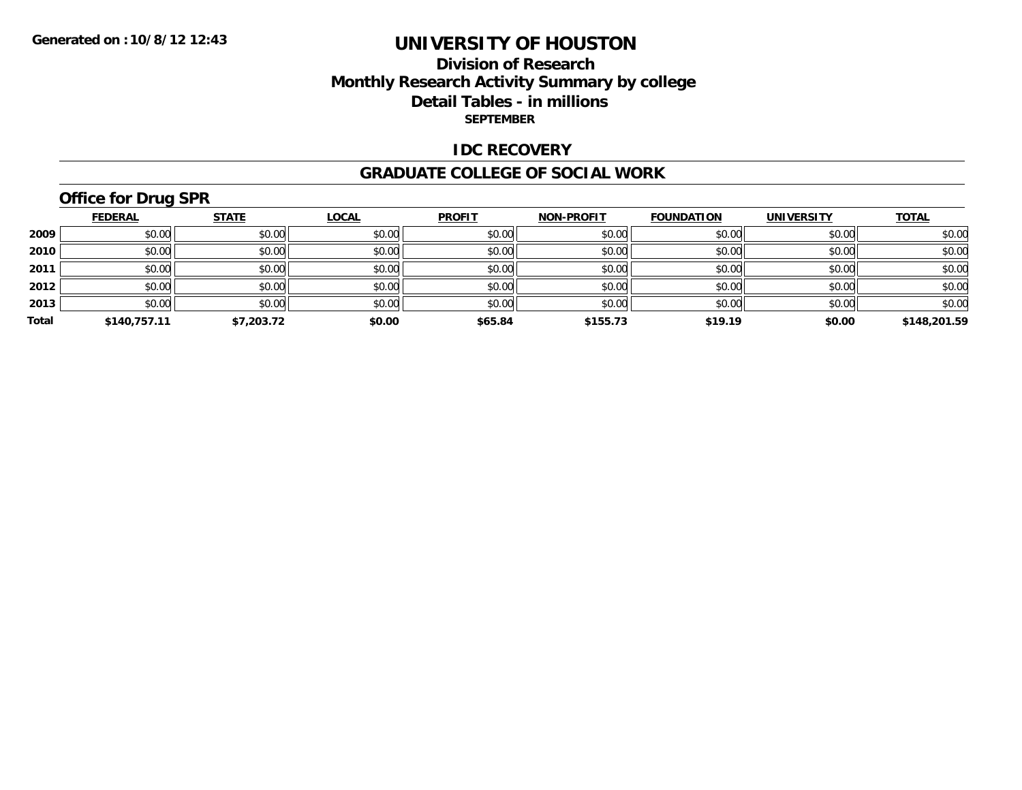### **Division of Research Monthly Research Activity Summary by college Detail Tables - in millions SEPTEMBER**

#### **IDC RECOVERY**

#### **GRADUATE COLLEGE OF SOCIAL WORK**

# **Office for Drug SPR**

|       | <b>FEDERAL</b> | <b>STATE</b> | <u>LOCAL</u> | <b>PROFIT</b> | <b>NON-PROFIT</b> | <b>FOUNDATION</b> | <b>UNIVERSITY</b> | <b>TOTAL</b> |
|-------|----------------|--------------|--------------|---------------|-------------------|-------------------|-------------------|--------------|
| 2009  | \$0.00         | \$0.00       | \$0.00       | \$0.00        | \$0.00            | \$0.00            | \$0.00            | \$0.00       |
| 2010  | \$0.00         | \$0.00       | \$0.00       | \$0.00        | \$0.00            | \$0.00            | \$0.00            | \$0.00       |
| 2011  | \$0.00         | \$0.00       | \$0.00       | \$0.00        | \$0.00            | \$0.00            | \$0.00            | \$0.00       |
| 2012  | \$0.00         | \$0.00       | \$0.00       | \$0.00        | \$0.00            | \$0.00            | \$0.00            | \$0.00       |
| 2013  | \$0.00         | \$0.00       | \$0.00       | \$0.00        | \$0.00            | \$0.00            | \$0.00            | \$0.00       |
| Total | \$140,757.11   | \$7,203.72   | \$0.00       | \$65.84       | \$155.73          | \$19.19           | \$0.00            | \$148,201.59 |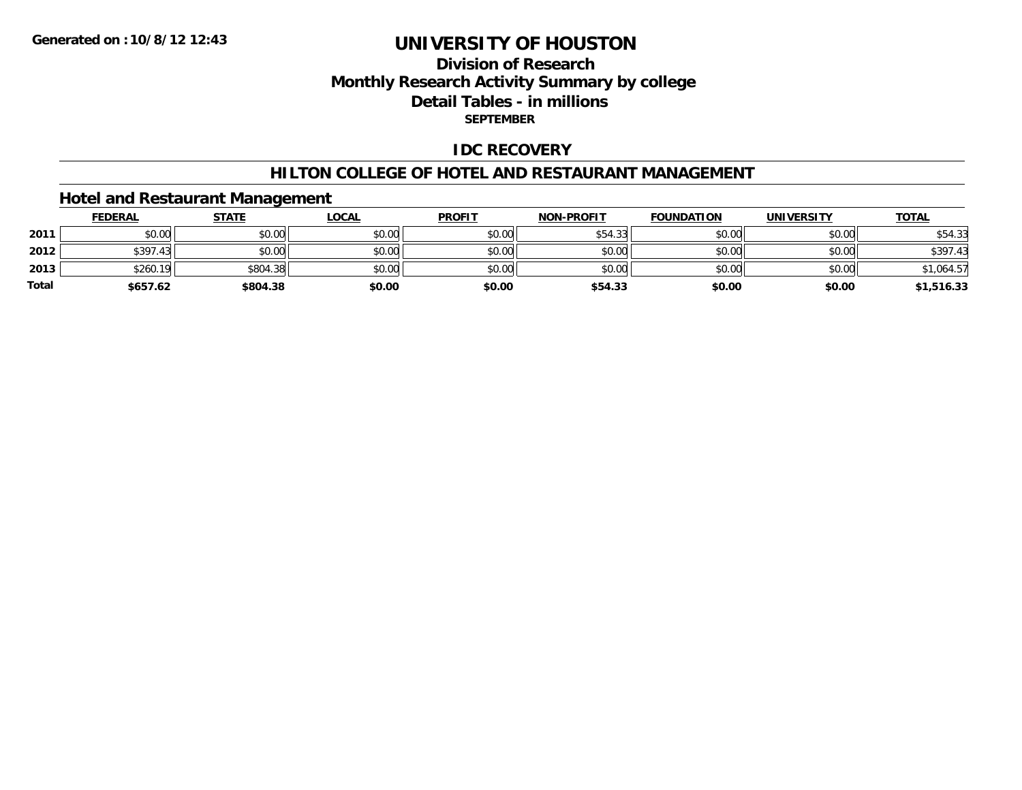### **Division of ResearchMonthly Research Activity Summary by college Detail Tables - in millions SEPTEMBER**

### **IDC RECOVERY**

#### **HILTON COLLEGE OF HOTEL AND RESTAURANT MANAGEMENT**

#### **Hotel and Restaurant Management**

|              | <b>FEDERAL</b> | <u>STATE</u> | <u>LOCAL</u> | <b>PROFIT</b> | <b>NON-PROFIT</b> | <b>FOUNDATION</b> | <b>UNIVERSITY</b> | <b>TOTAL</b> |
|--------------|----------------|--------------|--------------|---------------|-------------------|-------------------|-------------------|--------------|
| 2011         | \$0.00         | \$0.00       | \$0.00       | \$0.00        | \$54.33           | \$0.00            | \$0.00            | \$54.33      |
| 2012         | \$397.43       | \$0.00       | \$0.00       | \$0.00        | \$0.00            | \$0.00            | \$0.00            | \$397.43     |
| 2013         | \$260.19       | \$804.38     | \$0.00       | \$0.00        | \$0.00            | \$0.00            | \$0.00            | \$1,064.57   |
| <b>Total</b> | \$657.62       | \$804.38     | \$0.00       | \$0.00        | \$54.33           | \$0.00            | \$0.00            | \$1,516.33   |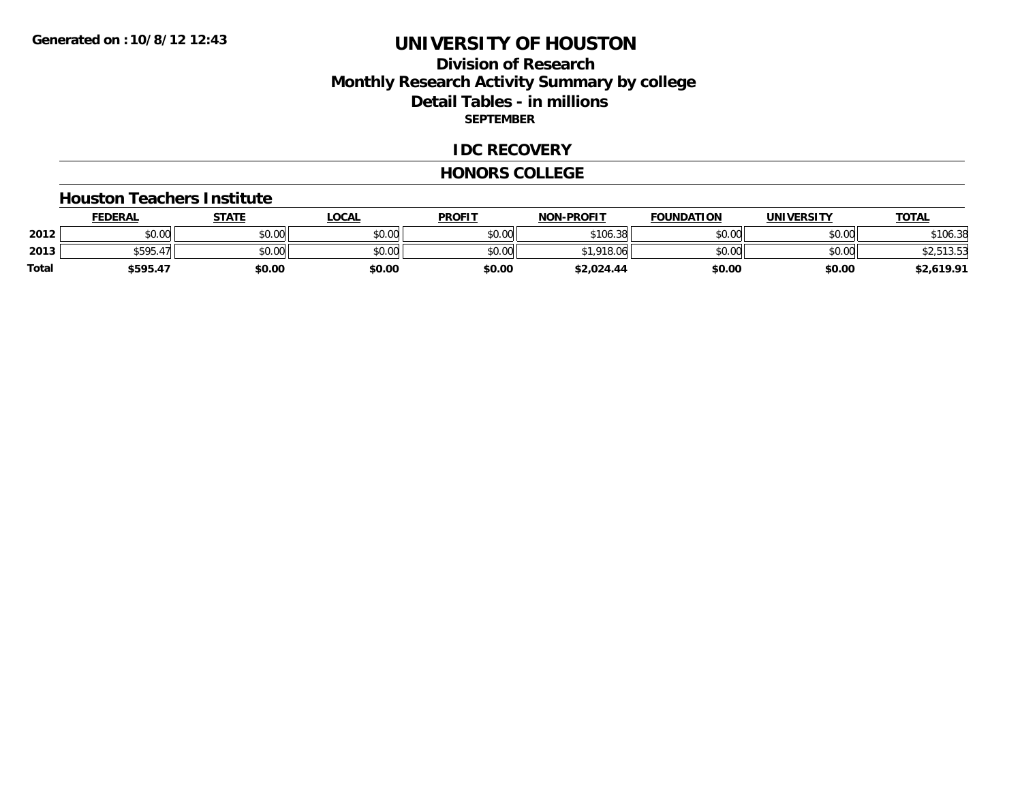### **Division of ResearchMonthly Research Activity Summary by college Detail Tables - in millions SEPTEMBER**

#### **IDC RECOVERY**

#### **HONORS COLLEGE**

#### **Houston Teachers Institute**

|       | <b>FEDERAL</b>       | STATE  | LOCAL  | <b>PROFIT</b> | <b>NON-PROFIT</b>  | <b>FOUNDATION</b> | <b>UNIVERSITY</b> | <u>TOTAL</u> |
|-------|----------------------|--------|--------|---------------|--------------------|-------------------|-------------------|--------------|
| 2012  | ADOM<br>PU.UU        | \$0.00 | \$0.00 | \$0.00        | \$106.38           | \$0.00            | \$0.00            | \$106.38     |
| 2013  | $+ - - -$<br>\$595.4 | \$0.00 | \$0.00 | \$0.00        | 010<br>18.06<br>** | \$0.00            | \$0.00            | $30 - 50$    |
| Total | \$595.47             | \$0.00 | \$0.00 | \$0.00        | \$2,024.44         | \$0.00            | \$0.00            | \$2,619.91   |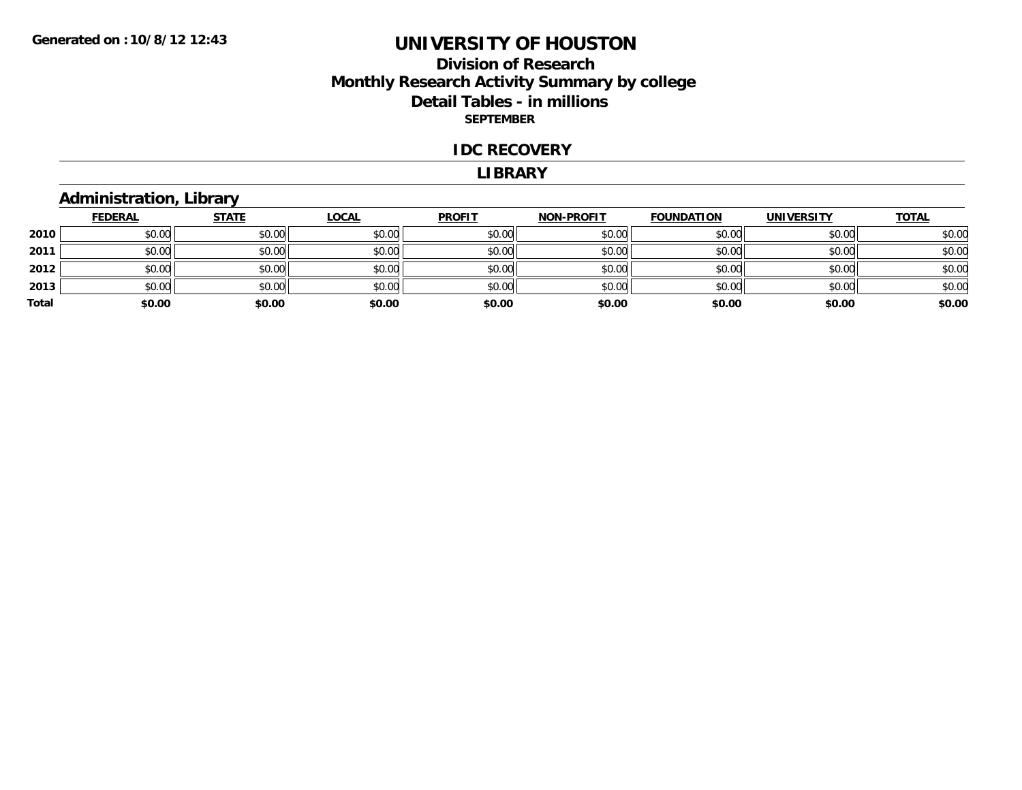### **Division of Research Monthly Research Activity Summary by college Detail Tables - in millions SEPTEMBER**

#### **IDC RECOVERY**

#### **LIBRARY**

### **Administration, Library**

|       | <b>FEDERAL</b> | <b>STATE</b> | <b>LOCAL</b> | <b>PROFIT</b> | <b>NON-PROFIT</b> | <b>FOUNDATION</b> | <b>UNIVERSITY</b> | <b>TOTAL</b> |
|-------|----------------|--------------|--------------|---------------|-------------------|-------------------|-------------------|--------------|
| 2010  | \$0.00         | \$0.00       | \$0.00       | \$0.00        | \$0.00            | \$0.00            | \$0.00            | \$0.00       |
| 2011  | \$0.00         | \$0.00       | \$0.00       | \$0.00        | \$0.00            | \$0.00            | \$0.00            | \$0.00       |
| 2012  | \$0.00         | \$0.00       | \$0.00       | \$0.00        | \$0.00            | \$0.00            | \$0.00            | \$0.00       |
| 2013  | \$0.00         | \$0.00       | \$0.00       | \$0.00        | \$0.00            | \$0.00            | \$0.00            | \$0.00       |
| Total | \$0.00         | \$0.00       | \$0.00       | \$0.00        | \$0.00            | \$0.00            | \$0.00            | \$0.00       |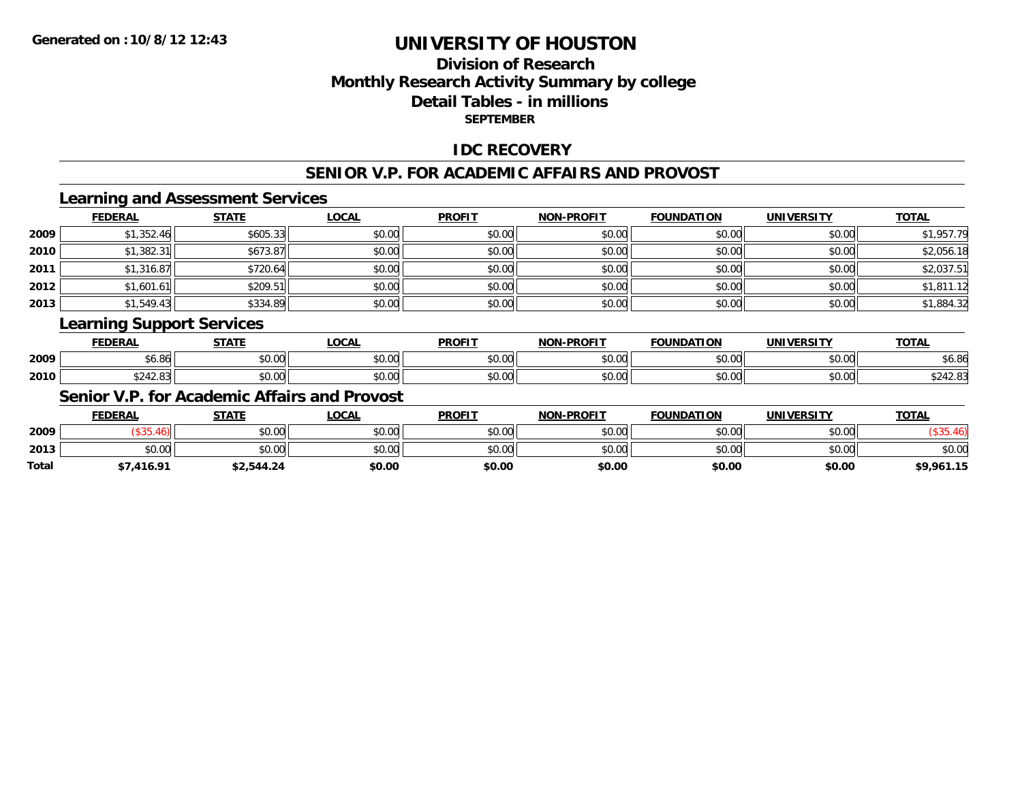### **Division of ResearchMonthly Research Activity Summary by college Detail Tables - in millions SEPTEMBER**

#### **IDC RECOVERY**

#### **SENIOR V.P. FOR ACADEMIC AFFAIRS AND PROVOST**

### **Learning and Assessment Services**

|      | <b>FEDERAL</b> | <b>STATE</b> | <b>LOCAL</b> | <b>PROFIT</b> | <b>NON-PROFIT</b> | <b>FOUNDATION</b> | <b>UNIVERSITY</b> | <b>TOTAL</b> |
|------|----------------|--------------|--------------|---------------|-------------------|-------------------|-------------------|--------------|
| 2009 | \$1,352.46     | \$605.33     | \$0.00       | \$0.00        | \$0.00            | \$0.00            | \$0.00            | \$1,957.79   |
| 2010 | \$1,382.31     | \$673.87     | \$0.00       | \$0.00        | \$0.00            | \$0.00            | \$0.00            | \$2,056.18   |
| 2011 | \$1,316.87     | \$720.64     | \$0.00       | \$0.00        | \$0.00            | \$0.00            | \$0.00            | \$2,037.51   |
| 2012 | \$1,601.61     | \$209.51     | \$0.00       | \$0.00        | \$0.00            | \$0.00            | \$0.00            | \$1,811.12   |
| 2013 | \$1,549.43     | \$334.89     | \$0.00       | \$0.00        | \$0.00            | \$0.00            | \$0.00            | \$1,884.32   |

#### **Learning Support Services**

|      | <b>FEDERAL</b>  | CT A TE       | LOCAI         | <b>PROFIT</b> | <b>DDAEIT</b><br><b>MARI</b> | <b>FOUNDATION</b> | IINIIVEDCITV           | ΤΩΤΔ                    |
|------|-----------------|---------------|---------------|---------------|------------------------------|-------------------|------------------------|-------------------------|
| 2009 | $\sim$<br>vu.ou | 0.00<br>JU.UU | 0.00<br>vu.vu | 0000<br>JU.UU | $\cdots$<br>,u.uu            | $\cdots$<br>טט.טע | $\sim$ 00<br>JU.UU     | O <sub>L</sub><br>30.OO |
| 2010 | 5010            | 0.00<br>JU.UU | 0.00<br>JU.UU | 0000<br>JU.UU | $\sim$ 00<br>DU.UU           | $\sim$ 00         | $\sim$ $\sim$<br>PU.UU | JLTL.UJ                 |

#### **Senior V.P. for Academic Affairs and Provost**

|       | <b>FEDERAL</b> | <b>STATE</b> | LOCAL  | <b>PROFIT</b> | <b>NON-PROFIT</b> | <b>FOUNDATION</b> | <b>UNIVERSITY</b> | <u>TOTAL</u> |
|-------|----------------|--------------|--------|---------------|-------------------|-------------------|-------------------|--------------|
| 2009  |                | \$0.00       | \$0.00 | \$0.00        | \$0.00            | \$0.00            | \$0.00            |              |
| 2013  | to on<br>DU.UG | \$0.00       | \$0.00 | \$0.00        | \$0.00            | \$0.00            | \$0.00            | \$0.00       |
| Total | 7,416.91       | \$2,544.24   | \$0.00 | \$0.00        | \$0.00            | \$0.00            | \$0.00            | \$9,961.15   |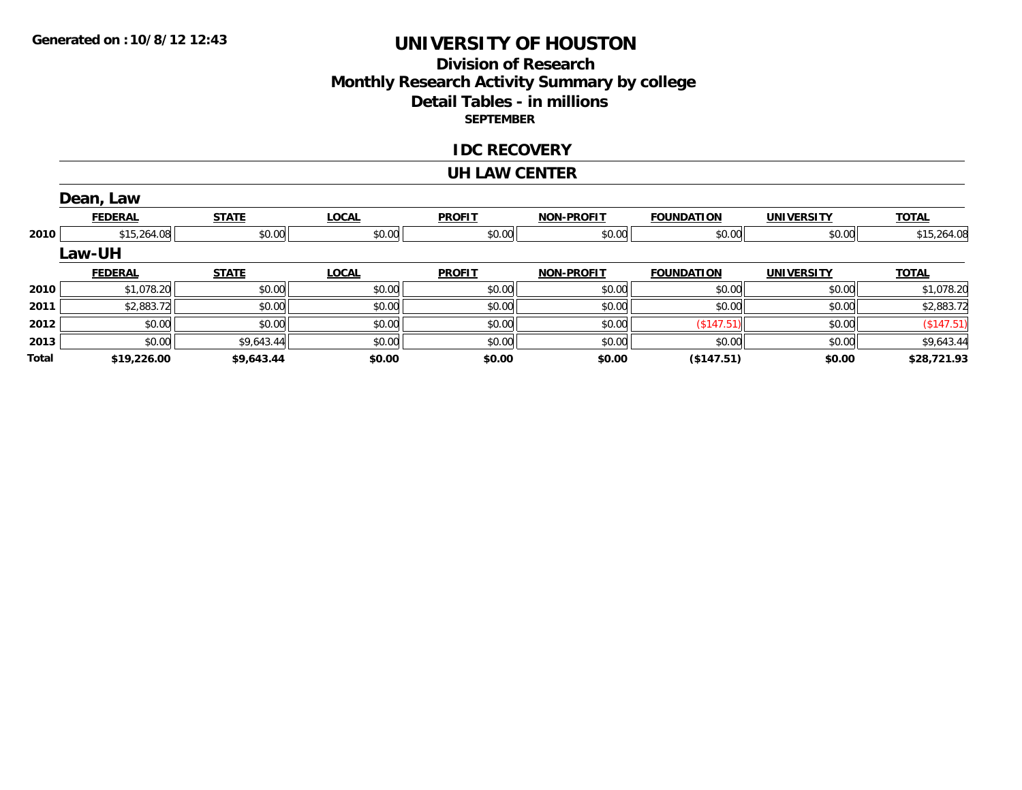### **Division of Research Monthly Research Activity Summary by college Detail Tables - in millions SEPTEMBER**

#### **IDC RECOVERY**

#### **UH LAW CENTER**

|       | Dean, Law      |              |              |               |                   |                   |                   |              |
|-------|----------------|--------------|--------------|---------------|-------------------|-------------------|-------------------|--------------|
|       | <b>FEDERAL</b> | <b>STATE</b> | <b>LOCAL</b> | <b>PROFIT</b> | <b>NON-PROFIT</b> | <b>FOUNDATION</b> | <b>UNIVERSITY</b> | <b>TOTAL</b> |
| 2010  | \$15,264.08    | \$0.00       | \$0.00       | \$0.00        | \$0.00            | \$0.00            | \$0.00            | \$15,264.08  |
|       | <b>Law-UH</b>  |              |              |               |                   |                   |                   |              |
|       | <b>FEDERAL</b> | <b>STATE</b> | <b>LOCAL</b> | <b>PROFIT</b> | <b>NON-PROFIT</b> | <b>FOUNDATION</b> | <b>UNIVERSITY</b> | <b>TOTAL</b> |
| 2010  | \$1,078.20     | \$0.00       | \$0.00       | \$0.00        | \$0.00            | \$0.00            | \$0.00            | \$1,078.20   |
| 2011  | \$2,883.72     | \$0.00       | \$0.00       | \$0.00        | \$0.00            | \$0.00            | \$0.00            | \$2,883.72   |
| 2012  | \$0.00         | \$0.00       | \$0.00       | \$0.00        | \$0.00            | (\$147.51)        | \$0.00            | (\$147.51)   |
| 2013  | \$0.00         | \$9,643.44   | \$0.00       | \$0.00        | \$0.00            | \$0.00            | \$0.00            | \$9,643.44   |
| Total | \$19,226.00    | \$9,643.44   | \$0.00       | \$0.00        | \$0.00            | (\$147.51)        | \$0.00            | \$28,721.93  |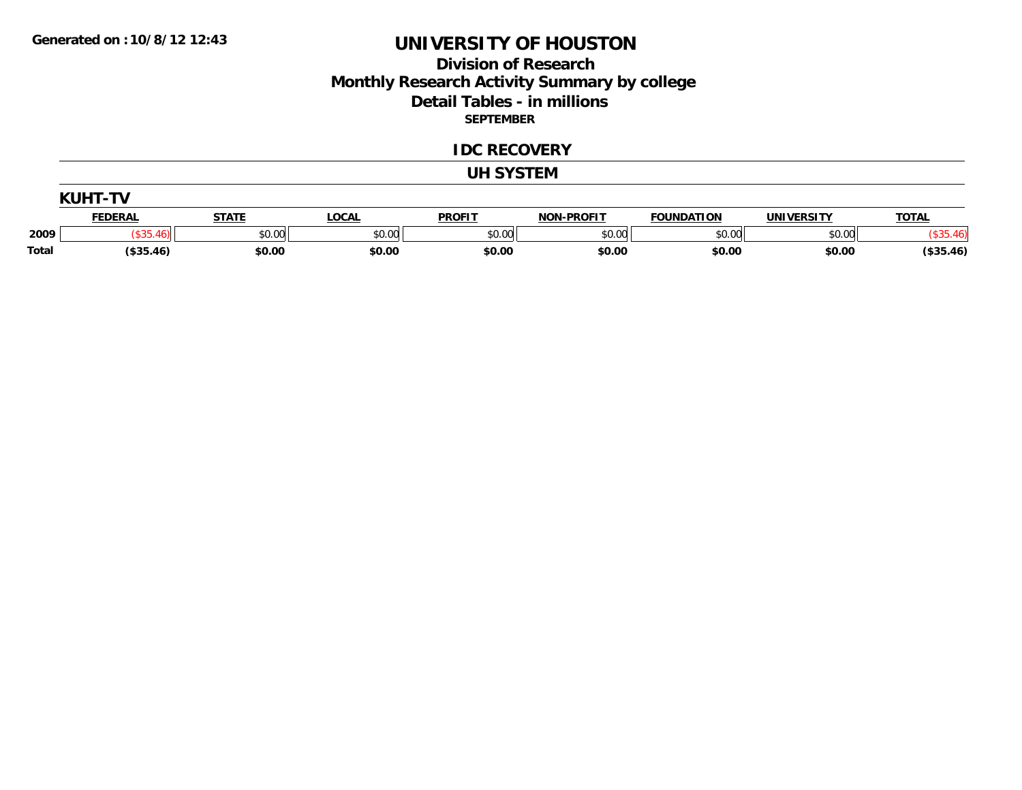### **Division of Research Monthly Research Activity Summary by college Detail Tables - in millions SEPTEMBER**

#### **IDC RECOVERY**

#### **UH SYSTEM**

|       | <b>FEDERAL</b> | <b>STATE</b> | <b>LOCAL</b> | <b>PROFIT</b> | <b>NON-PROFIT</b> | <b>FOUNDATION</b> | <b>UNIVERSITY</b> | <b>TOTAL</b> |
|-------|----------------|--------------|--------------|---------------|-------------------|-------------------|-------------------|--------------|
| 2009  | 46).           | \$0.00       | \$0.00       | \$0.00        | \$0.00            | \$0.00            | \$0.00            |              |
| Total | (\$35.46)      | \$0.00       | \$0.00       | \$0.00        | \$0.00            | \$0.00            | \$0.00            | (\$35.46)    |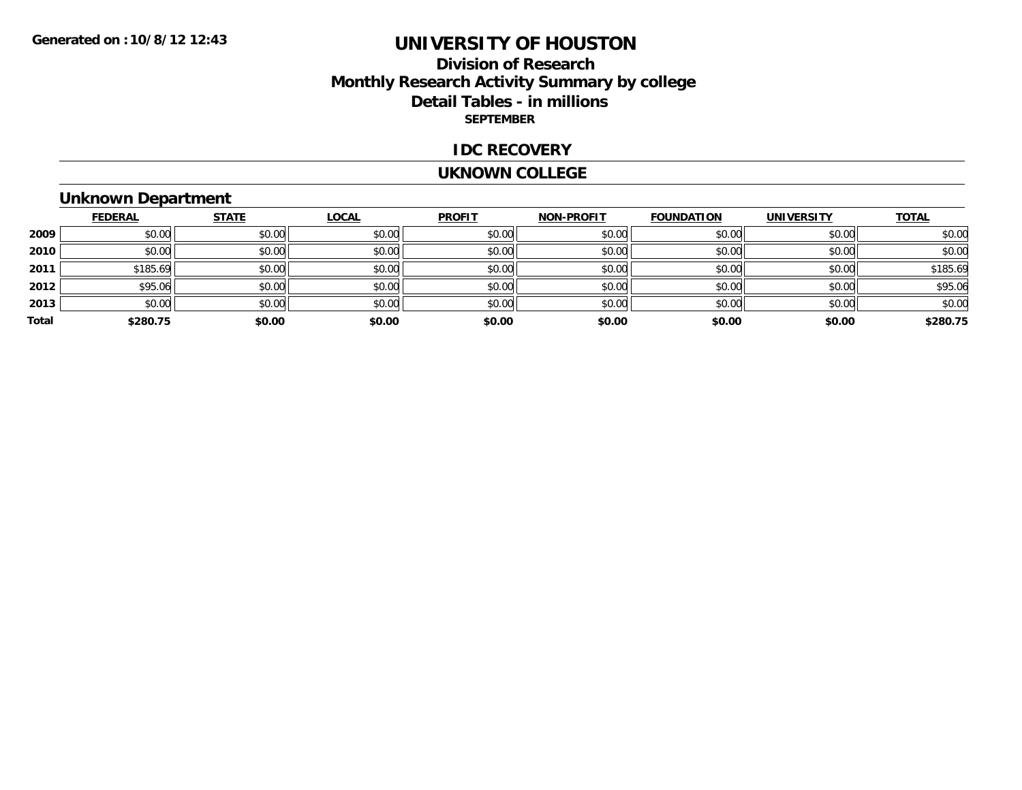### **Division of Research Monthly Research Activity Summary by college Detail Tables - in millions SEPTEMBER**

#### **IDC RECOVERY**

#### **UKNOWN COLLEGE**

# **Unknown Department**

|       | <b>FEDERAL</b> | <b>STATE</b> | <b>LOCAL</b> | <b>PROFIT</b> | NON-PROFIT | <b>FOUNDATION</b> | <b>UNIVERSITY</b> | <b>TOTAL</b> |
|-------|----------------|--------------|--------------|---------------|------------|-------------------|-------------------|--------------|
| 2009  | \$0.00         | \$0.00       | \$0.00       | \$0.00        | \$0.00     | \$0.00            | \$0.00            | \$0.00       |
| 2010  | \$0.00         | \$0.00       | \$0.00       | \$0.00        | \$0.00     | \$0.00            | \$0.00            | \$0.00       |
| 2011  | \$185.69       | \$0.00       | \$0.00       | \$0.00        | \$0.00     | \$0.00            | \$0.00            | \$185.69     |
| 2012  | \$95.06        | \$0.00       | \$0.00       | \$0.00        | \$0.00     | \$0.00            | \$0.00            | \$95.06      |
| 2013  | \$0.00         | \$0.00       | \$0.00       | \$0.00        | \$0.00     | \$0.00            | \$0.00            | \$0.00       |
| Total | \$280.75       | \$0.00       | \$0.00       | \$0.00        | \$0.00     | \$0.00            | \$0.00            | \$280.75     |